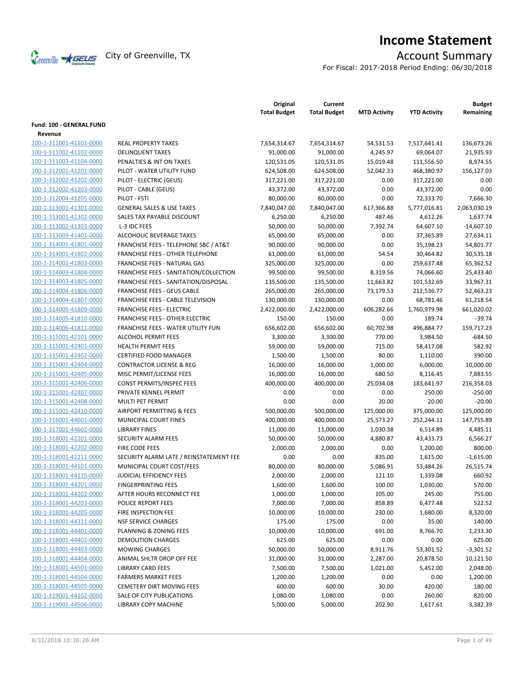

# **Income Statement**

For Fiscal: 2017-2018 Period Ending: 06/30/2018

|                          |                                                  | Original<br><b>Total Budget</b> | Current<br><b>Total Budget</b> | <b>MTD Activity</b> | <b>YTD Activity</b> | <b>Budget</b><br>Remaining |
|--------------------------|--------------------------------------------------|---------------------------------|--------------------------------|---------------------|---------------------|----------------------------|
| Fund: 100 - GENERAL FUND |                                                  |                                 |                                |                     |                     |                            |
| Revenue                  |                                                  |                                 |                                |                     |                     |                            |
| 100-1-311001-41101-0000  | <b>REAL PROPERTY TAXES</b>                       | 7,654,314.67                    | 7,654,314.67                   | 54,531.53           | 7,517,641.41        | 136,673.26                 |
| 100-1-311002-41102-0000  | <b>DELINQUENT TAXES</b>                          | 91,000.00                       | 91,000.00                      | 4,245.97            | 69,064.07           | 21,935.93                  |
| 100-1-311003-41104-0000  | PENALTIES & INT ON TAXES                         | 120,531.05                      | 120,531.05                     | 15,019.48           | 111,556.50          | 8,974.55                   |
| 100-1-312001-41201-0000  | PILOT - WATER UTILITY FUND                       | 624,508.00                      | 624,508.00                     | 52,042.33           | 468,380.97          | 156,127.03                 |
| 100-1-312002-41202-0000  | PILOT - ELECTRIC (GEUS)                          | 317,221.00                      | 317,221.00                     | 0.00                | 317,221.00          | 0.00                       |
| 100-1-312002-41203-0000  | PILOT - CABLE (GEUS)                             | 43,372.00                       | 43,372.00                      | 0.00                | 43,372.00           | 0.00                       |
| 100-1-312004-41205-0000  | PILOT - FSTI                                     | 80,000.00                       | 80,000.00                      | 0.00                | 72,333.70           | 7,666.30                   |
| 100-1-313001-41301-0000  | <b>GENERAL SALES &amp; USE TAXES</b>             | 7,840,047.00                    | 7,840,047.00                   | 617,366.88          | 5,777,016.81        | 2,063,030.19               |
| 100-1-313001-41302-0000  | SALES TAX PAYABLE DISCOUNT                       | 6,250.00                        | 6,250.00                       | 487.46              | 4,612.26            | 1,637.74                   |
| 100-1-313002-41303-0000  | L-3 IDC FEES                                     | 50,000.00                       | 50,000.00                      | 7,392.74            | 64,607.10           | $-14,607.10$               |
| 100-1-313003-41401-0000  | ALCOHOLIC BEVERAGE TAXES                         | 65,000.00                       | 65,000.00                      | 0.00                | 37,365.89           | 27,634.11                  |
| 100-1-314001-41801-0000  | <b>FRANCHISE FEES - TELEPHONE SBC / AT&amp;T</b> | 90,000.00                       | 90,000.00                      | 0.00                | 35,198.23           | 54,801.77                  |
| 100-1-314001-41802-0000  | <b>FRANCHISE FEES - OTHER TELEPHONE</b>          | 61,000.00                       | 61,000.00                      | 54.54               | 30,464.82           | 30,535.18                  |
| 100-1-314002-41803-0000  | FRANCHISE FEES - NATURAL GAS                     | 325,000.00                      | 325,000.00                     | 0.00                | 259,637.48          | 65,362.52                  |
| 100-1-314003-41804-0000  | FRANCHISE FEES - SANITATION/COLLECTION           | 99,500.00                       | 99,500.00                      | 8,319.56            | 74,066.60           | 25,433.40                  |
| 100-1-314003-41805-0000  | FRANCHISE FEES - SANITATION/DISPOSAL             | 135,500.00                      | 135,500.00                     | 11,663.82           | 101,532.69          | 33,967.31                  |
| 100-1-314004-41806-0000  | <b>FRANCHISE FEES - GEUS CABLE</b>               | 265,000.00                      | 265,000.00                     | 73,179.53           | 212,536.77          | 52,463.23                  |
| 100-1-314004-41807-0000  | FRANCHISE FEES - CABLE TELEVISION                | 130,000.00                      | 130,000.00                     | 0.00                | 68,781.46           | 61,218.54                  |
| 100-1-314005-41809-0000  | <b>FRANCHISE FEES - ELECTRIC</b>                 | 2,422,000.00                    | 2,422,000.00                   | 606,282.66          | 1,760,979.98        | 661,020.02                 |
| 100-1-314005-41810-0000  | <b>FRANCHISE FEES - OTHER ELECTRIC</b>           | 150.00                          | 150.00                         | 0.00                | 189.74              | $-39.74$                   |
| 100-1-314006-41811-0000  | <b>FRANCHISE FEES - WATER UTILITY FUN</b>        | 656,602.00                      | 656,602.00                     | 60,702.98           | 496,884.77          | 159,717.23                 |
| 100-1-315001-42101-0000  | <b>ALCOHOL PERMIT FEES</b>                       | 3,300.00                        | 3,300.00                       | 770.00              | 3,984.50            | -684.50                    |
| 100-1-315001-42401-0000  | <b>HEALTH PERMIT FEES</b>                        | 59,000.00                       | 59,000.00                      | 715.00              | 58,417.08           | 582.92                     |
| 100-1-315001-42402-0000  | <b>CERTIFIED FOOD MANAGER</b>                    | 1,500.00                        | 1,500.00                       | 80.00               | 1,110.00            | 390.00                     |
| 100-1-315001-42404-0000  | <b>CONTRACTOR LICENSE &amp; REG</b>              | 16,000.00                       | 16,000.00                      | 1,000.00            | 6,000.00            | 10,000.00                  |
| 100-1-315001-42405-0000  | MISC PERMIT/LICENSE FEES                         | 16,000.00                       | 16,000.00                      | 680.50              | 8,116.45            | 7,883.55                   |
| 100-1-315001-42406-0000  | CONST PERMITS/INSPEC FEES                        | 400,000.00                      | 400,000.00                     | 25,034.08           | 183,641.97          | 216,358.03                 |
| 100-1-315001-42407-0000  | PRIVATE KENNEL PERMIT                            | 0.00                            | 0.00                           | 0.00                | 250.00              | $-250.00$                  |
| 100-1-315001-42408-0000  | MULTI PET PERMIT                                 | 0.00                            | 0.00                           | 20.00               | 20.00               | $-20.00$                   |
| 100-1-315001-42410-0000  | <b>AIRPORT PERMITTING &amp; FEES</b>             | 500,000.00                      | 500,000.00                     | 125,000.00          | 375,000.00          | 125,000.00                 |
| 100-1-316001-44601-0000  | MUNICIPAL COURT FINES                            | 400,000.00                      | 400,000.00                     | 25,573.27           | 252,244.11          | 147,755.89                 |
| 100-1-317001-44602-0000  | <b>LIBRARY FINES</b>                             | 11,000.00                       | 11,000.00                      | 1,030.38            | 6,514.89            | 4,485.11                   |
| 100-1-318001-42201-0000  | SECURITY ALARM FEES                              | 50,000.00                       | 50,000.00                      | 4,880.87            | 43,433.73           | 6,566.27                   |
| 100-1-318001-42202-0000  | FIRE CODE FEES                                   | 2,000.00                        | 2,000.00                       | 0.00                | 1,200.00            | 800.00                     |
| 100-1-318001-42211-0000  | SECURITY ALARM LATE / REINSTATEMENT FEE          | 0.00                            | 0.00                           | 835.00              | 1,615.00            | $-1,615.00$                |
| 100-1-318001-44101-0000  | MUNICIPAL COURT COST/FEES                        | 80,000.00                       | 80,000.00                      | 5,086.91            | 53,484.26           | 26,515.74                  |
| 100-1-318001-44115-0000  | JUDICIAL EFFICIENCY FEES                         | 2,000.00                        | 2,000.00                       | 121.10              | 1,339.08            | 660.92                     |
| 100-1-318001-44201-0000  | <b>FINGERPRINTING FEES</b>                       | 1,600.00                        | 1,600.00                       | 100.00              | 1,030.00            | 570.00                     |
| 100-1-318001-44202-0000  | AFTER HOURS RECONNECT FEE                        | 1,000.00                        | 1,000.00                       | 105.00              | 245.00              | 755.00                     |
| 100-1-318001-44203-0000  | POLICE REPORT FEES                               | 7,000.00                        | 7,000.00                       | 858.89              | 6,477.48            | 522.52                     |
| 100-1-318001-44205-0000  | FIRE INSPECTION FEE                              | 10,000.00                       | 10,000.00                      | 230.00              | 1,680.00            | 8,320.00                   |
| 100-1-318001-44311-0000  | <b>NSF SERVICE CHARGES</b>                       | 175.00                          | 175.00                         | 0.00                | 35.00               | 140.00                     |
| 100-1-318001-44401-0000  | PLANNING & ZONING FEES                           | 10,000.00                       | 10,000.00                      | 691.00              | 8,766.70            | 1,233.30                   |
| 100-1-318001-44402-0000  | <b>DEMOLITION CHARGES</b>                        | 625.00                          | 625.00                         | 0.00                | 0.00                | 625.00                     |
| 100-1-318001-44403-0000  | <b>MOWING CHARGES</b>                            | 50,000.00                       | 50,000.00                      | 8,911.76            | 53,301.52           | $-3,301.52$                |
| 100-1-318001-44404-0000  | ANIMAL SHLTR DROP OFF FEE                        | 31,000.00                       | 31,000.00                      | 2,287.00            | 20,878.50           | 10,121.50                  |
| 100-1-318001-44501-0000  | <b>LIBRARY CARD FEES</b>                         | 7,500.00                        | 7,500.00                       | 1,021.00            | 5,452.00            | 2,048.00                   |
| 100-1-318001-44504-0000  | <b>FARMERS MARKET FEES</b>                       | 1,200.00                        | 1,200.00                       | 0.00                | 0.00                | 1,200.00                   |
| 100-1-318001-44505-0000  | <b>CEMETERY DIRT MOVING FEES</b>                 | 600.00                          | 600.00                         | 30.00               | 420.00              | 180.00                     |
| 100-1-319001-44102-0000  | SALE OF CITY PUBLICATIONS                        | 1,080.00                        | 1,080.00                       | 0.00                | 260.00              | 820.00                     |
| 100-1-319001-44506-0000  | LIBRARY COPY MACHINE                             | 5,000.00                        | 5,000.00                       | 202.90              | 1,617.61            | 3,382.39                   |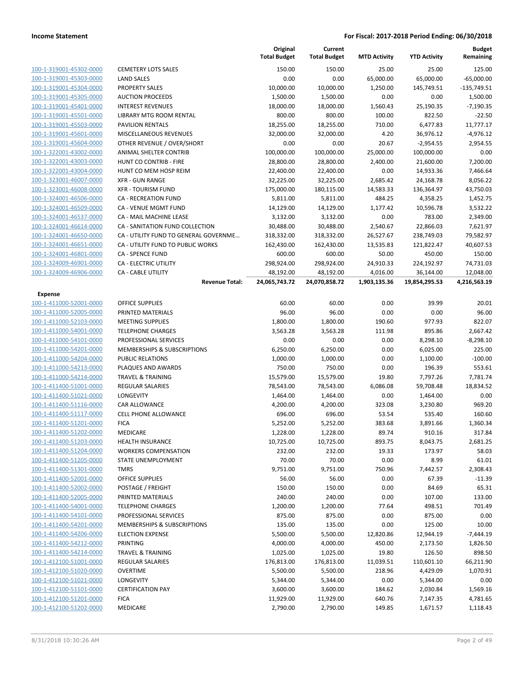|                         |                                        | Original<br><b>Total Budget</b> | Current<br><b>Total Budget</b> | <b>MTD Activity</b> | <b>YTD Activity</b> | <b>Budget</b><br>Remaining |
|-------------------------|----------------------------------------|---------------------------------|--------------------------------|---------------------|---------------------|----------------------------|
| 100-1-319001-45302-0000 | <b>CEMETERY LOTS SALES</b>             | 150.00                          | 150.00                         | 25.00               | 25.00               | 125.00                     |
| 100-1-319001-45303-0000 | <b>LAND SALES</b>                      | 0.00                            | 0.00                           | 65,000.00           | 65,000.00           | $-65,000.00$               |
| 100-1-319001-45304-0000 | <b>PROPERTY SALES</b>                  | 10,000.00                       | 10,000.00                      | 1,250.00            | 145,749.51          | $-135,749.51$              |
| 100-1-319001-45305-0000 | <b>AUCTION PROCEEDS</b>                | 1,500.00                        | 1,500.00                       | 0.00                | 0.00                | 1,500.00                   |
| 100-1-319001-45401-0000 | <b>INTEREST REVENUES</b>               | 18,000.00                       | 18,000.00                      | 1,560.43            | 25,190.35           | $-7,190.35$                |
| 100-1-319001-45501-0000 | LIBRARY MTG ROOM RENTAL                | 800.00                          | 800.00                         | 100.00              | 822.50              | $-22.50$                   |
| 100-1-319001-45503-0000 | PAVILION RENTALS                       | 18,255.00                       | 18,255.00                      | 710.00              | 6,477.83            | 11,777.17                  |
| 100-1-319001-45601-0000 | <b>MISCELLANEOUS REVENUES</b>          | 32,000.00                       | 32,000.00                      | 4.20                | 36,976.12           | $-4,976.12$                |
| 100-1-319001-45604-0000 | OTHER REVENUE / OVER/SHORT             | 0.00                            | 0.00                           | 20.67               | $-2,954.55$         | 2,954.55                   |
| 100-1-322001-43002-0000 | ANIMAL SHELTER CONTRIB                 | 100,000.00                      | 100,000.00                     | 25,000.00           | 100,000.00          | 0.00                       |
| 100-1-322001-43003-0000 | <b>HUNT CO CONTRIB - FIRE</b>          | 28,800.00                       | 28,800.00                      | 2,400.00            | 21,600.00           | 7,200.00                   |
| 100-1-322001-43004-0000 | HUNT CO MEM HOSP REIM                  | 22,400.00                       | 22,400.00                      | 0.00                | 14,933.36           | 7,466.64                   |
| 100-1-323001-46007-0000 | <b>XFR - GUN RANGE</b>                 | 32,225.00                       | 32,225.00                      | 2,685.42            | 24,168.78           | 8,056.22                   |
| 100-1-323001-46008-0000 | <b>XFR - TOURISM FUND</b>              | 175,000.00                      | 180,115.00                     | 14,583.33           | 136,364.97          | 43,750.03                  |
| 100-1-324001-46506-0000 | CA - RECREATION FUND                   | 5,811.00                        | 5,811.00                       | 484.25              | 4,358.25            | 1,452.75                   |
| 100-1-324001-46509-0000 | CA - VENUE MGMT FUND                   | 14,129.00                       | 14,129.00                      | 1,177.42            | 10,596.78           | 3,532.22                   |
| 100-1-324001-46537-0000 | CA - MAIL MACHINE LEASE                | 3,132.00                        | 3,132.00                       | 0.00                | 783.00              | 2,349.00                   |
| 100-1-324001-46614-0000 | CA - SANITATION FUND COLLECTION        | 30,488.00                       | 30,488.00                      | 2,540.67            | 22,866.03           | 7,621.97                   |
| 100-1-324001-46650-0000 | CA - UTILITY FUND TO GENERAL GOVERNME  | 318,332.00                      | 318,332.00                     | 26,527.67           | 238,749.03          | 79,582.97                  |
| 100-1-324001-46651-0000 | CA - UTILITY FUND TO PUBLIC WORKS      | 162,430.00                      | 162,430.00                     | 13,535.83           | 121,822.47          | 40,607.53                  |
| 100-1-324001-46801-0000 | <b>CA - SPENCE FUND</b>                | 600.00                          | 600.00                         | 50.00               | 450.00              | 150.00                     |
| 100-1-324009-46901-0000 | <b>CA - ELECTRIC UTILITY</b>           | 298,924.00                      | 298,924.00                     | 24,910.33           | 224,192.97          | 74,731.03                  |
| 100-1-324009-46906-0000 | <b>CA - CABLE UTILITY</b>              | 48,192.00                       | 48,192.00                      | 4,016.00            | 36,144.00           | 12,048.00                  |
|                         | <b>Revenue Total:</b>                  | 24,065,743.72                   | 24,070,858.72                  | 1,903,135.36        | 19,854,295.53       | 4,216,563.19               |
| <b>Expense</b>          |                                        |                                 |                                |                     |                     |                            |
| 100-1-411000-52001-0000 | <b>OFFICE SUPPLIES</b>                 | 60.00                           | 60.00                          | 0.00                | 39.99               | 20.01                      |
| 100-1-411000-52005-0000 | PRINTED MATERIALS                      | 96.00                           | 96.00                          | 0.00                | 0.00                | 96.00                      |
| 100-1-411000-52103-0000 | <b>MEETING SUPPLIES</b>                | 1,800.00                        | 1,800.00                       | 190.60              | 977.93              | 822.07                     |
| 100-1-411000-54001-0000 | <b>TELEPHONE CHARGES</b>               | 3,563.28                        | 3,563.28                       | 111.98              | 895.86              | 2,667.42                   |
| 100-1-411000-54101-0000 | PROFESSIONAL SERVICES                  | 0.00                            | 0.00                           | 0.00                | 8,298.10            | $-8,298.10$                |
| 100-1-411000-54201-0000 | MEMBERSHIPS & SUBSCRIPTIONS            | 6,250.00                        | 6,250.00                       | 0.00                | 6,025.00            | 225.00                     |
| 100-1-411000-54204-0000 | <b>PUBLIC RELATIONS</b>                | 1,000.00                        | 1,000.00                       | 0.00                | 1,100.00            | $-100.00$                  |
| 100-1-411000-54213-0000 | PLAQUES AND AWARDS                     | 750.00                          | 750.00                         | 0.00                | 196.39              | 553.61                     |
| 100-1-411000-54214-0000 | <b>TRAVEL &amp; TRAINING</b>           | 15,579.00                       | 15,579.00                      | 19.80               | 7,797.26            | 7,781.74                   |
| 100-1-411400-51001-0000 | <b>REGULAR SALARIES</b>                | 78,543.00                       | 78,543.00                      | 6,086.08            | 59,708.48           | 18,834.52                  |
| 100-1-411400-51021-0000 | LONGEVITY                              | 1,464.00                        | 1,464.00                       | 0.00                | 1,464.00            | 0.00                       |
| 100-1-411400-51116-0000 | <b>CAR ALLOWANCE</b>                   | 4,200.00                        | 4,200.00                       | 323.08              | 3,230.80            | 969.20                     |
| 100-1-411400-51117-0000 | <b>CELL PHONE ALLOWANCE</b>            | 696.00                          | 696.00                         | 53.54               | 535.40              | 160.60                     |
| 100-1-411400-51201-0000 | <b>FICA</b>                            | 5,252.00                        | 5,252.00                       | 383.68              | 3,891.66            | 1,360.34                   |
| 100-1-411400-51202-0000 | <b>MEDICARE</b>                        | 1,228.00                        | 1,228.00                       | 89.74               | 910.16              | 317.84                     |
| 100-1-411400-51203-0000 | <b>HEALTH INSURANCE</b>                | 10,725.00                       | 10,725.00                      | 893.75              | 8,043.75            | 2,681.25                   |
| 100-1-411400-51204-0000 | <b>WORKERS COMPENSATION</b>            | 232.00                          | 232.00                         | 19.33               | 173.97              | 58.03                      |
| 100-1-411400-51205-0000 | STATE UNEMPLOYMENT                     | 70.00                           | 70.00                          | 0.00                | 8.99                | 61.01                      |
| 100-1-411400-51301-0000 | <b>TMRS</b>                            | 9,751.00                        | 9,751.00                       | 750.96              | 7,442.57            | 2,308.43                   |
| 100-1-411400-52001-0000 | OFFICE SUPPLIES                        | 56.00                           | 56.00                          | 0.00                | 67.39               | $-11.39$                   |
| 100-1-411400-52002-0000 | POSTAGE / FREIGHT                      | 150.00                          | 150.00                         | 0.00                | 84.69               | 65.31                      |
| 100-1-411400-52005-0000 | PRINTED MATERIALS                      | 240.00                          | 240.00                         | 0.00                | 107.00              | 133.00                     |
| 100-1-411400-54001-0000 | <b>TELEPHONE CHARGES</b>               | 1,200.00                        | 1,200.00                       | 77.64               | 498.51              | 701.49                     |
| 100-1-411400-54101-0000 | PROFESSIONAL SERVICES                  | 875.00                          | 875.00                         | 0.00                | 875.00              | 0.00                       |
| 100-1-411400-54201-0000 | <b>MEMBERSHIPS &amp; SUBSCRIPTIONS</b> | 135.00                          | 135.00                         | 0.00                | 125.00              | 10.00                      |
| 100-1-411400-54206-0000 | <b>ELECTION EXPENSE</b>                | 5,500.00                        | 5,500.00                       | 12,820.86           | 12,944.19           | $-7,444.19$                |
| 100-1-411400-54212-0000 | PRINTING                               | 4,000.00                        | 4,000.00                       | 450.00              | 2,173.50            | 1,826.50                   |
| 100-1-411400-54214-0000 | <b>TRAVEL &amp; TRAINING</b>           | 1,025.00                        | 1,025.00                       | 19.80               | 126.50              | 898.50                     |
| 100-1-412100-51001-0000 | <b>REGULAR SALARIES</b>                | 176,813.00                      | 176,813.00                     | 11,039.51           | 110,601.10          | 66,211.90                  |
| 100-1-412100-51020-0000 | <b>OVERTIME</b>                        | 5,500.00                        | 5,500.00                       | 218.96              | 4,429.09            | 1,070.91                   |
| 100-1-412100-51021-0000 | LONGEVITY                              | 5,344.00                        | 5,344.00                       | 0.00                | 5,344.00            | 0.00                       |
| 100-1-412100-51101-0000 | <b>CERTIFICATION PAY</b>               | 3,600.00                        | 3,600.00                       | 184.62              | 2,030.84            | 1,569.16                   |
| 100-1-412100-51201-0000 | <b>FICA</b>                            | 11,929.00                       | 11,929.00                      | 640.76              | 7,147.35            | 4,781.65                   |
| 100-1-412100-51202-0000 | MEDICARE                               | 2,790.00                        | 2,790.00                       | 149.85              | 1,671.57            | 1,118.43                   |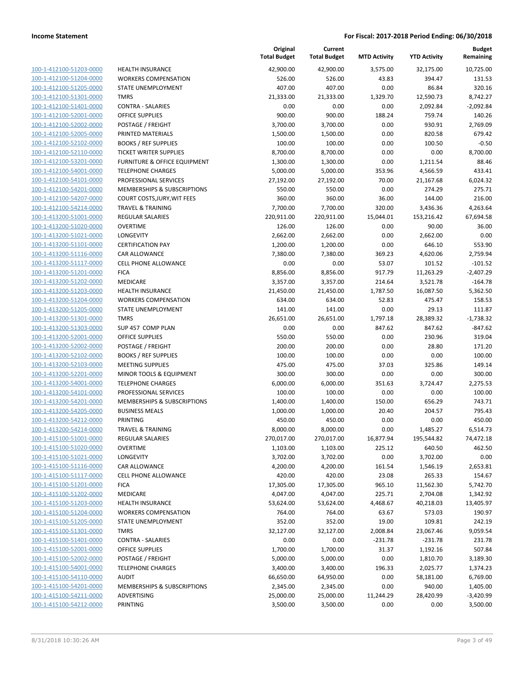| 100-1-412100-51203-0000                                   |
|-----------------------------------------------------------|
| 100-1-412100-51204-0000                                   |
| 100-1-412100-51205-0000                                   |
| <u>100-1-412100-51301-0000</u>                            |
| 100-1-412100-51401-0000                                   |
|                                                           |
| 100-1-412100-52001-0000                                   |
| 100-1-412100-52002-0000                                   |
| 100-1-412100-52005-0000                                   |
| <u>100-1-412100-52102-0000</u>                            |
| 100-1-412100-52110-0000                                   |
| 100-1-412100-53201-<br>-0000                              |
|                                                           |
| 100-1-412100-54001-0000                                   |
| 100-1-412100-54101-0000                                   |
| <u>100-1-412100-54201-0000</u>                            |
| 100-1-412100-54207-0000                                   |
| 100-1-412100-54214-0000                                   |
| 100-1-413200-51001-0000                                   |
| 100-1-413200-51020-0000                                   |
|                                                           |
| 100-1-413200-51021-0000                                   |
| 100-1-413200-51101-0000                                   |
| 100-1-413200-51116-0000                                   |
| 100-1-413200-51117-0000                                   |
| 100-1-413200-51201-0000                                   |
| <u>100-1-413200-51202-0000</u>                            |
| 100-1-413200-51203-0000                                   |
|                                                           |
| 100-1-413200-51204-0000                                   |
| 100-1-413200-51205-0000                                   |
| 100-1-413200-51301-0000                                   |
| <u>100-1-413200-51303-0000</u>                            |
| 100-1-413200-52001-0000                                   |
| 100-1-413200-52002-0000                                   |
| 100-1-413200-52102-0000                                   |
| 100-1-413200-52103-0000                                   |
|                                                           |
| <u>100-1-413200-52201-0000</u>                            |
| 100-1-413200-54001-0000                                   |
| 100-1-413200-54101-0000                                   |
| 100-1-413200-54201-0000                                   |
| 100-1-413200-54205-0000                                   |
| <u>100-1-413200-54212-0000</u>                            |
| 100-1-413200-54214-0000                                   |
| 100-1-415100-51001-0000                                   |
| <u>100-1-415100-51020-0000</u>                            |
|                                                           |
| 100-1-415100-51021-0000                                   |
|                                                           |
| 100-1-415100-51116-0000                                   |
| 100-1-415100-51117-0000                                   |
| 100-1-415100-51201-0000                                   |
| 100-1-415100-51202-0000                                   |
|                                                           |
| 100-1-415100-51203-0000                                   |
| <u>100-1-415100-51204-0000</u>                            |
| 100-1-415100-51205-0000                                   |
| 100-1-415100-51301-0000                                   |
| 100-1-415100-51401-0000                                   |
| 100-1-415100-52001-0000                                   |
| <u>100-1-415100-52002-0000</u>                            |
| 100-1-415100-54001-0000                                   |
|                                                           |
| 100-1-415100-54110-0000                                   |
| 100-1-415100-54201-0000                                   |
| 100-1-415100-54211-0000<br><u>100-1-415100-54212-0000</u> |

|                                                    |                                                                 | Original<br><b>Total Budget</b> | Current<br><b>Total Budget</b> | <b>MTD Activity</b> | <b>YTD Activity</b> | <b>Budget</b><br>Remaining |
|----------------------------------------------------|-----------------------------------------------------------------|---------------------------------|--------------------------------|---------------------|---------------------|----------------------------|
| 100-1-412100-51203-0000                            | <b>HEALTH INSURANCE</b>                                         | 42,900.00                       | 42,900.00                      | 3,575.00            | 32,175.00           | 10,725.00                  |
| 100-1-412100-51204-0000                            | <b>WORKERS COMPENSATION</b>                                     | 526.00                          | 526.00                         | 43.83               | 394.47              | 131.53                     |
| 100-1-412100-51205-0000                            | STATE UNEMPLOYMENT                                              | 407.00                          | 407.00                         | 0.00                | 86.84               | 320.16                     |
| 100-1-412100-51301-0000                            | <b>TMRS</b>                                                     | 21,333.00                       | 21,333.00                      | 1,329.70            | 12,590.73           | 8,742.27                   |
| 100-1-412100-51401-0000                            | <b>CONTRA - SALARIES</b>                                        | 0.00                            | 0.00                           | 0.00                | 2,092.84            | $-2,092.84$                |
| 100-1-412100-52001-0000                            | <b>OFFICE SUPPLIES</b>                                          | 900.00                          | 900.00                         | 188.24              | 759.74              | 140.26                     |
| 100-1-412100-52002-0000                            | POSTAGE / FREIGHT                                               | 3,700.00                        | 3,700.00                       | 0.00                | 930.91              | 2,769.09                   |
| 100-1-412100-52005-0000                            | PRINTED MATERIALS                                               | 1,500.00                        | 1,500.00                       | 0.00                | 820.58              | 679.42                     |
| 100-1-412100-52102-0000                            | <b>BOOKS / REF SUPPLIES</b>                                     | 100.00                          | 100.00                         | 0.00                | 100.50              | $-0.50$                    |
| 100-1-412100-52110-0000                            | <b>TICKET WRITER SUPPLIES</b>                                   | 8,700.00                        | 8,700.00                       | 0.00                | 0.00                | 8,700.00                   |
| 100-1-412100-53201-0000                            | FURNITURE & OFFICE EQUIPMENT                                    | 1,300.00                        | 1,300.00                       | 0.00                | 1,211.54            | 88.46                      |
| 100-1-412100-54001-0000                            | <b>TELEPHONE CHARGES</b>                                        | 5,000.00                        | 5,000.00                       | 353.96              | 4,566.59            | 433.41                     |
| 100-1-412100-54101-0000                            | PROFESSIONAL SERVICES                                           | 27,192.00                       | 27,192.00                      | 70.00               | 21,167.68           | 6,024.32                   |
| 100-1-412100-54201-0000                            | <b>MEMBERSHIPS &amp; SUBSCRIPTIONS</b>                          | 550.00                          | 550.00                         | 0.00                | 274.29              | 275.71                     |
| 100-1-412100-54207-0000                            | COURT COSTS, JURY, WIT FEES                                     | 360.00                          | 360.00                         | 36.00               | 144.00              | 216.00                     |
| 100-1-412100-54214-0000                            | <b>TRAVEL &amp; TRAINING</b>                                    | 7,700.00                        | 7,700.00                       | 320.00              | 3,436.36            | 4,263.64                   |
| 100-1-413200-51001-0000                            | <b>REGULAR SALARIES</b>                                         | 220,911.00                      | 220,911.00                     | 15,044.01           | 153,216.42          | 67,694.58                  |
| 100-1-413200-51020-0000                            | <b>OVERTIME</b>                                                 | 126.00                          | 126.00                         | 0.00                | 90.00               | 36.00                      |
| 100-1-413200-51021-0000                            | <b>LONGEVITY</b>                                                | 2,662.00                        | 2,662.00                       | 0.00                | 2,662.00            | 0.00                       |
| 100-1-413200-51101-0000                            | <b>CERTIFICATION PAY</b>                                        | 1,200.00                        | 1,200.00                       | 0.00                | 646.10              | 553.90                     |
| 100-1-413200-51116-0000                            | <b>CAR ALLOWANCE</b>                                            | 7,380.00                        | 7,380.00                       | 369.23              | 4,620.06            | 2,759.94                   |
| 100-1-413200-51117-0000                            | <b>CELL PHONE ALLOWANCE</b>                                     | 0.00                            | 0.00                           | 53.07               | 101.52              | $-101.52$                  |
| 100-1-413200-51201-0000                            | <b>FICA</b>                                                     | 8,856.00                        | 8,856.00                       | 917.79              | 11,263.29           | $-2,407.29$                |
| 100-1-413200-51202-0000                            | <b>MEDICARE</b>                                                 | 3,357.00                        | 3,357.00                       | 214.64              | 3,521.78            | $-164.78$                  |
| 100-1-413200-51203-0000                            | <b>HEALTH INSURANCE</b>                                         | 21,450.00                       | 21,450.00                      | 1,787.50            | 16,087.50           | 5,362.50                   |
| 100-1-413200-51204-0000                            | <b>WORKERS COMPENSATION</b>                                     | 634.00                          | 634.00                         | 52.83               | 475.47              | 158.53                     |
| 100-1-413200-51205-0000                            | <b>STATE UNEMPLOYMENT</b>                                       | 141.00                          | 141.00                         | 0.00                | 29.13               | 111.87                     |
| 100-1-413200-51301-0000                            | <b>TMRS</b>                                                     | 26,651.00                       | 26,651.00                      | 1,797.18            | 28,389.32           | $-1,738.32$                |
| 100-1-413200-51303-0000                            | SUP 457 COMP PLAN                                               | 0.00                            | 0.00                           | 847.62              | 847.62              | $-847.62$                  |
| 100-1-413200-52001-0000                            | <b>OFFICE SUPPLIES</b>                                          | 550.00                          | 550.00                         | 0.00                | 230.96              | 319.04                     |
| 100-1-413200-52002-0000                            | POSTAGE / FREIGHT                                               | 200.00                          | 200.00                         | 0.00                | 28.80               | 171.20                     |
| 100-1-413200-52102-0000                            | <b>BOOKS / REF SUPPLIES</b>                                     | 100.00                          | 100.00                         | 0.00                | 0.00                | 100.00                     |
| 100-1-413200-52103-0000                            | <b>MEETING SUPPLIES</b>                                         | 475.00                          | 475.00                         | 37.03               | 325.86              | 149.14                     |
| 100-1-413200-52201-0000                            | MINOR TOOLS & EQUIPMENT                                         | 300.00<br>6,000.00              | 300.00                         | 0.00                | 0.00                | 300.00                     |
| 100-1-413200-54001-0000                            | <b>TELEPHONE CHARGES</b>                                        |                                 | 6,000.00                       | 351.63              | 3,724.47            | 2,275.53<br>100.00         |
| 100-1-413200-54101-0000                            | PROFESSIONAL SERVICES<br><b>MEMBERSHIPS &amp; SUBSCRIPTIONS</b> | 100.00                          | 100.00                         | 0.00<br>150.00      | 0.00<br>656.29      | 743.71                     |
| 100-1-413200-54201-0000<br>100-1-413200-54205-0000 |                                                                 | 1,400.00                        | 1,400.00                       |                     |                     |                            |
| 100-1-413200-54212-0000                            | <b>BUSINESS MEALS</b><br>PRINTING                               | 1,000.00<br>450.00              | 1,000.00<br>450.00             | 20.40<br>0.00       | 204.57<br>0.00      | 795.43<br>450.00           |
| 100-1-413200-54214-0000                            | TRAVEL & TRAINING                                               | 8,000.00                        | 8,000.00                       | 0.00                | 1,485.27            | 6,514.73                   |
| 100-1-415100-51001-0000                            | <b>REGULAR SALARIES</b>                                         | 270,017.00                      | 270,017.00                     | 16,877.94           | 195,544.82          | 74,472.18                  |
| 100-1-415100-51020-0000                            | <b>OVERTIME</b>                                                 | 1,103.00                        | 1,103.00                       | 225.12              | 640.50              | 462.50                     |
| 100-1-415100-51021-0000                            | LONGEVITY                                                       | 3,702.00                        | 3,702.00                       | 0.00                | 3,702.00            | 0.00                       |
| 100-1-415100-51116-0000                            | CAR ALLOWANCE                                                   | 4,200.00                        | 4,200.00                       | 161.54              | 1,546.19            | 2,653.81                   |
| 100-1-415100-51117-0000                            | CELL PHONE ALLOWANCE                                            | 420.00                          | 420.00                         | 23.08               | 265.33              | 154.67                     |
| 100-1-415100-51201-0000                            | <b>FICA</b>                                                     | 17,305.00                       | 17,305.00                      | 965.10              | 11,562.30           | 5,742.70                   |
| 100-1-415100-51202-0000                            | <b>MEDICARE</b>                                                 | 4,047.00                        | 4,047.00                       | 225.71              | 2,704.08            | 1,342.92                   |
| 100-1-415100-51203-0000                            | <b>HEALTH INSURANCE</b>                                         | 53,624.00                       | 53,624.00                      | 4,468.67            | 40,218.03           | 13,405.97                  |
| 100-1-415100-51204-0000                            | <b>WORKERS COMPENSATION</b>                                     | 764.00                          | 764.00                         | 63.67               | 573.03              | 190.97                     |
| 100-1-415100-51205-0000                            | STATE UNEMPLOYMENT                                              | 352.00                          | 352.00                         | 19.00               | 109.81              | 242.19                     |
| 100-1-415100-51301-0000                            | <b>TMRS</b>                                                     | 32,127.00                       | 32,127.00                      | 2,008.84            | 23,067.46           | 9,059.54                   |
| 100-1-415100-51401-0000                            | <b>CONTRA - SALARIES</b>                                        | 0.00                            | 0.00                           | $-231.78$           | $-231.78$           | 231.78                     |
| 100-1-415100-52001-0000                            | OFFICE SUPPLIES                                                 | 1,700.00                        | 1,700.00                       | 31.37               | 1,192.16            | 507.84                     |
| 100-1-415100-52002-0000                            | POSTAGE / FREIGHT                                               | 5,000.00                        | 5,000.00                       | 0.00                | 1,810.70            | 3,189.30                   |
| 100-1-415100-54001-0000                            | <b>TELEPHONE CHARGES</b>                                        | 3,400.00                        | 3,400.00                       | 196.33              | 2,025.77            | 1,374.23                   |
| 100-1-415100-54110-0000                            | <b>AUDIT</b>                                                    | 66,650.00                       | 64,950.00                      | 0.00                | 58,181.00           | 6,769.00                   |
| 100-1-415100-54201-0000                            | <b>MEMBERSHIPS &amp; SUBSCRIPTIONS</b>                          | 2,345.00                        | 2,345.00                       | 0.00                | 940.00              | 1,405.00                   |
| 100-1-415100-54211-0000                            | ADVERTISING                                                     | 25,000.00                       | 25,000.00                      | 11,244.29           | 28,420.99           | $-3,420.99$                |
| 100-1-415100-54212-0000                            | PRINTING                                                        | 3,500.00                        | 3,500.00                       | 0.00                | 0.00                | 3,500.00                   |
|                                                    |                                                                 |                                 |                                |                     |                     |                            |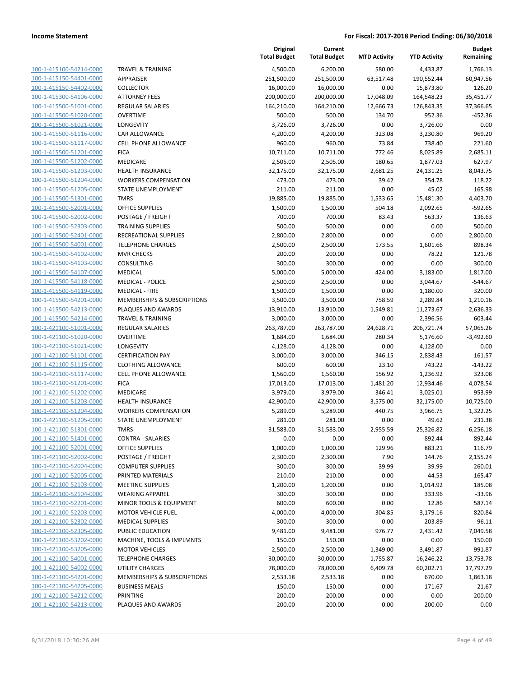| 100-1-415100-54214-0000        |
|--------------------------------|
| 100-1-415150-54401-0000        |
| 100-1-415150-54402-0000        |
| 100-1-415300-54106-0000        |
| 100-1-415500-51001-0000        |
|                                |
| 100-1-415500-51020-0000        |
| 100-1-415500-51021-0000        |
| 100-1-415500-51116-0000        |
| 100-1-415500-51117-0000        |
| 100-1-415500-51201-0000        |
| 100-1-415500-51202-0000        |
| 100-1-415500-51203-0000        |
| <u>100-1-415500-51204-0000</u> |
|                                |
| 100-1-415500-51205-0000        |
| 100-1-415500-51301-0000        |
| 100-1-415500-52001-0000        |
| 100-1-415500-52002-0000        |
| 100-1-415500-52303-0000        |
| 100-1-415500-52401-0000        |
| 100-1-415500-54001-0000        |
| 100-1-415500-54102-0000        |
| 100-1-415500-54103-0000        |
|                                |
| 100-1-415500-54107-0000        |
| 100-1-415500-54118-0000        |
| 100-1-415500-54119-0000        |
| 100-1-415500-54201-0000        |
| 100-1-415500-54213-0000        |
| 100-1-415500-54214-0000        |
| 100-1-421100-51001-0000        |
| 100-1-421100-51020-0000        |
| 100-1-421100-51021-0000        |
| 100-1-421100-51101-0000        |
| <u>100-1-421100-51115-0000</u> |
|                                |
| 100-1-421100-51117-0000        |
| 100-1-421100-51201-0000        |
| 100-1-421100-51202-0000        |
| 100-1-421100-51203-0000        |
| 100-1-421100-51204-0000        |
| 100-1-421100-51205-0000        |
| 100-1-421100-51301-0000        |
| 100-1-421100-51401-0000        |
| 100-1-421100-52001-0000        |
| <u>100-1-421100-52002-0000</u> |
| 100-1-421100-52004-0000        |
|                                |
| 100-1-421100-52005-0000        |
| 100-1-421100-52103-0000        |
| 100-1-421100-52104-0000        |
| <u>100-1-421100-52201-0000</u> |
| 100-1-421100-52203-0000        |
| 100-1-421100-52302-0000        |
| 100-1-421100-52305-0000        |
| 100-1-421100-53202-0000        |
| <u>100-1-421100-53205-0000</u> |
|                                |
| 100-1-421100-54001-0000        |
| 100-1-421100-54002-0000        |
| <u>100-1-421100-54201-0000</u> |
| 100-1-421100-54205-0000        |
| <u>100-1-421100-54212-0000</u> |
| 100-1-421100-54213-0000        |
|                                |

|                                                    |                                            | Original<br><b>Total Budget</b> | Current<br><b>Total Budget</b> | <b>MTD Activity</b> | <b>YTD Activity</b>    | <b>Budget</b><br>Remaining |
|----------------------------------------------------|--------------------------------------------|---------------------------------|--------------------------------|---------------------|------------------------|----------------------------|
| 100-1-415100-54214-0000                            | <b>TRAVEL &amp; TRAINING</b>               | 4,500.00                        | 6,200.00                       | 580.00              | 4,433.87               | 1,766.13                   |
| 100-1-415150-54401-0000                            | <b>APPRAISER</b>                           | 251,500.00                      | 251,500.00                     | 63,517.48           | 190,552.44             | 60,947.56                  |
| 100-1-415150-54402-0000                            | <b>COLLECTOR</b>                           | 16,000.00                       | 16,000.00                      | 0.00                | 15,873.80              | 126.20                     |
| 100-1-415300-54106-0000                            | <b>ATTORNEY FEES</b>                       | 200,000.00                      | 200,000.00                     | 17,048.09           | 164,548.23             | 35,451.77                  |
| 100-1-415500-51001-0000                            | <b>REGULAR SALARIES</b>                    | 164,210.00                      | 164,210.00                     | 12,666.73           | 126,843.35             | 37,366.65                  |
| 100-1-415500-51020-0000                            | <b>OVERTIME</b>                            | 500.00                          | 500.00                         | 134.70              | 952.36                 | $-452.36$                  |
| 100-1-415500-51021-0000                            | <b>LONGEVITY</b>                           | 3,726.00                        | 3,726.00                       | 0.00                | 3,726.00               | 0.00                       |
| 100-1-415500-51116-0000                            | CAR ALLOWANCE                              | 4,200.00                        | 4,200.00                       | 323.08              | 3,230.80               | 969.20                     |
| 100-1-415500-51117-0000                            | <b>CELL PHONE ALLOWANCE</b>                | 960.00                          | 960.00                         | 73.84               | 738.40                 | 221.60                     |
| 100-1-415500-51201-0000                            | <b>FICA</b>                                | 10,711.00                       | 10,711.00                      | 772.46              | 8,025.89               | 2,685.11                   |
| 100-1-415500-51202-0000                            | MEDICARE                                   | 2,505.00                        | 2,505.00                       | 180.65              | 1,877.03               | 627.97                     |
| 100-1-415500-51203-0000                            | HEALTH INSURANCE                           | 32,175.00                       | 32,175.00                      | 2,681.25            | 24,131.25              | 8,043.75                   |
| 100-1-415500-51204-0000                            | <b>WORKERS COMPENSATION</b>                | 473.00                          | 473.00                         | 39.42               | 354.78                 | 118.22                     |
| 100-1-415500-51205-0000                            | STATE UNEMPLOYMENT                         | 211.00                          | 211.00                         | 0.00                | 45.02                  | 165.98                     |
| 100-1-415500-51301-0000                            | <b>TMRS</b>                                | 19,885.00                       | 19,885.00                      | 1,533.65            | 15,481.30              | 4,403.70                   |
| 100-1-415500-52001-0000                            | OFFICE SUPPLIES                            | 1,500.00                        | 1,500.00                       | 504.18              | 2,092.65               | $-592.65$                  |
| 100-1-415500-52002-0000                            | POSTAGE / FREIGHT                          | 700.00                          | 700.00                         | 83.43               | 563.37                 | 136.63                     |
| 100-1-415500-52303-0000                            | <b>TRAINING SUPPLIES</b>                   | 500.00                          | 500.00                         | 0.00                | 0.00                   | 500.00                     |
| 100-1-415500-52401-0000                            | RECREATIONAL SUPPLIES                      | 2,800.00                        | 2,800.00                       | 0.00                | 0.00                   | 2,800.00                   |
| 100-1-415500-54001-0000                            | <b>TELEPHONE CHARGES</b>                   | 2,500.00                        | 2,500.00                       | 173.55              | 1,601.66               | 898.34                     |
| 100-1-415500-54102-0000                            | <b>MVR CHECKS</b>                          | 200.00                          | 200.00                         | 0.00                | 78.22                  | 121.78                     |
| 100-1-415500-54103-0000                            | CONSULTING                                 | 300.00                          | 300.00                         | 0.00                | 0.00                   | 300.00                     |
| 100-1-415500-54107-0000                            | <b>MEDICAL</b>                             | 5,000.00                        | 5,000.00                       | 424.00              | 3,183.00               | 1,817.00                   |
| 100-1-415500-54118-0000                            | <b>MEDICAL - POLICE</b>                    | 2,500.00                        | 2,500.00                       | 0.00                | 3,044.67               | $-544.67$                  |
| 100-1-415500-54119-0000                            | <b>MEDICAL - FIRE</b>                      | 1,500.00                        | 1,500.00                       | 0.00                | 1,180.00               | 320.00                     |
| 100-1-415500-54201-0000                            | MEMBERSHIPS & SUBSCRIPTIONS                | 3,500.00                        | 3,500.00                       | 758.59              | 2,289.84               | 1,210.16                   |
| 100-1-415500-54213-0000                            | PLAQUES AND AWARDS                         | 13,910.00                       | 13,910.00                      | 1,549.81            | 11,273.67              | 2,636.33                   |
| 100-1-415500-54214-0000<br>100-1-421100-51001-0000 | <b>TRAVEL &amp; TRAINING</b>               | 3,000.00                        | 3,000.00                       | 0.00                | 2,396.56               | 603.44                     |
| 100-1-421100-51020-0000                            | <b>REGULAR SALARIES</b><br><b>OVERTIME</b> | 263,787.00<br>1,684.00          | 263,787.00<br>1,684.00         | 24,628.71<br>280.34 | 206,721.74<br>5,176.60 | 57,065.26<br>$-3,492.60$   |
| 100-1-421100-51021-0000                            | <b>LONGEVITY</b>                           | 4,128.00                        | 4,128.00                       | 0.00                | 4,128.00               | 0.00                       |
| 100-1-421100-51101-0000                            | <b>CERTIFICATION PAY</b>                   | 3,000.00                        | 3,000.00                       | 346.15              | 2,838.43               | 161.57                     |
| 100-1-421100-51115-0000                            | <b>CLOTHING ALLOWANCE</b>                  | 600.00                          | 600.00                         | 23.10               | 743.22                 | $-143.22$                  |
| 100-1-421100-51117-0000                            | <b>CELL PHONE ALLOWANCE</b>                | 1,560.00                        | 1,560.00                       | 156.92              | 1,236.92               | 323.08                     |
| 100-1-421100-51201-0000                            | <b>FICA</b>                                | 17,013.00                       | 17,013.00                      | 1,481.20            | 12,934.46              | 4,078.54                   |
| 100-1-421100-51202-0000                            | MEDICARE                                   | 3,979.00                        | 3,979.00                       | 346.41              | 3,025.01               | 953.99                     |
| 100-1-421100-51203-0000                            | HEALTH INSURANCE                           | 42,900.00                       | 42,900.00                      | 3,575.00            | 32,175.00              | 10,725.00                  |
| 100-1-421100-51204-0000                            | <b>WORKERS COMPENSATION</b>                | 5,289.00                        | 5,289.00                       | 440.75              | 3,966.75               | 1,322.25                   |
| 100-1-421100-51205-0000                            | STATE UNEMPLOYMENT                         | 281.00                          | 281.00                         | 0.00                | 49.62                  | 231.38                     |
| 100-1-421100-51301-0000                            | TMRS                                       | 31,583.00                       | 31,583.00                      | 2,955.59            | 25,326.82              | 6,256.18                   |
| 100-1-421100-51401-0000                            | <b>CONTRA - SALARIES</b>                   | 0.00                            | 0.00                           | 0.00                | -892.44                | 892.44                     |
| 100-1-421100-52001-0000                            | <b>OFFICE SUPPLIES</b>                     | 1,000.00                        | 1,000.00                       | 129.96              | 883.21                 | 116.79                     |
| 100-1-421100-52002-0000                            | POSTAGE / FREIGHT                          | 2,300.00                        | 2,300.00                       | 7.90                | 144.76                 | 2,155.24                   |
| 100-1-421100-52004-0000                            | <b>COMPUTER SUPPLIES</b>                   | 300.00                          | 300.00                         | 39.99               | 39.99                  | 260.01                     |
| 100-1-421100-52005-0000                            | PRINTED MATERIALS                          | 210.00                          | 210.00                         | 0.00                | 44.53                  | 165.47                     |
| 100-1-421100-52103-0000                            | <b>MEETING SUPPLIES</b>                    | 1,200.00                        | 1,200.00                       | 0.00                | 1,014.92               | 185.08                     |
| 100-1-421100-52104-0000                            | <b>WEARING APPAREL</b>                     | 300.00                          | 300.00                         | 0.00                | 333.96                 | $-33.96$                   |
| 100-1-421100-52201-0000                            | MINOR TOOLS & EQUIPMENT                    | 600.00                          | 600.00                         | 0.00                | 12.86                  | 587.14                     |
| 100-1-421100-52203-0000                            | <b>MOTOR VEHICLE FUEL</b>                  | 4,000.00                        | 4,000.00                       | 304.85              | 3,179.16               | 820.84                     |
| 100-1-421100-52302-0000                            | <b>MEDICAL SUPPLIES</b>                    | 300.00                          | 300.00                         | 0.00                | 203.89                 | 96.11                      |
| 100-1-421100-52305-0000                            | PUBLIC EDUCATION                           | 9,481.00                        | 9,481.00                       | 976.77              | 2,431.42               | 7,049.58                   |
| 100-1-421100-53202-0000                            | MACHINE, TOOLS & IMPLMNTS                  | 150.00                          | 150.00                         | 0.00                | 0.00                   | 150.00                     |
| 100-1-421100-53205-0000                            | <b>MOTOR VEHICLES</b>                      | 2,500.00                        | 2,500.00                       | 1,349.00            | 3,491.87               | $-991.87$                  |
| 100-1-421100-54001-0000                            | <b>TELEPHONE CHARGES</b>                   | 30,000.00                       | 30,000.00                      | 1,755.87            | 16,246.22              | 13,753.78                  |
| 100-1-421100-54002-0000                            | UTILITY CHARGES                            | 78,000.00                       | 78,000.00                      | 6,409.78            | 60,202.71              | 17,797.29                  |
| 100-1-421100-54201-0000                            | MEMBERSHIPS & SUBSCRIPTIONS                | 2,533.18                        | 2,533.18                       | 0.00                | 670.00                 | 1,863.18                   |
| 100-1-421100-54205-0000                            | <b>BUSINESS MEALS</b>                      | 150.00                          | 150.00                         | 0.00                | 171.67                 | $-21.67$                   |
| 100-1-421100-54212-0000                            | PRINTING                                   | 200.00                          | 200.00                         | 0.00                | 0.00                   | 200.00                     |
| 100-1-421100-54213-0000                            | PLAQUES AND AWARDS                         | 200.00                          | 200.00                         | 0.00                | 200.00                 | 0.00                       |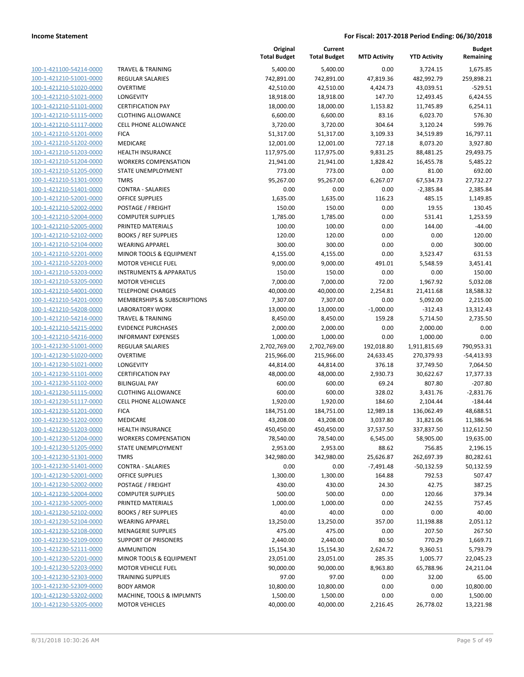| 100-1-421100-54214-0000        |
|--------------------------------|
| 100-1-421210-51001-0000        |
| 100-1-421210-51020-0000        |
| 100-1-421210-51021-0000        |
| 100-1-421210-51101-0000        |
| 100-1-421210-51115-0000        |
| 100-1-421210-51117-0000        |
| 100-1-421210-51201-0000        |
| 100-1-421210-51202-0000        |
| 100-1-421210-51203-0000        |
| 100-1-421210-51204-0000        |
| 100-1-421210-51205-0000        |
| 100-1-421210-51301-0000        |
| 100-1-421210-51401-0000        |
| 100-1-421210-52001-0000        |
| 100-1-421210-52002-0000        |
|                                |
| 100-1-421210-52004-0000        |
| 100-1-421210-52005-0000        |
| 100-1-421210-52102-0000        |
| 100-1-421210-52104-0000        |
| 100-1-421210-52201-0000        |
| 100-1-421210-52203-0000        |
| 100-1-421210-53203-0000        |
| 100-1-421210-53205-0000        |
| 100-1-421210-54001-0000        |
| 100-1-421210-54201-0000        |
| 100-1-421210-54208-0000        |
| 100-1-421210-54214-0000        |
| 100-1-421210-54215-0000        |
| 100-1-421210-54216-0000        |
| 100-1-421230-51001-0000        |
|                                |
| 100-1-421230-51020-0000        |
| 100-1-421230-51021-0000        |
| 100-1-421230-51101-0000        |
| 100-1-421230-51102-0000        |
| 100-1-421230-51115-0000        |
| 100-1-421230-51117-0000        |
| 100-1-421230-51201-0000        |
| 100-1-421230-51202-0000        |
| 100-1-421230-51203-0000        |
| 100-1-421230-51204-0000        |
| 100-1-421230-51205-0000        |
| <u>100-1-421230-51301-0000</u> |
| <u>100-1-421230-51401-0000</u> |
| 100-1-421230-52001-0000        |
| <u>100-1-421230-52002-0000</u> |
| 100-1-421230-52004-0000        |
|                                |
| <u>100-1-421230-52005-0000</u> |
| <u>100-1-421230-52102-0000</u> |
| <u>100-1-421230-52104-0000</u> |
| 100-1-421230-52108-0000        |
| 100-1-421230-52109-0000        |
| 100-1-421230-52111-0000        |
| <u>100-1-421230-52201-0000</u> |
| 100-1-421230-52203-0000        |
| <u>100-1-421230-52303-0000</u> |
| 100-1-421230-52309-0000        |
| <u>100-1-421230-53202-0000</u> |
| <u>100-1-421230-53205-0000</u> |
|                                |

|                                                    |                                             | Original<br><b>Total Budget</b> | Current<br><b>Total Budget</b> | <b>MTD Activity</b>   | <b>YTD Activity</b>    | <b>Budget</b><br>Remaining |
|----------------------------------------------------|---------------------------------------------|---------------------------------|--------------------------------|-----------------------|------------------------|----------------------------|
| 100-1-421100-54214-0000                            | <b>TRAVEL &amp; TRAINING</b>                | 5,400.00                        | 5,400.00                       | 0.00                  | 3,724.15               | 1,675.85                   |
| 100-1-421210-51001-0000                            | <b>REGULAR SALARIES</b>                     | 742,891.00                      | 742,891.00                     | 47,819.36             | 482,992.79             | 259,898.21                 |
| 100-1-421210-51020-0000                            | <b>OVERTIME</b>                             | 42,510.00                       | 42,510.00                      | 4,424.73              | 43,039.51              | $-529.51$                  |
| 100-1-421210-51021-0000                            | LONGEVITY                                   | 18,918.00                       | 18,918.00                      | 147.70                | 12,493.45              | 6,424.55                   |
| 100-1-421210-51101-0000                            | <b>CERTIFICATION PAY</b>                    | 18,000.00                       | 18,000.00                      | 1,153.82              | 11,745.89              | 6,254.11                   |
| 100-1-421210-51115-0000                            | <b>CLOTHING ALLOWANCE</b>                   | 6,600.00                        | 6,600.00                       | 83.16                 | 6,023.70               | 576.30                     |
| 100-1-421210-51117-0000                            | <b>CELL PHONE ALLOWANCE</b>                 | 3,720.00                        | 3,720.00                       | 304.64                | 3,120.24               | 599.76                     |
| 100-1-421210-51201-0000                            | <b>FICA</b>                                 | 51,317.00                       | 51,317.00                      | 3,109.33              | 34,519.89              | 16,797.11                  |
| 100-1-421210-51202-0000                            | MEDICARE                                    | 12,001.00                       | 12,001.00                      | 727.18                | 8,073.20               | 3,927.80                   |
| 100-1-421210-51203-0000                            | <b>HEALTH INSURANCE</b>                     | 117,975.00                      | 117,975.00                     | 9,831.25              | 88,481.25              | 29,493.75                  |
| 100-1-421210-51204-0000                            | <b>WORKERS COMPENSATION</b>                 | 21,941.00                       | 21,941.00                      | 1,828.42              | 16,455.78              | 5,485.22                   |
| 100-1-421210-51205-0000                            | STATE UNEMPLOYMENT                          | 773.00                          | 773.00                         | 0.00                  | 81.00                  | 692.00                     |
| 100-1-421210-51301-0000                            | <b>TMRS</b>                                 | 95,267.00                       | 95,267.00                      | 6,267.07              | 67,534.73              | 27,732.27                  |
| 100-1-421210-51401-0000                            | <b>CONTRA - SALARIES</b>                    | 0.00                            | 0.00                           | 0.00                  | $-2,385.84$            | 2,385.84                   |
| 100-1-421210-52001-0000                            | <b>OFFICE SUPPLIES</b>                      | 1,635.00                        | 1,635.00                       | 116.23                | 485.15                 | 1,149.85                   |
| 100-1-421210-52002-0000                            | POSTAGE / FREIGHT                           | 150.00                          | 150.00                         | 0.00                  | 19.55                  | 130.45                     |
| 100-1-421210-52004-0000                            | <b>COMPUTER SUPPLIES</b>                    | 1,785.00                        | 1,785.00                       | 0.00                  | 531.41                 | 1,253.59                   |
| 100-1-421210-52005-0000                            | PRINTED MATERIALS                           | 100.00                          | 100.00                         | 0.00                  | 144.00                 | $-44.00$                   |
| 100-1-421210-52102-0000                            | <b>BOOKS / REF SUPPLIES</b>                 | 120.00                          | 120.00                         | 0.00                  | 0.00                   | 120.00                     |
| 100-1-421210-52104-0000                            | <b>WEARING APPAREL</b>                      | 300.00                          | 300.00                         | 0.00                  | 0.00                   | 300.00                     |
| 100-1-421210-52201-0000                            | MINOR TOOLS & EQUIPMENT                     | 4,155.00                        | 4,155.00                       | 0.00                  | 3,523.47               | 631.53                     |
| 100-1-421210-52203-0000                            | <b>MOTOR VEHICLE FUEL</b>                   | 9,000.00                        | 9,000.00                       | 491.01                | 5,548.59               | 3,451.41                   |
| 100-1-421210-53203-0000                            | <b>INSTRUMENTS &amp; APPARATUS</b>          | 150.00                          | 150.00                         | 0.00                  | 0.00                   | 150.00                     |
| 100-1-421210-53205-0000                            | <b>MOTOR VEHICLES</b>                       | 7,000.00                        | 7,000.00                       | 72.00                 | 1,967.92               | 5,032.08                   |
| 100-1-421210-54001-0000                            | <b>TELEPHONE CHARGES</b>                    | 40,000.00                       | 40,000.00                      | 2,254.81              | 21,411.68              | 18,588.32                  |
| 100-1-421210-54201-0000                            | MEMBERSHIPS & SUBSCRIPTIONS                 | 7,307.00                        | 7,307.00                       | 0.00                  | 5,092.00               | 2,215.00                   |
| 100-1-421210-54208-0000                            | <b>LABORATORY WORK</b>                      | 13,000.00                       | 13,000.00                      | $-1,000.00$           | $-312.43$              | 13,312.43                  |
| 100-1-421210-54214-0000                            | <b>TRAVEL &amp; TRAINING</b>                | 8,450.00                        | 8,450.00                       | 159.28                | 5,714.50               | 2,735.50                   |
| 100-1-421210-54215-0000                            | <b>EVIDENCE PURCHASES</b>                   | 2,000.00                        | 2,000.00                       | 0.00                  | 2,000.00               | 0.00                       |
| 100-1-421210-54216-0000                            | <b>INFORMANT EXPENSES</b>                   | 1,000.00                        | 1,000.00                       | 0.00                  | 1,000.00               | 0.00                       |
| 100-1-421230-51001-0000                            | <b>REGULAR SALARIES</b>                     | 2,702,769.00                    | 2,702,769.00                   | 192,018.80            | 1,911,815.69           | 790,953.31                 |
| 100-1-421230-51020-0000                            | <b>OVERTIME</b>                             | 215,966.00                      | 215,966.00                     | 24,633.45             | 270,379.93             | $-54,413.93$               |
| 100-1-421230-51021-0000                            | <b>LONGEVITY</b>                            | 44,814.00                       | 44,814.00                      | 376.18                | 37,749.50              | 7,064.50                   |
| 100-1-421230-51101-0000                            | <b>CERTIFICATION PAY</b>                    | 48,000.00                       | 48,000.00                      | 2,930.73              | 30,622.67              | 17,377.33                  |
| 100-1-421230-51102-0000                            | <b>BILINGUAL PAY</b>                        | 600.00                          | 600.00                         | 69.24                 | 807.80                 | $-207.80$                  |
| 100-1-421230-51115-0000                            | <b>CLOTHING ALLOWANCE</b>                   | 600.00                          | 600.00                         | 328.02                | 3,431.76               | $-2,831.76$                |
| 100-1-421230-51117-0000                            | <b>CELL PHONE ALLOWANCE</b>                 | 1,920.00                        | 1,920.00                       | 184.60                | 2,104.44               | $-184.44$                  |
| 100-1-421230-51201-0000                            | <b>FICA</b>                                 | 184,751.00                      | 184,751.00                     | 12,989.18             | 136,062.49             | 48,688.51                  |
| 100-1-421230-51202-0000                            | MEDICARE                                    | 43,208.00                       | 43,208.00                      | 3,037.80              | 31,821.06              | 11,386.94                  |
| 100-1-421230-51203-0000                            | HEALTH INSURANCE                            | 450,450.00                      | 450,450.00                     | 37,537.50<br>6,545.00 | 337,837.50             | 112,612.50                 |
| 100-1-421230-51204-0000                            | <b>WORKERS COMPENSATION</b>                 | 78,540.00                       | 78,540.00                      |                       | 58,905.00              | 19,635.00                  |
| 100-1-421230-51205-0000                            | STATE UNEMPLOYMENT                          | 2,953.00                        | 2,953.00                       | 88.62                 | 756.85                 | 2,196.15                   |
| 100-1-421230-51301-0000<br>100-1-421230-51401-0000 | <b>TMRS</b>                                 | 342,980.00                      | 342,980.00                     | 25,626.87             | 262,697.39             | 80,282.61                  |
| 100-1-421230-52001-0000                            | <b>CONTRA - SALARIES</b><br>OFFICE SUPPLIES | 0.00                            | 0.00                           | $-7,491.48$<br>164.88 | $-50,132.59$<br>792.53 | 50,132.59<br>507.47        |
| 100-1-421230-52002-0000                            | POSTAGE / FREIGHT                           | 1,300.00<br>430.00              | 1,300.00<br>430.00             | 24.30                 |                        | 387.25                     |
| 100-1-421230-52004-0000                            | <b>COMPUTER SUPPLIES</b>                    | 500.00                          | 500.00                         | 0.00                  | 42.75<br>120.66        | 379.34                     |
| 100-1-421230-52005-0000                            | PRINTED MATERIALS                           | 1,000.00                        | 1,000.00                       | 0.00                  | 242.55                 | 757.45                     |
| 100-1-421230-52102-0000                            | <b>BOOKS / REF SUPPLIES</b>                 | 40.00                           | 40.00                          | 0.00                  | 0.00                   | 40.00                      |
| 100-1-421230-52104-0000                            | <b>WEARING APPAREL</b>                      | 13,250.00                       | 13,250.00                      | 357.00                | 11,198.88              | 2,051.12                   |
| 100-1-421230-52108-0000                            | <b>MENAGERIE SUPPLIES</b>                   | 475.00                          | 475.00                         | 0.00                  | 207.50                 | 267.50                     |
| 100-1-421230-52109-0000                            | <b>SUPPORT OF PRISONERS</b>                 | 2,440.00                        | 2,440.00                       | 80.50                 | 770.29                 | 1,669.71                   |
| 100-1-421230-52111-0000                            | <b>AMMUNITION</b>                           | 15,154.30                       | 15,154.30                      | 2,624.72              | 9,360.51               | 5,793.79                   |
| 100-1-421230-52201-0000                            | MINOR TOOLS & EQUIPMENT                     | 23,051.00                       | 23,051.00                      | 285.35                | 1,005.77               | 22,045.23                  |
| 100-1-421230-52203-0000                            | <b>MOTOR VEHICLE FUEL</b>                   | 90,000.00                       | 90,000.00                      | 8,963.80              | 65,788.96              | 24,211.04                  |
| 100-1-421230-52303-0000                            | <b>TRAINING SUPPLIES</b>                    | 97.00                           | 97.00                          | 0.00                  | 32.00                  | 65.00                      |
| 100-1-421230-52309-0000                            | <b>BODY ARMOR</b>                           | 10,800.00                       | 10,800.00                      | 0.00                  | 0.00                   | 10,800.00                  |
| 100-1-421230-53202-0000                            | MACHINE, TOOLS & IMPLMNTS                   | 1,500.00                        | 1,500.00                       | 0.00                  | 0.00                   | 1,500.00                   |
| 100-1-421230-53205-0000                            | <b>MOTOR VEHICLES</b>                       | 40,000.00                       | 40,000.00                      | 2,216.45              | 26,778.02              | 13,221.98                  |
|                                                    |                                             |                                 |                                |                       |                        |                            |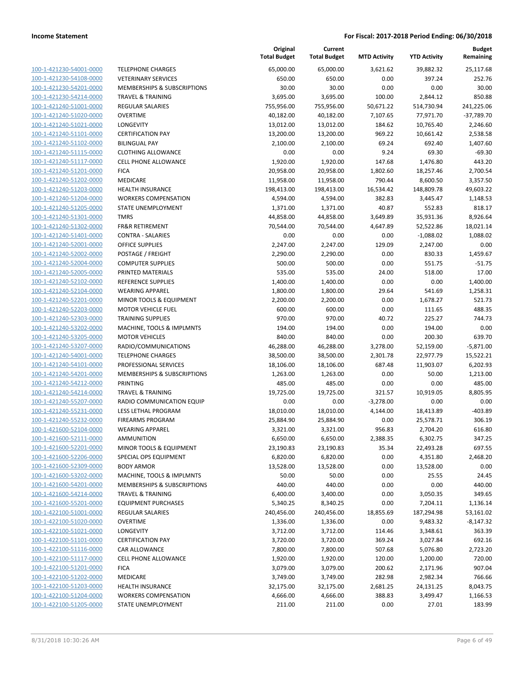| 100-1-421230-54001-0000                                   |
|-----------------------------------------------------------|
| 100-1-421230-54108-0000                                   |
| <u>100-1-421230-54201-0000</u>                            |
| 100-1-421230-54214-0000                                   |
| 100-1-421240-51001-0000                                   |
| 100-1-421240-51020-0000                                   |
| 100-1-421240-51021-0000                                   |
| <u>100-1-421240-51101-0000</u>                            |
| 100-1-421240-51102-0000                                   |
| 100-1-421240-51115-0000                                   |
| 100-1-421240-51117-0000                                   |
|                                                           |
| 100-1-421240-51201-0000                                   |
| <u>100-1-421240-51202-0000</u>                            |
| 100-1-421240-51203-0000                                   |
| 100-1-421240-51204-0000                                   |
| 100-1-421240-51205-0000                                   |
| 100-1-421240-51301-0000                                   |
| 100-1-421240-51302-0000                                   |
| 100-1-421240-51401-0000                                   |
| 100-1-421240-52001-0000                                   |
| 100-1-421240-52002-0000                                   |
| 100-1-421240-52004-0000                                   |
| <u>100-1-421240-52005-0000</u>                            |
| 100-1-421240-52102-0000                                   |
| 100-1-421240-52104-0000                                   |
| 100-1-421240-52201-0000                                   |
|                                                           |
| 100-1-421240-52203-0000                                   |
| 100-1-421240-52303-0000                                   |
| 100-1-421240-53202-0000                                   |
| 100-1-421240-53205-0000                                   |
| 100-1-421240-53207-0000                                   |
| 100-1-421240-54001-0000                                   |
| <u>100-1-421240-54101-0000</u>                            |
| 100-1-421240-54201-0000                                   |
| 100-1-421240-54212-0000                                   |
| 100-1-421240-54214-0000                                   |
| 100-1-421240-55207-0000                                   |
| <u>100-1-421240-55231-0000</u>                            |
| 100-1-421240-55232-0000                                   |
| 100-1-421600-52104-0000                                   |
| 100-1-421600-52111-0000                                   |
|                                                           |
| 100-1-421600-52201-0000                                   |
| <u>100-1-421600-52206-0000</u>                            |
| <u>100-1-421600-52309-0000</u>                            |
| 100-1-421600-53202-0000                                   |
| 100-1-421600-54201-0000                                   |
| 100-1-421600-54214-0000                                   |
| 100-1-421600-55201-0000                                   |
| <u>100-1-422100-51001-0000</u>                            |
| 100-1-422100-51020-0000                                   |
| 100-1-422100-51021-0000                                   |
| 100-1-422100-51101-0000                                   |
| 100-1-422100-51116-0000                                   |
| 100-1-422100-51117-0000                                   |
| 100-1-422100-51201-0000                                   |
| 100-1-422100-51202-0000                                   |
|                                                           |
| <u>100-1-422100-51203-0000</u>                            |
|                                                           |
| 100-1-422100-51204-0000<br><u>100-1-422100-51205-0000</u> |

|                                                    |                                                    | Original<br><b>Total Budget</b> | Current<br><b>Total Budget</b> | <b>MTD Activity</b> | <b>YTD Activity</b> | <b>Budget</b><br>Remaining |
|----------------------------------------------------|----------------------------------------------------|---------------------------------|--------------------------------|---------------------|---------------------|----------------------------|
| 100-1-421230-54001-0000                            | <b>TELEPHONE CHARGES</b>                           | 65,000.00                       | 65,000.00                      | 3,621.62            | 39,882.32           | 25,117.68                  |
| 100-1-421230-54108-0000                            | <b>VETERINARY SERVICES</b>                         | 650.00                          | 650.00                         | 0.00                | 397.24              | 252.76                     |
| 100-1-421230-54201-0000                            | MEMBERSHIPS & SUBSCRIPTIONS                        | 30.00                           | 30.00                          | 0.00                | 0.00                | 30.00                      |
| 100-1-421230-54214-0000                            | <b>TRAVEL &amp; TRAINING</b>                       | 3,695.00                        | 3,695.00                       | 100.00              | 2,844.12            | 850.88                     |
| 100-1-421240-51001-0000                            | <b>REGULAR SALARIES</b>                            | 755,956.00                      | 755,956.00                     | 50,671.22           | 514,730.94          | 241,225.06                 |
| 100-1-421240-51020-0000                            | <b>OVERTIME</b>                                    | 40,182.00                       | 40,182.00                      | 7,107.65            | 77,971.70           | $-37,789.70$               |
| 100-1-421240-51021-0000                            | LONGEVITY                                          | 13,012.00                       | 13,012.00                      | 184.62              | 10,765.40           | 2,246.60                   |
| 100-1-421240-51101-0000                            | <b>CERTIFICATION PAY</b>                           | 13,200.00                       | 13,200.00                      | 969.22              | 10,661.42           | 2,538.58                   |
| 100-1-421240-51102-0000                            | <b>BILINGUAL PAY</b>                               | 2,100.00                        | 2,100.00                       | 69.24               | 692.40              | 1.407.60                   |
| 100-1-421240-51115-0000                            | <b>CLOTHING ALLOWANCE</b>                          | 0.00                            | 0.00                           | 9.24                | 69.30               | $-69.30$                   |
| 100-1-421240-51117-0000                            | <b>CELL PHONE ALLOWANCE</b>                        | 1,920.00                        | 1,920.00                       | 147.68              | 1,476.80            | 443.20                     |
| 100-1-421240-51201-0000                            | <b>FICA</b>                                        | 20,958.00                       | 20,958.00                      | 1,802.60            | 18,257.46           | 2,700.54                   |
| 100-1-421240-51202-0000                            | MEDICARE                                           | 11,958.00                       | 11,958.00                      | 790.44              | 8,600.50            | 3,357.50                   |
| 100-1-421240-51203-0000                            | <b>HEALTH INSURANCE</b>                            | 198,413.00                      | 198,413.00                     | 16,534.42           | 148,809.78          | 49,603.22                  |
| 100-1-421240-51204-0000                            | <b>WORKERS COMPENSATION</b>                        | 4,594.00                        | 4,594.00                       | 382.83              | 3,445.47            | 1,148.53                   |
| 100-1-421240-51205-0000                            | STATE UNEMPLOYMENT                                 | 1,371.00                        | 1,371.00                       | 40.87               | 552.83              | 818.17                     |
| 100-1-421240-51301-0000                            | <b>TMRS</b>                                        | 44,858.00                       | 44,858.00                      | 3,649.89            | 35,931.36           | 8,926.64                   |
| 100-1-421240-51302-0000                            | <b>FR&amp;R RETIREMENT</b>                         | 70,544.00                       | 70,544.00                      | 4,647.89            | 52,522.86           | 18,021.14                  |
| 100-1-421240-51401-0000                            | <b>CONTRA - SALARIES</b>                           | 0.00                            | 0.00                           | 0.00                | $-1,088.02$         | 1,088.02                   |
| 100-1-421240-52001-0000                            | <b>OFFICE SUPPLIES</b>                             | 2,247.00                        | 2,247.00                       | 129.09              | 2,247.00            | 0.00                       |
| 100-1-421240-52002-0000                            | POSTAGE / FREIGHT                                  | 2,290.00                        | 2,290.00                       | 0.00                | 830.33              | 1,459.67                   |
| 100-1-421240-52004-0000                            | <b>COMPUTER SUPPLIES</b>                           | 500.00                          | 500.00                         | 0.00                | 551.75              | $-51.75$                   |
| 100-1-421240-52005-0000                            | PRINTED MATERIALS                                  | 535.00                          | 535.00                         | 24.00               | 518.00              | 17.00                      |
| 100-1-421240-52102-0000                            | <b>REFERENCE SUPPLIES</b>                          | 1,400.00                        | 1,400.00                       | 0.00                | 0.00                | 1,400.00                   |
| 100-1-421240-52104-0000                            | <b>WEARING APPAREL</b>                             | 1,800.00                        | 1,800.00                       | 29.64               | 541.69              | 1,258.31                   |
| 100-1-421240-52201-0000                            | MINOR TOOLS & EQUIPMENT                            | 2,200.00                        | 2,200.00                       | 0.00                | 1,678.27            | 521.73                     |
| 100-1-421240-52203-0000                            | <b>MOTOR VEHICLE FUEL</b>                          | 600.00                          | 600.00                         | 0.00                | 111.65              | 488.35                     |
| 100-1-421240-52303-0000                            | <b>TRAINING SUPPLIES</b>                           | 970.00                          | 970.00                         | 40.72               | 225.27              | 744.73                     |
| 100-1-421240-53202-0000<br>100-1-421240-53205-0000 | MACHINE, TOOLS & IMPLMNTS<br><b>MOTOR VEHICLES</b> | 194.00<br>840.00                | 194.00<br>840.00               | 0.00<br>0.00        | 194.00<br>200.30    | 0.00<br>639.70             |
| 100-1-421240-53207-0000                            | RADIO/COMMUNICATIONS                               | 46,288.00                       | 46,288.00                      | 3,278.00            | 52,159.00           | $-5,871.00$                |
| 100-1-421240-54001-0000                            | <b>TELEPHONE CHARGES</b>                           | 38,500.00                       | 38,500.00                      | 2,301.78            | 22,977.79           | 15,522.21                  |
| 100-1-421240-54101-0000                            | PROFESSIONAL SERVICES                              | 18,106.00                       | 18,106.00                      | 687.48              | 11,903.07           | 6,202.93                   |
| 100-1-421240-54201-0000                            | MEMBERSHIPS & SUBSCRIPTIONS                        | 1,263.00                        | 1,263.00                       | 0.00                | 50.00               | 1,213.00                   |
| 100-1-421240-54212-0000                            | PRINTING                                           | 485.00                          | 485.00                         | 0.00                | 0.00                | 485.00                     |
| 100-1-421240-54214-0000                            | <b>TRAVEL &amp; TRAINING</b>                       | 19,725.00                       | 19,725.00                      | 321.57              | 10,919.05           | 8,805.95                   |
| 100-1-421240-55207-0000                            | RADIO COMMUNICATION EQUIP                          | 0.00                            | 0.00                           | $-3,278.00$         | 0.00                | 0.00                       |
| 100-1-421240-55231-0000                            | LESS LETHAL PROGRAM                                | 18,010.00                       | 18,010.00                      | 4,144.00            | 18,413.89           | $-403.89$                  |
| 100-1-421240-55232-0000                            | <b>FIREARMS PROGRAM</b>                            | 25,884.90                       | 25,884.90                      | 0.00                | 25,578.71           | 306.19                     |
| 100-1-421600-52104-0000                            | <b>WEARING APPAREL</b>                             | 3,321.00                        | 3,321.00                       | 956.83              | 2,704.20            | 616.80                     |
| 100-1-421600-52111-0000                            | AMMUNITION                                         | 6,650.00                        | 6,650.00                       | 2,388.35            | 6,302.75            | 347.25                     |
| 100-1-421600-52201-0000                            | MINOR TOOLS & EQUIPMENT                            | 23,190.83                       | 23,190.83                      | 35.34               | 22,493.28           | 697.55                     |
| 100-1-421600-52206-0000                            | SPECIAL OPS EQUIPMENT                              | 6,820.00                        | 6,820.00                       | 0.00                | 4,351.80            | 2,468.20                   |
| 100-1-421600-52309-0000                            | <b>BODY ARMOR</b>                                  | 13,528.00                       | 13,528.00                      | 0.00                | 13,528.00           | 0.00                       |
| 100-1-421600-53202-0000                            | MACHINE, TOOLS & IMPLMNTS                          | 50.00                           | 50.00                          | 0.00                | 25.55               | 24.45                      |
| 100-1-421600-54201-0000                            | MEMBERSHIPS & SUBSCRIPTIONS                        | 440.00                          | 440.00                         | 0.00                | 0.00                | 440.00                     |
| 100-1-421600-54214-0000                            | TRAVEL & TRAINING                                  | 6,400.00                        | 3,400.00                       | 0.00                | 3,050.35            | 349.65                     |
| 100-1-421600-55201-0000                            | <b>EQUIPMENT PURCHASES</b>                         | 5,340.25                        | 8,340.25                       | 0.00                | 7,204.11            | 1,136.14                   |
| 100-1-422100-51001-0000                            | <b>REGULAR SALARIES</b>                            | 240,456.00                      | 240,456.00                     | 18,855.69           | 187,294.98          | 53,161.02                  |
| 100-1-422100-51020-0000                            | <b>OVERTIME</b>                                    | 1,336.00                        | 1,336.00                       | 0.00                | 9,483.32            | $-8,147.32$                |
| 100-1-422100-51021-0000                            | LONGEVITY                                          | 3,712.00                        | 3,712.00                       | 114.46              | 3,348.61            | 363.39                     |
| 100-1-422100-51101-0000                            | <b>CERTIFICATION PAY</b>                           | 3,720.00                        | 3,720.00                       | 369.24              | 3,027.84            | 692.16                     |
| 100-1-422100-51116-0000                            | CAR ALLOWANCE                                      | 7,800.00                        | 7,800.00                       | 507.68              | 5,076.80            | 2,723.20                   |
| 100-1-422100-51117-0000                            | CELL PHONE ALLOWANCE                               | 1,920.00                        | 1,920.00                       | 120.00              | 1,200.00            | 720.00                     |
| 100-1-422100-51201-0000                            | <b>FICA</b>                                        | 3,079.00                        | 3,079.00                       | 200.62              | 2,171.96            | 907.04                     |
| 100-1-422100-51202-0000                            | MEDICARE                                           | 3,749.00                        | 3,749.00                       | 282.98              | 2,982.34            | 766.66                     |
| 100-1-422100-51203-0000                            | <b>HEALTH INSURANCE</b>                            | 32,175.00                       | 32,175.00                      | 2,681.25            | 24,131.25           | 8,043.75                   |
| 100-1-422100-51204-0000                            | <b>WORKERS COMPENSATION</b>                        | 4,666.00                        | 4,666.00                       | 388.83              | 3,499.47            | 1,166.53                   |
| 100-1-422100-51205-0000                            | STATE UNEMPLOYMENT                                 | 211.00                          | 211.00                         | 0.00                | 27.01               | 183.99                     |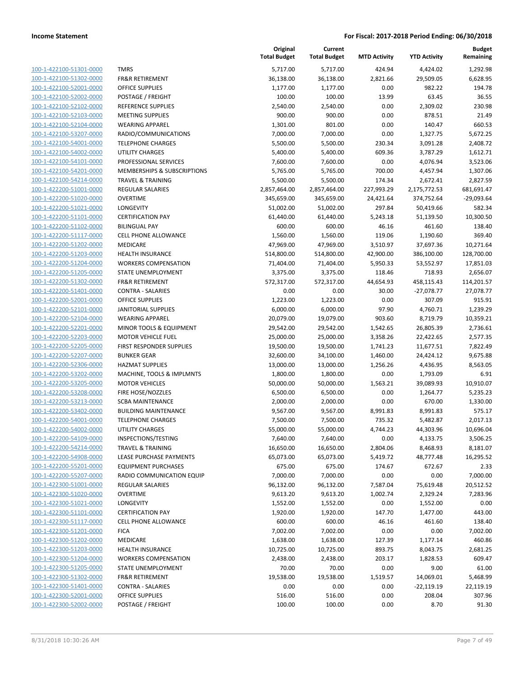100-1-422100-51301-0000 100-1-422100-51302-0000 100-1-422100-52001-0000 100-1-422100-52002-0000 100-1-422100-52102-0000 100-1-422100-52103-0000 100-1-422100-52104-0000 100-1-422100-53207-0000 100-1-422100-54001-0000 100-1-422100-54002-0000 100-1-422100-54101-0000 100-1-422100-54201-0000 100-1-422100-54214-0000 100-1-422200-51001-0000 100-1-422200-51020-0000 100-1-422200-51021-0000 100-1-422200-51101-0000 100-1-422200-51102-0000 100-1-422200-51117-0000 100-1-422200-51202-0000 100-1-422200-51203-0000 100-1-422200-51204-0000 100-1-422200-51205-0000 100-1-422200-51302-0000 100-1-422200-51401-0000 100-1-422200-52001-0000 100-1-422200-52101-0000 100-1-422200-52104-0000 100-1-422200-52201-0000 100-1-422200-52203-0000 100-1-422200-52205-0000 100-1-422200-52207-0000 100-1-422200-52306-0000 100-1-422200-53202-0000 100-1-422200-53205-0000 100-1-422200-53208-0000 100-1-422200-53213-0000 100-1-422200-53402-0000 100-1-422200-54001-0000 100-1-422200-54002-0000 100-1-422200-54109-0000 100-1-422200-54214-0000 100-1-422200-54908-0000 100-1-422200-55201-0000 100-1-422200-55207-0000 100-1-422300-51001-0000 100-1-422300-51020-0000 100-1-422300-51021-0000 100-1-422300-51101-0000 100-1-422300-51117-0000 100-1-422300-51201-0000 100-1-422300-51202-0000 100-1-422300-51203-0000 100-1-422300-51204-0000 100-1-422300-51205-0000 100-1-422300-51302-0000 100-1-422300-51401-0000 100-1-422300-52001-0000 100-1-422300-52002-0000

|                              | Original<br><b>Total Budget</b> | Current<br><b>Total Budget</b> | <b>MTD Activity</b> | <b>YTD Activity</b> | <b>Budget</b><br>Remaining |
|------------------------------|---------------------------------|--------------------------------|---------------------|---------------------|----------------------------|
| <b>TMRS</b>                  | 5,717.00                        | 5,717.00                       | 424.94              | 4,424.02            | 1,292.98                   |
| <b>FR&amp;R RETIREMENT</b>   | 36,138.00                       | 36,138.00                      | 2,821.66            | 29,509.05           | 6,628.95                   |
| <b>OFFICE SUPPLIES</b>       | 1,177.00                        | 1,177.00                       | 0.00                | 982.22              | 194.78                     |
| POSTAGE / FREIGHT            | 100.00                          | 100.00                         | 13.99               | 63.45               | 36.55                      |
| REFERENCE SUPPLIES           | 2,540.00                        | 2,540.00                       | 0.00                | 2,309.02            | 230.98                     |
| <b>MEETING SUPPLIES</b>      | 900.00                          | 900.00                         | 0.00                | 878.51              | 21.49                      |
| <b>WEARING APPAREL</b>       | 1,301.00                        | 801.00                         | 0.00                | 140.47              | 660.53                     |
| RADIO/COMMUNICATIONS         | 7,000.00                        | 7,000.00                       | 0.00                | 1,327.75            | 5,672.25                   |
| <b>TELEPHONE CHARGES</b>     | 5,500.00                        | 5,500.00                       | 230.34              | 3,091.28            | 2,408.72                   |
| <b>UTILITY CHARGES</b>       | 5,400.00                        | 5,400.00                       | 609.36              | 3,787.29            | 1,612.71                   |
| PROFESSIONAL SERVICES        | 7,600.00                        | 7,600.00                       | 0.00                | 4,076.94            | 3,523.06                   |
| MEMBERSHIPS & SUBSCRIPTIONS  | 5,765.00                        | 5,765.00                       | 700.00              | 4,457.94            | 1,307.06                   |
| <b>TRAVEL &amp; TRAINING</b> | 5,500.00                        | 5,500.00                       | 174.34              | 2,672.41            | 2,827.59                   |
| <b>REGULAR SALARIES</b>      | 2,857,464.00                    | 2,857,464.00                   | 227,993.29          | 2,175,772.53        | 681,691.47                 |
| <b>OVERTIME</b>              | 345,659.00                      | 345,659.00                     | 24,421.64           | 374,752.64          | -29,093.64                 |
| LONGEVITY                    | 51,002.00                       | 51,002.00                      | 297.84              | 50,419.66           | 582.34                     |
| <b>CERTIFICATION PAY</b>     | 61,440.00                       | 61,440.00                      | 5,243.18            | 51,139.50           | 10,300.50                  |
| <b>BILINGUAL PAY</b>         | 600.00                          | 600.00                         | 46.16               | 461.60              | 138.40                     |
| CELL PHONE ALLOWANCE         | 1,560.00                        | 1,560.00                       | 119.06              | 1,190.60            | 369.40                     |
| <b>MEDICARE</b>              | 47,969.00                       | 47,969.00                      | 3,510.97            | 37,697.36           | 10,271.64                  |
| <b>HEALTH INSURANCE</b>      | 514,800.00                      | 514,800.00                     | 42,900.00           | 386,100.00          | 128,700.00                 |
| <b>WORKERS COMPENSATION</b>  | 71,404.00                       | 71,404.00                      | 5,950.33            | 53,552.97           | 17,851.03                  |
| <b>STATE UNEMPLOYMENT</b>    | 3,375.00                        | 3,375.00                       | 118.46              | 718.93              | 2,656.07                   |
| <b>FR&amp;R RETIREMENT</b>   | 572,317.00                      | 572,317.00                     | 44,654.93           | 458,115.43          | 114,201.57                 |
| <b>CONTRA - SALARIES</b>     | 0.00                            | 0.00                           | 30.00               | $-27,078.77$        | 27,078.77                  |
| OFFICE SUPPLIES              | 1,223.00                        | 1,223.00                       | 0.00                | 307.09              | 915.91                     |
| <b>JANITORIAL SUPPLIES</b>   | 6,000.00                        | 6,000.00                       | 97.90               | 4,760.71            | 1,239.29                   |
| <b>WEARING APPAREL</b>       | 20,079.00                       | 19,079.00                      | 903.60              | 8,719.79            | 10,359.21                  |
| MINOR TOOLS & EQUIPMENT      | 29,542.00                       | 29,542.00                      | 1,542.65            | 26,805.39           | 2,736.61                   |
| <b>MOTOR VEHICLE FUEL</b>    | 25,000.00                       | 25,000.00                      | 3,358.26            | 22,422.65           | 2,577.35                   |
| FIRST RESPONDER SUPPLIES     | 19,500.00                       | 19,500.00                      | 1,741.23            | 11,677.51           | 7,822.49                   |
| <b>BUNKER GEAR</b>           | 32,600.00                       | 34,100.00                      | 1,460.00            | 24,424.12           | 9,675.88                   |
| <b>HAZMAT SUPPLIES</b>       | 13,000.00                       | 13,000.00                      | 1,256.26            | 4,436.95            | 8,563.05                   |
| MACHINE, TOOLS & IMPLMNTS    | 1,800.00                        | 1,800.00                       | 0.00                | 1,793.09            | 6.91                       |
| <b>MOTOR VEHICLES</b>        | 50,000.00                       | 50,000.00                      | 1,563.21            | 39,089.93           | 10,910.07                  |
| FIRE HOSE/NOZZLES            | 6,500.00                        | 6,500.00                       | 0.00                | 1,264.77            | 5,235.23                   |
| <b>SCBA MAINTENANCE</b>      | 2,000.00                        | 2,000.00                       | 0.00                | 670.00              | 1,330.00                   |
| <b>BUILDING MAINTENANCE</b>  | 9,567.00                        | 9,567.00                       | 8,991.83            | 8,991.83            | 575.17                     |
| <b>TELEPHONE CHARGES</b>     | 7,500.00                        | 7,500.00                       | 735.32              | 5,482.87            | 2,017.13                   |
| UTILITY CHARGES              | 55,000.00                       | 55,000.00                      | 4,744.23            | 44,303.96           | 10,696.04                  |
| INSPECTIONS/TESTING          | 7,640.00                        | 7,640.00                       | 0.00                | 4,133.75            | 3,506.25                   |
| <b>TRAVEL &amp; TRAINING</b> | 16,650.00                       | 16,650.00                      | 2,804.06            | 8,468.93            | 8,181.07                   |
| LEASE PURCHASE PAYMENTS      | 65,073.00                       | 65,073.00                      | 5,419.72            | 48,777.48           | 16,295.52                  |
| <b>EQUIPMENT PURCHASES</b>   | 675.00                          | 675.00                         | 174.67              | 672.67              | 2.33                       |
| RADIO COMMUNICATION EQUIP    | 7,000.00                        | 7,000.00                       | 0.00                | 0.00                | 7,000.00                   |
| <b>REGULAR SALARIES</b>      | 96,132.00                       | 96,132.00                      | 7,587.04            | 75,619.48           | 20,512.52                  |
| <b>OVERTIME</b>              | 9,613.20                        | 9,613.20                       | 1,002.74            | 2,329.24            | 7,283.96                   |
| LONGEVITY                    | 1,552.00                        | 1,552.00                       | 0.00                | 1,552.00            | 0.00                       |
| <b>CERTIFICATION PAY</b>     | 1,920.00                        | 1,920.00                       | 147.70              | 1,477.00            | 443.00                     |
| <b>CELL PHONE ALLOWANCE</b>  | 600.00                          | 600.00                         | 46.16               | 461.60              | 138.40                     |
| <b>FICA</b>                  | 7,002.00                        | 7,002.00                       | 0.00                | 0.00                | 7,002.00                   |
| <b>MEDICARE</b>              | 1,638.00                        | 1,638.00                       | 127.39              | 1,177.14            | 460.86                     |
| <b>HEALTH INSURANCE</b>      | 10,725.00                       | 10,725.00                      | 893.75              | 8,043.75            | 2,681.25                   |
| <b>WORKERS COMPENSATION</b>  | 2,438.00                        | 2,438.00                       | 203.17              | 1,828.53            | 609.47                     |
| STATE UNEMPLOYMENT           | 70.00                           | 70.00                          | 0.00                | 9.00                | 61.00                      |
| FR&R RETIREMENT              | 19,538.00                       | 19,538.00                      | 1,519.57            | 14,069.01           | 5,468.99                   |
| <b>CONTRA - SALARIES</b>     | 0.00                            | 0.00                           | 0.00                | $-22,119.19$        | 22,119.19                  |
| <b>OFFICE SUPPLIES</b>       | 516.00                          | 516.00                         | 0.00                | 208.04              | 307.96                     |
| POSTAGE / FREIGHT            | 100.00                          | 100.00                         | 0.00                | 8.70                | 91.30                      |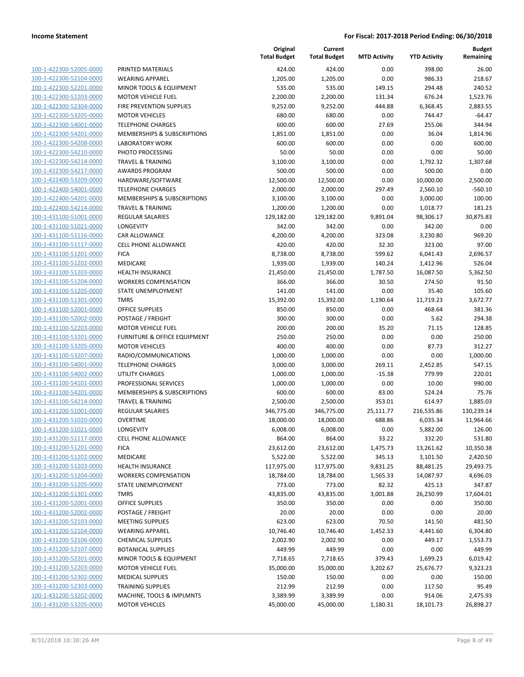| 100-1-422300-52005-0000        |
|--------------------------------|
| 100-1-422300-52104-0000        |
| 100-1-422300-52201-0000        |
| 100-1-422300-52203-0000        |
| 100-1-422300-52304-0000        |
| 100-1-422300-53205-0000        |
|                                |
| 100-1-422300-54001-0000        |
| 100-1-422300-54201-0000        |
| 100-1-422300-54208-0000        |
| 100-1-422300-54210-0000        |
| 100-1-422300-54214-0000        |
| 100-1-422300-54217-0000        |
| 100-1-422400-53209-0000        |
| 100-1-422400-54001-0000        |
| 100-1-422400-54201-0000        |
| 100-1-422400-54214-0000        |
| 100-1-431100-51001-0000        |
| 100-1-431100-51021-0000        |
| 100-1-431100-51116-0000        |
| 100-1-431100-51117-0000        |
|                                |
| 100-1-431100-51201-0000        |
| 100-1-431100-51202-0000        |
| <u>100-1-431100-51203-0000</u> |
| 100-1-431100-51204-0000        |
| 100-1-431100-51205-0000        |
| 100-1-431100-51301-0000        |
| 100-1-431100-52001-0000        |
| 100-1-431100-52002-0000        |
| 100-1-431100-52203-0000        |
| 100-1-431100-53201-0000        |
| 100-1-431100-53205-0000        |
| 100-1-431100-53207-0000        |
| <u>100-1-431100-54001-0000</u> |
| 100-1-431100-54002-0000        |
| 100-1-431100-54101-0000        |
| 100-1-431100-54201-0000        |
|                                |
| 100-1-431100-54214-0000        |
| 100-1-431200-51001-0000        |
| 100-1-431200-51020-0000        |
| 100-1-431200-51021-0000        |
| 100-1-431200-51117-0000        |
| 100-1-431200-51201-0000        |
| <u>100-1-431200-51202-0000</u> |
| 100-1-431200-51203-0000        |
| 100-1-431200-51204-0000        |
| 100-1-431200-51205-0000        |
| 100-1-431200-51301-0000        |
| <u>100-1-431200-52001-0000</u> |
| <u>100-1-431200-52002-0000</u> |
| 100-1-431200-52103-0000        |
| 100-1-431200-52104-0000        |
|                                |
| 100-1-431200-52106-0000        |
| <u>100-1-431200-52107-0000</u> |
| <u>100-1-431200-52201-0000</u> |
| 100-1-431200-52203-0000        |
| 100-1-431200-52302-0000        |
| <u>100-1-431200-52303-0000</u> |
| <u>100-1-431200-53202-0000</u> |
| 100-1-431200-53205-0000        |
|                                |

|                         |                                        | Original<br><b>Total Budget</b> | Current<br><b>Total Budget</b> | <b>MTD Activity</b> | <b>YTD Activity</b> | <b>Budget</b><br>Remaining |
|-------------------------|----------------------------------------|---------------------------------|--------------------------------|---------------------|---------------------|----------------------------|
| 100-1-422300-52005-0000 | PRINTED MATERIALS                      | 424.00                          | 424.00                         | 0.00                | 398.00              | 26.00                      |
| 100-1-422300-52104-0000 | <b>WEARING APPAREL</b>                 | 1,205.00                        | 1,205.00                       | 0.00                | 986.33              | 218.67                     |
| 100-1-422300-52201-0000 | MINOR TOOLS & EQUIPMENT                | 535.00                          | 535.00                         | 149.15              | 294.48              | 240.52                     |
| 100-1-422300-52203-0000 | <b>MOTOR VEHICLE FUEL</b>              | 2,200.00                        | 2,200.00                       | 131.34              | 676.24              | 1,523.76                   |
| 100-1-422300-52304-0000 | FIRE PREVENTION SUPPLIES               | 9,252.00                        | 9,252.00                       | 444.88              | 6,368.45            | 2,883.55                   |
| 100-1-422300-53205-0000 | <b>MOTOR VEHICLES</b>                  | 680.00                          | 680.00                         | 0.00                | 744.47              | $-64.47$                   |
| 100-1-422300-54001-0000 | <b>TELEPHONE CHARGES</b>               | 600.00                          | 600.00                         | 27.69               | 255.06              | 344.94                     |
| 100-1-422300-54201-0000 | <b>MEMBERSHIPS &amp; SUBSCRIPTIONS</b> | 1,851.00                        | 1,851.00                       | 0.00                | 36.04               | 1,814.96                   |
| 100-1-422300-54208-0000 | <b>LABORATORY WORK</b>                 | 600.00                          | 600.00                         | 0.00                | 0.00                | 600.00                     |
| 100-1-422300-54210-0000 | PHOTO PROCESSING                       | 50.00                           | 50.00                          | 0.00                | 0.00                | 50.00                      |
| 100-1-422300-54214-0000 | <b>TRAVEL &amp; TRAINING</b>           | 3,100.00                        | 3,100.00                       | 0.00                | 1,792.32            | 1,307.68                   |
| 100-1-422300-54217-0000 | <b>AWARDS PROGRAM</b>                  | 500.00                          | 500.00                         | 0.00                | 500.00              | 0.00                       |
| 100-1-422400-53209-0000 | HARDWARE/SOFTWARE                      | 12,500.00                       | 12,500.00                      | 0.00                | 10,000.00           | 2,500.00                   |
| 100-1-422400-54001-0000 | <b>TELEPHONE CHARGES</b>               | 2,000.00                        | 2,000.00                       | 297.49              | 2,560.10            | $-560.10$                  |
| 100-1-422400-54201-0000 | MEMBERSHIPS & SUBSCRIPTIONS            | 3,100.00                        | 3,100.00                       | 0.00                | 3,000.00            | 100.00                     |
| 100-1-422400-54214-0000 | <b>TRAVEL &amp; TRAINING</b>           | 1,200.00                        | 1,200.00                       | 0.00                | 1,018.77            | 181.23                     |
| 100-1-431100-51001-0000 | <b>REGULAR SALARIES</b>                | 129,182.00                      | 129,182.00                     | 9,891.04            | 98,306.17           | 30,875.83                  |
| 100-1-431100-51021-0000 | LONGEVITY                              | 342.00                          | 342.00                         | 0.00                | 342.00              | 0.00                       |
| 100-1-431100-51116-0000 | <b>CAR ALLOWANCE</b>                   | 4,200.00                        | 4,200.00                       | 323.08              | 3,230.80            | 969.20                     |
| 100-1-431100-51117-0000 | <b>CELL PHONE ALLOWANCE</b>            | 420.00                          | 420.00                         | 32.30               | 323.00              | 97.00                      |
| 100-1-431100-51201-0000 | <b>FICA</b>                            | 8,738.00                        | 8,738.00                       | 599.62              | 6,041.43            | 2,696.57                   |
| 100-1-431100-51202-0000 | <b>MEDICARE</b>                        | 1,939.00                        | 1,939.00                       | 140.24              | 1,412.96            | 526.04                     |
| 100-1-431100-51203-0000 | <b>HEALTH INSURANCE</b>                | 21,450.00                       | 21,450.00                      | 1,787.50            | 16,087.50           | 5,362.50                   |
| 100-1-431100-51204-0000 | <b>WORKERS COMPENSATION</b>            | 366.00                          | 366.00                         | 30.50               | 274.50              | 91.50                      |
| 100-1-431100-51205-0000 | STATE UNEMPLOYMENT                     | 141.00                          | 141.00                         | 0.00                | 35.40               | 105.60                     |
| 100-1-431100-51301-0000 | <b>TMRS</b>                            | 15,392.00                       | 15,392.00                      | 1,190.64            | 11,719.23           | 3,672.77                   |
| 100-1-431100-52001-0000 | <b>OFFICE SUPPLIES</b>                 | 850.00                          | 850.00                         | 0.00                | 468.64              | 381.36                     |
| 100-1-431100-52002-0000 | POSTAGE / FREIGHT                      | 300.00                          | 300.00                         | 0.00                | 5.62                | 294.38                     |
| 100-1-431100-52203-0000 | <b>MOTOR VEHICLE FUEL</b>              | 200.00                          | 200.00                         | 35.20               | 71.15               | 128.85                     |
| 100-1-431100-53201-0000 | FURNITURE & OFFICE EQUIPMENT           | 250.00                          | 250.00                         | 0.00                | 0.00                | 250.00                     |
| 100-1-431100-53205-0000 | <b>MOTOR VEHICLES</b>                  | 400.00                          | 400.00                         | 0.00                | 87.73               | 312.27                     |
| 100-1-431100-53207-0000 | RADIO/COMMUNICATIONS                   | 1,000.00                        | 1,000.00                       | 0.00                | 0.00                | 1,000.00                   |
| 100-1-431100-54001-0000 | <b>TELEPHONE CHARGES</b>               | 3,000.00                        | 3,000.00                       | 269.11              | 2,452.85            | 547.15                     |
| 100-1-431100-54002-0000 | <b>UTILITY CHARGES</b>                 | 1,000.00                        | 1,000.00                       | $-15.38$            | 779.99              | 220.01                     |
| 100-1-431100-54101-0000 | PROFESSIONAL SERVICES                  | 1,000.00                        | 1,000.00                       | 0.00                | 10.00               | 990.00                     |
| 100-1-431100-54201-0000 | MEMBERSHIPS & SUBSCRIPTIONS            | 600.00                          | 600.00                         | 83.00               | 524.24              | 75.76                      |
| 100-1-431100-54214-0000 | <b>TRAVEL &amp; TRAINING</b>           | 2,500.00                        | 2,500.00                       | 353.01              | 614.97              | 1,885.03                   |
| 100-1-431200-51001-0000 | REGULAR SALARIES                       | 346,775.00                      | 346,775.00                     | 25,111.77           | 216,535.86          | 130,239.14                 |
| 100-1-431200-51020-0000 | <b>OVERTIME</b>                        | 18,000.00                       | 18,000.00                      | 688.86              | 6,035.34            | 11,964.66                  |
| 100-1-431200-51021-0000 | <b>LONGEVITY</b>                       | 6,008.00                        | 6,008.00                       | 0.00                | 5,882.00            | 126.00                     |
| 100-1-431200-51117-0000 | <b>CELL PHONE ALLOWANCE</b>            | 864.00                          | 864.00                         | 33.22               | 332.20              | 531.80                     |
| 100-1-431200-51201-0000 | <b>FICA</b>                            | 23,612.00                       | 23,612.00                      | 1,475.73            | 13,261.62           | 10,350.38                  |
| 100-1-431200-51202-0000 | MEDICARE                               | 5,522.00                        | 5,522.00                       | 345.13              | 3,101.50            | 2,420.50                   |
| 100-1-431200-51203-0000 | <b>HEALTH INSURANCE</b>                | 117,975.00                      | 117,975.00                     | 9,831.25            | 88,481.25           | 29,493.75                  |
| 100-1-431200-51204-0000 | <b>WORKERS COMPENSATION</b>            | 18,784.00                       | 18,784.00                      | 1,565.33            | 14,087.97           | 4,696.03                   |
| 100-1-431200-51205-0000 | STATE UNEMPLOYMENT                     | 773.00                          | 773.00                         | 82.32               | 425.13              | 347.87                     |
| 100-1-431200-51301-0000 | <b>TMRS</b>                            | 43,835.00                       | 43,835.00                      | 3,001.88            | 26,230.99           | 17,604.01                  |
| 100-1-431200-52001-0000 | <b>OFFICE SUPPLIES</b>                 | 350.00                          | 350.00                         | 0.00                | 0.00                | 350.00                     |
| 100-1-431200-52002-0000 | POSTAGE / FREIGHT                      | 20.00                           | 20.00                          | 0.00                | 0.00                | 20.00                      |
| 100-1-431200-52103-0000 | <b>MEETING SUPPLIES</b>                | 623.00                          | 623.00                         | 70.50               | 141.50              | 481.50                     |
| 100-1-431200-52104-0000 | <b>WEARING APPAREL</b>                 | 10,746.40                       | 10,746.40                      | 1,452.33            | 4,441.60            | 6,304.80                   |
| 100-1-431200-52106-0000 | <b>CHEMICAL SUPPLIES</b>               | 2,002.90                        | 2,002.90                       | 0.00                | 449.17              | 1,553.73                   |
| 100-1-431200-52107-0000 | <b>BOTANICAL SUPPLIES</b>              | 449.99                          | 449.99                         | 0.00                | 0.00                | 449.99                     |
| 100-1-431200-52201-0000 | MINOR TOOLS & EQUIPMENT                | 7,718.65                        | 7,718.65                       | 379.43              | 1,699.23            | 6,019.42                   |
| 100-1-431200-52203-0000 | <b>MOTOR VEHICLE FUEL</b>              | 35,000.00                       | 35,000.00                      | 3,202.67            | 25,676.77           | 9,323.23                   |
| 100-1-431200-52302-0000 | <b>MEDICAL SUPPLIES</b>                | 150.00                          | 150.00                         | 0.00                | 0.00                | 150.00                     |
| 100-1-431200-52303-0000 | <b>TRAINING SUPPLIES</b>               | 212.99                          | 212.99                         | 0.00                | 117.50              | 95.49                      |
| 100-1-431200-53202-0000 | MACHINE, TOOLS & IMPLMNTS              | 3,389.99                        | 3,389.99                       | 0.00                | 914.06              | 2,475.93                   |
| 100-1-431200-53205-0000 | <b>MOTOR VEHICLES</b>                  | 45,000.00                       | 45,000.00                      | 1,180.31            | 18,101.73           | 26,898.27                  |
|                         |                                        |                                 |                                |                     |                     |                            |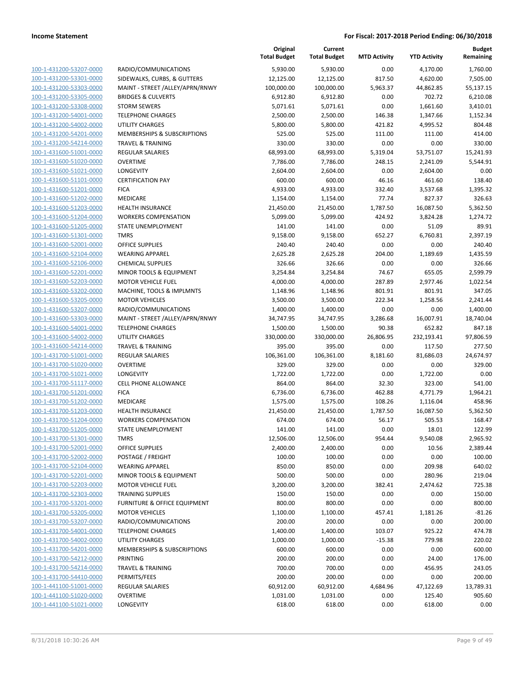| 100-1-431200-53207-0000                            | RADIO/CON                 |
|----------------------------------------------------|---------------------------|
| 100-1-431200-53301-0000                            | <b>SIDEWALKS</b>          |
| 100-1-431200-53303-0000                            | <b>MAINT - STF</b>        |
| 100-1-431200-53305-0000                            | <b>BRIDGES &amp;</b>      |
| 100-1-431200-53308-0000                            | STORM SEW                 |
| 100-1-431200-54001-0000                            | <b>TELEPHONE</b>          |
| 100-1-431200-54002-0000                            | UTILITY CHA               |
| 100-1-431200-54201-0000                            | MEMBERSH                  |
| 100-1-431200-54214-0000                            | TRAVEL & T                |
| 100-1-431600-51001-0000                            | REGULAR S/                |
| 100-1-431600-51020-0000                            | OVERTIME                  |
| 100-1-431600-51021-0000                            | LONGEVITY                 |
| 100-1-431600-51101-0000                            | <b>CERTIFICATI</b>        |
| 100-1-431600-51201-0000                            | <b>FICA</b>               |
| 100-1-431600-51202-0000                            | MEDICARE                  |
| 100-1-431600-51203-0000                            | <b>HEALTH INS</b>         |
|                                                    | <b>WORKERS C</b>          |
| 100-1-431600-51204-0000                            |                           |
| 100-1-431600-51205-0000                            | STATE UNEI                |
| 100-1-431600-51301-0000                            | TMRS                      |
| 100-1-431600-52001-0000                            | OFFICE SUP                |
| 100-1-431600-52104-0000                            | WEARING A                 |
| 100-1-431600-52106-0000                            | CHEMICAL S                |
| 100-1-431600-52201-0000                            | <b>MINOR TOC</b>          |
| 100-1-431600-52203-0000                            | <b>MOTOR VEH</b>          |
| 100-1-431600-53202-0000                            | MACHINE, T                |
| 100-1-431600-53205-0000                            | <b>MOTOR VEH</b>          |
| 100-1-431600-53207-0000                            | RADIO/CON                 |
| 100-1-431600-53303-0000                            | <b>MAINT - STF</b>        |
| 100-1-431600-54001-0000                            | TELEPHONE                 |
| 100-1-431600-54002-0000                            | UTILITY CHA<br>TRAVEL & T |
| 100-1-431600-54214-0000<br>100-1-431700-51001-0000 | <b>REGULAR SA</b>         |
| 100-1-431700-51020-0000                            | OVERTIME                  |
| 100-1-431700-51021-0000                            | LONGEVITY                 |
| 100-1-431700-51117-0000                            | <b>CELL PHONE</b>         |
| 100-1-431700-51201-0000                            | <b>FICA</b>               |
| 100-1-431700-51202-0000                            | MEDICARE                  |
| 100-1-431700-51203-0000                            | <b>HEALTH INS</b>         |
| 100-1-431700-51204-0000                            | <b>WORKERS C</b>          |
| 100-1-431700-51205-0000                            | STATE UNEI                |
| 100-1-431700-51301-0000                            | TMRS                      |
| <u>100-1-431700-52001-0000</u>                     | OFFICE SUP                |
| 100-1-431700-52002-0000                            | POSTAGE /                 |
| 100-1-431700-52104-0000                            | <b>WEARING A</b>          |
| 100-1-431700-52201-0000                            | <b>MINOR TOC</b>          |
| 100-1-431700-52203-0000                            | <b>MOTOR VEH</b>          |
| 100-1-431700-52303-0000                            | TRAINING S                |
| <u>100-1-431700-53201-0000</u>                     | <b>FURNITURE</b>          |
| 100-1-431700-53205-0000                            | <b>MOTOR VEH</b>          |
| 100-1-431700-53207-0000                            | RADIO/CON                 |
| 100-1-431700-54001-0000                            | <b>TELEPHONE</b>          |
| 100-1-431700-54002-0000                            | UTILITY CHA               |
| 100-1-431700-54201-0000                            | <b>MEMBERSH</b>           |
| 100-1-431700-54212-0000                            | PRINTING                  |
| 100-1-431700-54214-0000                            | TRAVEL & T                |
| 100-1-431700-54410-0000                            | PERMITS/FE                |
| <u>100-1-441100-51001-0000</u>                     | <b>REGULAR SA</b>         |
| 100-1-441100-51020-0000                            | OVERTIME                  |
| 100-1-441100-51021-0000                            | LONGEVITY                 |
|                                                    |                           |

|                         |                                         | Original<br><b>Total Budget</b> | Current<br><b>Total Budget</b> | <b>MTD Activity</b> | <b>YTD Activity</b> | <b>Budget</b><br>Remaining |
|-------------------------|-----------------------------------------|---------------------------------|--------------------------------|---------------------|---------------------|----------------------------|
| 100-1-431200-53207-0000 | RADIO/COMMUNICATIONS                    | 5,930.00                        | 5,930.00                       | 0.00                | 4,170.00            | 1,760.00                   |
| 100-1-431200-53301-0000 | SIDEWALKS, CURBS, & GUTTERS             | 12,125.00                       | 12,125.00                      | 817.50              | 4,620.00            | 7,505.00                   |
| 100-1-431200-53303-0000 | MAINT - STREET /ALLEY/APRN/RNWY         | 100,000.00                      | 100,000.00                     | 5,963.37            | 44,862.85           | 55,137.15                  |
| 100-1-431200-53305-0000 | <b>BRIDGES &amp; CULVERTS</b>           | 6,912.80                        | 6,912.80                       | 0.00                | 702.72              | 6,210.08                   |
| 100-1-431200-53308-0000 | <b>STORM SEWERS</b>                     | 5,071.61                        | 5,071.61                       | 0.00                | 1,661.60            | 3,410.01                   |
| 100-1-431200-54001-0000 | <b>TELEPHONE CHARGES</b>                | 2,500.00                        | 2,500.00                       | 146.38              | 1,347.66            | 1,152.34                   |
| 100-1-431200-54002-0000 | UTILITY CHARGES                         | 5,800.00                        | 5,800.00                       | 421.82              | 4,995.52            | 804.48                     |
| 100-1-431200-54201-0000 | MEMBERSHIPS & SUBSCRIPTIONS             | 525.00                          | 525.00                         | 111.00              | 111.00              | 414.00                     |
| 100-1-431200-54214-0000 | <b>TRAVEL &amp; TRAINING</b>            | 330.00                          | 330.00                         | 0.00                | 0.00                | 330.00                     |
| 100-1-431600-51001-0000 | <b>REGULAR SALARIES</b>                 | 68,993.00                       | 68,993.00                      | 5,319.04            | 53,751.07           | 15,241.93                  |
| 100-1-431600-51020-0000 | <b>OVERTIME</b>                         | 7,786.00                        | 7,786.00                       | 248.15              | 2,241.09            | 5,544.91                   |
| 100-1-431600-51021-0000 | <b>LONGEVITY</b>                        | 2,604.00                        | 2,604.00                       | 0.00                | 2,604.00            | 0.00                       |
| 100-1-431600-51101-0000 | <b>CERTIFICATION PAY</b>                | 600.00                          | 600.00                         | 46.16               | 461.60              | 138.40                     |
| 100-1-431600-51201-0000 | <b>FICA</b>                             | 4,933.00                        | 4,933.00                       | 332.40              | 3,537.68            | 1,395.32                   |
| 100-1-431600-51202-0000 | MEDICARE                                | 1,154.00                        | 1,154.00                       | 77.74               | 827.37              | 326.63                     |
| 100-1-431600-51203-0000 | <b>HEALTH INSURANCE</b>                 | 21,450.00                       | 21,450.00                      | 1,787.50            | 16,087.50           | 5,362.50                   |
| 100-1-431600-51204-0000 | <b>WORKERS COMPENSATION</b>             | 5,099.00                        | 5,099.00                       | 424.92              | 3,824.28            | 1,274.72                   |
| 100-1-431600-51205-0000 | STATE UNEMPLOYMENT                      | 141.00                          | 141.00                         | 0.00                | 51.09               | 89.91                      |
| 100-1-431600-51301-0000 | <b>TMRS</b>                             | 9,158.00                        | 9,158.00                       | 652.27              | 6,760.81            | 2,397.19                   |
| 100-1-431600-52001-0000 | <b>OFFICE SUPPLIES</b>                  | 240.40                          | 240.40                         | 0.00                | 0.00                | 240.40                     |
| 100-1-431600-52104-0000 | <b>WEARING APPAREL</b>                  | 2,625.28                        | 2,625.28                       | 204.00              | 1,189.69            | 1,435.59                   |
| 100-1-431600-52106-0000 | <b>CHEMICAL SUPPLIES</b>                | 326.66                          | 326.66                         | 0.00                | 0.00                | 326.66                     |
| 100-1-431600-52201-0000 | MINOR TOOLS & EQUIPMENT                 | 3,254.84                        | 3,254.84                       | 74.67               | 655.05              | 2,599.79                   |
| 100-1-431600-52203-0000 | <b>MOTOR VEHICLE FUEL</b>               | 4,000.00                        | 4,000.00                       | 287.89              | 2,977.46            | 1,022.54                   |
| 100-1-431600-53202-0000 | MACHINE, TOOLS & IMPLMNTS               | 1,148.96                        | 1,148.96                       | 801.91              | 801.91              | 347.05                     |
| 100-1-431600-53205-0000 | <b>MOTOR VEHICLES</b>                   | 3,500.00                        | 3,500.00                       | 222.34              | 1,258.56            | 2,241.44                   |
| 100-1-431600-53207-0000 | RADIO/COMMUNICATIONS                    | 1,400.00                        | 1,400.00                       | 0.00                | 0.00                | 1,400.00                   |
| 100-1-431600-53303-0000 | MAINT - STREET /ALLEY/APRN/RNWY         | 34,747.95                       | 34,747.95                      | 3,286.68            | 16,007.91           | 18,740.04                  |
| 100-1-431600-54001-0000 | <b>TELEPHONE CHARGES</b>                | 1,500.00                        | 1,500.00                       | 90.38               | 652.82              | 847.18                     |
| 100-1-431600-54002-0000 | <b>UTILITY CHARGES</b>                  | 330,000.00                      | 330,000.00                     | 26,806.95           | 232,193.41          | 97,806.59                  |
| 100-1-431600-54214-0000 | <b>TRAVEL &amp; TRAINING</b>            | 395.00                          | 395.00                         | 0.00                | 117.50              | 277.50                     |
| 100-1-431700-51001-0000 | REGULAR SALARIES                        | 106,361.00                      | 106,361.00                     | 8,181.60            | 81,686.03           | 24,674.97                  |
| 100-1-431700-51020-0000 | <b>OVERTIME</b>                         | 329.00                          | 329.00                         | 0.00                | 0.00                | 329.00                     |
| 100-1-431700-51021-0000 | LONGEVITY                               | 1,722.00                        | 1,722.00                       | 0.00                | 1,722.00            | 0.00                       |
| 100-1-431700-51117-0000 | <b>CELL PHONE ALLOWANCE</b>             | 864.00                          | 864.00                         | 32.30               | 323.00              | 541.00                     |
| 100-1-431700-51201-0000 | <b>FICA</b>                             | 6,736.00                        | 6,736.00                       | 462.88              | 4,771.79            | 1,964.21                   |
| 100-1-431700-51202-0000 | MEDICARE                                | 1,575.00                        | 1,575.00                       | 108.26              | 1,116.04            | 458.96                     |
| 100-1-431700-51203-0000 | <b>HEALTH INSURANCE</b>                 | 21,450.00                       | 21,450.00                      | 1,787.50            | 16,087.50           | 5,362.50                   |
| 100-1-431700-51204-0000 | <b>WORKERS COMPENSATION</b>             | 674.00                          | 674.00                         | 56.17               | 505.53              | 168.47                     |
| 100-1-431700-51205-0000 | STATE UNEMPLOYMENT                      | 141.00                          | 141.00                         | 0.00                | 18.01               | 122.99                     |
| 100-1-431700-51301-0000 | TMRS                                    | 12,506.00                       | 12,506.00                      | 954.44              | 9,540.08            | 2,965.92                   |
| 100-1-431700-52001-0000 | <b>OFFICE SUPPLIES</b>                  | 2,400.00                        | 2,400.00                       | 0.00                | 10.56               | 2,389.44                   |
| 100-1-431700-52002-0000 | POSTAGE / FREIGHT                       | 100.00                          | 100.00                         | 0.00                | 0.00                | 100.00                     |
| 100-1-431700-52104-0000 | <b>WEARING APPAREL</b>                  | 850.00                          | 850.00                         | 0.00                | 209.98              | 640.02                     |
| 100-1-431700-52201-0000 | MINOR TOOLS & EQUIPMENT                 | 500.00                          | 500.00                         | 0.00                | 280.96              | 219.04                     |
| 100-1-431700-52203-0000 | <b>MOTOR VEHICLE FUEL</b>               | 3,200.00                        | 3,200.00                       | 382.41              | 2,474.62            | 725.38                     |
| 100-1-431700-52303-0000 | <b>TRAINING SUPPLIES</b>                | 150.00                          | 150.00                         | 0.00                | 0.00                | 150.00                     |
| 100-1-431700-53201-0000 | <b>FURNITURE &amp; OFFICE EQUIPMENT</b> | 800.00                          | 800.00                         | 0.00                | 0.00                | 800.00                     |
| 100-1-431700-53205-0000 | <b>MOTOR VEHICLES</b>                   | 1,100.00                        | 1,100.00                       | 457.41              | 1,181.26            | $-81.26$                   |
| 100-1-431700-53207-0000 | RADIO/COMMUNICATIONS                    | 200.00                          | 200.00                         | 0.00                | 0.00                | 200.00                     |
| 100-1-431700-54001-0000 | <b>TELEPHONE CHARGES</b>                | 1,400.00                        | 1,400.00                       | 103.07              | 925.22              | 474.78                     |
| 100-1-431700-54002-0000 | UTILITY CHARGES                         | 1,000.00                        | 1,000.00                       | $-15.38$            | 779.98              | 220.02                     |
| 100-1-431700-54201-0000 | MEMBERSHIPS & SUBSCRIPTIONS             | 600.00                          | 600.00                         | 0.00                | 0.00                | 600.00                     |
| 100-1-431700-54212-0000 | PRINTING                                | 200.00                          | 200.00                         | 0.00                | 24.00               | 176.00                     |
| 100-1-431700-54214-0000 | TRAVEL & TRAINING                       | 700.00                          | 700.00                         | 0.00                | 456.95              | 243.05                     |
| 100-1-431700-54410-0000 | PERMITS/FEES                            | 200.00                          | 200.00                         | 0.00                | 0.00                | 200.00                     |
| 100-1-441100-51001-0000 | REGULAR SALARIES                        | 60,912.00                       | 60,912.00                      | 4,684.96            | 47,122.69           | 13,789.31                  |
| 100-1-441100-51020-0000 | <b>OVERTIME</b>                         | 1,031.00                        | 1,031.00                       | 0.00                | 125.40              | 905.60                     |
| 100-1-441100-51021-0000 | LONGEVITY                               | 618.00                          | 618.00                         | 0.00                | 618.00              | 0.00                       |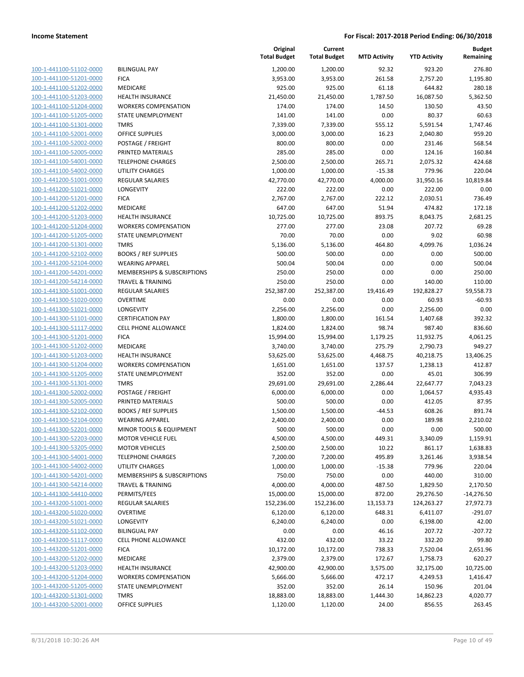| 100-1-441100-51102-0000        |
|--------------------------------|
| 100-1-441100-51201-0000        |
| 100-1-441100-51202-0000        |
| 100-1-441100-51203-0000        |
| 100-1-441100-51204-0000        |
| 100-1-441100-51205-0000        |
| 100-1-441100-51301-0000        |
| 100-1-441100-52001-0000        |
| 100-1-441100-52002-0000        |
| 100-1-441100-52005-0000        |
| 100-1-441100-54001-0000        |
| 100-1-441100-54002-0000        |
| 100-1-441200-51001-0000        |
| 100-1-441200-51021-0000        |
| 100-1-441200-51201-0000        |
| 100-1-441200-51202-0000        |
| 100-1-441200-51203-0000        |
| 100-1-441200-51204-0000        |
| 100-1-441200-51205-0000        |
| 100-1-441200-51301-0000        |
| 100-1-441200-52102-0000        |
| 100-1-441200-52104-0000        |
| 100-1-441200-54201-0000        |
| 100-1-441200-54214-0000        |
| 100-1-441300-51001-0000        |
| 100-1-441300-51020-0000        |
| 100-1-441300-51021-0000        |
|                                |
| 100-1-441300-51101-0000        |
| 100-1-441300-51117-0000        |
| 100-1-441300-51201-0000        |
| 100-1-441300-51202-0000        |
| 100-1-441300-51203-0000        |
| 100-1-441300-51204-0000        |
| 100-1-441300-51205-0000        |
| 100-1-441300-51301-0000        |
| 100-1-441300-52002-0000        |
| 100-1-441300-52005-0000        |
| 100-1-441300-52102-0000        |
| 100-1-441300-52104-0000        |
| 100-1-441300-52201-0000        |
| 100-1-441300-52203-0000        |
| 100-1-441300-53205-0000        |
| <u>100-1-441300-54001-0000</u> |
| <u>100-1-441300-54002-0000</u> |
| 100-1-441300-54201-0000        |
| 100-1-441300-54214-0000        |
| 100-1-441300-54410-0000        |
| 100-1-443200-51001-0000        |
| <u>100-1-443200-51020-0000</u> |
| 100-1-443200-51021-0000        |
| 100-1-443200-51102-0000        |
| 100-1-443200-51117-0000        |
| <u>100-1-443200-51201-0000</u> |
| <u>100-1-443200-51202-0000</u> |
| 100-1-443200-51203-0000        |
| 100-1-443200-51204-0000        |
| 100-1-443200-51205-0000        |
| <u>100-1-443200-51301-0000</u> |
|                                |
| 100-1-443200-52001-0000        |

|                                                    |                                                     | Original<br><b>Total Budget</b> | Current<br><b>Total Budget</b> | <b>MTD Activity</b> | <b>YTD Activity</b>  | <b>Budget</b><br>Remaining |
|----------------------------------------------------|-----------------------------------------------------|---------------------------------|--------------------------------|---------------------|----------------------|----------------------------|
| 100-1-441100-51102-0000                            | <b>BILINGUAL PAY</b>                                | 1,200.00                        | 1,200.00                       | 92.32               | 923.20               | 276.80                     |
| 100-1-441100-51201-0000                            | <b>FICA</b>                                         | 3,953.00                        | 3,953.00                       | 261.58              | 2,757.20             | 1,195.80                   |
| 100-1-441100-51202-0000                            | MEDICARE                                            | 925.00                          | 925.00                         | 61.18               | 644.82               | 280.18                     |
| 100-1-441100-51203-0000                            | <b>HEALTH INSURANCE</b>                             | 21,450.00                       | 21,450.00                      | 1,787.50            | 16,087.50            | 5,362.50                   |
| 100-1-441100-51204-0000                            | <b>WORKERS COMPENSATION</b>                         | 174.00                          | 174.00                         | 14.50               | 130.50               | 43.50                      |
| 100-1-441100-51205-0000                            | STATE UNEMPLOYMENT                                  | 141.00                          | 141.00                         | 0.00                | 80.37                | 60.63                      |
| 100-1-441100-51301-0000                            | <b>TMRS</b>                                         | 7,339.00                        | 7,339.00                       | 555.12              | 5,591.54             | 1,747.46                   |
| 100-1-441100-52001-0000                            | <b>OFFICE SUPPLIES</b>                              | 3,000.00                        | 3,000.00                       | 16.23               | 2,040.80             | 959.20                     |
| 100-1-441100-52002-0000                            | POSTAGE / FREIGHT                                   | 800.00                          | 800.00                         | 0.00                | 231.46               | 568.54                     |
| 100-1-441100-52005-0000                            | PRINTED MATERIALS                                   | 285.00                          | 285.00                         | 0.00                | 124.16               | 160.84                     |
| 100-1-441100-54001-0000                            | <b>TELEPHONE CHARGES</b>                            | 2,500.00                        | 2,500.00                       | 265.71              | 2,075.32             | 424.68                     |
| 100-1-441100-54002-0000                            | <b>UTILITY CHARGES</b>                              | 1,000.00                        | 1,000.00                       | $-15.38$            | 779.96               | 220.04                     |
| 100-1-441200-51001-0000                            | <b>REGULAR SALARIES</b>                             | 42,770.00                       | 42,770.00                      | 4,000.00            | 31,950.16            | 10,819.84                  |
| 100-1-441200-51021-0000                            | LONGEVITY                                           | 222.00                          | 222.00                         | 0.00                | 222.00               | 0.00                       |
| 100-1-441200-51201-0000                            | <b>FICA</b>                                         | 2,767.00                        | 2,767.00                       | 222.12              | 2,030.51             | 736.49                     |
| 100-1-441200-51202-0000                            | MEDICARE                                            | 647.00                          | 647.00                         | 51.94               | 474.82               | 172.18                     |
| 100-1-441200-51203-0000                            | <b>HEALTH INSURANCE</b>                             | 10,725.00                       | 10,725.00                      | 893.75              | 8,043.75             | 2,681.25                   |
| 100-1-441200-51204-0000                            | <b>WORKERS COMPENSATION</b>                         | 277.00                          | 277.00                         | 23.08               | 207.72               | 69.28                      |
| 100-1-441200-51205-0000                            | <b>STATE UNEMPLOYMENT</b>                           | 70.00                           | 70.00                          | 0.00                | 9.02                 | 60.98                      |
| 100-1-441200-51301-0000                            | <b>TMRS</b>                                         | 5,136.00                        | 5,136.00                       | 464.80              | 4,099.76             | 1,036.24                   |
| 100-1-441200-52102-0000                            | <b>BOOKS / REF SUPPLIES</b>                         | 500.00                          | 500.00                         | 0.00                | 0.00                 | 500.00                     |
| 100-1-441200-52104-0000                            | <b>WEARING APPAREL</b>                              | 500.04                          | 500.04                         | 0.00                | 0.00                 | 500.04                     |
| 100-1-441200-54201-0000                            | MEMBERSHIPS & SUBSCRIPTIONS                         | 250.00                          | 250.00                         | 0.00                | 0.00                 | 250.00                     |
| 100-1-441200-54214-0000                            | <b>TRAVEL &amp; TRAINING</b>                        | 250.00                          | 250.00                         | 0.00                | 140.00               | 110.00                     |
| 100-1-441300-51001-0000                            | <b>REGULAR SALARIES</b>                             | 252,387.00                      | 252,387.00                     | 19,416.49           | 192,828.27           | 59,558.73                  |
| 100-1-441300-51020-0000                            | <b>OVERTIME</b>                                     | 0.00                            | 0.00                           | 0.00                | 60.93                | $-60.93$                   |
| 100-1-441300-51021-0000                            | <b>LONGEVITY</b>                                    | 2,256.00                        | 2,256.00                       | 0.00                | 2,256.00             | 0.00                       |
| 100-1-441300-51101-0000                            | <b>CERTIFICATION PAY</b>                            | 1,800.00                        | 1,800.00                       | 161.54              | 1,407.68             | 392.32                     |
| 100-1-441300-51117-0000                            | CELL PHONE ALLOWANCE                                | 1,824.00                        | 1,824.00                       | 98.74               | 987.40               | 836.60                     |
| 100-1-441300-51201-0000                            | <b>FICA</b>                                         | 15,994.00                       | 15,994.00                      | 1,179.25            | 11,932.75            | 4,061.25                   |
| 100-1-441300-51202-0000                            | MEDICARE                                            | 3,740.00                        | 3,740.00                       | 275.79              | 2,790.73             | 949.27                     |
| 100-1-441300-51203-0000                            | <b>HEALTH INSURANCE</b>                             | 53,625.00                       | 53,625.00                      | 4,468.75            | 40,218.75            | 13,406.25                  |
| 100-1-441300-51204-0000                            | <b>WORKERS COMPENSATION</b>                         | 1,651.00                        | 1,651.00                       | 137.57              | 1,238.13             | 412.87                     |
| 100-1-441300-51205-0000                            | STATE UNEMPLOYMENT                                  | 352.00                          | 352.00                         | 0.00                | 45.01                | 306.99                     |
| 100-1-441300-51301-0000                            | <b>TMRS</b>                                         | 29,691.00                       | 29,691.00                      | 2,286.44            | 22,647.77            | 7,043.23                   |
| 100-1-441300-52002-0000                            | POSTAGE / FREIGHT                                   | 6,000.00                        | 6,000.00                       | 0.00                | 1,064.57             | 4,935.43                   |
| 100-1-441300-52005-0000                            | PRINTED MATERIALS                                   | 500.00                          | 500.00                         | 0.00                | 412.05               | 87.95                      |
| 100-1-441300-52102-0000                            | <b>BOOKS / REF SUPPLIES</b>                         | 1,500.00                        | 1,500.00                       | -44.53              | 608.26               | 891.74                     |
| 100-1-441300-52104-0000                            | <b>WEARING APPAREL</b>                              | 2,400.00                        | 2,400.00                       | 0.00                | 189.98               | 2,210.02                   |
| 100-1-441300-52201-0000                            | MINOR TOOLS & EQUIPMENT                             | 500.00                          | 500.00                         | 0.00                | 0.00                 | 500.00                     |
| 100-1-441300-52203-0000                            | <b>MOTOR VEHICLE FUEL</b>                           | 4,500.00                        | 4,500.00                       | 449.31              | 3,340.09             | 1,159.91                   |
| 100-1-441300-53205-0000                            | <b>MOTOR VEHICLES</b>                               | 2,500.00                        | 2,500.00                       | 10.22               | 861.17               | 1,638.83                   |
| 100-1-441300-54001-0000                            | <b>TELEPHONE CHARGES</b>                            | 7,200.00                        | 7,200.00                       | 495.89              | 3,261.46             | 3,938.54                   |
| 100-1-441300-54002-0000                            | <b>UTILITY CHARGES</b>                              | 1,000.00                        | 1,000.00                       | $-15.38$            | 779.96               | 220.04                     |
| 100-1-441300-54201-0000                            | MEMBERSHIPS & SUBSCRIPTIONS                         | 750.00                          | 750.00                         | 0.00                | 440.00               | 310.00                     |
| 100-1-441300-54214-0000                            | <b>TRAVEL &amp; TRAINING</b>                        | 4,000.00                        | 4,000.00                       | 487.50              | 1,829.50             | 2,170.50                   |
| 100-1-441300-54410-0000                            | PERMITS/FEES                                        | 15,000.00                       | 15,000.00                      | 872.00              | 29,276.50            | $-14,276.50$               |
| 100-1-443200-51001-0000                            | <b>REGULAR SALARIES</b>                             | 152,236.00                      | 152,236.00                     | 13,153.73           | 124,263.27           | 27,972.73                  |
| 100-1-443200-51020-0000<br>100-1-443200-51021-0000 | OVERTIME<br><b>LONGEVITY</b>                        | 6,120.00<br>6,240.00            | 6,120.00                       | 648.31<br>0.00      | 6,411.07             | $-291.07$<br>42.00         |
|                                                    |                                                     |                                 | 6,240.00                       |                     | 6,198.00             |                            |
| 100-1-443200-51102-0000<br>100-1-443200-51117-0000 | <b>BILINGUAL PAY</b><br><b>CELL PHONE ALLOWANCE</b> | 0.00<br>432.00                  | 0.00<br>432.00                 | 46.16<br>33.22      | 207.72<br>332.20     | $-207.72$<br>99.80         |
| 100-1-443200-51201-0000                            | <b>FICA</b>                                         |                                 |                                | 738.33              |                      |                            |
| 100-1-443200-51202-0000                            | MEDICARE                                            | 10,172.00<br>2,379.00           | 10,172.00<br>2,379.00          | 172.67              | 7,520.04<br>1,758.73 | 2,651.96<br>620.27         |
| 100-1-443200-51203-0000                            | <b>HEALTH INSURANCE</b>                             | 42,900.00                       | 42,900.00                      | 3,575.00            | 32,175.00            | 10,725.00                  |
| 100-1-443200-51204-0000                            | <b>WORKERS COMPENSATION</b>                         | 5,666.00                        | 5,666.00                       | 472.17              | 4,249.53             | 1,416.47                   |
| 100-1-443200-51205-0000                            | STATE UNEMPLOYMENT                                  | 352.00                          | 352.00                         | 26.14               | 150.96               | 201.04                     |
| 100-1-443200-51301-0000                            | <b>TMRS</b>                                         | 18,883.00                       | 18,883.00                      |                     | 14,862.23            | 4,020.77                   |
| 100-1-443200-52001-0000                            | OFFICE SUPPLIES                                     | 1,120.00                        | 1,120.00                       | 1,444.30<br>24.00   | 856.55               | 263.45                     |
|                                                    |                                                     |                                 |                                |                     |                      |                            |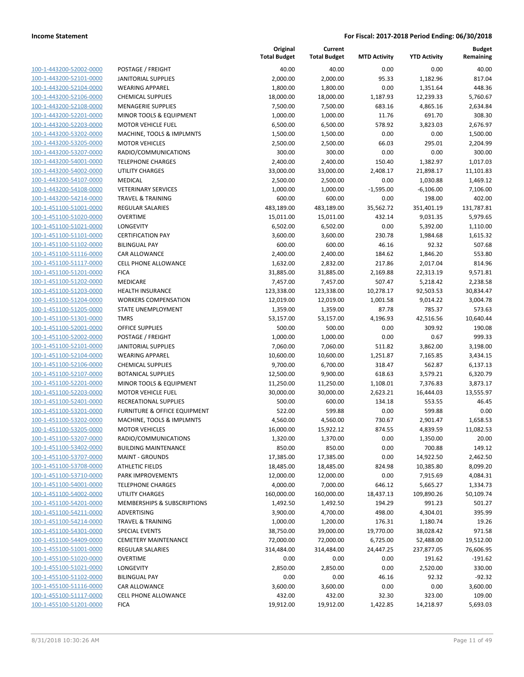| 100-1-443200-52002-0000                            |
|----------------------------------------------------|
|                                                    |
| 100-1-443200-52101-0000                            |
| 100-1-443200-52104-0000                            |
| 100-1-443200-52106-0000                            |
| 100-1-443200-52108-0000                            |
| 100-1-443200-52201-0000                            |
| 100-1-443200-52203-0000                            |
| 1-443200-53202-0000<br>100-                        |
| 100-1-443200-53205-0000                            |
| 100-1-443200-53207-0000                            |
| 100-1-443200-54001-0000                            |
| 100-1-443200-54002-0000                            |
| 100-1-443200-54107-0000                            |
| 100-1-443200-54108-0000                            |
| 100-1-443200-54214-0000                            |
| 100-1-451100-51001-0000                            |
| 100-1-451100-51020-0000                            |
|                                                    |
| 1-451100-51021-0000<br>100-                        |
| 100-1-451100-51101-0000                            |
| 100-1-451100-51102-0000                            |
| 100-1-451100-51116-0000                            |
| 100-1-451100-51117-0000                            |
| 100-1-451100-51201-0000                            |
| 100-1-451100-51202-0000                            |
| 100-1-451100-51203-0000                            |
| 100-1-451100-51204-0000                            |
| 100-1-451100-51205-0000                            |
| 1-451100-51301-0000<br>100-                        |
| 100-1-451100-52001-0000                            |
| 100-1-451100-52002-0000                            |
| 100-1-451100-52101-0000                            |
| 100-1-451100-52104-0000                            |
|                                                    |
| 100-1-451100-52106-0000                            |
| 100-1-451100-52107-0000                            |
| 100-1-451100-52201-0000                            |
| 100-1-451100-52203-0000                            |
| 100-1-451100-52401-0000                            |
| 100-1-451100-53201-0000                            |
| 100-1-451100-53202-0000                            |
| 100-1-451100-53205-0000                            |
| 100-1-451100-53207-0000                            |
| <u>100-1-451100-53402-0000</u>                     |
| <u>100-1-451100-53707-0000</u>                     |
| 100-1-451100-53708-0000                            |
| 100-1-451100-53710-0000                            |
| <u>100-1-451100-54001-0000</u>                     |
|                                                    |
| 100-1-451100-54002-0000                            |
| 100-1-451100-54201-0000                            |
| 100-1-451100-54211-0000                            |
|                                                    |
| 100-1-451100-54214-0000                            |
| <u>100-1-451100-54301-0000</u>                     |
| <u>100-1-451100-54409-0000</u>                     |
| <u>100-1-455100-51001-0000</u>                     |
| 100-1-455100-51020-0000                            |
| 100-1-455100-51021-0000                            |
| <u>100-1-455100-51102-0000</u>                     |
| <u>100-1-455100-51116-0000</u>                     |
|                                                    |
| 100-1-455100-51117-0000<br>100-1-455100-51201-0000 |

| POSTAGE / FREIGHT                                  |
|----------------------------------------------------|
| ANITORIAL SUPPLIES                                 |
| VEARING APPAREL                                    |
| <b>CHEMICAL SUPPLIES</b>                           |
| <b>MENAGERIE SUPPLIES</b>                          |
| <b>MINOR TOOLS &amp; EQUIPMENT</b>                 |
| <b>MOTOR VEHICLE FUEL</b>                          |
| <b>MACHINE, TOOLS &amp; IMPLMNTS</b>               |
| <b>MOTOR VEHICLES</b>                              |
| RADIO/COMMUNICATIONS                               |
| <b>ELEPHONE CHARGES</b>                            |
| JTILITY CHARGES                                    |
| MEDICAL                                            |
| /ETERINARY SERVICES                                |
| <b>RAVEL &amp; TRAINING</b>                        |
| REGULAR SALARIES                                   |
| <b>DVERTIME</b>                                    |
| ONGEVITY.                                          |
| <b>CERTIFICATION PAY</b>                           |
| BILINGUAL PAY                                      |
| <b>CAR ALLOWANCE</b>                               |
| CELL PHONE ALLOWANCE                               |
| <b>ICA</b>                                         |
| <b>MEDICARE</b>                                    |
| HEALTH INSURANCE                                   |
| <b><i>NORKERS COMPENSATION</i></b>                 |
| TATE UNEMPLOYMENT                                  |
| <b>MRS</b>                                         |
| <b>DFFICE SUPPLIES</b>                             |
| POSTAGE / FREIGHT                                  |
| ANITORIAL SUPPLIES                                 |
| VEARING APPAREL                                    |
| CHEMICAL SUPPLIES                                  |
| <b>BOTANICAL SUPPLIES</b>                          |
| MINOR TOOLS & EQUIPMENT                            |
| <b>MOTOR VEHICLE FUEL</b>                          |
| RECREATIONAL SUPPLIES                              |
| URNITURE & OFFICE EQUIPMENT                        |
| MACHINE, TOOLS & IMPLMNTS                          |
| <b>MOTOR VEHICLES</b>                              |
| RADIO/COMMUNICATIONS                               |
| BUILDING MAINTENANCE                               |
| <b>MAINT - GROUNDS</b>                             |
| <b>ITHLETIC FIELDS</b><br><b>PARK IMPROVEMENTS</b> |
| <b>ELEPHONE CHARGES</b>                            |
| <b>JTILITY CHARGES</b>                             |
| MEMBERSHIPS & SUBSCRIPTIONS                        |
| <b>IDVERTISING</b>                                 |
| <b>RAVEL &amp; TRAINING</b>                        |
| <b>PECIAL EVENTS</b>                               |
| <b>CEMETERY MAINTENANCE</b>                        |
| REGULAR SALARIES                                   |
| <b>DVERTIME</b>                                    |
| ONGEVITY.                                          |
| <b>BILINGUAL PAY</b>                               |
| <b>CAR ALLOWANCE</b>                               |
| <b>ELL PHONE ALLOWANCE</b>                         |
| ICA -                                              |
|                                                    |

|                         |                              | Original<br><b>Total Budget</b> | Current<br><b>Total Budget</b> | <b>MTD Activity</b> | <b>YTD Activity</b> | <b>Budget</b><br>Remaining |
|-------------------------|------------------------------|---------------------------------|--------------------------------|---------------------|---------------------|----------------------------|
| 100-1-443200-52002-0000 | POSTAGE / FREIGHT            | 40.00                           | 40.00                          | 0.00                | 0.00                | 40.00                      |
| 100-1-443200-52101-0000 | JANITORIAL SUPPLIES          | 2,000.00                        | 2,000.00                       | 95.33               | 1,182.96            | 817.04                     |
| 100-1-443200-52104-0000 | <b>WEARING APPAREL</b>       | 1,800.00                        | 1,800.00                       | 0.00                | 1,351.64            | 448.36                     |
| 100-1-443200-52106-0000 | <b>CHEMICAL SUPPLIES</b>     | 18,000.00                       | 18,000.00                      | 1,187.93            | 12,239.33           | 5,760.67                   |
| 100-1-443200-52108-0000 | <b>MENAGERIE SUPPLIES</b>    | 7,500.00                        | 7,500.00                       | 683.16              | 4,865.16            | 2,634.84                   |
| 100-1-443200-52201-0000 | MINOR TOOLS & EQUIPMENT      | 1,000.00                        | 1,000.00                       | 11.76               | 691.70              | 308.30                     |
| 100-1-443200-52203-0000 | <b>MOTOR VEHICLE FUEL</b>    | 6,500.00                        | 6,500.00                       | 578.92              | 3,823.03            | 2,676.97                   |
| 100-1-443200-53202-0000 | MACHINE, TOOLS & IMPLMNTS    | 1,500.00                        | 1,500.00                       | 0.00                | 0.00                | 1,500.00                   |
| 100-1-443200-53205-0000 | <b>MOTOR VEHICLES</b>        | 2,500.00                        | 2,500.00                       | 66.03               | 295.01              | 2,204.99                   |
| 100-1-443200-53207-0000 | RADIO/COMMUNICATIONS         | 300.00                          | 300.00                         | 0.00                | 0.00                | 300.00                     |
| 100-1-443200-54001-0000 | <b>TELEPHONE CHARGES</b>     | 2,400.00                        | 2,400.00                       | 150.40              | 1,382.97            | 1,017.03                   |
| 100-1-443200-54002-0000 | <b>UTILITY CHARGES</b>       | 33,000.00                       | 33,000.00                      | 2,408.17            | 21,898.17           | 11,101.83                  |
| 100-1-443200-54107-0000 | MEDICAL                      | 2,500.00                        | 2,500.00                       | 0.00                | 1,030.88            | 1,469.12                   |
| 100-1-443200-54108-0000 | <b>VETERINARY SERVICES</b>   | 1,000.00                        | 1,000.00                       | $-1,595.00$         | $-6,106.00$         | 7,106.00                   |
| 100-1-443200-54214-0000 | <b>TRAVEL &amp; TRAINING</b> | 600.00                          | 600.00                         | 0.00                | 198.00              | 402.00                     |
| 100-1-451100-51001-0000 | <b>REGULAR SALARIES</b>      | 483,189.00                      | 483,189.00                     | 35,562.72           | 351,401.19          | 131,787.81                 |
| 100-1-451100-51020-0000 | <b>OVERTIME</b>              | 15,011.00                       | 15,011.00                      | 432.14              | 9,031.35            | 5,979.65                   |
| 100-1-451100-51021-0000 | LONGEVITY                    | 6,502.00                        | 6,502.00                       | 0.00                | 5,392.00            | 1,110.00                   |
| 100-1-451100-51101-0000 | <b>CERTIFICATION PAY</b>     | 3,600.00                        | 3,600.00                       | 230.78              | 1,984.68            | 1,615.32                   |
| 100-1-451100-51102-0000 | <b>BILINGUAL PAY</b>         | 600.00                          | 600.00                         | 46.16               | 92.32               | 507.68                     |
| 100-1-451100-51116-0000 | <b>CAR ALLOWANCE</b>         | 2,400.00                        | 2,400.00                       | 184.62              | 1,846.20            | 553.80                     |
| 100-1-451100-51117-0000 | <b>CELL PHONE ALLOWANCE</b>  | 1,632.00                        | 2,832.00                       | 217.86              | 2,017.04            | 814.96                     |
| 100-1-451100-51201-0000 | <b>FICA</b>                  | 31,885.00                       | 31,885.00                      | 2,169.88            | 22,313.19           | 9,571.81                   |
| 100-1-451100-51202-0000 | MEDICARE                     | 7,457.00                        | 7,457.00                       | 507.47              | 5,218.42            | 2,238.58                   |
| 100-1-451100-51203-0000 | <b>HEALTH INSURANCE</b>      | 123,338.00                      | 123,338.00                     | 10,278.17           | 92,503.53           | 30,834.47                  |
| 100-1-451100-51204-0000 | <b>WORKERS COMPENSATION</b>  | 12,019.00                       | 12,019.00                      | 1,001.58            | 9,014.22            | 3,004.78                   |
| 100-1-451100-51205-0000 | STATE UNEMPLOYMENT           | 1,359.00                        | 1,359.00                       | 87.78               | 785.37              | 573.63                     |
| 100-1-451100-51301-0000 | <b>TMRS</b>                  | 53,157.00                       | 53,157.00                      | 4,196.93            | 42,516.56           | 10,640.44                  |
| 100-1-451100-52001-0000 | <b>OFFICE SUPPLIES</b>       | 500.00                          | 500.00                         | 0.00                | 309.92              | 190.08                     |
| 100-1-451100-52002-0000 | POSTAGE / FREIGHT            | 1,000.00                        | 1,000.00                       | 0.00                | 0.67                | 999.33                     |
| 100-1-451100-52101-0000 | <b>JANITORIAL SUPPLIES</b>   | 7,060.00                        | 7,060.00                       | 511.82              | 3,862.00            | 3,198.00                   |
| 100-1-451100-52104-0000 | <b>WEARING APPAREL</b>       | 10,600.00                       | 10,600.00                      | 1,251.87            | 7,165.85            | 3,434.15                   |
| 100-1-451100-52106-0000 | <b>CHEMICAL SUPPLIES</b>     | 9,700.00                        | 6,700.00                       | 318.47              | 562.87              | 6,137.13                   |
| 100-1-451100-52107-0000 | <b>BOTANICAL SUPPLIES</b>    | 12,500.00                       | 9,900.00                       | 618.63              | 3,579.21            | 6,320.79                   |
| 100-1-451100-52201-0000 | MINOR TOOLS & EQUIPMENT      | 11,250.00                       | 11,250.00                      | 1,108.01            | 7,376.83            | 3,873.17                   |
| 100-1-451100-52203-0000 | <b>MOTOR VEHICLE FUEL</b>    | 30,000.00                       | 30,000.00                      | 2,623.21            | 16,444.03           | 13,555.97                  |
| 100-1-451100-52401-0000 | RECREATIONAL SUPPLIES        | 500.00                          | 600.00                         | 134.18              | 553.55              | 46.45                      |
| 100-1-451100-53201-0000 | FURNITURE & OFFICE EQUIPMENT | 522.00                          | 599.88                         | 0.00                | 599.88              | 0.00                       |
| 100-1-451100-53202-0000 | MACHINE, TOOLS & IMPLMNTS    | 4,560.00                        | 4,560.00                       | 730.67              | 2,901.47            | 1,658.53                   |
| 100-1-451100-53205-0000 | <b>MOTOR VEHICLES</b>        | 16,000.00                       | 15,922.12                      | 874.55              | 4,839.59            | 11,082.53                  |
| 100-1-451100-53207-0000 | RADIO/COMMUNICATIONS         | 1,320.00                        | 1,370.00                       | 0.00                | 1,350.00            | 20.00                      |
| 100-1-451100-53402-0000 | <b>BUILDING MAINTENANCE</b>  | 850.00                          | 850.00                         | 0.00                | 700.88              | 149.12                     |
| 100-1-451100-53707-0000 | <b>MAINT - GROUNDS</b>       | 17,385.00                       | 17,385.00                      | 0.00                | 14,922.50           | 2,462.50                   |
| 100-1-451100-53708-0000 | <b>ATHLETIC FIELDS</b>       | 18,485.00                       | 18,485.00                      | 824.98              | 10,385.80           | 8,099.20                   |
| 100-1-451100-53710-0000 | PARK IMPROVEMENTS            | 12,000.00                       | 12,000.00                      | 0.00                | 7,915.69            | 4,084.31                   |
| 100-1-451100-54001-0000 | <b>TELEPHONE CHARGES</b>     | 4,000.00                        | 7,000.00                       | 646.12              | 5,665.27            | 1,334.73                   |
| 100-1-451100-54002-0000 | UTILITY CHARGES              | 160,000.00                      | 160,000.00                     | 18,437.13           | 109,890.26          | 50,109.74                  |
| 100-1-451100-54201-0000 | MEMBERSHIPS & SUBSCRIPTIONS  | 1,492.50                        | 1,492.50                       | 194.29              | 991.23              | 501.27                     |
| 100-1-451100-54211-0000 | ADVERTISING                  | 3,900.00                        | 4,700.00                       | 498.00              | 4,304.01            | 395.99                     |
| 100-1-451100-54214-0000 | <b>TRAVEL &amp; TRAINING</b> | 1,000.00                        | 1,200.00                       | 176.31              | 1,180.74            | 19.26                      |
| 100-1-451100-54301-0000 | <b>SPECIAL EVENTS</b>        | 38,750.00                       | 39,000.00                      | 19,770.00           | 38,028.42           | 971.58                     |
| 100-1-451100-54409-0000 | <b>CEMETERY MAINTENANCE</b>  | 72,000.00                       | 72,000.00                      | 6,725.00            | 52,488.00           | 19,512.00                  |
| 100-1-455100-51001-0000 | <b>REGULAR SALARIES</b>      | 314,484.00                      | 314,484.00                     | 24,447.25           | 237,877.05          | 76,606.95                  |
| 100-1-455100-51020-0000 | <b>OVERTIME</b>              | 0.00                            | 0.00                           | 0.00                | 191.62              | $-191.62$                  |
| 100-1-455100-51021-0000 | LONGEVITY                    | 2,850.00                        | 2,850.00                       | 0.00                | 2,520.00            | 330.00                     |
| 100-1-455100-51102-0000 | <b>BILINGUAL PAY</b>         | 0.00                            | 0.00                           | 46.16               | 92.32               | $-92.32$                   |
| 100-1-455100-51116-0000 | CAR ALLOWANCE                | 3,600.00                        | 3,600.00                       | 0.00                | 0.00                | 3,600.00                   |
| 100-1-455100-51117-0000 | CELL PHONE ALLOWANCE         | 432.00                          | 432.00                         | 32.30               | 323.00              | 109.00                     |
| 100-1-455100-51201-0000 | <b>FICA</b>                  | 19,912.00                       | 19,912.00                      | 1,422.85            | 14,218.97           | 5,693.03                   |
|                         |                              |                                 |                                |                     |                     |                            |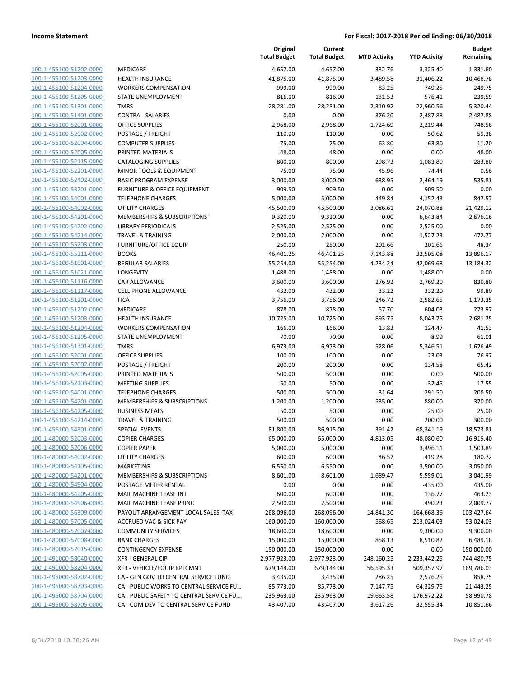| 100-1-455100-51202-0000        |
|--------------------------------|
| 100-1-455100-51203-0000        |
| 100-1-455100-51204-0000        |
| 100-1-455100-51205-0000        |
| 100-1-455100-51301-0000        |
| 100-1-455100-51401-0000        |
| 100-1-455100-52001-0000        |
| 100-1-455100-52002-0000        |
| 100-1-455100-52004-0000        |
| 100-1-455100-52005-0000        |
| 100-1-455100-52115-0000        |
| 100-1-455100-52201-0000        |
| 100-1-455100-52402-0000        |
| 100-1-455100-53201-0000        |
| 100-1-455100-54001-0000        |
| 100-1-455100-54002-0000        |
| 100-1-455100-54201-0000        |
| 100-1-455100-54202-0000        |
| 100-1-455100-54214-0000        |
|                                |
| 100-1-455100-55203-0000        |
| 100-1-455100-55211-0000        |
| 100-1-456100-51001-0000        |
| 100-1-456100-51021-0000        |
| 100-1-456100-51116-0000        |
| 100-1-456100-51117-0000        |
| 100-1-456100-51201-0000        |
| 100-1-456100-51202-0000        |
| 100-1-456100-51203-0000        |
| 100-1-456100-51204-0000        |
| 100-1-456100-51205-0000        |
| 100-1-456100-51301-0000        |
| 100-1-456100-52001-0000        |
| 100-1-456100-52002-0000        |
| 100-1-456100-52005-0000        |
| 100-1-456100-52103-0000        |
| 100-1-456100-54001-0000        |
| 100-1-456100-54201-0000        |
| 100-1-456100-54205-0000        |
| 100-1-456100-54214-0000        |
| 100-1-456100-54301-0000        |
| 100-1-480000-52003-0000        |
| <u>100-1-480000-52006-0000</u> |
| 100-1-480000-54002-0000        |
| 100-1-480000-54105-0000        |
| 100-1-480000-54201-0000        |
| <u>100-1-480000-54904-0000</u> |
| <u>100-1-480000-54905-0000</u> |
| <u>100-1-480000-54906-0000</u> |
| <u>100-1-480000-56309-0000</u> |
|                                |
| <u>100-1-480000-57005-0000</u> |
| <u>100-1-480000-57007-0000</u> |
| 100-1-480000-57008-0000        |
| <u>100-1-480000-57015-0000</u> |
| 100-1-491000-58040-0000        |
| <u>100-1-491000-58204-0000</u> |
| <u>100-1-495000-58702-0000</u> |
| <u>100-1-495000-58703-0000</u> |
| <u>100-1-495000-58704-0000</u> |
| 100-1-495000-58705-0000        |
|                                |

|                         |                                          | Original<br><b>Total Budget</b> | Current<br><b>Total Budget</b> | <b>MTD Activity</b> | <b>YTD Activity</b> | <b>Budget</b><br>Remaining |
|-------------------------|------------------------------------------|---------------------------------|--------------------------------|---------------------|---------------------|----------------------------|
| 100-1-455100-51202-0000 | <b>MEDICARE</b>                          | 4,657.00                        | 4,657.00                       | 332.76              | 3,325.40            | 1,331.60                   |
| 100-1-455100-51203-0000 | <b>HEALTH INSURANCE</b>                  | 41,875.00                       | 41,875.00                      | 3,489.58            | 31,406.22           | 10,468.78                  |
| 100-1-455100-51204-0000 | <b>WORKERS COMPENSATION</b>              | 999.00                          | 999.00                         | 83.25               | 749.25              | 249.75                     |
| 100-1-455100-51205-0000 | STATE UNEMPLOYMENT                       | 816.00                          | 816.00                         | 131.53              | 576.41              | 239.59                     |
| 100-1-455100-51301-0000 | <b>TMRS</b>                              | 28,281.00                       | 28,281.00                      | 2,310.92            | 22,960.56           | 5,320.44                   |
| 100-1-455100-51401-0000 | <b>CONTRA - SALARIES</b>                 | 0.00                            | 0.00                           | $-376.20$           | $-2,487.88$         | 2,487.88                   |
| 100-1-455100-52001-0000 | OFFICE SUPPLIES                          | 2,968.00                        | 2,968.00                       | 1,724.69            | 2,219.44            | 748.56                     |
| 100-1-455100-52002-0000 | POSTAGE / FREIGHT                        | 110.00                          | 110.00                         | 0.00                | 50.62               | 59.38                      |
| 100-1-455100-52004-0000 | <b>COMPUTER SUPPLIES</b>                 | 75.00                           | 75.00                          | 63.80               | 63.80               | 11.20                      |
| 100-1-455100-52005-0000 | PRINTED MATERIALS                        | 48.00                           | 48.00                          | 0.00                | 0.00                | 48.00                      |
| 100-1-455100-52115-0000 | <b>CATALOGING SUPPLIES</b>               | 800.00                          | 800.00                         | 298.73              | 1,083.80            | $-283.80$                  |
| 100-1-455100-52201-0000 | MINOR TOOLS & EQUIPMENT                  | 75.00                           | 75.00                          | 45.96               | 74.44               | 0.56                       |
| 100-1-455100-52402-0000 | <b>BASIC PROGRAM EXPENSE</b>             | 3,000.00                        | 3,000.00                       | 638.95              | 2,464.19            | 535.81                     |
| 100-1-455100-53201-0000 | <b>FURNITURE &amp; OFFICE EQUIPMENT</b>  | 909.50                          | 909.50                         | 0.00                | 909.50              | 0.00                       |
| 100-1-455100-54001-0000 | <b>TELEPHONE CHARGES</b>                 | 5,000.00                        | 5,000.00                       | 449.84              | 4,152.43            | 847.57                     |
| 100-1-455100-54002-0000 | <b>UTILITY CHARGES</b>                   | 45,500.00                       | 45,500.00                      | 3,086.61            | 24,070.88           | 21,429.12                  |
| 100-1-455100-54201-0000 | MEMBERSHIPS & SUBSCRIPTIONS              | 9,320.00                        | 9,320.00                       | 0.00                | 6,643.84            | 2,676.16                   |
| 100-1-455100-54202-0000 | <b>LIBRARY PERIODICALS</b>               | 2,525.00                        | 2,525.00                       | 0.00                | 2,525.00            | 0.00                       |
| 100-1-455100-54214-0000 | <b>TRAVEL &amp; TRAINING</b>             | 2,000.00                        | 2,000.00                       | 0.00                | 1,527.23            | 472.77                     |
| 100-1-455100-55203-0000 | <b>FURNITURE/OFFICE EQUIP</b>            | 250.00                          | 250.00                         | 201.66              | 201.66              | 48.34                      |
| 100-1-455100-55211-0000 | <b>BOOKS</b>                             | 46,401.25                       | 46,401.25                      | 7,143.88            | 32,505.08           | 13,896.17                  |
| 100-1-456100-51001-0000 | <b>REGULAR SALARIES</b>                  | 55,254.00                       | 55,254.00                      | 4,234.24            | 42,069.68           | 13,184.32                  |
| 100-1-456100-51021-0000 | LONGEVITY                                | 1,488.00                        | 1,488.00                       | 0.00                | 1,488.00            | 0.00                       |
| 100-1-456100-51116-0000 | <b>CAR ALLOWANCE</b>                     | 3,600.00                        | 3,600.00                       | 276.92              | 2,769.20            | 830.80                     |
| 100-1-456100-51117-0000 | <b>CELL PHONE ALLOWANCE</b>              | 432.00                          | 432.00                         | 33.22               | 332.20              | 99.80                      |
| 100-1-456100-51201-0000 | <b>FICA</b>                              | 3,756.00                        | 3,756.00                       | 246.72              | 2,582.65            | 1,173.35                   |
| 100-1-456100-51202-0000 | MEDICARE                                 | 878.00                          | 878.00                         | 57.70               | 604.03              | 273.97                     |
| 100-1-456100-51203-0000 | <b>HEALTH INSURANCE</b>                  | 10,725.00                       | 10,725.00                      | 893.75              | 8,043.75            | 2,681.25                   |
| 100-1-456100-51204-0000 | <b>WORKERS COMPENSATION</b>              | 166.00                          | 166.00                         | 13.83               | 124.47              | 41.53                      |
| 100-1-456100-51205-0000 | STATE UNEMPLOYMENT                       | 70.00                           | 70.00                          | 0.00                | 8.99                | 61.01                      |
| 100-1-456100-51301-0000 | <b>TMRS</b>                              | 6,973.00                        | 6,973.00                       | 528.06              | 5,346.51            | 1,626.49                   |
| 100-1-456100-52001-0000 | OFFICE SUPPLIES                          | 100.00                          | 100.00                         | 0.00                | 23.03               | 76.97                      |
| 100-1-456100-52002-0000 | POSTAGE / FREIGHT                        | 200.00                          | 200.00                         | 0.00                | 134.58              | 65.42                      |
| 100-1-456100-52005-0000 | PRINTED MATERIALS                        | 500.00                          | 500.00                         | 0.00                | 0.00                | 500.00                     |
| 100-1-456100-52103-0000 | <b>MEETING SUPPLIES</b>                  | 50.00                           | 50.00                          | 0.00                | 32.45               | 17.55                      |
| 100-1-456100-54001-0000 | <b>TELEPHONE CHARGES</b>                 | 500.00                          | 500.00                         | 31.64               | 291.50              | 208.50                     |
| 100-1-456100-54201-0000 | MEMBERSHIPS & SUBSCRIPTIONS              | 1,200.00                        | 1,200.00                       | 535.00              | 880.00              | 320.00                     |
| 100-1-456100-54205-0000 | <b>BUSINESS MEALS</b>                    | 50.00                           | 50.00                          | 0.00                | 25.00               | 25.00                      |
| 100-1-456100-54214-0000 | <b>TRAVEL &amp; TRAINING</b>             | 500.00                          | 500.00                         | 0.00                | 200.00              | 300.00                     |
| 100-1-456100-54301-0000 | <b>SPECIAL EVENTS</b>                    | 81,800.00                       | 86,915.00                      | 391.42              | 68,341.19           | 18,573.81                  |
| 100-1-480000-52003-0000 | <b>COPIER CHARGES</b>                    | 65,000.00                       | 65,000.00                      | 4,813.05            | 48,080.60           | 16,919.40                  |
| 100-1-480000-52006-0000 | <b>COPIER PAPER</b>                      | 5,000.00                        | 5,000.00                       | 0.00                | 3,496.11            | 1,503.89                   |
| 100-1-480000-54002-0000 | <b>UTILITY CHARGES</b>                   | 600.00                          | 600.00                         | 46.52               | 419.28              | 180.72                     |
| 100-1-480000-54105-0000 | MARKETING                                | 6,550.00                        | 6,550.00                       | 0.00                | 3,500.00            | 3,050.00                   |
| 100-1-480000-54201-0000 | MEMBERSHIPS & SUBSCRIPTIONS              | 8,601.00                        | 8,601.00                       | 1,689.47            | 5,559.01            | 3,041.99                   |
| 100-1-480000-54904-0000 | POSTAGE METER RENTAL                     | 0.00                            | 0.00                           | 0.00                | $-435.00$           | 435.00                     |
| 100-1-480000-54905-0000 | MAIL MACHINE LEASE INT                   | 600.00                          | 600.00                         | 0.00                | 136.77              | 463.23                     |
| 100-1-480000-54906-0000 | MAIL MACHINE LEASE PRINC                 | 2,500.00                        | 2,500.00                       | 0.00                | 490.23              | 2,009.77                   |
| 100-1-480000-56309-0000 | PAYOUT ARRANGEMENT LOCAL SALES TAX       | 268,096.00                      | 268,096.00                     | 14,841.30           | 164,668.36          | 103,427.64                 |
| 100-1-480000-57005-0000 | ACCRUED VAC & SICK PAY                   | 160,000.00                      | 160,000.00                     | 568.65              | 213,024.03          | -53,024.03                 |
| 100-1-480000-57007-0000 | <b>COMMUNITY SERVICES</b>                | 18,600.00                       | 18,600.00                      | 0.00                | 9,300.00            | 9,300.00                   |
| 100-1-480000-57008-0000 | <b>BANK CHARGES</b>                      | 15,000.00                       | 15,000.00                      | 858.13              | 8,510.82            | 6,489.18                   |
| 100-1-480000-57015-0000 | <b>CONTINGENCY EXPENSE</b>               | 150,000.00                      | 150,000.00                     | 0.00                | 0.00                | 150,000.00                 |
| 100-1-491000-58040-0000 | <b>XFR - GENERAL CIP</b>                 | 2,977,923.00                    | 2,977,923.00                   | 248,160.25          | 2,233,442.25        | 744,480.75                 |
| 100-1-491000-58204-0000 | XFR - VEHICLE/EQUIP RPLCMNT              | 679,144.00                      | 679,144.00                     | 56,595.33           | 509,357.97          | 169,786.03                 |
| 100-1-495000-58702-0000 | CA - GEN GOV TO CENTRAL SERVICE FUND     | 3,435.00                        | 3,435.00                       | 286.25              | 2,576.25            | 858.75                     |
| 100-1-495000-58703-0000 | CA - PUBLIC WORKS TO CENTRAL SERVICE FU  | 85,773.00                       | 85,773.00                      | 7,147.75            | 64,329.75           | 21,443.25                  |
| 100-1-495000-58704-0000 | CA - PUBLIC SAFETY TO CENTRAL SERVICE FU | 235,963.00                      | 235,963.00                     | 19,663.58           | 176,972.22          | 58,990.78                  |
| 100-1-495000-58705-0000 | CA - COM DEV TO CENTRAL SERVICE FUND     | 43,407.00                       | 43,407.00                      |                     | 32,555.34           | 10,851.66                  |
|                         |                                          |                                 |                                | 3,617.26            |                     |                            |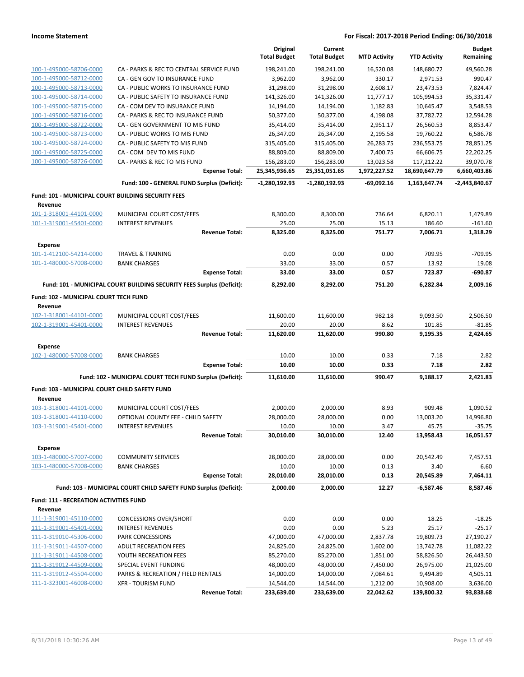|                                                    |                                                                       | Original<br><b>Total Budget</b> | Current<br><b>Total Budget</b> | <b>MTD Activity</b> | <b>YTD Activity</b> | <b>Budget</b><br>Remaining |
|----------------------------------------------------|-----------------------------------------------------------------------|---------------------------------|--------------------------------|---------------------|---------------------|----------------------------|
| 100-1-495000-58706-0000                            | CA - PARKS & REC TO CENTRAL SERVICE FUND                              | 198,241.00                      | 198,241.00                     | 16,520.08           | 148,680.72          | 49.560.28                  |
| 100-1-495000-58712-0000                            | CA - GEN GOV TO INSURANCE FUND                                        | 3,962.00                        | 3,962.00                       | 330.17              | 2,971.53            | 990.47                     |
| 100-1-495000-58713-0000                            | CA - PUBLIC WORKS TO INSURANCE FUND                                   | 31,298.00                       | 31,298.00                      | 2,608.17            | 23,473.53           | 7,824.47                   |
| 100-1-495000-58714-0000                            | CA - PUBLIC SAFETY TO INSURANCE FUND                                  | 141,326.00                      | 141,326.00                     | 11,777.17           | 105,994.53          | 35,331.47                  |
| 100-1-495000-58715-0000                            | CA - COM DEV TO INSURANCE FUND                                        | 14,194.00                       | 14,194.00                      | 1,182.83            | 10,645.47           | 3,548.53                   |
| 100-1-495000-58716-0000                            | CA - PARKS & REC TO INSURANCE FUND                                    | 50,377.00                       | 50,377.00                      | 4,198.08            | 37,782.72           | 12,594.28                  |
| 100-1-495000-58722-0000                            | CA - GEN GOVERNMENT TO MIS FUND                                       | 35,414.00                       | 35,414.00                      | 2,951.17            | 26,560.53           | 8,853.47                   |
| 100-1-495000-58723-0000                            | CA - PUBLIC WORKS TO MIS FUND                                         | 26,347.00                       | 26,347.00                      | 2,195.58            | 19,760.22           | 6,586.78                   |
| 100-1-495000-58724-0000                            | CA - PUBLIC SAFETY TO MIS FUND                                        | 315,405.00                      | 315,405.00                     | 26,283.75           | 236,553.75          | 78,851.25                  |
| 100-1-495000-58725-0000                            | CA - COM DEV TO MIS FUND                                              | 88,809.00                       | 88,809.00                      | 7,400.75            | 66,606.75           | 22,202.25                  |
| 100-1-495000-58726-0000                            | CA - PARKS & REC TO MIS FUND                                          | 156,283.00                      | 156,283.00                     | 13,023.58           | 117,212.22          | 39,070.78                  |
|                                                    | <b>Expense Total:</b>                                                 | 25,345,936.65                   | 25,351,051.65                  | 1,972,227.52        | 18,690,647.79       | 6,660,403.86               |
|                                                    | Fund: 100 - GENERAL FUND Surplus (Deficit):                           | $-1,280,192.93$                 | -1,280,192.93                  | -69,092.16          | 1,163,647.74        | -2,443,840.67              |
| Fund: 101 - MUNICIPAL COURT BUILDING SECURITY FEES |                                                                       |                                 |                                |                     |                     |                            |
| Revenue                                            |                                                                       |                                 |                                |                     |                     |                            |
| 101-1-318001-44101-0000                            | MUNICIPAL COURT COST/FEES                                             | 8,300.00                        | 8,300.00                       | 736.64              | 6,820.11            | 1,479.89                   |
| 101-1-319001-45401-0000                            | <b>INTEREST REVENUES</b>                                              | 25.00                           | 25.00                          | 15.13               | 186.60              | $-161.60$                  |
|                                                    | <b>Revenue Total:</b>                                                 | 8,325.00                        | 8,325.00                       | 751.77              | 7,006.71            | 1,318.29                   |
| Expense                                            |                                                                       |                                 |                                |                     |                     |                            |
| 101-1-412100-54214-0000                            | TRAVEL & TRAINING                                                     | 0.00                            | 0.00                           | 0.00                | 709.95              | $-709.95$                  |
| 101-1-480000-57008-0000                            | <b>BANK CHARGES</b>                                                   | 33.00                           | 33.00                          | 0.57                | 13.92               | 19.08                      |
|                                                    | <b>Expense Total:</b>                                                 | 33.00                           | 33.00                          | 0.57                | 723.87              | -690.87                    |
|                                                    | Fund: 101 - MUNICIPAL COURT BUILDING SECURITY FEES Surplus (Deficit): | 8,292.00                        | 8,292.00                       | 751.20              | 6,282.84            | 2,009.16                   |
| Fund: 102 - MUNICIPAL COURT TECH FUND<br>Revenue   |                                                                       |                                 |                                |                     |                     |                            |
| 102-1-318001-44101-0000                            | MUNICIPAL COURT COST/FEES                                             | 11,600.00                       | 11,600.00                      | 982.18              | 9,093.50            | 2,506.50                   |
| 102-1-319001-45401-0000                            | <b>INTEREST REVENUES</b>                                              | 20.00                           | 20.00                          | 8.62                | 101.85              | $-81.85$                   |
|                                                    | <b>Revenue Total:</b>                                                 | 11,620.00                       | 11,620.00                      | 990.80              | 9,195.35            | 2,424.65                   |
| Expense                                            |                                                                       |                                 |                                |                     |                     |                            |
| 102-1-480000-57008-0000                            | <b>BANK CHARGES</b>                                                   | 10.00                           | 10.00                          | 0.33                | 7.18                | 2.82                       |
|                                                    | <b>Expense Total:</b>                                                 | 10.00                           | 10.00                          | 0.33                | 7.18                | 2.82                       |
|                                                    | Fund: 102 - MUNICIPAL COURT TECH FUND Surplus (Deficit):              | 11,610.00                       | 11,610.00                      | 990.47              | 9,188.17            | 2,421.83                   |
| Fund: 103 - MUNICIPAL COURT CHILD SAFETY FUND      |                                                                       |                                 |                                |                     |                     |                            |
| Revenue<br>103-1-318001-44101-0000                 | MUNICIPAL COURT COST/FEES                                             | 2,000.00                        | 2,000.00                       | 8.93                | 909.48              | 1,090.52                   |
| 103-1-318001-44110-0000                            | OPTIONAL COUNTY FEE - CHILD SAFETY                                    | 28,000.00                       | 28,000.00                      | 0.00                | 13,003.20           | 14,996.80                  |
| 103-1-319001-45401-0000                            | INTEREST REVENUES                                                     | 10.00                           | 10.00                          | 3.47                | 45.75               | $-35.75$                   |
|                                                    | <b>Revenue Total:</b>                                                 | 30,010.00                       | 30,010.00                      | 12.40               | 13,958.43           | 16,051.57                  |
| <b>Expense</b>                                     |                                                                       |                                 |                                |                     |                     |                            |
| 103-1-480000-57007-0000                            | <b>COMMUNITY SERVICES</b>                                             | 28,000.00                       | 28,000.00                      | 0.00                | 20,542.49           | 7,457.51                   |
| 103-1-480000-57008-0000                            | <b>BANK CHARGES</b>                                                   | 10.00                           | 10.00                          | 0.13                | 3.40                | 6.60                       |
|                                                    | <b>Expense Total:</b>                                                 | 28,010.00                       | 28,010.00                      | 0.13                | 20,545.89           | 7,464.11                   |
|                                                    | Fund: 103 - MUNICIPAL COURT CHILD SAFETY FUND Surplus (Deficit):      | 2,000.00                        | 2,000.00                       | 12.27               | $-6,587.46$         | 8,587.46                   |
| <b>Fund: 111 - RECREATION ACTIVITIES FUND</b>      |                                                                       |                                 |                                |                     |                     |                            |
| Revenue                                            |                                                                       |                                 |                                |                     |                     |                            |
| 111-1-319001-45110-0000                            | <b>CONCESSIONS OVER/SHORT</b>                                         | 0.00                            | 0.00                           | 0.00                | 18.25               | $-18.25$                   |
| 111-1-319001-45401-0000                            | <b>INTEREST REVENUES</b>                                              | 0.00                            | 0.00                           | 5.23                | 25.17               | $-25.17$                   |
| 111-1-319010-45306-0000                            | PARK CONCESSIONS                                                      | 47,000.00                       | 47,000.00                      | 2,837.78            | 19,809.73           | 27,190.27                  |
| 111-1-319011-44507-0000                            | <b>ADULT RECREATION FEES</b>                                          | 24,825.00                       | 24,825.00                      | 1,602.00            | 13,742.78           | 11,082.22                  |
| 111-1-319011-44508-0000                            | YOUTH RECREATION FEES                                                 | 85,270.00                       | 85,270.00                      | 1,851.00            | 58,826.50           | 26,443.50                  |
| 111-1-319012-44509-0000                            | SPECIAL EVENT FUNDING                                                 | 48,000.00                       | 48,000.00                      | 7,450.00            | 26,975.00           | 21,025.00                  |
| 111-1-319012-45504-0000                            | PARKS & RECREATION / FIELD RENTALS                                    | 14,000.00                       | 14,000.00                      | 7,084.61            | 9,494.89            | 4,505.11                   |
| 111-1-323001-46008-0000                            | <b>XFR - TOURISM FUND</b>                                             | 14,544.00                       | 14,544.00                      | 1,212.00            | 10,908.00           | 3,636.00                   |
|                                                    | <b>Revenue Total:</b>                                                 | 233,639.00                      | 233,639.00                     | 22,042.62           | 139,800.32          | 93,838.68                  |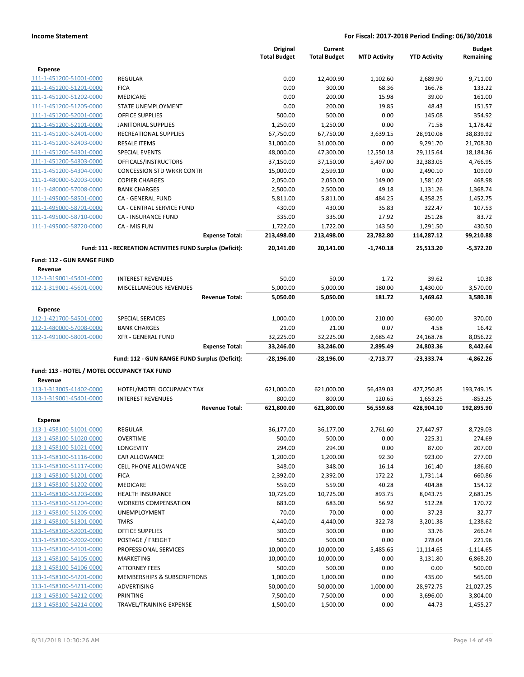|                                              |                                                           | Original<br><b>Total Budget</b> | Current<br><b>Total Budget</b> | <b>MTD Activity</b> | <b>YTD Activity</b> | <b>Budget</b><br>Remaining |
|----------------------------------------------|-----------------------------------------------------------|---------------------------------|--------------------------------|---------------------|---------------------|----------------------------|
| <b>Expense</b>                               |                                                           |                                 |                                |                     |                     |                            |
| 111-1-451200-51001-0000                      | <b>REGULAR</b>                                            | 0.00                            | 12,400.90                      | 1,102.60            | 2,689.90            | 9,711.00                   |
| 111-1-451200-51201-0000                      | <b>FICA</b>                                               | 0.00                            | 300.00                         | 68.36               | 166.78              | 133.22                     |
| 111-1-451200-51202-0000                      | <b>MEDICARE</b>                                           | 0.00                            | 200.00                         | 15.98               | 39.00               | 161.00                     |
| 111-1-451200-51205-0000                      | STATE UNEMPLOYMENT                                        | 0.00                            | 200.00                         | 19.85               | 48.43               | 151.57                     |
| 111-1-451200-52001-0000                      | <b>OFFICE SUPPLIES</b>                                    | 500.00                          | 500.00                         | 0.00                | 145.08              | 354.92                     |
| 111-1-451200-52101-0000                      | <b>JANITORIAL SUPPLIES</b>                                | 1,250.00                        | 1,250.00                       | 0.00                | 71.58               | 1,178.42                   |
| 111-1-451200-52401-0000                      | RECREATIONAL SUPPLIES                                     | 67,750.00                       | 67,750.00                      | 3,639.15            | 28,910.08           | 38,839.92                  |
| 111-1-451200-52403-0000                      | <b>RESALE ITEMS</b>                                       | 31,000.00                       | 31,000.00                      | 0.00                | 9,291.70            | 21.708.30                  |
| 111-1-451200-54301-0000                      | SPECIAL EVENTS                                            | 48,000.00                       | 47,300.00                      | 12,550.18           | 29,115.64           | 18,184.36                  |
| 111-1-451200-54303-0000                      | OFFICALS/INSTRUCTORS                                      | 37,150.00                       | 37,150.00                      | 5,497.00            | 32,383.05           | 4,766.95                   |
| 111-1-451200-54304-0000                      | <b>CONCESSION STD WRKR CONTR</b>                          | 15,000.00                       | 2,599.10                       | 0.00                | 2,490.10            | 109.00                     |
| 111-1-480000-52003-0000                      | <b>COPIER CHARGES</b>                                     | 2,050.00                        | 2,050.00                       | 149.00              | 1,581.02            | 468.98                     |
| 111-1-480000-57008-0000                      | <b>BANK CHARGES</b>                                       | 2,500.00                        | 2,500.00                       | 49.18               | 1,131.26            | 1,368.74                   |
| 111-1-495000-58501-0000                      | CA - GENERAL FUND                                         | 5,811.00                        | 5,811.00                       | 484.25              | 4,358.25            | 1,452.75                   |
| 111-1-495000-58701-0000                      | CA - CENTRAL SERVICE FUND                                 | 430.00                          | 430.00                         | 35.83               | 322.47              | 107.53                     |
| 111-1-495000-58710-0000                      | CA - INSURANCE FUND                                       | 335.00                          | 335.00                         | 27.92               | 251.28              | 83.72                      |
| 111-1-495000-58720-0000                      | CA - MIS FUN                                              | 1,722.00                        | 1,722.00                       | 143.50              | 1,291.50            | 430.50                     |
|                                              | <b>Expense Total:</b>                                     | 213,498.00                      | 213,498.00                     | 23,782.80           | 114,287.12          | 99,210.88                  |
|                                              | Fund: 111 - RECREATION ACTIVITIES FUND Surplus (Deficit): | 20,141.00                       | 20,141.00                      | $-1,740.18$         | 25,513.20           | $-5,372.20$                |
| Fund: 112 - GUN RANGE FUND                   |                                                           |                                 |                                |                     |                     |                            |
| Revenue                                      |                                                           |                                 |                                |                     |                     |                            |
| 112-1-319001-45401-0000                      | <b>INTEREST REVENUES</b>                                  | 50.00                           | 50.00                          | 1.72                | 39.62               | 10.38                      |
| 112-1-319001-45601-0000                      | MISCELLANEOUS REVENUES                                    | 5,000.00                        | 5,000.00                       | 180.00              | 1,430.00            | 3,570.00                   |
|                                              | <b>Revenue Total:</b>                                     | 5,050.00                        | 5,050.00                       | 181.72              | 1,469.62            | 3,580.38                   |
| <b>Expense</b>                               |                                                           |                                 |                                |                     |                     |                            |
| 112-1-421700-54501-0000                      | SPECIAL SERVICES                                          | 1,000.00                        | 1,000.00                       | 210.00              | 630.00              | 370.00                     |
| 112-1-480000-57008-0000                      | <b>BANK CHARGES</b>                                       | 21.00                           | 21.00                          | 0.07                | 4.58                | 16.42                      |
| 112-1-491000-58001-0000                      | <b>XFR - GENERAL FUND</b>                                 | 32,225.00                       | 32,225.00                      | 2,685.42            | 24,168.78           | 8,056.22                   |
|                                              | <b>Expense Total:</b>                                     | 33,246.00                       | 33,246.00                      | 2,895.49            | 24,803.36           | 8,442.64                   |
|                                              | Fund: 112 - GUN RANGE FUND Surplus (Deficit):             | -28,196.00                      | -28,196.00                     | $-2,713.77$         | -23,333.74          | $-4,862.26$                |
| Fund: 113 - HOTEL / MOTEL OCCUPANCY TAX FUND |                                                           |                                 |                                |                     |                     |                            |
| Revenue                                      |                                                           |                                 |                                |                     |                     |                            |
| 113-1-313005-41402-0000                      | HOTEL/MOTEL OCCUPANCY TAX                                 | 621,000.00                      | 621,000.00                     | 56,439.03           | 427,250.85          | 193,749.15                 |
| 113-1-319001-45401-0000                      | <b>INTEREST REVENUES</b>                                  | 800.00                          | 800.00                         | 120.65              | 1,653.25            | $-853.25$                  |
|                                              | <b>Revenue Total:</b>                                     | 621,800.00                      | 621,800.00                     | 56,559.68           | 428,904.10          | 192,895.90                 |
| Expense                                      |                                                           |                                 |                                |                     |                     |                            |
| 113-1-458100-51001-0000                      | REGULAR                                                   | 36,177.00                       | 36,177.00                      | 2,761.60            | 27,447.97           | 8,729.03                   |
| 113-1-458100-51020-0000                      | <b>OVERTIME</b>                                           | 500.00                          | 500.00                         | 0.00                | 225.31              | 274.69                     |
| 113-1-458100-51021-0000                      | LONGEVITY                                                 | 294.00                          | 294.00                         | 0.00                | 87.00               | 207.00                     |
| 113-1-458100-51116-0000                      | CAR ALLOWANCE                                             | 1,200.00                        | 1,200.00                       | 92.30               | 923.00              | 277.00                     |
| 113-1-458100-51117-0000                      | <b>CELL PHONE ALLOWANCE</b>                               | 348.00                          | 348.00                         | 16.14               | 161.40              | 186.60                     |
| 113-1-458100-51201-0000                      | <b>FICA</b>                                               | 2,392.00                        | 2,392.00                       | 172.22              | 1,731.14            | 660.86                     |
| 113-1-458100-51202-0000                      | <b>MEDICARE</b>                                           | 559.00                          | 559.00                         | 40.28               | 404.88              | 154.12                     |
| 113-1-458100-51203-0000                      | <b>HEALTH INSURANCE</b>                                   | 10,725.00                       | 10,725.00                      | 893.75              | 8,043.75            | 2,681.25                   |
| 113-1-458100-51204-0000                      | <b>WORKERS COMPENSATION</b>                               | 683.00                          | 683.00                         | 56.92               | 512.28              | 170.72                     |
| 113-1-458100-51205-0000                      | <b>UNEMPLOYMENT</b>                                       | 70.00                           | 70.00                          | 0.00                | 37.23               | 32.77                      |
| 113-1-458100-51301-0000                      | <b>TMRS</b>                                               | 4,440.00                        | 4,440.00                       | 322.78              | 3,201.38            | 1,238.62                   |
| 113-1-458100-52001-0000                      | OFFICE SUPPLIES                                           | 300.00                          | 300.00                         | 0.00                | 33.76               | 266.24                     |
| 113-1-458100-52002-0000                      | POSTAGE / FREIGHT                                         | 500.00                          | 500.00                         | 0.00                | 278.04              | 221.96                     |
| 113-1-458100-54101-0000                      | PROFESSIONAL SERVICES                                     | 10,000.00                       | 10,000.00                      | 5,485.65            | 11,114.65           | $-1,114.65$                |
| 113-1-458100-54105-0000                      | MARKETING                                                 | 10,000.00                       | 10,000.00                      | 0.00                | 3,131.80            | 6,868.20                   |
| 113-1-458100-54106-0000                      | <b>ATTORNEY FEES</b>                                      | 500.00                          | 500.00                         | 0.00                | 0.00                | 500.00                     |
| 113-1-458100-54201-0000                      | MEMBERSHIPS & SUBSCRIPTIONS                               | 1,000.00                        | 1,000.00                       | 0.00                | 435.00              | 565.00                     |
| 113-1-458100-54211-0000                      | ADVERTISING                                               | 50,000.00                       | 50,000.00                      | 1,000.00            | 28,972.75           | 21,027.25                  |
| 113-1-458100-54212-0000                      | PRINTING                                                  | 7,500.00                        | 7,500.00                       | 0.00                | 3,696.00            | 3,804.00                   |
| 113-1-458100-54214-0000                      | TRAVEL/TRAINING EXPENSE                                   | 1,500.00                        | 1,500.00                       | 0.00                | 44.73               | 1,455.27                   |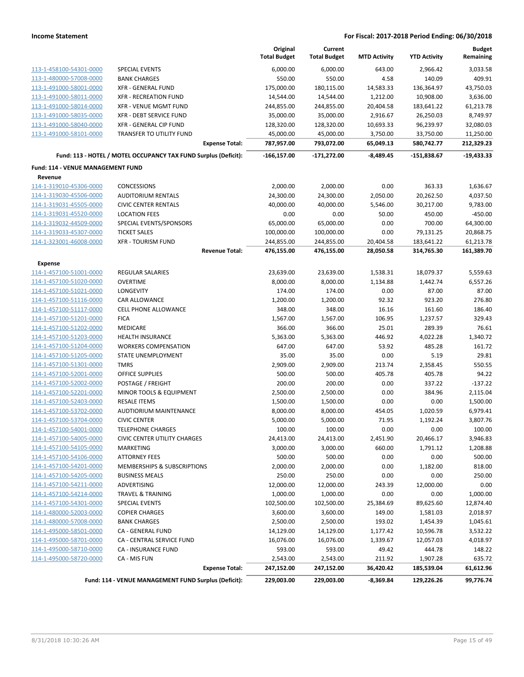|                                   |                                                                 | Original<br><b>Total Budget</b> | Current<br><b>Total Budget</b> | <b>MTD Activity</b> | <b>YTD Activity</b> | <b>Budget</b><br>Remaining |
|-----------------------------------|-----------------------------------------------------------------|---------------------------------|--------------------------------|---------------------|---------------------|----------------------------|
| 113-1-458100-54301-0000           | <b>SPECIAL EVENTS</b>                                           | 6,000.00                        | 6,000.00                       | 643.00              | 2,966.42            | 3,033.58                   |
| 113-1-480000-57008-0000           | <b>BANK CHARGES</b>                                             | 550.00                          | 550.00                         | 4.58                | 140.09              | 409.91                     |
| 113-1-491000-58001-0000           | <b>XFR - GENERAL FUND</b>                                       | 175,000.00                      | 180,115.00                     | 14,583.33           | 136,364.97          | 43,750.03                  |
| 113-1-491000-58011-0000           | <b>XFR - RECREATION FUND</b>                                    | 14,544.00                       | 14,544.00                      | 1,212.00            | 10,908.00           | 3,636.00                   |
| 113-1-491000-58014-0000           | XFR - VENUE MGMT FUND                                           | 244,855.00                      | 244,855.00                     | 20,404.58           | 183,641.22          | 61,213.78                  |
| 113-1-491000-58035-0000           | XFR - DEBT SERVICE FUND                                         | 35,000.00                       | 35,000.00                      | 2,916.67            | 26,250.03           | 8,749.97                   |
| 113-1-491000-58040-0000           | XFR - GENERAL CIP FUND                                          | 128,320.00                      | 128,320.00                     | 10,693.33           | 96,239.97           | 32,080.03                  |
| 113-1-491000-58101-0000           | TRANSFER TO UTILITY FUND                                        | 45,000.00                       | 45,000.00                      | 3,750.00            | 33,750.00           | 11,250.00                  |
|                                   | <b>Expense Total:</b>                                           | 787,957.00                      | 793,072.00                     | 65,049.13           | 580,742.77          | 212,329.23                 |
|                                   | Fund: 113 - HOTEL / MOTEL OCCUPANCY TAX FUND Surplus (Deficit): | $-166, 157.00$                  | $-171,272.00$                  | $-8,489.45$         | $-151,838.67$       | $-19,433.33$               |
| Fund: 114 - VENUE MANAGEMENT FUND |                                                                 |                                 |                                |                     |                     |                            |
| Revenue                           |                                                                 |                                 |                                |                     |                     |                            |
| 114-1-319010-45306-0000           | CONCESSIONS                                                     | 2,000.00                        | 2,000.00                       | 0.00                | 363.33              | 1,636.67                   |
| 114-1-319030-45506-0000           | <b>AUDITORIUM RENTALS</b>                                       | 24,300.00                       | 24,300.00                      | 2,050.00            | 20,262.50           | 4,037.50                   |
| 114-1-319031-45505-0000           | <b>CIVIC CENTER RENTALS</b>                                     | 40,000.00                       | 40,000.00                      | 5,546.00            | 30,217.00           | 9,783.00                   |
| 114-1-319031-45520-0000           | <b>LOCATION FEES</b>                                            | 0.00                            | 0.00                           | 50.00               | 450.00              | $-450.00$                  |
| 114-1-319032-44509-0000           | SPECIAL EVENTS/SPONSORS                                         | 65,000.00                       | 65,000.00                      | 0.00                | 700.00              | 64,300.00                  |
| 114-1-319033-45307-0000           | <b>TICKET SALES</b>                                             | 100,000.00                      | 100,000.00                     | 0.00                | 79,131.25           | 20,868.75                  |
| 114-1-323001-46008-0000           | <b>XFR - TOURISM FUND</b>                                       | 244,855.00                      | 244,855.00                     | 20,404.58           | 183,641.22          | 61,213.78                  |
|                                   | <b>Revenue Total:</b>                                           | 476,155.00                      | 476,155.00                     | 28,050.58           | 314,765.30          | 161,389.70                 |
| <b>Expense</b>                    |                                                                 |                                 |                                |                     |                     |                            |
| 114-1-457100-51001-0000           | <b>REGULAR SALARIES</b>                                         | 23,639.00                       | 23,639.00                      | 1,538.31            | 18,079.37           | 5,559.63                   |
| 114-1-457100-51020-0000           | <b>OVERTIME</b>                                                 | 8,000.00                        | 8,000.00                       | 1,134.88            | 1,442.74            | 6,557.26                   |
| 114-1-457100-51021-0000           | <b>LONGEVITY</b>                                                | 174.00                          | 174.00                         | 0.00                | 87.00               | 87.00                      |
| 114-1-457100-51116-0000           | CAR ALLOWANCE                                                   | 1,200.00                        | 1,200.00                       | 92.32               | 923.20              | 276.80                     |
| 114-1-457100-51117-0000           | <b>CELL PHONE ALLOWANCE</b>                                     | 348.00                          | 348.00                         | 16.16               | 161.60              | 186.40                     |
| 114-1-457100-51201-0000           | <b>FICA</b>                                                     | 1,567.00                        | 1,567.00                       | 106.95              | 1,237.57            | 329.43                     |
| 114-1-457100-51202-0000           | MEDICARE                                                        | 366.00                          | 366.00                         | 25.01               | 289.39              | 76.61                      |
| 114-1-457100-51203-0000           | <b>HEALTH INSURANCE</b>                                         | 5,363.00                        | 5,363.00                       | 446.92              | 4,022.28            | 1,340.72                   |
| 114-1-457100-51204-0000           | <b>WORKERS COMPENSATION</b>                                     | 647.00                          | 647.00                         | 53.92               | 485.28              | 161.72                     |
| 114-1-457100-51205-0000           | STATE UNEMPLOYMENT                                              | 35.00                           | 35.00                          | 0.00                | 5.19                | 29.81                      |
| 114-1-457100-51301-0000           | <b>TMRS</b>                                                     | 2,909.00                        | 2,909.00                       | 213.74              | 2,358.45            | 550.55                     |
| 114-1-457100-52001-0000           | <b>OFFICE SUPPLIES</b>                                          | 500.00                          | 500.00                         | 405.78              | 405.78              | 94.22                      |
| 114-1-457100-52002-0000           | POSTAGE / FREIGHT                                               | 200.00                          | 200.00                         | 0.00                | 337.22              | $-137.22$                  |
| 114-1-457100-52201-0000           | MINOR TOOLS & EQUIPMENT                                         | 2,500.00                        | 2,500.00                       | 0.00                | 384.96              | 2,115.04                   |
| 114-1-457100-52403-0000           | <b>RESALE ITEMS</b>                                             | 1,500.00                        | 1,500.00                       | 0.00                | 0.00                | 1,500.00                   |
| 114-1-457100-53702-0000           | <b>AUDTIORIUM MAINTENANCE</b>                                   | 8,000.00                        | 8,000.00                       | 454.05              | 1,020.59            | 6,979.41                   |
| 114-1-457100-53704-0000           | <b>CIVIC CENTER</b>                                             | 5,000.00                        | 5,000.00                       | 71.95               | 1,192.24            | 3,807.76                   |
| 114-1-457100-54001-0000           | TELEPHONE CHARGES                                               | 100.00                          | 100.00                         | 0.00                | 0.00                | 100.00                     |
| 114-1-457100-54005-0000           | <b>CIVIC CENTER UTILITY CHARGES</b>                             | 24,413.00                       | 24,413.00                      | 2,451.90            | 20,466.17           | 3,946.83                   |
| 114-1-457100-54105-0000           | <b>MARKETING</b>                                                | 3,000.00                        | 3,000.00                       | 660.00              | 1,791.12            | 1,208.88                   |
| 114-1-457100-54106-0000           | <b>ATTORNEY FEES</b>                                            | 500.00                          | 500.00                         | 0.00                | 0.00                | 500.00                     |
| 114-1-457100-54201-0000           | <b>MEMBERSHIPS &amp; SUBSCRIPTIONS</b>                          | 2,000.00                        | 2,000.00                       | 0.00                | 1,182.00            | 818.00                     |
| 114-1-457100-54205-0000           | <b>BUSINESS MEALS</b>                                           | 250.00                          | 250.00                         | 0.00                | 0.00                | 250.00                     |
| 114-1-457100-54211-0000           | ADVERTISING                                                     | 12,000.00                       | 12,000.00                      | 243.39              | 12,000.00           | 0.00                       |
| 114-1-457100-54214-0000           | <b>TRAVEL &amp; TRAINING</b>                                    | 1,000.00                        | 1,000.00                       | 0.00                | 0.00                | 1,000.00                   |
| 114-1-457100-54301-0000           | <b>SPECIAL EVENTS</b>                                           | 102,500.00                      | 102,500.00                     | 25,384.69           | 89,625.60           | 12,874.40                  |
| 114-1-480000-52003-0000           | <b>COPIER CHARGES</b>                                           | 3,600.00                        | 3,600.00                       | 149.00              | 1,581.03            | 2,018.97                   |
| 114-1-480000-57008-0000           | <b>BANK CHARGES</b>                                             | 2,500.00                        | 2,500.00                       | 193.02              | 1,454.39            | 1,045.61                   |
| 114-1-495000-58501-0000           | CA - GENERAL FUND                                               | 14,129.00                       | 14,129.00                      | 1,177.42            | 10,596.78           | 3,532.22                   |
| 114-1-495000-58701-0000           | CA - CENTRAL SERVICE FUND                                       | 16,076.00                       | 16,076.00                      | 1,339.67            | 12,057.03           | 4,018.97                   |
| 114-1-495000-58710-0000           | CA - INSURANCE FUND                                             | 593.00                          | 593.00                         | 49.42               | 444.78              | 148.22                     |
| 114-1-495000-58720-0000           | CA - MIS FUN                                                    | 2,543.00                        | 2,543.00                       | 211.92              | 1,907.28            | 635.72                     |
|                                   | <b>Expense Total:</b>                                           | 247,152.00                      | 247,152.00                     | 36,420.42           | 185,539.04          | 61,612.96                  |
|                                   | Fund: 114 - VENUE MANAGEMENT FUND Surplus (Deficit):            | 229,003.00                      | 229,003.00                     | $-8,369.84$         | 129,226.26          | 99,776.74                  |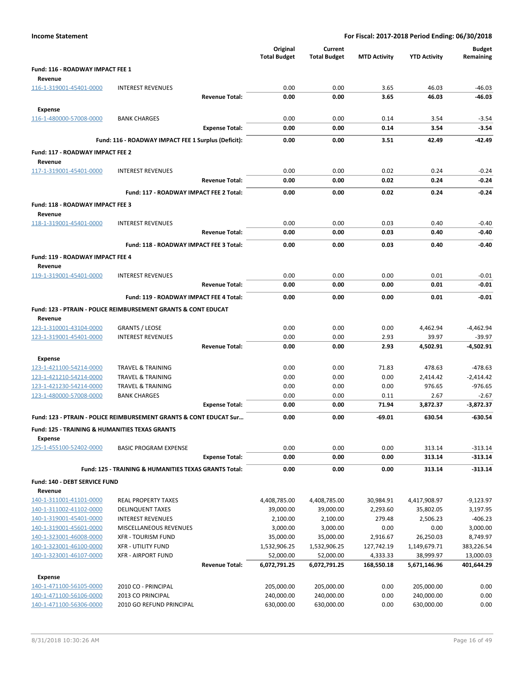| <b>Income Statement</b>                                   |                                                                    |                       | For Fiscal: 2017-2018 Period Ending: 06/30/2018 |                                |                     |                     |                            |
|-----------------------------------------------------------|--------------------------------------------------------------------|-----------------------|-------------------------------------------------|--------------------------------|---------------------|---------------------|----------------------------|
|                                                           |                                                                    |                       | Original<br><b>Total Budget</b>                 | Current<br><b>Total Budget</b> | <b>MTD Activity</b> | <b>YTD Activity</b> | <b>Budget</b><br>Remaining |
| Fund: 116 - ROADWAY IMPACT FEE 1                          |                                                                    |                       |                                                 |                                |                     |                     |                            |
| Revenue                                                   |                                                                    |                       |                                                 |                                |                     |                     |                            |
| 116-1-319001-45401-0000                                   | <b>INTEREST REVENUES</b>                                           |                       | 0.00                                            | 0.00                           | 3.65                | 46.03<br>46.03      | $-46.03$                   |
|                                                           |                                                                    | <b>Revenue Total:</b> | 0.00                                            | 0.00                           | 3.65                |                     | -46.03                     |
| <b>Expense</b>                                            |                                                                    |                       |                                                 |                                |                     |                     |                            |
| 116-1-480000-57008-0000                                   | <b>BANK CHARGES</b>                                                |                       | 0.00<br>0.00                                    | 0.00<br>0.00                   | 0.14<br>0.14        | 3.54<br>3.54        | $-3.54$<br>$-3.54$         |
|                                                           |                                                                    | <b>Expense Total:</b> |                                                 |                                |                     |                     |                            |
|                                                           | Fund: 116 - ROADWAY IMPACT FEE 1 Surplus (Deficit):                |                       | 0.00                                            | 0.00                           | 3.51                | 42.49               | -42.49                     |
| Fund: 117 - ROADWAY IMPACT FEE 2                          |                                                                    |                       |                                                 |                                |                     |                     |                            |
| Revenue                                                   |                                                                    |                       |                                                 |                                |                     |                     |                            |
| 117-1-319001-45401-0000                                   | <b>INTEREST REVENUES</b>                                           |                       | 0.00                                            | 0.00                           | 0.02                | 0.24                | $-0.24$                    |
|                                                           |                                                                    | <b>Revenue Total:</b> | 0.00                                            | 0.00                           | 0.02                | 0.24                | $-0.24$                    |
|                                                           | Fund: 117 - ROADWAY IMPACT FEE 2 Total:                            |                       | 0.00                                            | 0.00                           | 0.02                | 0.24                | $-0.24$                    |
| Fund: 118 - ROADWAY IMPACT FEE 3                          |                                                                    |                       |                                                 |                                |                     |                     |                            |
| Revenue                                                   |                                                                    |                       |                                                 |                                |                     |                     |                            |
| 118-1-319001-45401-0000                                   | <b>INTEREST REVENUES</b>                                           |                       | 0.00                                            | 0.00                           | 0.03                | 0.40                | $-0.40$                    |
|                                                           |                                                                    | <b>Revenue Total:</b> | 0.00                                            | 0.00                           | 0.03                | 0.40                | $-0.40$                    |
|                                                           | Fund: 118 - ROADWAY IMPACT FEE 3 Total:                            |                       | 0.00                                            | 0.00                           | 0.03                | 0.40                | $-0.40$                    |
| <b>Fund: 119 - ROADWAY IMPACT FEE 4</b>                   |                                                                    |                       |                                                 |                                |                     |                     |                            |
| Revenue                                                   |                                                                    |                       |                                                 |                                |                     |                     |                            |
| 119-1-319001-45401-0000                                   | <b>INTEREST REVENUES</b>                                           |                       | 0.00                                            | 0.00                           | 0.00                | 0.01                | $-0.01$                    |
|                                                           |                                                                    | <b>Revenue Total:</b> | 0.00                                            | 0.00                           | 0.00                | 0.01                | $-0.01$                    |
|                                                           | Fund: 119 - ROADWAY IMPACT FEE 4 Total:                            |                       | 0.00                                            | 0.00                           | 0.00                | 0.01                | $-0.01$                    |
|                                                           | Fund: 123 - PTRAIN - POLICE REIMBURSEMENT GRANTS & CONT EDUCAT     |                       |                                                 |                                |                     |                     |                            |
| Revenue                                                   |                                                                    |                       |                                                 |                                |                     |                     |                            |
| 123-1-310001-43104-0000                                   | <b>GRANTS / LEOSE</b>                                              |                       | 0.00                                            | 0.00                           | 0.00                | 4,462.94            | $-4,462.94$                |
| 123-1-319001-45401-0000                                   | <b>INTEREST REVENUES</b>                                           |                       | 0.00                                            | 0.00                           | 2.93                | 39.97               | $-39.97$                   |
|                                                           |                                                                    | <b>Revenue Total:</b> | 0.00                                            | 0.00                           | 2.93                | 4,502.91            | -4,502.91                  |
| <b>Expense</b>                                            |                                                                    |                       |                                                 |                                |                     |                     |                            |
| 123-1-421100-54214-0000                                   | <b>TRAVEL &amp; TRAINING</b>                                       |                       | 0.00                                            | 0.00                           | 71.83               | 478.63              | $-478.63$                  |
| 123-1-421210-54214-0000                                   | <b>TRAVEL &amp; TRAINING</b>                                       |                       | 0.00                                            | 0.00                           | 0.00                | 2,414.42            | $-2,414.42$                |
| 123-1-421230-54214-0000<br>123-1-480000-57008-0000        | <b>TRAVEL &amp; TRAINING</b><br><b>BANK CHARGES</b>                |                       | 0.00<br>0.00                                    | 0.00<br>0.00                   | 0.00<br>0.11        | 976.65<br>2.67      | $-976.65$<br>$-2.67$       |
|                                                           |                                                                    | <b>Expense Total:</b> | 0.00                                            | 0.00                           | 71.94               | 3,872.37            | $-3,872.37$                |
|                                                           |                                                                    |                       |                                                 |                                |                     |                     |                            |
|                                                           | Fund: 123 - PTRAIN - POLICE REIMBURSEMENT GRANTS & CONT EDUCAT Sur |                       | 0.00                                            | 0.00                           | $-69.01$            | 630.54              | $-630.54$                  |
| <b>Fund: 125 - TRAINING &amp; HUMANITIES TEXAS GRANTS</b> |                                                                    |                       |                                                 |                                |                     |                     |                            |
| <b>Expense</b><br>125-1-455100-52402-0000                 | <b>BASIC PROGRAM EXPENSE</b>                                       |                       | 0.00                                            | 0.00                           | 0.00                | 313.14              | $-313.14$                  |
|                                                           |                                                                    | <b>Expense Total:</b> | 0.00                                            | 0.00                           | 0.00                | 313.14              | $-313.14$                  |
|                                                           |                                                                    |                       |                                                 |                                |                     |                     |                            |
|                                                           | <b>Fund: 125 - TRAINING &amp; HUMANITIES TEXAS GRANTS Total:</b>   |                       | 0.00                                            | 0.00                           | 0.00                | 313.14              | $-313.14$                  |
| Fund: 140 - DEBT SERVICE FUND<br>Revenue                  |                                                                    |                       |                                                 |                                |                     |                     |                            |
| 140-1-311001-41101-0000                                   | <b>REAL PROPERTY TAXES</b>                                         |                       | 4,408,785.00                                    | 4,408,785.00                   | 30,984.91           | 4,417,908.97        | $-9,123.97$                |
| 140-1-311002-41102-0000                                   | <b>DELINQUENT TAXES</b>                                            |                       | 39,000.00                                       | 39,000.00                      | 2,293.60            | 35,802.05           | 3,197.95                   |
| 140-1-319001-45401-0000                                   | <b>INTEREST REVENUES</b>                                           |                       | 2,100.00                                        | 2,100.00                       | 279.48              | 2,506.23            | $-406.23$                  |
| 140-1-319001-45601-0000                                   | MISCELLANEOUS REVENUES                                             |                       | 3,000.00                                        | 3,000.00                       | 0.00                | 0.00                | 3,000.00                   |
| 140-1-323001-46008-0000                                   | <b>XFR - TOURISM FUND</b>                                          |                       | 35,000.00                                       | 35,000.00                      | 2,916.67            | 26,250.03           | 8,749.97                   |
| 140-1-323001-46100-0000                                   | <b>XFR - UTILITY FUND</b>                                          |                       | 1,532,906.25                                    | 1,532,906.25                   | 127,742.19          | 1,149,679.71        | 383,226.54                 |
| 140-1-323001-46107-0000                                   | <b>XFR - AIRPORT FUND</b>                                          |                       | 52,000.00                                       | 52,000.00                      | 4,333.33            | 38,999.97           | 13,000.03                  |
|                                                           |                                                                    | <b>Revenue Total:</b> | 6,072,791.25                                    | 6,072,791.25                   | 168,550.18          | 5,671,146.96        | 401,644.29                 |
| <b>Expense</b>                                            |                                                                    |                       |                                                 |                                |                     |                     |                            |
| 140-1-471100-56105-0000                                   | 2010 CO - PRINCIPAL                                                |                       | 205,000.00                                      | 205,000.00                     | 0.00                | 205,000.00          | 0.00                       |
| 140-1-471100-56106-0000                                   | 2013 CO PRINCIPAL                                                  |                       | 240,000.00                                      | 240,000.00                     | 0.00                | 240,000.00          | 0.00                       |
| 140-1-471100-56306-0000                                   | 2010 GO REFUND PRINCIPAL                                           |                       | 630,000.00                                      | 630,000.00                     | 0.00                | 630,000.00          | 0.00                       |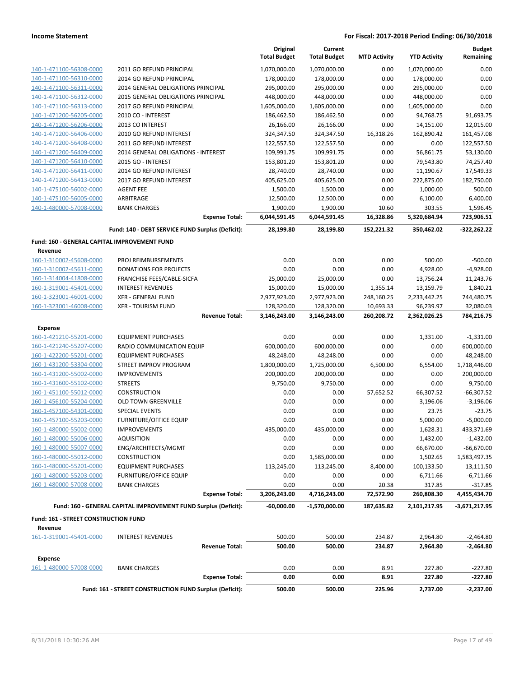|                                              |                                                                 | Original            | Current             |                     |                     | <b>Budget</b> |
|----------------------------------------------|-----------------------------------------------------------------|---------------------|---------------------|---------------------|---------------------|---------------|
|                                              |                                                                 | <b>Total Budget</b> | <b>Total Budget</b> | <b>MTD Activity</b> | <b>YTD Activity</b> | Remaining     |
| 140-1-471100-56308-0000                      | 2011 GO REFUND PRINCIPAL                                        | 1,070,000.00        | 1,070,000.00        | 0.00                | 1,070,000.00        | 0.00          |
| 140-1-471100-56310-0000                      | 2014 GO REFUND PRINCIPAL                                        | 178,000.00          | 178,000.00          | 0.00                | 178,000.00          | 0.00          |
| 140-1-471100-56311-0000                      | 2014 GENERAL OBLIGATIONS PRINCIPAL                              | 295,000.00          | 295,000.00          | 0.00                | 295,000.00          | 0.00          |
| 140-1-471100-56312-0000                      | <b>2015 GENERAL OBLIGATIONS PRINCIPAL</b>                       | 448,000.00          | 448,000.00          | 0.00                | 448,000.00          | 0.00          |
| 140-1-471100-56313-0000                      | 2017 GO REFUND PRINCIPAL                                        | 1,605,000.00        | 1,605,000.00        | 0.00                | 1,605,000.00        | 0.00          |
| 140-1-471200-56205-0000                      | 2010 CO - INTEREST                                              | 186,462.50          | 186,462.50          | 0.00                | 94,768.75           | 91,693.75     |
| 140-1-471200-56206-0000                      | 2013 CO INTEREST                                                | 26,166.00           | 26,166.00           | 0.00                | 14,151.00           | 12,015.00     |
| 140-1-471200-56406-0000                      | 2010 GO REFUND INTEREST                                         | 324,347.50          | 324,347.50          | 16,318.26           | 162,890.42          | 161,457.08    |
| 140-1-471200-56408-0000                      | 2011 GO REFUND INTEREST                                         | 122,557.50          | 122,557.50          | 0.00                | 0.00                | 122,557.50    |
| 140-1-471200-56409-0000                      | 2014 GENERAL OBLIGATIONS - INTEREST                             | 109,991.75          | 109,991.75          | 0.00                | 56,861.75           | 53,130.00     |
| 140-1-471200-56410-0000                      | 2015 GO - INTEREST                                              | 153,801.20          | 153,801.20          | 0.00                | 79,543.80           | 74,257.40     |
| 140-1-471200-56411-0000                      | 2014 GO REFUND INTEREST                                         | 28,740.00           | 28,740.00           | 0.00                | 11,190.67           | 17,549.33     |
| 140-1-471200-56413-0000                      | 2017 GO REFUND INTEREST                                         | 405,625.00          | 405,625.00          | 0.00                | 222,875.00          | 182,750.00    |
| 140-1-475100-56002-0000                      | <b>AGENT FEE</b>                                                | 1,500.00            | 1,500.00            | 0.00                | 1,000.00            | 500.00        |
| 140-1-475100-56005-0000                      | ARBITRAGE                                                       | 12,500.00           | 12,500.00           | 0.00                | 6,100.00            | 6,400.00      |
| 140-1-480000-57008-0000                      | <b>BANK CHARGES</b>                                             | 1,900.00            | 1,900.00            | 10.60               | 303.55              | 1,596.45      |
|                                              | <b>Expense Total:</b>                                           | 6,044,591.45        | 6,044,591.45        | 16,328.86           | 5,320,684.94        | 723,906.51    |
|                                              | Fund: 140 - DEBT SERVICE FUND Surplus (Deficit):                | 28,199.80           | 28,199.80           | 152,221.32          | 350,462.02          | $-322,262.22$ |
| Fund: 160 - GENERAL CAPITAL IMPROVEMENT FUND |                                                                 |                     |                     |                     |                     |               |
| Revenue                                      |                                                                 |                     |                     |                     |                     |               |
| 160-1-310002-45608-0000                      | PROJ REIMBURSEMENTS                                             | 0.00                | 0.00                | 0.00                | 500.00              | $-500.00$     |
| 160-1-310002-45611-0000                      | <b>DONATIONS FOR PROJECTS</b>                                   | 0.00                | 0.00                | 0.00                | 4,928.00            | $-4,928.00$   |
| 160-1-314004-41808-0000                      | FRANCHISE FEES/CABLE-SICFA                                      | 25,000.00           | 25,000.00           | 0.00                | 13,756.24           | 11,243.76     |
| 160-1-319001-45401-0000                      | <b>INTEREST REVENUES</b>                                        | 15,000.00           | 15,000.00           | 1,355.14            | 13,159.79           | 1,840.21      |
| 160-1-323001-46001-0000                      | <b>XFR - GENERAL FUND</b>                                       | 2,977,923.00        | 2,977,923.00        | 248,160.25          | 2,233,442.25        | 744,480.75    |
| 160-1-323001-46008-0000                      | <b>XFR - TOURISM FUND</b>                                       | 128,320.00          | 128,320.00          | 10,693.33           | 96,239.97           | 32,080.03     |
|                                              | <b>Revenue Total:</b>                                           | 3,146,243.00        | 3,146,243.00        | 260,208.72          | 2,362,026.25        | 784,216.75    |
| <b>Expense</b>                               |                                                                 |                     |                     |                     |                     |               |
| 160-1-421210-55201-0000                      | <b>EQUIPMENT PURCHASES</b>                                      | 0.00                | 0.00                | 0.00                | 1,331.00            | $-1,331.00$   |
| 160-1-421240-55207-0000                      | RADIO COMMUNICATION EQUIP                                       | 600,000.00          | 600,000.00          | 0.00                | 0.00                | 600,000.00    |
| 160-1-422200-55201-0000                      | <b>EQUIPMENT PURCHASES</b>                                      | 48,248.00           | 48,248.00           | 0.00                | 0.00                | 48,248.00     |
| 160-1-431200-53304-0000                      | <b>STREET IMPROV PROGRAM</b>                                    | 1,800,000.00        | 1,725,000.00        | 6,500.00            | 6,554.00            | 1,718,446.00  |
| 160-1-431200-55002-0000                      | <b>IMPROVEMENTS</b>                                             | 200,000.00          | 200,000.00          | 0.00                | 0.00                | 200,000.00    |
| 160-1-431600-55102-0000                      | <b>STREETS</b>                                                  | 9,750.00            | 9,750.00            | 0.00                | 0.00                | 9,750.00      |
| 160-1-451100-55012-0000                      | <b>CONSTRUCTION</b>                                             | 0.00                | 0.00                | 57,652.52           | 66,307.52           | $-66,307.52$  |
| 160-1-456100-55204-0000                      | <b>OLD TOWN GREENVILLE</b>                                      | 0.00                | 0.00                | 0.00                | 3,196.06            | $-3,196.06$   |
| 160-1-457100-54301-0000                      | <b>SPECIAL EVENTS</b>                                           | 0.00                | 0.00                | 0.00                | 23.75               | $-23.75$      |
| 160-1-457100-55203-0000                      | <b>FURNITURE/OFFICE EQUIP</b>                                   | 0.00                | 0.00                | 0.00                | 5,000.00            | $-5,000.00$   |
| 160-1-480000-55002-0000                      | <b>IMPROVEMENTS</b>                                             | 435,000.00          | 435,000.00          | 0.00                | 1,628.31            | 433,371.69    |
| 160-1-480000-55006-0000                      | <b>AQUISITION</b>                                               | 0.00                | 0.00                | 0.00                | 1,432.00            | $-1,432.00$   |
| 160-1-480000-55007-0000                      | ENG/ARCHITECTS/MGMT                                             | 0.00                | 0.00                | 0.00                | 66,670.00           | $-66,670.00$  |
| 160-1-480000-55012-0000                      | <b>CONSTRUCTION</b>                                             | 0.00                | 1,585,000.00        | 0.00                | 1,502.65            | 1,583,497.35  |
| 160-1-480000-55201-0000                      | <b>EQUIPMENT PURCHASES</b>                                      | 113,245.00          | 113,245.00          | 8,400.00            | 100,133.50          | 13,111.50     |
| 160-1-480000-55203-0000                      | <b>FURNITURE/OFFICE EQUIP</b>                                   | 0.00                | 0.00                | 0.00                | 6,711.66            | $-6,711.66$   |
| 160-1-480000-57008-0000                      | <b>BANK CHARGES</b>                                             | 0.00                | 0.00                | 20.38               | 317.85              | $-317.85$     |
|                                              | <b>Expense Total:</b>                                           | 3,206,243.00        | 4,716,243.00        | 72,572.90           | 260,808.30          | 4,455,434.70  |
|                                              | Fund: 160 - GENERAL CAPITAL IMPROVEMENT FUND Surplus (Deficit): | $-60,000.00$        | -1,570,000.00       | 187,635.82          | 2,101,217.95        | -3,671,217.95 |
|                                              |                                                                 |                     |                     |                     |                     |               |
| Fund: 161 - STREET CONSTRUCTION FUND         |                                                                 |                     |                     |                     |                     |               |
| Revenue                                      |                                                                 |                     |                     |                     |                     |               |
| 161-1-319001-45401-0000                      | <b>INTEREST REVENUES</b>                                        | 500.00              | 500.00              | 234.87              | 2,964.80            | $-2,464.80$   |
|                                              | <b>Revenue Total:</b>                                           | 500.00              | 500.00              | 234.87              | 2,964.80            | $-2,464.80$   |
| <b>Expense</b>                               |                                                                 |                     |                     |                     |                     |               |
| 161-1-480000-57008-0000                      | <b>BANK CHARGES</b>                                             | 0.00                | 0.00                | 8.91                | 227.80              | $-227.80$     |
|                                              | <b>Expense Total:</b>                                           | 0.00                | 0.00                | 8.91                | 227.80              | -227.80       |
|                                              | Fund: 161 - STREET CONSTRUCTION FUND Surplus (Deficit):         | 500.00              | 500.00              | 225.96              | 2,737.00            | $-2,237.00$   |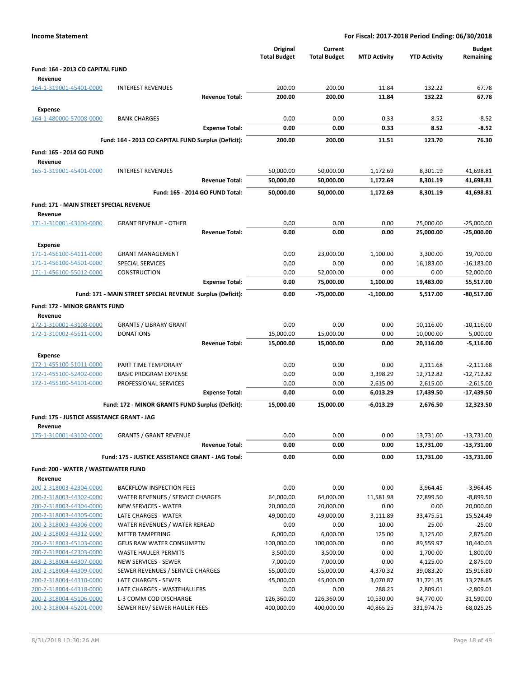| <b>Income Statement</b>                            |                                                            | For Fiscal: 2017-2018 Period Ending: 06/30/2018 |                                |                        |                         |                            |  |
|----------------------------------------------------|------------------------------------------------------------|-------------------------------------------------|--------------------------------|------------------------|-------------------------|----------------------------|--|
|                                                    |                                                            | Original<br><b>Total Budget</b>                 | Current<br><b>Total Budget</b> | <b>MTD Activity</b>    | <b>YTD Activity</b>     | <b>Budget</b><br>Remaining |  |
| Fund: 164 - 2013 CO CAPITAL FUND                   |                                                            |                                                 |                                |                        |                         |                            |  |
| Revenue                                            |                                                            |                                                 |                                |                        |                         |                            |  |
| 164-1-319001-45401-0000                            | <b>INTEREST REVENUES</b>                                   | 200.00                                          | 200.00                         | 11.84                  | 132.22                  | 67.78                      |  |
|                                                    | <b>Revenue Total:</b>                                      | 200.00                                          | 200.00                         | 11.84                  | 132.22                  | 67.78                      |  |
| <b>Expense</b>                                     |                                                            |                                                 |                                |                        |                         |                            |  |
| 164-1-480000-57008-0000                            | <b>BANK CHARGES</b>                                        | 0.00                                            | 0.00                           | 0.33                   | 8.52                    | $-8.52$                    |  |
|                                                    | <b>Expense Total:</b>                                      | 0.00                                            | 0.00                           | 0.33                   | 8.52                    | $-8.52$                    |  |
|                                                    | Fund: 164 - 2013 CO CAPITAL FUND Surplus (Deficit):        | 200.00                                          | 200.00                         | 11.51                  | 123.70                  | 76.30                      |  |
| Fund: 165 - 2014 GO FUND                           |                                                            |                                                 |                                |                        |                         |                            |  |
| Revenue                                            |                                                            |                                                 |                                |                        |                         |                            |  |
| 165-1-319001-45401-0000                            | <b>INTEREST REVENUES</b>                                   | 50,000.00                                       | 50,000.00                      | 1,172.69               | 8,301.19                | 41,698.81                  |  |
|                                                    | <b>Revenue Total:</b>                                      | 50,000.00                                       | 50,000.00                      | 1,172.69               | 8,301.19                | 41,698.81                  |  |
|                                                    | Fund: 165 - 2014 GO FUND Total:                            | 50,000.00                                       | 50,000.00                      | 1,172.69               | 8,301.19                | 41,698.81                  |  |
| Fund: 171 - MAIN STREET SPECIAL REVENUE            |                                                            |                                                 |                                |                        |                         |                            |  |
| Revenue                                            |                                                            |                                                 |                                |                        |                         |                            |  |
| 171-1-310001-43104-0000                            | <b>GRANT REVENUE - OTHER</b>                               | 0.00                                            | 0.00                           | 0.00                   | 25,000.00               | $-25,000.00$               |  |
|                                                    | <b>Revenue Total:</b>                                      | 0.00                                            | 0.00                           | 0.00                   | 25,000.00               | $-25,000.00$               |  |
| Expense                                            |                                                            |                                                 |                                |                        |                         |                            |  |
| 171-1-456100-54111-0000                            | <b>GRANT MANAGEMENT</b>                                    | 0.00                                            | 23,000.00                      | 1,100.00               | 3,300.00                | 19,700.00                  |  |
| 171-1-456100-54501-0000<br>171-1-456100-55012-0000 | SPECIAL SERVICES<br><b>CONSTRUCTION</b>                    | 0.00<br>0.00                                    | 0.00<br>52,000.00              | 0.00<br>0.00           | 16,183.00<br>0.00       | $-16,183.00$<br>52,000.00  |  |
|                                                    | <b>Expense Total:</b>                                      | 0.00                                            | 75,000.00                      | 1,100.00               | 19,483.00               | 55,517.00                  |  |
|                                                    | Fund: 171 - MAIN STREET SPECIAL REVENUE Surplus (Deficit): | 0.00                                            | $-75,000.00$                   | $-1,100.00$            | 5,517.00                | $-80,517.00$               |  |
|                                                    |                                                            |                                                 |                                |                        |                         |                            |  |
| Fund: 172 - MINOR GRANTS FUND                      |                                                            |                                                 |                                |                        |                         |                            |  |
| Revenue<br>172-1-310001-43108-0000                 | <b>GRANTS / LIBRARY GRANT</b>                              | 0.00                                            | 0.00                           | 0.00                   | 10,116.00               | $-10,116.00$               |  |
| 172-1-310002-45611-0000                            | <b>DONATIONS</b>                                           | 15,000.00                                       | 15,000.00                      | 0.00                   | 10,000.00               | 5,000.00                   |  |
|                                                    | <b>Revenue Total:</b>                                      | 15,000.00                                       | 15,000.00                      | 0.00                   | 20,116.00               | $-5,116.00$                |  |
| <b>Expense</b>                                     |                                                            |                                                 |                                |                        |                         |                            |  |
| 172-1-455100-51011-0000                            | PART TIME TEMPORARY                                        | 0.00                                            | 0.00                           | 0.00                   | 2,111.68                | $-2,111.68$                |  |
| 172-1-455100-52402-0000                            | <b>BASIC PROGRAM EXPENSE</b>                               | 0.00                                            | 0.00                           | 3,398.29               | 12,712.82               | $-12,712.82$               |  |
| 172-1-455100-54101-0000                            | PROFESSIONAL SERVICES                                      | 0.00                                            | 0.00                           | 2,615.00               | 2,615.00                | $-2,615.00$                |  |
|                                                    | <b>Expense Total:</b>                                      | 0.00                                            | 0.00                           | 6,013.29               | 17,439.50               | -17,439.50                 |  |
|                                                    | Fund: 172 - MINOR GRANTS FUND Surplus (Deficit):           | 15,000.00                                       | 15,000.00                      | $-6,013.29$            | 2,676.50                | 12,323.50                  |  |
| Fund: 175 - JUSTICE ASSISTANCE GRANT - JAG         |                                                            |                                                 |                                |                        |                         |                            |  |
| Revenue                                            |                                                            |                                                 |                                |                        |                         |                            |  |
| 175-1-310001-43102-0000                            | <b>GRANTS / GRANT REVENUE</b>                              | 0.00                                            | 0.00                           | 0.00                   | 13,731.00               | $-13,731.00$               |  |
|                                                    | <b>Revenue Total:</b>                                      | 0.00                                            | 0.00                           | 0.00                   | 13,731.00               | $-13,731.00$               |  |
|                                                    | Fund: 175 - JUSTICE ASSISTANCE GRANT - JAG Total:          | 0.00                                            | 0.00                           | 0.00                   | 13,731.00               | $-13,731.00$               |  |
| Fund: 200 - WATER / WASTEWATER FUND                |                                                            |                                                 |                                |                        |                         |                            |  |
| Revenue                                            |                                                            |                                                 |                                |                        |                         |                            |  |
| 200-2-318003-42304-0000                            | <b>BACKFLOW INSPECTION FEES</b>                            | 0.00                                            | 0.00                           | 0.00                   | 3,964.45                | $-3,964.45$                |  |
| 200-2-318003-44302-0000                            | WATER REVENUES / SERVICE CHARGES                           | 64,000.00                                       | 64,000.00                      | 11,581.98              | 72,899.50               | $-8,899.50$                |  |
| 200-2-318003-44304-0000                            | <b>NEW SERVICES - WATER</b>                                | 20,000.00                                       | 20,000.00                      | 0.00                   | 0.00<br>33,475.51       | 20,000.00<br>15,524.49     |  |
| 200-2-318003-44305-0000<br>200-2-318003-44306-0000 | LATE CHARGES - WATER<br>WATER REVENUES / WATER REREAD      | 49,000.00<br>0.00                               | 49,000.00<br>0.00              | 3,111.89<br>10.00      | 25.00                   | $-25.00$                   |  |
| 200-2-318003-44312-0000                            | <b>METER TAMPERING</b>                                     | 6,000.00                                        | 6,000.00                       | 125.00                 | 3,125.00                | 2,875.00                   |  |
| 200-2-318003-45103-0000                            | <b>GEUS RAW WATER CONSUMPTN</b>                            | 100,000.00                                      | 100,000.00                     | 0.00                   | 89,559.97               | 10,440.03                  |  |
| 200-2-318004-42303-0000                            | <b>WASTE HAULER PERMITS</b>                                | 3,500.00                                        | 3,500.00                       | 0.00                   | 1,700.00                | 1,800.00                   |  |
| 200-2-318004-44307-0000                            | NEW SERVICES - SEWER                                       | 7,000.00                                        | 7,000.00                       | 0.00                   | 4,125.00                | 2,875.00                   |  |
| 200-2-318004-44309-0000                            | SEWER REVENUES / SERVICE CHARGES                           | 55,000.00                                       | 55,000.00                      | 4,370.32               | 39,083.20               | 15,916.80                  |  |
| 200-2-318004-44310-0000                            | LATE CHARGES - SEWER                                       | 45,000.00                                       | 45,000.00                      | 3,070.87               | 31,721.35               | 13,278.65                  |  |
| 200-2-318004-44318-0000                            | LATE CHARGES - WASTEHAULERS                                | 0.00                                            | 0.00                           | 288.25                 | 2,809.01                | $-2,809.01$                |  |
| 200-2-318004-45106-0000<br>200-2-318004-45201-0000 | L-3 COMM COD DISCHARGE<br>SEWER REV/ SEWER HAULER FEES     | 126,360.00<br>400,000.00                        | 126,360.00<br>400,000.00       | 10,530.00<br>40,865.25 | 94,770.00<br>331,974.75 | 31,590.00<br>68,025.25     |  |
|                                                    |                                                            |                                                 |                                |                        |                         |                            |  |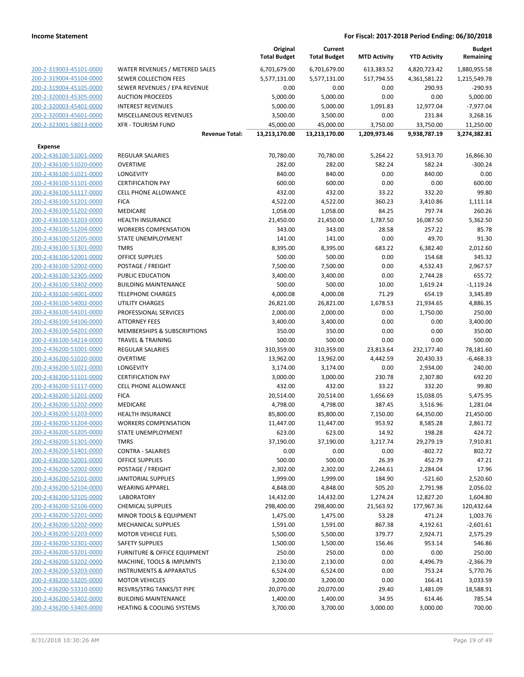|                         |                                      | Original<br><b>Total Budget</b> | Current<br><b>Total Budget</b> | <b>MTD Activity</b> | <b>YTD Activity</b> | <b>Budget</b><br>Remaining |
|-------------------------|--------------------------------------|---------------------------------|--------------------------------|---------------------|---------------------|----------------------------|
| 200-2-319003-45101-0000 | WATER REVENUES / METERED SALES       | 6,701,679.00                    | 6,701,679.00                   | 613,383.52          | 4,820,723.42        | 1,880,955.58               |
| 200-2-319004-45104-0000 | SEWER COLLECTION FEES                | 5,577,131.00                    | 5,577,131.00                   | 517,794.55          | 4,361,581.22        | 1,215,549.78               |
| 200-2-319004-45105-0000 | SEWER REVENUES / EPA REVENUE         | 0.00                            | 0.00                           | 0.00                | 290.93              | $-290.93$                  |
| 200-2-320003-45305-0000 | <b>AUCTION PROCEEDS</b>              | 5,000.00                        | 5,000.00                       | 0.00                | 0.00                | 5,000.00                   |
| 200-2-320003-45401-0000 | <b>INTEREST REVENUES</b>             | 5,000.00                        | 5,000.00                       | 1,091.83            | 12,977.04           | $-7,977.04$                |
| 200-2-320003-45601-0000 | MISCELLANEOUS REVENUES               | 3,500.00                        | 3,500.00                       | 0.00                | 231.84              | 3,268.16                   |
| 200-2-323001-58013-0000 | <b>XFR - TOURISM FUND</b>            | 45,000.00                       | 45,000.00                      | 3,750.00            | 33,750.00           | 11,250.00                  |
|                         | <b>Revenue Total:</b>                | 13,213,170.00                   | 13,213,170.00                  | 1,209,973.46        | 9,938,787.19        | 3,274,382.81               |
| <b>Expense</b>          |                                      |                                 |                                |                     |                     |                            |
| 200-2-436100-51001-0000 | <b>REGULAR SALARIES</b>              | 70,780.00                       | 70,780.00                      | 5,264.22            | 53,913.70           | 16,866.30                  |
| 200-2-436100-51020-0000 | <b>OVERTIME</b>                      | 282.00                          | 282.00                         | 582.24              | 582.24              | $-300.24$                  |
| 200-2-436100-51021-0000 | <b>LONGEVITY</b>                     | 840.00                          | 840.00                         | 0.00                | 840.00              | 0.00                       |
| 200-2-436100-51101-0000 | <b>CERTIFICATION PAY</b>             | 600.00                          | 600.00                         | 0.00                | 0.00                | 600.00                     |
| 200-2-436100-51117-0000 | <b>CELL PHONE ALLOWANCE</b>          | 432.00                          | 432.00                         | 33.22               | 332.20              | 99.80                      |
| 200-2-436100-51201-0000 | <b>FICA</b>                          | 4,522.00                        | 4,522.00                       | 360.23              | 3,410.86            | 1,111.14                   |
| 200-2-436100-51202-0000 | MEDICARE                             | 1,058.00                        | 1,058.00                       | 84.25               | 797.74              | 260.26                     |
| 200-2-436100-51203-0000 | <b>HEALTH INSURANCE</b>              | 21,450.00                       | 21,450.00                      | 1,787.50            | 16,087.50           | 5,362.50                   |
| 200-2-436100-51204-0000 | <b>WORKERS COMPENSATION</b>          | 343.00                          | 343.00                         | 28.58               | 257.22              | 85.78                      |
| 200-2-436100-51205-0000 | STATE UNEMPLOYMENT                   | 141.00                          | 141.00                         | 0.00                | 49.70               | 91.30                      |
| 200-2-436100-51301-0000 | <b>TMRS</b>                          | 8,395.00                        | 8,395.00                       | 683.22              | 6,382.40            | 2,012.60                   |
| 200-2-436100-52001-0000 | <b>OFFICE SUPPLIES</b>               | 500.00                          | 500.00                         | 0.00                | 154.68              | 345.32                     |
| 200-2-436100-52002-0000 | POSTAGE / FREIGHT                    | 7,500.00                        | 7,500.00                       | 0.00                | 4,532.43            | 2,967.57                   |
| 200-2-436100-52305-0000 | PUBLIC EDUCATION                     | 3,400.00                        | 3,400.00                       | 0.00                | 2,744.28            | 655.72                     |
| 200-2-436100-53402-0000 | <b>BUILDING MAINTENANCE</b>          | 500.00                          | 500.00                         | 10.00               | 1,619.24            | $-1,119.24$                |
| 200-2-436100-54001-0000 | <b>TELEPHONE CHARGES</b>             | 4,000.08                        | 4,000.08                       | 71.29               | 654.19              | 3,345.89                   |
| 200-2-436100-54002-0000 | <b>UTILITY CHARGES</b>               | 26,821.00                       | 26,821.00                      | 1,678.53            | 21,934.65           | 4,886.35                   |
| 200-2-436100-54101-0000 | PROFESSIONAL SERVICES                | 2,000.00                        | 2,000.00                       | 0.00                | 1,750.00            | 250.00                     |
| 200-2-436100-54106-0000 | <b>ATTORNEY FEES</b>                 | 3,400.00                        | 3,400.00                       | 0.00                | 0.00                | 3,400.00                   |
| 200-2-436100-54201-0000 | MEMBERSHIPS & SUBSCRIPTIONS          | 350.00                          | 350.00                         | 0.00                | 0.00                | 350.00                     |
| 200-2-436100-54214-0000 | <b>TRAVEL &amp; TRAINING</b>         | 500.00                          | 500.00                         | 0.00                | 0.00                | 500.00                     |
| 200-2-436200-51001-0000 | <b>REGULAR SALARIES</b>              | 310,359.00                      | 310,359.00                     | 23,813.64           | 232,177.40          | 78,181.60                  |
| 200-2-436200-51020-0000 | <b>OVERTIME</b>                      | 13,962.00                       | 13,962.00                      | 4,442.59            | 20,430.33           | $-6,468.33$                |
| 200-2-436200-51021-0000 | <b>LONGEVITY</b>                     | 3,174.00                        | 3,174.00                       | 0.00                | 2,934.00            | 240.00                     |
| 200-2-436200-51101-0000 | <b>CERTIFICATION PAY</b>             | 3,000.00                        | 3,000.00                       | 230.78              | 2,307.80            | 692.20                     |
| 200-2-436200-51117-0000 | <b>CELL PHONE ALLOWANCE</b>          | 432.00                          | 432.00                         | 33.22               | 332.20              | 99.80                      |
| 200-2-436200-51201-0000 | <b>FICA</b>                          | 20,514.00                       | 20,514.00                      | 1,656.69            | 15,038.05           | 5,475.95                   |
| 200-2-436200-51202-0000 | MEDICARE                             | 4,798.00                        | 4,798.00                       | 387.45              | 3,516.96            | 1,281.04                   |
| 200-2-436200-51203-0000 | <b>HEALTH INSURANCE</b>              | 85,800.00                       | 85,800.00                      | 7,150.00            | 64,350.00           | 21,450.00                  |
| 200-2-436200-51204-0000 | <b>WORKERS COMPENSATION</b>          | 11,447.00                       | 11,447.00                      | 953.92              | 8,585.28            | 2,861.72                   |
| 200-2-436200-51205-0000 | STATE UNEMPLOYMENT                   | 623.00                          | 623.00                         | 14.92               | 198.28              | 424.72                     |
| 200-2-436200-51301-0000 | <b>TMRS</b>                          | 37,190.00                       | 37,190.00                      | 3,217.74            | 29,279.19           | 7,910.81                   |
| 200-2-436200-51401-0000 | <b>CONTRA - SALARIES</b>             | 0.00                            | 0.00                           | 0.00                | $-802.72$           | 802.72                     |
| 200-2-436200-52001-0000 | OFFICE SUPPLIES                      | 500.00                          | 500.00                         | 26.39               | 452.79              | 47.21                      |
| 200-2-436200-52002-0000 | POSTAGE / FREIGHT                    | 2,302.00                        | 2,302.00                       | 2,244.61            | 2,284.04            | 17.96                      |
| 200-2-436200-52101-0000 | <b>JANITORIAL SUPPLIES</b>           | 1,999.00                        | 1,999.00                       | 184.90              | $-521.60$           | 2,520.60                   |
| 200-2-436200-52104-0000 | <b>WEARING APPAREL</b>               | 4,848.00                        | 4,848.00                       | 505.20              | 2,791.98            | 2,056.02                   |
| 200-2-436200-52105-0000 | <b>LABORATORY</b>                    | 14,432.00                       | 14,432.00                      | 1,274.24            | 12,827.20           | 1,604.80                   |
| 200-2-436200-52106-0000 | <b>CHEMICAL SUPPLIES</b>             | 298,400.00                      | 298,400.00                     | 21,563.92           | 177,967.36          | 120,432.64                 |
| 200-2-436200-52201-0000 | MINOR TOOLS & EQUIPMENT              | 1,475.00                        | 1,475.00                       | 53.28               | 471.24              | 1,003.76                   |
| 200-2-436200-52202-0000 | MECHANICAL SUPPLIES                  | 1,591.00                        | 1,591.00                       | 867.38              | 4,192.61            | $-2,601.61$                |
| 200-2-436200-52203-0000 | <b>MOTOR VEHICLE FUEL</b>            | 5,500.00                        | 5,500.00                       | 379.77              | 2,924.71            | 2,575.29                   |
| 200-2-436200-52301-0000 | SAFETY SUPPLIES                      | 1,500.00                        | 1,500.00                       | 156.46              | 953.14              | 546.86                     |
| 200-2-436200-53201-0000 | FURNITURE & OFFICE EQUIPMENT         | 250.00                          | 250.00                         | 0.00                | 0.00                | 250.00                     |
| 200-2-436200-53202-0000 | MACHINE, TOOLS & IMPLMNTS            | 2,130.00                        | 2,130.00                       | 0.00                | 4,496.79            | $-2,366.79$                |
| 200-2-436200-53203-0000 | <b>INSTRUMENTS &amp; APPARATUS</b>   | 6,524.00                        | 6,524.00                       | 0.00                | 753.24              | 5,770.76                   |
| 200-2-436200-53205-0000 | <b>MOTOR VEHICLES</b>                | 3,200.00                        | 3,200.00                       | 0.00                | 166.41              | 3,033.59                   |
| 200-2-436200-53310-0000 | RESVRS/STRG TANKS/ST PIPE            | 20,070.00                       | 20,070.00                      | 29.40               | 1,481.09            | 18,588.91                  |
| 200-2-436200-53402-0000 | <b>BUILDING MAINTENANCE</b>          | 1,400.00                        | 1,400.00                       | 34.95               | 614.46              | 785.54                     |
| 200-2-436200-53403-0000 | <b>HEATING &amp; COOLING SYSTEMS</b> | 3,700.00                        | 3,700.00                       | 3,000.00            | 3,000.00            | 700.00                     |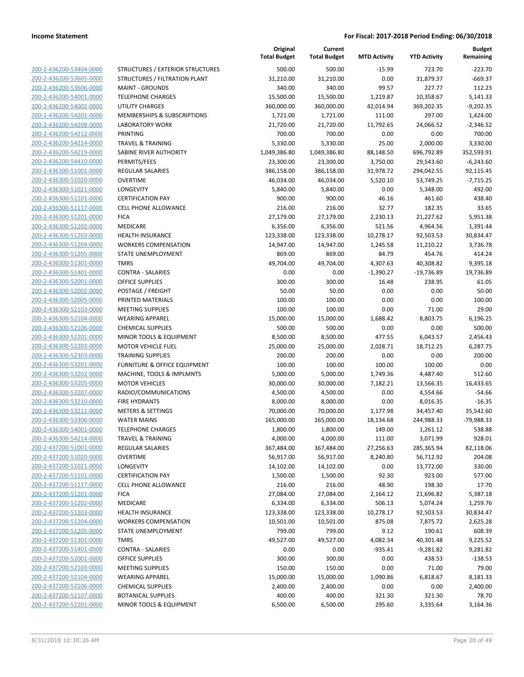|                                                    |                                                    | Original<br><b>Total Budget</b> | Current<br><b>Total Budget</b> | <b>MTD Activity</b> | <b>YTD Activity</b> | <b>Budget</b><br>Remaining |
|----------------------------------------------------|----------------------------------------------------|---------------------------------|--------------------------------|---------------------|---------------------|----------------------------|
| 200-2-436200-53404-0000                            | STRUCTURES / EXTERIOR STRUCTURES                   | 500.00                          | 500.00                         | $-15.99$            | 723.70              | $-223.70$                  |
| 200-2-436200-53605-0000                            | STRUCTURES / FILTRATION PLANT                      | 31,210.00                       | 31,210.00                      | 0.00                | 31,879.37           | $-669.37$                  |
| 200-2-436200-53606-0000                            | <b>MAINT - GROUNDS</b>                             | 340.00                          | 340.00                         | 99.57               | 227.77              | 112.23                     |
| 200-2-436200-54001-0000                            | <b>TELEPHONE CHARGES</b>                           | 15,500.00                       | 15,500.00                      | 1,219.87            | 10,358.67           | 5,141.33                   |
| 200-2-436200-54002-0000                            | UTILITY CHARGES                                    | 360,000.00                      | 360,000.00                     | 42,014.94           | 369,202.35          | $-9,202.35$                |
| 200-2-436200-54201-0000                            | MEMBERSHIPS & SUBSCRIPTIONS                        | 1,721.00                        | 1,721.00                       | 111.00              | 297.00              | 1,424.00                   |
| 200-2-436200-54208-0000                            | <b>LABORATORY WORK</b>                             | 21,720.00                       | 21,720.00                      | 11,792.65           | 24,066.52           | $-2,346.52$                |
| 200-2-436200-54212-0000                            | <b>PRINTING</b>                                    | 700.00                          | 700.00                         | 0.00                | 0.00                | 700.00                     |
| 200-2-436200-54214-0000                            | <b>TRAVEL &amp; TRAINING</b>                       | 5,330.00                        | 5,330.00                       | 25.00               | 2,000.00            | 3,330.00                   |
| 200-2-436200-54219-0000                            | SABINE RIVER AUTHORITY                             | 1,049,386.80                    | 1,049,386.80                   | 88,148.50           | 696,792.89          | 352,593.91                 |
| 200-2-436200-54410-0000                            | PERMITS/FEES                                       | 23,300.00                       | 23,300.00                      | 3,750.00            | 29,543.60           | $-6,243.60$                |
| 200-2-436300-51001-0000                            | REGULAR SALARIES                                   | 386,158.00                      | 386,158.00                     | 31,978.72           | 294,042.55          | 92,115.45                  |
| 200-2-436300-51020-0000                            | <b>OVERTIME</b>                                    | 46,034.00                       | 46,034.00                      | 5,520.10            | 53,749.25           | $-7,715.25$                |
| 200-2-436300-51021-0000                            | LONGEVITY                                          | 5,840.00                        | 5,840.00                       | 0.00                | 5,348.00            | 492.00                     |
| 200-2-436300-51101-0000                            | <b>CERTIFICATION PAY</b>                           | 900.00                          | 900.00                         | 46.16               | 461.60              | 438.40                     |
| 200-2-436300-51117-0000                            | <b>CELL PHONE ALLOWANCE</b>                        | 216.00                          | 216.00                         | 32.77               | 182.35              | 33.65                      |
| 200-2-436300-51201-0000                            | <b>FICA</b>                                        | 27,179.00                       | 27,179.00                      | 2,230.13            | 21,227.62           | 5,951.38                   |
| 200-2-436300-51202-0000                            | MEDICARE                                           | 6,356.00                        | 6,356.00                       | 521.56              | 4,964.56            | 1,391.44                   |
| 200-2-436300-51203-0000                            | <b>HEALTH INSURANCE</b>                            | 123,338.00                      | 123,338.00                     | 10,278.17           | 92,503.53           | 30,834.47                  |
| 200-2-436300-51204-0000                            | <b>WORKERS COMPENSATION</b>                        | 14,947.00                       | 14,947.00                      | 1,245.58            | 11,210.22           | 3,736.78                   |
| 200-2-436300-51205-0000                            | STATE UNEMPLOYMENT                                 | 869.00                          | 869.00                         | 84.79               | 454.76              | 414.24                     |
| 200-2-436300-51301-0000                            | <b>TMRS</b>                                        | 49,704.00                       | 49,704.00                      | 4,307.63            | 40,308.82           | 9,395.18                   |
| 200-2-436300-51401-0000                            | <b>CONTRA - SALARIES</b>                           | 0.00                            | 0.00                           | $-1,390.27$         | $-19,736.89$        | 19,736.89                  |
| 200-2-436300-52001-0000                            | <b>OFFICE SUPPLIES</b>                             | 300.00                          | 300.00                         | 16.48               | 238.95              | 61.05                      |
| 200-2-436300-52002-0000                            | POSTAGE / FREIGHT                                  | 50.00                           | 50.00                          | 0.00                | 0.00                | 50.00                      |
| 200-2-436300-52005-0000                            | PRINTED MATERIALS                                  | 100.00                          | 100.00                         | 0.00                | 0.00                | 100.00                     |
| 200-2-436300-52103-0000<br>200-2-436300-52104-0000 | <b>MEETING SUPPLIES</b>                            | 100.00                          | 100.00<br>15,000.00            | 0.00                | 71.00               | 29.00                      |
| 200-2-436300-52106-0000                            | <b>WEARING APPAREL</b><br><b>CHEMICAL SUPPLIES</b> | 15,000.00<br>500.00             | 500.00                         | 1,688.42<br>0.00    | 8,803.75<br>0.00    | 6,196.25<br>500.00         |
| 200-2-436300-52201-0000                            | MINOR TOOLS & EQUIPMENT                            | 8,500.00                        | 8,500.00                       | 477.55              | 6,043.57            | 2,456.43                   |
| 200-2-436300-52203-0000                            | <b>MOTOR VEHICLE FUEL</b>                          | 25,000.00                       | 25,000.00                      | 2,028.71            | 18,712.25           | 6,287.75                   |
| 200-2-436300-52303-0000                            | <b>TRAINING SUPPLIES</b>                           | 200.00                          | 200.00                         | 0.00                | 0.00                | 200.00                     |
| 200-2-436300-53201-0000                            | <b>FURNITURE &amp; OFFICE EQUIPMENT</b>            | 100.00                          | 100.00                         | 100.00              | 100.00              | 0.00                       |
| 200-2-436300-53202-0000                            | MACHINE, TOOLS & IMPLMNTS                          | 5,000.00                        | 5,000.00                       | 1,749.36            | 4,487.40            | 512.60                     |
| 200-2-436300-53205-0000                            | <b>MOTOR VEHICLES</b>                              | 30,000.00                       | 30,000.00                      | 7,182.21            | 13,566.35           | 16,433.65                  |
| 200-2-436300-53207-0000                            | RADIO/COMMUNICATIONS                               | 4,500.00                        | 4,500.00                       | 0.00                | 4,554.66            | $-54.66$                   |
| 200-2-436300-53210-0000                            | <b>FIRE HYDRANTS</b>                               | 8,000.00                        | 8,000.00                       | 0.00                | 8,016.35            | $-16.35$                   |
| 200-2-436300-53211-0000                            | <b>METERS &amp; SETTINGS</b>                       | 70,000.00                       | 70,000.00                      | 1,177.98            | 34,457.40           | 35,542.60                  |
| 200-2-436300-53306-0000                            | <b>WATER MAINS</b>                                 | 165,000.00                      | 165,000.00                     | 18,134.68           | 244,988.33          | -79,988.33                 |
| 200-2-436300-54001-0000                            | <b>TELEPHONE CHARGES</b>                           | 1,800.00                        | 1,800.00                       | 149.00              | 1,261.12            | 538.88                     |
| 200-2-436300-54214-0000                            | <b>TRAVEL &amp; TRAINING</b>                       | 4,000.00                        | 4,000.00                       | 111.00              | 3,071.99            | 928.01                     |
| 200-2-437200-51001-0000                            | <b>REGULAR SALARIES</b>                            | 367,484.00                      | 367,484.00                     | 27,256.63           | 285,365.94          | 82,118.06                  |
| 200-2-437200-51020-0000                            | <b>OVERTIME</b>                                    | 56,917.00                       | 56,917.00                      | 8,240.80            | 56,712.92           | 204.08                     |
| 200-2-437200-51021-0000                            | LONGEVITY                                          | 14,102.00                       | 14,102.00                      | 0.00                | 13,772.00           | 330.00                     |
| 200-2-437200-51101-0000                            | <b>CERTIFICATION PAY</b>                           | 1,500.00                        | 1,500.00                       | 92.30               | 923.00              | 577.00                     |
| 200-2-437200-51117-0000                            | <b>CELL PHONE ALLOWANCE</b>                        | 216.00                          | 216.00                         | 48.90               | 198.30              | 17.70                      |
| 200-2-437200-51201-0000                            | <b>FICA</b>                                        | 27,084.00                       | 27,084.00                      | 2,164.12            | 21,696.82           | 5,387.18                   |
| 200-2-437200-51202-0000                            | MEDICARE                                           | 6,334.00                        | 6,334.00                       | 506.13              | 5,074.24            | 1,259.76                   |
| 200-2-437200-51203-0000                            | <b>HEALTH INSURANCE</b>                            | 123,338.00                      | 123,338.00                     | 10,278.17           | 92,503.53           | 30,834.47                  |
| 200-2-437200-51204-0000                            | <b>WORKERS COMPENSATION</b>                        | 10,501.00                       | 10,501.00                      | 875.08              | 7,875.72            | 2,625.28                   |
| 200-2-437200-51205-0000                            | <b>STATE UNEMPLOYMENT</b>                          | 799.00                          | 799.00                         | 9.12                | 190.61              | 608.39                     |
| 200-2-437200-51301-0000                            | <b>TMRS</b>                                        | 49,527.00                       | 49,527.00                      | 4,082.34            | 40,301.48           | 9,225.52                   |
| 200-2-437200-51401-0000                            | <b>CONTRA - SALARIES</b>                           | 0.00                            | 0.00                           | -935.41             | $-9,281.82$         | 9,281.82                   |
| 200-2-437200-52001-0000                            | <b>OFFICE SUPPLIES</b>                             | 300.00                          | 300.00                         | 0.00                | 438.53              | $-138.53$                  |
| 200-2-437200-52103-0000                            | <b>MEETING SUPPLIES</b>                            | 150.00                          | 150.00                         | 0.00                | 71.00               | 79.00                      |
| 200-2-437200-52104-0000                            | <b>WEARING APPAREL</b>                             | 15,000.00                       | 15,000.00                      | 1,090.86            | 6,818.67            | 8,181.33                   |
| 200-2-437200-52106-0000                            | <b>CHEMICAL SUPPLIES</b>                           | 2,400.00                        | 2,400.00                       | 0.00                | 0.00                | 2,400.00                   |
| 200-2-437200-52107-0000                            | <b>BOTANICAL SUPPLIES</b>                          | 400.00                          | 400.00                         | 321.30              | 321.30              | 78.70                      |
| 200-2-437200-52201-0000                            | MINOR TOOLS & EQUIPMENT                            | 6,500.00                        | 6,500.00                       | 295.60              | 3,335.64            | 3,164.36                   |
|                                                    |                                                    |                                 |                                |                     |                     |                            |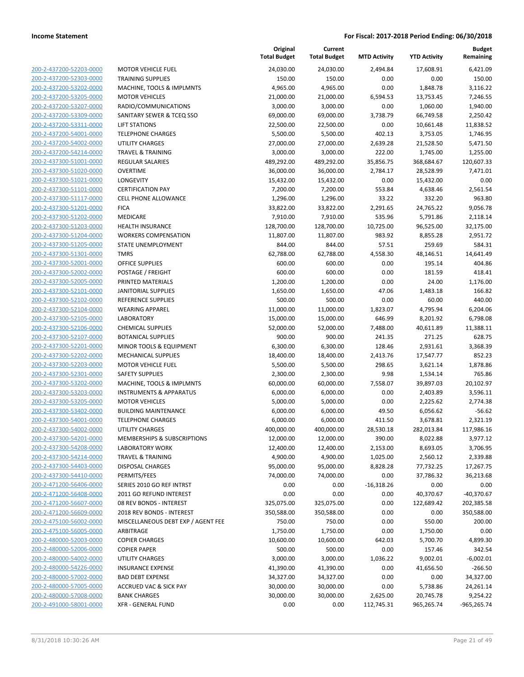| 200-2-437200-52203-0000                                   |
|-----------------------------------------------------------|
| 200-2-437200-52303-0000                                   |
| 200-2-437200-53202-0000                                   |
| 200-2-437200-53205-0000                                   |
|                                                           |
| 200-2-437200-53207-0000                                   |
| 200-2-437200-53309-0000                                   |
| 200-2-437200-53311-0000                                   |
| 200-2-437200-54001-0000                                   |
| 200-2-437200-54002-0000                                   |
| 200-2-437200-54214-0000                                   |
| 200-2-437300-51001-0000                                   |
| 200-2-437300-51020-0000                                   |
| 200-2-437300-51021-0000                                   |
| 200-2-437300-51101-0000                                   |
| 200-2-437300-51117-0000                                   |
| 200-2-437300-51201-0000                                   |
| 200-2-437300-51202-0000                                   |
|                                                           |
| 200-2-437300-51203-0000                                   |
| 200-2-437300-51204-0000                                   |
| 200-2-437300-51205-0000                                   |
| 200-2-437300-51301-0000                                   |
| 200-2-437300-52001-0000                                   |
| 200-2-437300-52002-0000                                   |
| 200-2-437300-52005-0000                                   |
| 200-2-437300-52101-0000                                   |
| 200-2-437300-52102-0000                                   |
| 200-2-437300-52104-0000                                   |
| 200-2-437300-52105-0000                                   |
| 200-2-437300-52106-0000                                   |
| 200-2-437300-52107-0000                                   |
| 200-2-437300-52201-0000                                   |
|                                                           |
| 200-2-437300-52202-0000                                   |
| <u>200-2-437300-52203-0000</u>                            |
| 200-2-437300-52301-0000                                   |
| 200-2-437300-53202-0000                                   |
| 200-2-437300-53203-0000                                   |
| 200-2-437300-53205-0000                                   |
| 200-2-437300-53402-0000                                   |
| 200-2-437300-54001-0000                                   |
| 200-2-437300-54002-0000                                   |
| 200-2-437300-54201-0000                                   |
| 200-2-437300-54208-0000                                   |
| <u>200-2-437300-54214-0000</u>                            |
|                                                           |
| <u>200-2-437300-54403-0000</u>                            |
| 200-2-437300-54410-0000                                   |
| 200-2-471200-56406-0000                                   |
| 200-2-471200-56408-0000                                   |
| 200-2-471200-56607-0000                                   |
| 200-2-471200-56609-0000                                   |
| 200-2-475100-56002-0000                                   |
| 200-2-475100-56005-0000                                   |
| 200-2-480000-52003-0000                                   |
| <u>200-2-480000-52006-0000</u>                            |
| 200-2-480000-54002-0000                                   |
| 200-2-480000-54226-0000                                   |
| 200-2-480000-57002-0000                                   |
|                                                           |
|                                                           |
| 200-2-480000-57005-0000                                   |
| 200-2-480000-57008-0000<br><u>200-2-491000-58001-0000</u> |

| <b>MOTOR VEHICLE FUEL</b>              |
|----------------------------------------|
| <b>TRAINING SUPPLIES</b>               |
| MACHINE, TOOLS & IMPLMNTS              |
| <b>MOTOR VEHICLES</b>                  |
| RADIO/COMMUNICATIONS                   |
| SANITARY SEWER & TCEQ SSO              |
| <b>LIFT STATIONS</b>                   |
| <b>TELEPHONE CHARGES</b>               |
| <b>UTILITY CHARGES</b>                 |
| <b>TRAVEL &amp; TRAINING</b>           |
| <b>REGULAR SALARIES</b>                |
| <b>OVERTIME</b>                        |
| LONGEVITY                              |
| <b>CERTIFICATION PAY</b>               |
| <b>CELL PHONE ALLOWANCE</b>            |
| <b>FICA</b>                            |
| <b>MEDICARE</b>                        |
| <b>HEALTH INSURANCE</b>                |
| <b>WORKERS COMPENSATION</b>            |
| STATE UNEMPLOYMENT                     |
| <b>TMRS</b>                            |
| <b>OFFICE SUPPLIES</b>                 |
| POSTAGE / FREIGHT                      |
| PRINTED MATERIALS                      |
| <b>JANITORIAL SUPPLIES</b>             |
| <b>REFERENCE SUPPLIES</b>              |
| <b>WEARING APPAREL</b>                 |
| <b>LABORATORY</b>                      |
| <b>CHEMICAL SUPPLIES</b>               |
| <b>BOTANICAL SUPPLIES</b>              |
| MINOR TOOLS & EQUIPMENT                |
| <b>MECHANICAL SUPPLIES</b>             |
| <b>MOTOR VEHICLE FUEL</b>              |
| <b>SAFETY SUPPLIES</b>                 |
| MACHINE, TOOLS & IMPLMNTS              |
| <b>INSTRUMENTS &amp; APPARATUS</b>     |
| <b>MOTOR VEHICLES</b>                  |
| <b>BUILDING MAINTENANCE</b>            |
| <b>TELEPHONE CHARGES</b>               |
| <b>UTILITY CHARGES</b>                 |
| <b>MEMBERSHIPS &amp; SUBSCRIPTIONS</b> |
| <b>LABORATORY WORK</b>                 |
| <b>TRAVEL &amp; TRAINING</b>           |
| <b>DISPOSAL CHARGES</b>                |
| PERMITS/FEES                           |
| SERIES 2010 GO REF INTRST              |
| 2011 GO REFUND INTEREST                |
| 08 REV BONDS - INTEREST                |
| 2018 REV BONDS - INTEREST              |
| MISCELLANEOUS DEBT EXP / AGENT FEE     |
| <b>ARBITRAGE</b>                       |
| <b>COPIER CHARGES</b>                  |
| <b>COPIER PAPER</b>                    |
| <b>UTILITY CHARGES</b>                 |
| <b>INSURANCE EXPENSE</b>               |
| <b>BAD DEBT EXPENSE</b>                |
| <b>ACCRUED VAC &amp; SICK PAY</b>      |
| <b>BANK CHARGES</b>                    |
| <b>XFR - GENERAL FUND</b>              |
|                                        |

|                         |                                    | Original<br><b>Total Budget</b> | Current<br><b>Total Budget</b> | <b>MTD Activity</b> | <b>YTD Activity</b> | <b>Budget</b><br>Remaining |
|-------------------------|------------------------------------|---------------------------------|--------------------------------|---------------------|---------------------|----------------------------|
| 200-2-437200-52203-0000 | <b>MOTOR VEHICLE FUEL</b>          | 24,030.00                       | 24,030.00                      | 2,494.84            | 17,608.91           | 6,421.09                   |
| 200-2-437200-52303-0000 | <b>TRAINING SUPPLIES</b>           | 150.00                          | 150.00                         | 0.00                | 0.00                | 150.00                     |
| 200-2-437200-53202-0000 | MACHINE, TOOLS & IMPLMNTS          | 4,965.00                        | 4,965.00                       | 0.00                | 1,848.78            | 3,116.22                   |
| 200-2-437200-53205-0000 | <b>MOTOR VEHICLES</b>              | 21,000.00                       | 21,000.00                      | 6,594.53            | 13,753.45           | 7,246.55                   |
| 200-2-437200-53207-0000 | RADIO/COMMUNICATIONS               | 3,000.00                        | 3,000.00                       | 0.00                | 1,060.00            | 1,940.00                   |
| 200-2-437200-53309-0000 | SANITARY SEWER & TCEQ SSO          | 69,000.00                       | 69,000.00                      | 3,738.79            | 66,749.58           | 2,250.42                   |
| 200-2-437200-53311-0000 | <b>LIFT STATIONS</b>               | 22,500.00                       | 22,500.00                      | 0.00                | 10,661.48           | 11,838.52                  |
| 200-2-437200-54001-0000 | <b>TELEPHONE CHARGES</b>           | 5,500.00                        | 5,500.00                       | 402.13              | 3,753.05            | 1,746.95                   |
| 200-2-437200-54002-0000 | <b>UTILITY CHARGES</b>             | 27,000.00                       | 27,000.00                      | 2,639.28            | 21,528.50           | 5,471.50                   |
| 200-2-437200-54214-0000 | <b>TRAVEL &amp; TRAINING</b>       | 3,000.00                        | 3,000.00                       | 222.00              | 1,745.00            | 1,255.00                   |
| 200-2-437300-51001-0000 | <b>REGULAR SALARIES</b>            | 489,292.00                      | 489,292.00                     | 35,856.75           | 368,684.67          | 120,607.33                 |
| 200-2-437300-51020-0000 | <b>OVERTIME</b>                    | 36,000.00                       | 36,000.00                      | 2,784.17            | 28,528.99           | 7,471.01                   |
| 200-2-437300-51021-0000 | <b>LONGEVITY</b>                   | 15,432.00                       | 15,432.00                      | 0.00                | 15,432.00           | 0.00                       |
| 200-2-437300-51101-0000 | <b>CERTIFICATION PAY</b>           | 7,200.00                        | 7,200.00                       | 553.84              | 4,638.46            | 2,561.54                   |
| 200-2-437300-51117-0000 | <b>CELL PHONE ALLOWANCE</b>        | 1,296.00                        | 1,296.00                       | 33.22               | 332.20              | 963.80                     |
| 200-2-437300-51201-0000 | <b>FICA</b>                        | 33,822.00                       | 33,822.00                      | 2,291.65            | 24,765.22           | 9,056.78                   |
| 200-2-437300-51202-0000 | MEDICARE                           | 7,910.00                        | 7,910.00                       | 535.96              | 5,791.86            | 2,118.14                   |
| 200-2-437300-51203-0000 | <b>HEALTH INSURANCE</b>            | 128,700.00                      | 128,700.00                     | 10,725.00           | 96,525.00           | 32,175.00                  |
| 200-2-437300-51204-0000 | <b>WORKERS COMPENSATION</b>        | 11,807.00                       | 11,807.00                      | 983.92              | 8,855.28            | 2,951.72                   |
| 200-2-437300-51205-0000 | <b>STATE UNEMPLOYMENT</b>          | 844.00                          | 844.00                         | 57.51               | 259.69              | 584.31                     |
| 200-2-437300-51301-0000 | <b>TMRS</b>                        | 62,788.00                       | 62,788.00                      | 4,558.30            | 48,146.51           | 14,641.49                  |
| 200-2-437300-52001-0000 | OFFICE SUPPLIES                    | 600.00                          | 600.00                         | 0.00                | 195.14              | 404.86                     |
| 200-2-437300-52002-0000 | POSTAGE / FREIGHT                  | 600.00                          | 600.00                         | 0.00                | 181.59              | 418.41                     |
| 200-2-437300-52005-0000 | PRINTED MATERIALS                  | 1,200.00                        | 1,200.00                       | 0.00                | 24.00               | 1,176.00                   |
| 200-2-437300-52101-0000 | <b>JANITORIAL SUPPLIES</b>         | 1,650.00                        | 1,650.00                       | 47.06               | 1,483.18            | 166.82                     |
| 200-2-437300-52102-0000 | REFERENCE SUPPLIES                 | 500.00                          | 500.00                         | 0.00                | 60.00               | 440.00                     |
| 200-2-437300-52104-0000 | <b>WEARING APPAREL</b>             | 11,000.00                       | 11,000.00                      | 1,823.07            | 4,795.94            | 6,204.06                   |
| 200-2-437300-52105-0000 | <b>LABORATORY</b>                  | 15,000.00                       | 15,000.00                      | 646.99              | 8,201.92            | 6,798.08                   |
| 200-2-437300-52106-0000 | <b>CHEMICAL SUPPLIES</b>           | 52,000.00                       | 52,000.00                      | 7,488.00            | 40,611.89           | 11,388.11                  |
| 200-2-437300-52107-0000 | <b>BOTANICAL SUPPLIES</b>          | 900.00                          | 900.00                         | 241.35              | 271.25              | 628.75                     |
| 200-2-437300-52201-0000 | MINOR TOOLS & EQUIPMENT            | 6,300.00                        | 6,300.00                       | 128.46              | 2,931.61            | 3,368.39                   |
| 200-2-437300-52202-0000 | MECHANICAL SUPPLIES                | 18,400.00                       | 18,400.00                      | 2,413.76            | 17,547.77           | 852.23                     |
| 200-2-437300-52203-0000 | <b>MOTOR VEHICLE FUEL</b>          | 5,500.00                        | 5,500.00                       | 298.65              | 3,621.14            | 1,878.86                   |
| 200-2-437300-52301-0000 | <b>SAFETY SUPPLIES</b>             | 2,300.00                        | 2,300.00                       | 9.98                | 1,534.14            | 765.86                     |
| 200-2-437300-53202-0000 | MACHINE, TOOLS & IMPLMNTS          | 60,000.00                       | 60,000.00                      | 7,558.07            | 39,897.03           | 20,102.97                  |
| 200-2-437300-53203-0000 | <b>INSTRUMENTS &amp; APPARATUS</b> | 6,000.00                        | 6,000.00                       | 0.00                | 2,403.89            | 3,596.11                   |
| 200-2-437300-53205-0000 | <b>MOTOR VEHICLES</b>              | 5,000.00                        | 5,000.00                       | 0.00                | 2,225.62            | 2,774.38                   |
| 200-2-437300-53402-0000 | <b>BUILDING MAINTENANCE</b>        | 6,000.00                        | 6,000.00                       | 49.50               | 6,056.62            | $-56.62$                   |
| 200-2-437300-54001-0000 | <b>TELEPHONE CHARGES</b>           | 6,000.00                        | 6,000.00                       | 411.50              | 3,678.81            | 2,321.19                   |
| 200-2-437300-54002-0000 | <b>UTILITY CHARGES</b>             | 400,000.00                      | 400,000.00                     | 28,530.18           | 282,013.84          | 117,986.16                 |
| 200-2-437300-54201-0000 | MEMBERSHIPS & SUBSCRIPTIONS        | 12,000.00                       | 12,000.00                      | 390.00              | 8,022.88            | 3,977.12                   |
| 200-2-437300-54208-0000 | <b>LABORATORY WORK</b>             | 12,400.00                       | 12,400.00                      | 2,153.00            | 8,693.05            | 3,706.95                   |
| 200-2-437300-54214-0000 | <b>TRAVEL &amp; TRAINING</b>       | 4,900.00                        | 4,900.00                       | 1,025.00            | 2,560.12            | 2,339.88                   |
| 200-2-437300-54403-0000 | <b>DISPOSAL CHARGES</b>            | 95,000.00                       | 95,000.00                      | 8,828.28            | 77,732.25           | 17,267.75                  |
| 200-2-437300-54410-0000 | PERMITS/FEES                       | 74,000.00                       | 74,000.00                      | 0.00                | 37,786.32           | 36,213.68                  |
| 200-2-471200-56406-0000 | SERIES 2010 GO REF INTRST          | 0.00                            | 0.00                           | $-16,318.26$        | 0.00                | 0.00                       |
| 200-2-471200-56408-0000 | 2011 GO REFUND INTEREST            | 0.00                            | 0.00                           | 0.00                | 40,370.67           | $-40,370.67$               |
| 200-2-471200-56607-0000 | 08 REV BONDS - INTEREST            | 325,075.00                      | 325,075.00                     | 0.00                | 122,689.42          | 202,385.58                 |
| 200-2-471200-56609-0000 | 2018 REV BONDS - INTEREST          | 350,588.00                      | 350,588.00                     | 0.00                | 0.00                | 350,588.00                 |
| 200-2-475100-56002-0000 | MISCELLANEOUS DEBT EXP / AGENT FEE | 750.00                          | 750.00                         | 0.00                | 550.00              | 200.00                     |
| 200-2-475100-56005-0000 | ARBITRAGE                          | 1,750.00                        | 1,750.00                       | 0.00                | 1,750.00            | 0.00                       |
| 200-2-480000-52003-0000 | <b>COPIER CHARGES</b>              | 10,600.00                       | 10,600.00                      | 642.03              | 5,700.70            | 4,899.30                   |
| 200-2-480000-52006-0000 | <b>COPIER PAPER</b>                | 500.00                          | 500.00                         | 0.00                | 157.46              | 342.54                     |
| 200-2-480000-54002-0000 | <b>UTILITY CHARGES</b>             | 3,000.00                        | 3,000.00                       | 1,036.22            | 9,002.01            | $-6,002.01$                |
| 200-2-480000-54226-0000 | <b>INSURANCE EXPENSE</b>           | 41,390.00                       | 41,390.00                      | 0.00                | 41,656.50           | $-266.50$                  |
| 200-2-480000-57002-0000 | <b>BAD DEBT EXPENSE</b>            | 34,327.00                       | 34,327.00                      | 0.00                | 0.00                | 34,327.00                  |
| 200-2-480000-57005-0000 | <b>ACCRUED VAC &amp; SICK PAY</b>  | 30,000.00                       | 30,000.00                      | 0.00                | 5,738.86            | 24,261.14                  |
| 200-2-480000-57008-0000 | <b>BANK CHARGES</b>                | 30,000.00                       | 30,000.00                      | 2,625.00            | 20,745.78           | 9,254.22                   |
| 200-2-491000-58001-0000 | <b>XFR - GENERAL FUND</b>          | 0.00                            | 0.00                           | 112,745.31          | 965,265.74          | -965,265.74                |
|                         |                                    |                                 |                                |                     |                     |                            |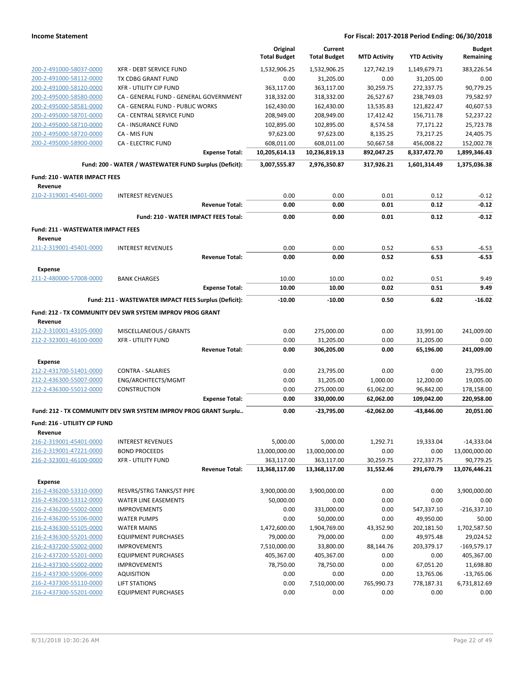|                                           |                                                                  |                       | Original<br><b>Total Budget</b> | Current<br><b>Total Budget</b> | <b>MTD Activity</b> | <b>YTD Activity</b> | <b>Budget</b><br>Remaining |
|-------------------------------------------|------------------------------------------------------------------|-----------------------|---------------------------------|--------------------------------|---------------------|---------------------|----------------------------|
| 200-2-491000-58037-0000                   | XFR - DEBT SERVICE FUND                                          |                       | 1,532,906.25                    | 1,532,906.25                   | 127,742.19          | 1,149,679.71        | 383,226.54                 |
| 200-2-491000-58112-0000                   | TX CDBG GRANT FUND                                               |                       | 0.00                            | 31,205.00                      | 0.00                | 31,205.00           | 0.00                       |
| 200-2-491000-58120-0000                   | <b>XFR - UTILITY CIP FUND</b>                                    |                       | 363,117.00                      | 363,117.00                     | 30,259.75           | 272,337.75          | 90,779.25                  |
| 200-2-495000-58580-0000                   | CA - GENERAL FUND - GENERAL GOVERNMENT                           |                       | 318,332.00                      | 318,332.00                     | 26,527.67           | 238,749.03          | 79.582.97                  |
| 200-2-495000-58581-0000                   | CA - GENERAL FUND - PUBLIC WORKS                                 |                       | 162,430.00                      | 162,430.00                     | 13,535.83           | 121,822.47          | 40,607.53                  |
| 200-2-495000-58701-0000                   | CA - CENTRAL SERVICE FUND                                        |                       | 208,949.00                      | 208,949.00                     | 17,412.42           | 156,711.78          | 52,237.22                  |
| 200-2-495000-58710-0000                   | CA - INSURANCE FUND                                              |                       | 102,895.00                      | 102,895.00                     | 8,574.58            | 77,171.22           | 25,723.78                  |
| 200-2-495000-58720-0000                   | CA - MIS FUN                                                     |                       | 97,623.00                       | 97,623.00                      | 8,135.25            | 73,217.25           | 24,405.75                  |
| 200-2-495000-58900-0000                   | <b>CA - ELECTRIC FUND</b>                                        |                       | 608,011.00                      | 608,011.00                     | 50,667.58           | 456,008.22          | 152,002.78                 |
|                                           |                                                                  | <b>Expense Total:</b> | 10,205,614.13                   | 10,236,819.13                  | 892,047.25          | 8,337,472.70        | 1,899,346.43               |
|                                           | Fund: 200 - WATER / WASTEWATER FUND Surplus (Deficit):           |                       | 3,007,555.87                    | 2,976,350.87                   | 317,926.21          | 1,601,314.49        | 1,375,036.38               |
| <b>Fund: 210 - WATER IMPACT FEES</b>      |                                                                  |                       |                                 |                                |                     |                     |                            |
| Revenue<br>210-2-319001-45401-0000        | <b>INTEREST REVENUES</b>                                         |                       | 0.00                            | 0.00                           | 0.01                | 0.12                | $-0.12$                    |
|                                           |                                                                  | <b>Revenue Total:</b> | 0.00                            | 0.00                           | 0.01                | 0.12                | $-0.12$                    |
|                                           | Fund: 210 - WATER IMPACT FEES Total:                             |                       | 0.00                            | 0.00                           | 0.01                | 0.12                | $-0.12$                    |
| <b>Fund: 211 - WASTEWATER IMPACT FEES</b> |                                                                  |                       |                                 |                                |                     |                     |                            |
| Revenue                                   |                                                                  |                       |                                 |                                |                     |                     |                            |
| 211-2-319001-45401-0000                   | <b>INTEREST REVENUES</b>                                         |                       | 0.00                            | 0.00                           | 0.52                | 6.53                | $-6.53$                    |
|                                           |                                                                  | <b>Revenue Total:</b> | 0.00                            | 0.00                           | 0.52                | 6.53                | $-6.53$                    |
| Expense                                   |                                                                  |                       |                                 |                                |                     |                     |                            |
| 211-2-480000-57008-0000                   | <b>BANK CHARGES</b>                                              |                       | 10.00                           | 10.00                          | 0.02                | 0.51                | 9.49                       |
|                                           |                                                                  | <b>Expense Total:</b> | 10.00                           | 10.00                          | 0.02                | 0.51                | 9.49                       |
|                                           | Fund: 211 - WASTEWATER IMPACT FEES Surplus (Deficit):            |                       | $-10.00$                        | $-10.00$                       | 0.50                | 6.02                | $-16.02$                   |
|                                           | Fund: 212 - TX COMMUNITY DEV SWR SYSTEM IMPROV PROG GRANT        |                       |                                 |                                |                     |                     |                            |
| Revenue                                   |                                                                  |                       |                                 |                                |                     |                     |                            |
| 212-2-310001-43105-0000                   | MISCELLANEOUS / GRANTS                                           |                       | 0.00                            | 275,000.00                     | 0.00                | 33,991.00           | 241,009.00                 |
| 212-2-323001-46100-0000                   | <b>XFR - UTILITY FUND</b>                                        |                       | 0.00                            | 31,205.00                      | 0.00                | 31,205.00           | 0.00                       |
|                                           |                                                                  | <b>Revenue Total:</b> | 0.00                            | 306,205.00                     | 0.00                | 65,196.00           | 241,009.00                 |
| Expense                                   |                                                                  |                       |                                 |                                |                     |                     |                            |
| 212-2-431700-51401-0000                   | <b>CONTRA - SALARIES</b>                                         |                       | 0.00                            | 23,795.00                      | 0.00                | 0.00                | 23,795.00                  |
| 212-2-436300-55007-0000                   | ENG/ARCHITECTS/MGMT                                              |                       | 0.00                            | 31,205.00                      | 1,000.00            | 12,200.00           | 19,005.00                  |
| 212-2-436300-55012-0000                   | <b>CONSTRUCTION</b>                                              |                       | 0.00                            | 275,000.00                     | 61,062.00           | 96,842.00           | 178,158.00                 |
|                                           |                                                                  | <b>Expense Total:</b> | 0.00                            | 330,000.00                     | 62,062.00           | 109,042.00          | 220,958.00                 |
|                                           | Fund: 212 - TX COMMUNITY DEV SWR SYSTEM IMPROV PROG GRANT Surplu |                       | 0.00                            | -23,795.00                     | -62,062.00          | -43,846.00          | 20,051.00                  |
| Fund: 216 - UTILIITY CIP FUND             |                                                                  |                       |                                 |                                |                     |                     |                            |
| Revenue<br>216-2-319001-45401-0000        | <b>INTEREST REVENUES</b>                                         |                       |                                 | 5,000.00                       |                     |                     |                            |
| 216-2-319001-47221-0000                   |                                                                  |                       | 5,000.00                        |                                | 1,292.71            | 19,333.04           | $-14,333.04$               |
| 216-2-323001-46100-0000                   | <b>BOND PROCEEDS</b><br><b>XFR - UTILITY FUND</b>                |                       | 13,000,000.00<br>363,117.00     | 13,000,000.00<br>363,117.00    | 0.00<br>30,259.75   | 0.00<br>272,337.75  | 13,000,000.00<br>90,779.25 |
|                                           |                                                                  | <b>Revenue Total:</b> | 13,368,117.00                   | 13,368,117.00                  | 31,552.46           | 291,670.79          | 13,076,446.21              |
| <b>Expense</b>                            |                                                                  |                       |                                 |                                |                     |                     |                            |
| 216-2-436200-53310-0000                   | RESVRS/STRG TANKS/ST PIPE                                        |                       | 3,900,000.00                    | 3,900,000.00                   | 0.00                | 0.00                | 3,900,000.00               |
| 216-2-436200-53312-0000                   | <b>WATER LINE EASEMENTS</b>                                      |                       | 50,000.00                       | 0.00                           | 0.00                | 0.00                | 0.00                       |
| 216-2-436200-55002-0000                   | <b>IMPROVEMENTS</b>                                              |                       | 0.00                            | 331,000.00                     | 0.00                | 547,337.10          | $-216,337.10$              |
| 216-2-436200-55106-0000                   | <b>WATER PUMPS</b>                                               |                       | 0.00                            | 50,000.00                      | 0.00                | 49,950.00           | 50.00                      |
| 216-2-436300-55105-0000                   | <b>WATER MAINS</b>                                               |                       | 1,472,600.00                    | 1,904,769.00                   | 43,352.90           | 202,181.50          | 1,702,587.50               |
| 216-2-436300-55201-0000                   | <b>EQUIPMENT PURCHASES</b>                                       |                       | 79,000.00                       | 79,000.00                      | 0.00                | 49,975.48           | 29,024.52                  |
| 216-2-437200-55002-0000                   | <b>IMPROVEMENTS</b>                                              |                       | 7,510,000.00                    | 33,800.00                      | 88,144.76           | 203,379.17          | $-169,579.17$              |
| 216-2-437200-55201-0000                   | <b>EQUIPMENT PURCHASES</b>                                       |                       | 405,367.00                      | 405,367.00                     | 0.00                | 0.00                | 405,367.00                 |
| 216-2-437300-55002-0000                   | <b>IMPROVEMENTS</b>                                              |                       | 78,750.00                       | 78,750.00                      | 0.00                | 67,051.20           | 11,698.80                  |
| 216-2-437300-55006-0000                   | <b>AQUISITION</b>                                                |                       | 0.00                            | 0.00                           | 0.00                | 13,765.06           | $-13,765.06$               |
| 216-2-437300-55110-0000                   | <b>LIFT STATIONS</b>                                             |                       | 0.00                            | 7,510,000.00                   | 765,990.73          | 778,187.31          | 6,731,812.69               |
| 216-2-437300-55201-0000                   | <b>EQUIPMENT PURCHASES</b>                                       |                       | 0.00                            | 0.00                           | 0.00                | 0.00                | 0.00                       |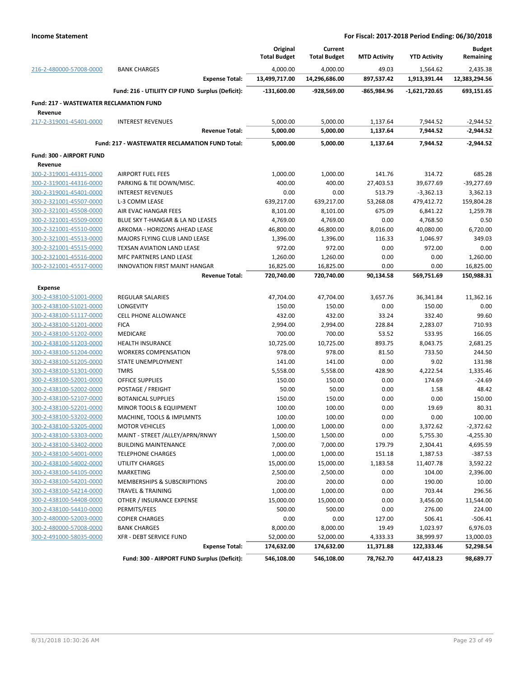|                                                |                                                  | Original<br><b>Total Budget</b> | Current<br><b>Total Budget</b> | <b>MTD Activity</b> | <b>YTD Activity</b> | <b>Budget</b><br>Remaining |
|------------------------------------------------|--------------------------------------------------|---------------------------------|--------------------------------|---------------------|---------------------|----------------------------|
| 216-2-480000-57008-0000                        | <b>BANK CHARGES</b>                              | 4,000.00                        | 4,000.00                       | 49.03               | 1,564.62            | 2,435.38                   |
|                                                | <b>Expense Total:</b>                            | 13,499,717.00                   | 14,296,686.00                  | 897,537.42          | 1,913,391.44        | 12,383,294.56              |
|                                                | Fund: 216 - UTILIITY CIP FUND Surplus (Deficit): | -131,600.00                     | -928,569.00                    | -865,984.96         | $-1,621,720.65$     | 693,151.65                 |
| <b>Fund: 217 - WASTEWATER RECLAMATION FUND</b> |                                                  |                                 |                                |                     |                     |                            |
| Revenue                                        |                                                  |                                 |                                |                     |                     |                            |
| 217-2-319001-45401-0000                        | <b>INTEREST REVENUES</b>                         | 5,000.00                        | 5,000.00                       | 1,137.64            | 7,944.52            | $-2,944.52$                |
|                                                | <b>Revenue Total:</b>                            | 5,000.00                        | 5,000.00                       | 1,137.64            | 7,944.52            | $-2,944.52$                |
|                                                | Fund: 217 - WASTEWATER RECLAMATION FUND Total:   | 5,000.00                        | 5,000.00                       | 1,137.64            | 7,944.52            | $-2,944.52$                |
| Fund: 300 - AIRPORT FUND                       |                                                  |                                 |                                |                     |                     |                            |
| Revenue                                        |                                                  |                                 |                                |                     |                     |                            |
| 300-2-319001-44315-0000                        | <b>AIRPORT FUEL FEES</b>                         | 1,000.00                        | 1,000.00                       | 141.76              | 314.72              | 685.28                     |
| 300-2-319001-44316-0000                        | PARKING & TIE DOWN/MISC.                         | 400.00                          | 400.00                         | 27,403.53           | 39,677.69           | $-39,277.69$               |
| 300-2-319001-45401-0000                        | <b>INTEREST REVENUES</b>                         | 0.00                            | 0.00                           | 513.79              | $-3,362.13$         | 3,362.13                   |
| 300-2-321001-45507-0000                        | L-3 COMM LEASE                                   | 639,217.00                      | 639,217.00                     | 53,268.08           | 479,412.72          | 159,804.28                 |
| 300-2-321001-45508-0000                        | AIR EVAC HANGAR FEES                             | 8,101.00                        | 8,101.00                       | 675.09              | 6,841.22            | 1,259.78                   |
| 300-2-321001-45509-0000                        | BLUE SKY T-HANGAR & LA ND LEASES                 | 4,769.00                        | 4,769.00                       | 0.00                | 4,768.50            | 0.50                       |
| 300-2-321001-45510-0000                        | ARKOMA - HORIZONS AHEAD LEASE                    | 46,800.00                       | 46,800.00                      | 8,016.00            | 40,080.00           | 6,720.00                   |
| 300-2-321001-45513-0000                        | MAJORS FLYING CLUB LAND LEASE                    | 1,396.00                        | 1,396.00                       | 116.33              | 1,046.97            | 349.03                     |
| 300-2-321001-45515-0000                        | TEXSAN AVIATION LAND LEASE                       | 972.00                          | 972.00                         | 0.00                | 972.00              | 0.00                       |
| 300-2-321001-45516-0000                        | <b>MFC PARTNERS LAND LEASE</b>                   | 1,260.00                        | 1,260.00                       | 0.00                | 0.00                | 1,260.00                   |
| 300-2-321001-45517-0000                        | <b>INNOVATION FIRST MAINT HANGAR</b>             | 16,825.00                       | 16,825.00                      | 0.00                | 0.00                | 16,825.00                  |
|                                                | <b>Revenue Total:</b>                            | 720,740.00                      | 720,740.00                     | 90,134.58           | 569,751.69          | 150,988.31                 |
| <b>Expense</b>                                 |                                                  |                                 |                                |                     |                     |                            |
| 300-2-438100-51001-0000                        | <b>REGULAR SALARIES</b>                          | 47,704.00                       | 47,704.00                      | 3,657.76            | 36,341.84           | 11,362.16                  |
| 300-2-438100-51021-0000                        | <b>LONGEVITY</b>                                 | 150.00                          | 150.00                         | 0.00                | 150.00              | 0.00                       |
| 300-2-438100-51117-0000                        | <b>CELL PHONE ALLOWANCE</b>                      | 432.00                          | 432.00                         | 33.24               | 332.40              | 99.60                      |
| 300-2-438100-51201-0000                        | <b>FICA</b>                                      | 2,994.00                        | 2,994.00                       | 228.84              | 2,283.07            | 710.93                     |
| 300-2-438100-51202-0000                        | MEDICARE                                         | 700.00                          | 700.00                         | 53.52               | 533.95              | 166.05                     |
| 300-2-438100-51203-0000                        | <b>HEALTH INSURANCE</b>                          | 10,725.00                       | 10,725.00                      | 893.75              | 8,043.75            | 2,681.25                   |
| 300-2-438100-51204-0000                        | <b>WORKERS COMPENSATION</b>                      | 978.00                          | 978.00                         | 81.50               | 733.50              | 244.50                     |
| 300-2-438100-51205-0000                        | STATE UNEMPLOYMENT                               | 141.00                          | 141.00                         | 0.00                | 9.02                | 131.98                     |
| 300-2-438100-51301-0000                        | <b>TMRS</b>                                      | 5,558.00                        | 5,558.00                       | 428.90              | 4,222.54            | 1,335.46                   |
| 300-2-438100-52001-0000                        | <b>OFFICE SUPPLIES</b>                           | 150.00                          | 150.00                         | 0.00                | 174.69              | $-24.69$                   |
| 300-2-438100-52002-0000                        | POSTAGE / FREIGHT                                | 50.00                           | 50.00                          | 0.00                | 1.58                | 48.42                      |
| 300-2-438100-52107-0000                        | <b>BOTANICAL SUPPLIES</b>                        | 150.00                          | 150.00                         | 0.00                | 0.00                | 150.00                     |
| 300-2-438100-52201-0000                        | MINOR TOOLS & EQUIPMENT                          | 100.00                          | 100.00                         | 0.00                | 19.69               | 80.31                      |
| 300-2-438100-53202-0000                        | MACHINE, TOOLS & IMPLMNTS                        | 100.00                          | 100.00                         | 0.00                | 0.00                | 100.00                     |
| 300-2-438100-53205-0000                        | <b>MOTOR VEHICLES</b>                            | 1,000.00                        | 1,000.00                       | 0.00                | 3,372.62            | $-2,372.62$                |
| 300-2-438100-53303-0000                        | MAINT - STREET /ALLEY/APRN/RNWY                  | 1,500.00                        | 1,500.00                       | 0.00                | 5,755.30            | -4,255.30                  |
| 300-2-438100-53402-0000                        | <b>BUILDING MAINTENANCE</b>                      | 7,000.00                        | 7,000.00                       | 179.79              | 2,304.41            | 4,695.59                   |
| 300-2-438100-54001-0000                        | <b>TELEPHONE CHARGES</b>                         | 1,000.00                        | 1,000.00                       | 151.18              | 1,387.53            | $-387.53$                  |
| 300-2-438100-54002-0000                        | <b>UTILITY CHARGES</b>                           | 15,000.00                       | 15,000.00                      | 1,183.58            | 11,407.78           | 3,592.22                   |
| 300-2-438100-54105-0000                        | MARKETING                                        | 2,500.00                        | 2,500.00                       | 0.00                | 104.00              | 2,396.00                   |
| 300-2-438100-54201-0000                        | MEMBERSHIPS & SUBSCRIPTIONS                      | 200.00                          | 200.00                         | 0.00                | 190.00              | 10.00                      |
| 300-2-438100-54214-0000                        | <b>TRAVEL &amp; TRAINING</b>                     | 1,000.00                        | 1,000.00                       | 0.00                | 703.44              | 296.56                     |
| 300-2-438100-54408-0000                        | OTHER / INSURANCE EXPENSE                        | 15,000.00                       | 15,000.00                      | 0.00                | 3,456.00            | 11,544.00                  |
| 300-2-438100-54410-0000                        | PERMITS/FEES                                     | 500.00                          | 500.00                         | 0.00                | 276.00              | 224.00                     |
| 300-2-480000-52003-0000                        | <b>COPIER CHARGES</b>                            | 0.00                            | 0.00                           | 127.00              | 506.41              | $-506.41$                  |
| 300-2-480000-57008-0000                        | <b>BANK CHARGES</b>                              | 8,000.00                        | 8,000.00                       | 19.49               | 1,023.97            | 6,976.03                   |
| 300-2-491000-58035-0000                        | XFR - DEBT SERVICE FUND                          | 52,000.00                       | 52,000.00                      | 4,333.33            | 38,999.97           | 13,000.03                  |
|                                                | <b>Expense Total:</b>                            | 174,632.00                      | 174,632.00                     | 11,371.88           | 122,333.46          | 52,298.54                  |
|                                                | Fund: 300 - AIRPORT FUND Surplus (Deficit):      | 546,108.00                      | 546,108.00                     | 78,762.70           | 447,418.23          | 98,689.77                  |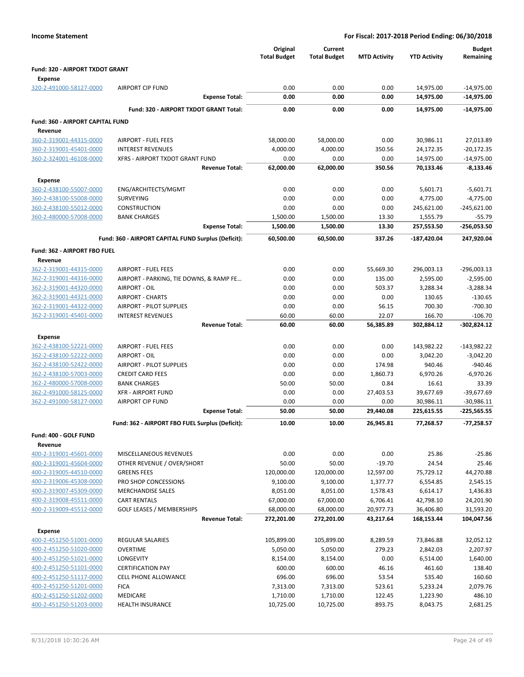| <b>Income Statement</b>                            | For Fiscal: 2017-2018 Period Ending: 06/30/2018         |                                 |                                |                       |                         |                               |  |  |
|----------------------------------------------------|---------------------------------------------------------|---------------------------------|--------------------------------|-----------------------|-------------------------|-------------------------------|--|--|
|                                                    |                                                         | Original<br><b>Total Budget</b> | Current<br><b>Total Budget</b> | <b>MTD Activity</b>   | <b>YTD Activity</b>     | Budget<br>Remaining           |  |  |
| Fund: 320 - AIRPORT TXDOT GRANT                    |                                                         |                                 |                                |                       |                         |                               |  |  |
| <b>Expense</b>                                     |                                                         |                                 |                                |                       |                         |                               |  |  |
| 320-2-491000-58127-0000                            | <b>AIRPORT CIP FUND</b>                                 | 0.00                            | 0.00                           | 0.00                  | 14,975.00               | $-14,975.00$                  |  |  |
|                                                    | <b>Expense Total:</b>                                   | 0.00                            | 0.00                           | 0.00                  | 14,975.00               | $-14,975.00$                  |  |  |
|                                                    | Fund: 320 - AIRPORT TXDOT GRANT Total:                  | 0.00                            | 0.00                           | 0.00                  | 14,975.00               | $-14,975.00$                  |  |  |
| Fund: 360 - AIRPORT CAPITAL FUND<br>Revenue        |                                                         |                                 |                                |                       |                         |                               |  |  |
| 360-2-319001-44315-0000                            | <b>AIRPORT - FUEL FEES</b>                              | 58,000.00                       | 58,000.00                      | 0.00                  | 30,986.11               | 27,013.89                     |  |  |
| 360-2-319001-45401-0000                            | <b>INTEREST REVENUES</b>                                | 4,000.00                        | 4,000.00                       | 350.56                | 24,172.35               | $-20,172.35$                  |  |  |
| 360-2-324001-46108-0000                            | XFRS - AIRPORT TXDOT GRANT FUND                         | 0.00                            | 0.00                           | 0.00                  | 14,975.00               | $-14,975.00$                  |  |  |
|                                                    | <b>Revenue Total:</b>                                   | 62,000.00                       | 62,000.00                      | 350.56                | 70,133.46               | $-8,133.46$                   |  |  |
| Expense                                            |                                                         |                                 |                                |                       |                         |                               |  |  |
| 360-2-438100-55007-0000                            | ENG/ARCHITECTS/MGMT                                     | 0.00                            | 0.00                           | 0.00                  | 5,601.71                | $-5,601.71$                   |  |  |
| 360-2-438100-55008-0000                            | SURVEYING                                               | 0.00                            | 0.00                           | 0.00                  | 4,775.00                | $-4,775.00$                   |  |  |
| 360-2-438100-55012-0000                            | <b>CONSTRUCTION</b>                                     | 0.00                            | 0.00                           | 0.00                  | 245,621.00              | $-245,621.00$                 |  |  |
| 360-2-480000-57008-0000                            | <b>BANK CHARGES</b>                                     | 1,500.00                        | 1,500.00                       | 13.30                 | 1,555.79                | $-55.79$                      |  |  |
|                                                    | <b>Expense Total:</b>                                   | 1,500.00                        | 1,500.00                       | 13.30                 | 257,553.50              | $-256,053.50$                 |  |  |
|                                                    | Fund: 360 - AIRPORT CAPITAL FUND Surplus (Deficit):     | 60,500.00                       | 60,500.00                      | 337.26                | -187,420.04             | 247,920.04                    |  |  |
| Fund: 362 - AIRPORT FBO FUEL                       |                                                         |                                 |                                |                       |                         |                               |  |  |
| Revenue                                            |                                                         |                                 |                                |                       |                         |                               |  |  |
| 362-2-319001-44315-0000                            | <b>AIRPORT - FUEL FEES</b>                              | 0.00                            | 0.00                           | 55,669.30             | 296,003.13              | $-296,003.13$                 |  |  |
| 362-2-319001-44316-0000                            | AIRPORT - PARKING, TIE DOWNS, & RAMP FE                 | 0.00                            | 0.00                           | 135.00                | 2,595.00                | $-2,595.00$                   |  |  |
| 362-2-319001-44320-0000<br>362-2-319001-44321-0000 | AIRPORT - OIL<br><b>AIRPORT - CHARTS</b>                | 0.00<br>0.00                    | 0.00<br>0.00                   | 503.37<br>0.00        | 3,288.34<br>130.65      | $-3,288.34$<br>$-130.65$      |  |  |
| 362-2-319001-44322-0000                            | <b>AIRPORT - PILOT SUPPLIES</b>                         | 0.00                            | 0.00                           | 56.15                 | 700.30                  | $-700.30$                     |  |  |
| 362-2-319001-45401-0000                            | <b>INTEREST REVENUES</b>                                | 60.00                           | 60.00                          | 22.07                 | 166.70                  | $-106.70$                     |  |  |
|                                                    | <b>Revenue Total:</b>                                   | 60.00                           | 60.00                          | 56,385.89             | 302,884.12              | -302,824.12                   |  |  |
| Expense                                            |                                                         |                                 |                                |                       |                         |                               |  |  |
| 362-2-438100-52221-0000                            | <b>AIRPORT - FUEL FEES</b>                              | 0.00                            | 0.00                           | 0.00                  | 143,982.22              | $-143,982.22$                 |  |  |
| 362-2-438100-52222-0000                            | AIRPORT - OIL                                           | 0.00                            | 0.00                           | 0.00                  | 3,042.20                | $-3,042.20$                   |  |  |
| 362-2-438100-52422-0000                            | <b>AIRPORT - PILOT SUPPLIES</b>                         | 0.00                            | 0.00                           | 174.98                | 940.46                  | $-940.46$                     |  |  |
| 362-2-438100-57003-0000                            | <b>CREDIT CARD FEES</b>                                 | 0.00                            | 0.00                           | 1,860.73              | 6,970.26                | $-6,970.26$                   |  |  |
| 362-2-480000-57008-0000                            | <b>BANK CHARGES</b>                                     | 50.00                           | 50.00                          | 0.84                  | 16.61                   | 33.39                         |  |  |
| 362-2-491000-58125-0000                            | <b>XFR - AIRPORT FUND</b>                               | 0.00                            | 0.00                           | 27,403.53             | 39,677.69               | $-39,677.69$                  |  |  |
| 362-2-491000-58127-0000                            | <b>AIRPORT CIP FUND</b><br><b>Expense Total:</b>        | 0.00<br>50.00                   | 0.00<br>50.00                  | 0.00<br>29.440.08     | 30,986.11<br>225,615.55 | $-30,986.11$<br>$-225,565.55$ |  |  |
|                                                    |                                                         |                                 |                                |                       |                         |                               |  |  |
|                                                    | Fund: 362 - AIRPORT FBO FUEL Surplus (Deficit):         | 10.00                           | 10.00                          | 26,945.81             | 77,268.57               | $-77,258.57$                  |  |  |
| Fund: 400 - GOLF FUND<br>Revenue                   |                                                         |                                 |                                |                       |                         |                               |  |  |
| 400-2-319001-45601-0000                            | MISCELLANEOUS REVENUES                                  | 0.00                            | 0.00                           | 0.00                  | 25.86                   | $-25.86$                      |  |  |
| 400-2-319001-45604-0000                            | OTHER REVENUE / OVER/SHORT                              | 50.00                           | 50.00                          | $-19.70$              | 24.54                   | 25.46                         |  |  |
| 400-2-319005-44510-0000                            | <b>GREENS FEES</b>                                      | 120,000.00                      | 120,000.00                     | 12,597.00             | 75,729.12               | 44,270.88                     |  |  |
| 400-2-319006-45308-0000                            | PRO SHOP CONCESSIONS                                    | 9,100.00                        | 9,100.00                       | 1,377.77              | 6,554.85                | 2,545.15                      |  |  |
| 400-2-319007-45309-0000                            | <b>MERCHANDISE SALES</b>                                | 8,051.00                        | 8,051.00                       | 1,578.43              | 6,614.17                | 1,436.83                      |  |  |
| 400-2-319008-45511-0000<br>400-2-319009-45512-0000 | <b>CART RENTALS</b><br><b>GOLF LEASES / MEMBERSHIPS</b> | 67,000.00<br>68,000.00          | 67,000.00<br>68,000.00         | 6,706.41<br>20,977.73 | 42,798.10<br>36,406.80  | 24,201.90<br>31,593.20        |  |  |
|                                                    | <b>Revenue Total:</b>                                   | 272,201.00                      | 272,201.00                     | 43,217.64             | 168,153.44              | 104,047.56                    |  |  |
|                                                    |                                                         |                                 |                                |                       |                         |                               |  |  |
| <b>Expense</b><br>400-2-451250-51001-0000          | REGULAR SALARIES                                        | 105,899.00                      | 105,899.00                     | 8,289.59              | 73,846.88               | 32,052.12                     |  |  |
| 400-2-451250-51020-0000                            | OVERTIME                                                | 5,050.00                        | 5,050.00                       | 279.23                | 2,842.03                | 2,207.97                      |  |  |
| 400-2-451250-51021-0000                            | LONGEVITY                                               | 8,154.00                        | 8,154.00                       | 0.00                  | 6,514.00                | 1,640.00                      |  |  |
| 400-2-451250-51101-0000                            | <b>CERTIFICATION PAY</b>                                | 600.00                          | 600.00                         | 46.16                 | 461.60                  | 138.40                        |  |  |
| 400-2-451250-51117-0000                            | CELL PHONE ALLOWANCE                                    | 696.00                          | 696.00                         | 53.54                 | 535.40                  | 160.60                        |  |  |
| 400-2-451250-51201-0000                            | <b>FICA</b>                                             | 7,313.00                        | 7,313.00                       | 523.61                | 5,233.24                | 2,079.76                      |  |  |
| 400-2-451250-51202-0000                            | MEDICARE                                                | 1,710.00                        | 1,710.00                       | 122.45                | 1,223.90                | 486.10                        |  |  |
| 400-2-451250-51203-0000                            | <b>HEALTH INSURANCE</b>                                 | 10,725.00                       | 10,725.00                      | 893.75                | 8,043.75                | 2,681.25                      |  |  |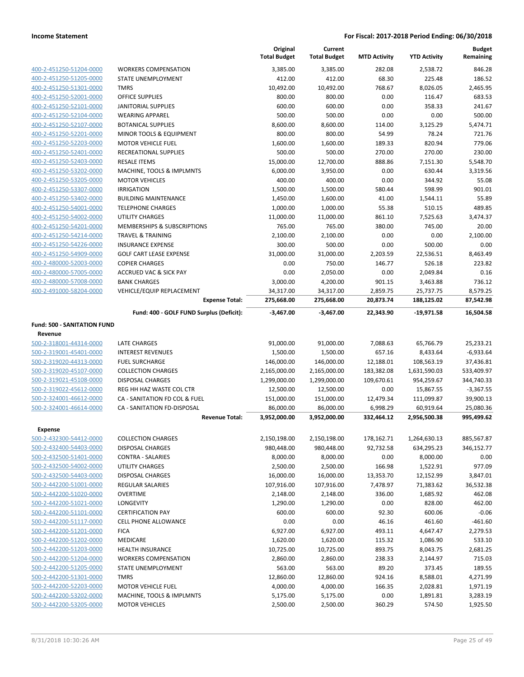|                                    |                                          | Original<br><b>Total Budget</b> | Current<br><b>Total Budget</b> | <b>MTD Activity</b> | <b>YTD Activity</b> | <b>Budget</b><br>Remaining |
|------------------------------------|------------------------------------------|---------------------------------|--------------------------------|---------------------|---------------------|----------------------------|
| 400-2-451250-51204-0000            | <b>WORKERS COMPENSATION</b>              | 3,385.00                        | 3,385.00                       | 282.08              | 2,538.72            | 846.28                     |
| 400-2-451250-51205-0000            | STATE UNEMPLOYMENT                       | 412.00                          | 412.00                         | 68.30               | 225.48              | 186.52                     |
| 400-2-451250-51301-0000            | <b>TMRS</b>                              | 10,492.00                       | 10,492.00                      | 768.67              | 8,026.05            | 2,465.95                   |
| 400-2-451250-52001-0000            | <b>OFFICE SUPPLIES</b>                   | 800.00                          | 800.00                         | 0.00                | 116.47              | 683.53                     |
| 400-2-451250-52101-0000            | JANITORIAL SUPPLIES                      | 600.00                          | 600.00                         | 0.00                | 358.33              | 241.67                     |
| 400-2-451250-52104-0000            | <b>WEARING APPAREL</b>                   | 500.00                          | 500.00                         | 0.00                | 0.00                | 500.00                     |
| 400-2-451250-52107-0000            | <b>BOTANICAL SUPPLIES</b>                | 8,600.00                        | 8,600.00                       | 114.00              | 3,125.29            | 5,474.71                   |
| 400-2-451250-52201-0000            | MINOR TOOLS & EQUIPMENT                  | 800.00                          | 800.00                         | 54.99               | 78.24               | 721.76                     |
| 400-2-451250-52203-0000            | <b>MOTOR VEHICLE FUEL</b>                | 1,600.00                        | 1,600.00                       | 189.33              | 820.94              | 779.06                     |
| 400-2-451250-52401-0000            | <b>RECREATIONAL SUPPLIES</b>             | 500.00                          | 500.00                         | 270.00              | 270.00              | 230.00                     |
| 400-2-451250-52403-0000            | <b>RESALE ITEMS</b>                      | 15,000.00                       | 12,700.00                      | 888.86              | 7,151.30            | 5,548.70                   |
| 400-2-451250-53202-0000            | MACHINE, TOOLS & IMPLMNTS                | 6,000.00                        | 3,950.00                       | 0.00                | 630.44              | 3,319.56                   |
| 400-2-451250-53205-0000            | <b>MOTOR VEHICLES</b>                    | 400.00                          | 400.00                         | 0.00                | 344.92              | 55.08                      |
| 400-2-451250-53307-0000            | <b>IRRIGATION</b>                        | 1,500.00                        | 1,500.00                       | 580.44              | 598.99              | 901.01                     |
| 400-2-451250-53402-0000            | <b>BUILDING MAINTENANCE</b>              | 1,450.00                        | 1,600.00                       | 41.00               | 1,544.11            | 55.89                      |
| 400-2-451250-54001-0000            | <b>TELEPHONE CHARGES</b>                 | 1,000.00                        | 1,000.00                       | 55.38               | 510.15              | 489.85                     |
| 400-2-451250-54002-0000            | <b>UTILITY CHARGES</b>                   | 11,000.00                       | 11,000.00                      | 861.10              | 7,525.63            | 3,474.37                   |
| 400-2-451250-54201-0000            | MEMBERSHIPS & SUBSCRIPTIONS              | 765.00                          | 765.00                         | 380.00              | 745.00              | 20.00                      |
| 400-2-451250-54214-0000            | <b>TRAVEL &amp; TRAINING</b>             | 2,100.00                        | 2,100.00                       | 0.00                | 0.00                | 2,100.00                   |
| 400-2-451250-54226-0000            | <b>INSURANCE EXPENSE</b>                 | 300.00                          | 500.00                         | 0.00                | 500.00              | 0.00                       |
| 400-2-451250-54909-0000            | <b>GOLF CART LEASE EXPENSE</b>           | 31,000.00                       | 31,000.00                      | 2,203.59            | 22,536.51           | 8,463.49                   |
| 400-2-480000-52003-0000            | <b>COPIER CHARGES</b>                    | 0.00                            | 750.00                         | 146.77              | 526.18              | 223.82                     |
| 400-2-480000-57005-0000            | <b>ACCRUED VAC &amp; SICK PAY</b>        | 0.00                            | 2,050.00                       | 0.00                | 2,049.84            | 0.16                       |
| 400-2-480000-57008-0000            | <b>BANK CHARGES</b>                      | 3,000.00                        | 4,200.00                       | 901.15              | 3,463.88            | 736.12                     |
| 400-2-491000-58204-0000            | VEHICLE/EQUIP REPLACEMENT                | 34,317.00                       | 34,317.00                      | 2,859.75            | 25,737.75           | 8,579.25                   |
|                                    | <b>Expense Total:</b>                    | 275,668.00                      | 275,668.00                     | 20,873.74           | 188,125.02          | 87,542.98                  |
|                                    | Fund: 400 - GOLF FUND Surplus (Deficit): | -3,467.00                       | $-3,467.00$                    | 22,343.90           | $-19,971.58$        | 16,504.58                  |
| <b>Fund: 500 - SANITATION FUND</b> |                                          |                                 |                                |                     |                     |                            |
| Revenue                            |                                          |                                 |                                |                     |                     |                            |
| 500-2-318001-44314-0000            | LATE CHARGES                             | 91,000.00                       | 91,000.00                      | 7,088.63            | 65,766.79           | 25,233.21                  |
| 500-2-319001-45401-0000            | <b>INTEREST REVENUES</b>                 | 1,500.00                        | 1,500.00                       | 657.16              | 8,433.64            | $-6,933.64$                |
| 500-2-319020-44313-0000            | <b>FUEL SURCHARGE</b>                    | 146,000.00                      | 146,000.00                     | 12,188.01           | 108,563.19          | 37,436.81                  |
| 500-2-319020-45107-0000            | <b>COLLECTION CHARGES</b>                | 2,165,000.00                    | 2,165,000.00                   | 183,382.08          | 1,631,590.03        | 533,409.97                 |
| 500-2-319021-45108-0000            | DISPOSAL CHARGES                         | 1,299,000.00                    | 1,299,000.00                   | 109,670.61          | 954,259.67          | 344,740.33                 |
| 500-2-319022-45612-0000            | REG HH HAZ WASTE COL CTR                 | 12,500.00                       | 12,500.00                      | 0.00                | 15,867.55           | $-3,367.55$                |
| 500-2-324001-46612-0000            | CA - SANITATION FD COL & FUEL            | 151,000.00                      | 151,000.00                     | 12,479.34           | 111,099.87          | 39,900.13                  |
| 500-2-324001-46614-0000            | CA - SANITATION FD-DISPOSAL              | 86,000.00                       | 86,000.00                      | 6,998.29            | 60,919.64           | 25,080.36                  |
|                                    | <b>Revenue Total:</b>                    | 3,952,000.00                    | 3,952,000.00                   | 332,464.12          | 2,956,500.38        | 995,499.62                 |
| Expense                            |                                          |                                 |                                |                     |                     |                            |
| 500-2-432300-54412-0000            | <b>COLLECTION CHARGES</b>                | 2,150,198.00                    | 2,150,198.00                   | 178,162.71          | 1,264,630.13        | 885,567.87                 |
| 500-2-432400-54403-0000            | DISPOSAL CHARGES                         | 980,448.00                      | 980,448.00                     | 92,732.58           | 634,295.23          | 346,152.77                 |
| 500-2-432500-51401-0000            | CONTRA - SALARIES                        | 8,000.00                        | 8,000.00                       | 0.00                | 8,000.00            | 0.00                       |
| 500-2-432500-54002-0000            | <b>UTILITY CHARGES</b>                   | 2,500.00                        | 2,500.00                       | 166.98              | 1,522.91            | 977.09                     |
| 500-2-432500-54403-0000            | DISPOSAL CHARGES                         | 16,000.00                       | 16,000.00                      | 13,353.70           | 12,152.99           | 3,847.01                   |
| 500-2-442200-51001-0000            | <b>REGULAR SALARIES</b>                  | 107,916.00                      | 107,916.00                     | 7,478.97            | 71,383.62           | 36,532.38                  |
| 500-2-442200-51020-0000            | <b>OVERTIME</b>                          | 2,148.00                        | 2,148.00                       | 336.00              | 1,685.92            | 462.08                     |
| 500-2-442200-51021-0000            | LONGEVITY                                | 1,290.00                        | 1,290.00                       | 0.00                | 828.00              | 462.00                     |
| 500-2-442200-51101-0000            | <b>CERTIFICATION PAY</b>                 | 600.00                          | 600.00                         | 92.30               | 600.06              | $-0.06$                    |
| 500-2-442200-51117-0000            | <b>CELL PHONE ALLOWANCE</b>              | 0.00                            | 0.00                           | 46.16               | 461.60              | $-461.60$                  |
| 500-2-442200-51201-0000            | <b>FICA</b>                              | 6,927.00                        | 6,927.00                       | 493.11              | 4,647.47            | 2,279.53                   |
| 500-2-442200-51202-0000            | MEDICARE                                 | 1,620.00                        | 1,620.00                       | 115.32              | 1,086.90            | 533.10                     |
| 500-2-442200-51203-0000            | <b>HEALTH INSURANCE</b>                  | 10,725.00                       | 10,725.00                      | 893.75              | 8,043.75            | 2,681.25                   |
| 500-2-442200-51204-0000            | <b>WORKERS COMPENSATION</b>              | 2,860.00                        | 2,860.00                       | 238.33              | 2,144.97            | 715.03                     |
| 500-2-442200-51205-0000            | STATE UNEMPLOYMENT                       | 563.00                          | 563.00                         | 89.20               | 373.45              | 189.55                     |
| 500-2-442200-51301-0000            | <b>TMRS</b>                              | 12,860.00                       | 12,860.00                      | 924.16              | 8,588.01            | 4,271.99                   |
| 500-2-442200-52203-0000            | <b>MOTOR VEHICLE FUEL</b>                | 4,000.00                        | 4,000.00                       | 166.35              | 2,028.81            | 1,971.19                   |
| 500-2-442200-53202-0000            | MACHINE, TOOLS & IMPLMNTS                | 5,175.00                        | 5,175.00                       | 0.00                | 1,891.81            | 3,283.19                   |
| 500-2-442200-53205-0000            | <b>MOTOR VEHICLES</b>                    | 2,500.00                        | 2,500.00                       | 360.29              | 574.50              | 1,925.50                   |
|                                    |                                          |                                 |                                |                     |                     |                            |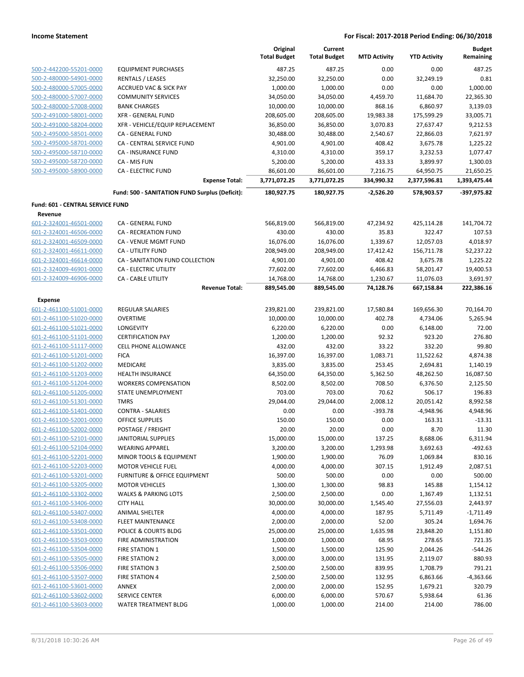|                                  |                                                    | Original<br><b>Total Budget</b> | Current<br><b>Total Budget</b> | <b>MTD Activity</b>   | <b>YTD Activity</b>     | <b>Budget</b><br>Remaining |
|----------------------------------|----------------------------------------------------|---------------------------------|--------------------------------|-----------------------|-------------------------|----------------------------|
| 500-2-442200-55201-0000          | <b>EQUIPMENT PURCHASES</b>                         | 487.25                          | 487.25                         | 0.00                  | 0.00                    | 487.25                     |
| 500-2-480000-54901-0000          | <b>RENTALS / LEASES</b>                            | 32,250.00                       | 32,250.00                      | 0.00                  | 32,249.19               | 0.81                       |
| 500-2-480000-57005-0000          | <b>ACCRUED VAC &amp; SICK PAY</b>                  | 1,000.00                        | 1,000.00                       | 0.00                  | 0.00                    | 1,000.00                   |
| 500-2-480000-57007-0000          | <b>COMMUNITY SERVICES</b>                          | 34,050.00                       | 34,050.00                      | 4,459.70              | 11,684.70               | 22,365.30                  |
| 500-2-480000-57008-0000          | <b>BANK CHARGES</b>                                | 10,000.00                       | 10,000.00                      | 868.16                | 6,860.97                | 3,139.03                   |
| 500-2-491000-58001-0000          | <b>XFR - GENERAL FUND</b>                          | 208,605.00                      | 208,605.00                     | 19,983.38             | 175,599.29              | 33,005.71                  |
| 500-2-491000-58204-0000          | XFR - VEHICLE/EQUIP REPLACEMENT                    | 36,850.00                       | 36,850.00                      | 3,070.83              | 27,637.47               | 9,212.53                   |
| 500-2-495000-58501-0000          | CA - GENERAL FUND                                  | 30,488.00                       | 30,488.00                      | 2,540.67              | 22,866.03               | 7,621.97                   |
| 500-2-495000-58701-0000          | CA - CENTRAL SERVICE FUND                          | 4,901.00                        | 4,901.00                       | 408.42                | 3,675.78                | 1,225.22                   |
| 500-2-495000-58710-0000          | <b>CA - INSURANCE FUND</b>                         | 4,310.00                        | 4,310.00                       | 359.17                | 3,232.53                | 1,077.47                   |
| 500-2-495000-58720-0000          | CA - MIS FUN                                       | 5,200.00                        | 5,200.00                       | 433.33                | 3,899.97                | 1,300.03                   |
| 500-2-495000-58900-0000          | <b>CA - ELECTRIC FUND</b>                          | 86,601.00                       | 86,601.00                      | 7,216.75              | 64,950.75               | 21,650.25                  |
|                                  | <b>Expense Total:</b>                              | 3,771,072.25                    | 3,771,072.25                   | 334,990.32            | 2,377,596.81            | 1,393,475.44               |
|                                  | Fund: 500 - SANITATION FUND Surplus (Deficit):     | 180,927.75                      | 180,927.75                     | $-2,526.20$           | 578,903.57              | -397,975.82                |
| Fund: 601 - CENTRAL SERVICE FUND |                                                    |                                 |                                |                       |                         |                            |
| Revenue                          |                                                    |                                 |                                |                       |                         |                            |
| 601-2-324001-46501-0000          | CA - GENERAL FUND                                  | 566,819.00                      | 566,819.00                     | 47,234.92             | 425,114.28              | 141,704.72                 |
| 601-2-324001-46506-0000          | <b>CA - RECREATION FUND</b>                        | 430.00                          | 430.00                         | 35.83                 | 322.47                  | 107.53                     |
| 601-2-324001-46509-0000          | <b>CA - VENUE MGMT FUND</b>                        | 16,076.00                       | 16,076.00                      | 1,339.67              | 12,057.03               | 4,018.97                   |
| 601-2-324001-46611-0000          | <b>CA - UTILITY FUND</b>                           | 208,949.00                      | 208,949.00                     | 17,412.42             | 156,711.78              | 52,237.22                  |
| 601-2-324001-46614-0000          | CA - SANITATION FUND COLLECTION                    | 4,901.00                        | 4,901.00                       | 408.42                | 3,675.78                | 1,225.22                   |
| 601-2-324009-46901-0000          | <b>CA - ELECTRIC UTILITY</b>                       | 77,602.00                       | 77,602.00                      | 6,466.83              | 58,201.47               | 19,400.53                  |
| 601-2-324009-46906-0000          | <b>CA - CABLE UTILITY</b><br><b>Revenue Total:</b> | 14,768.00<br>889,545.00         | 14,768.00<br>889,545.00        | 1,230.67<br>74,128.76 | 11,076.03<br>667,158.84 | 3,691.97<br>222,386.16     |
| <b>Expense</b>                   |                                                    |                                 |                                |                       |                         |                            |
| 601-2-461100-51001-0000          | <b>REGULAR SALARIES</b>                            | 239,821.00                      | 239,821.00                     | 17,580.84             | 169,656.30              | 70,164.70                  |
| 601-2-461100-51020-0000          | <b>OVERTIME</b>                                    | 10,000.00                       | 10,000.00                      | 402.78                | 4,734.06                | 5,265.94                   |
| 601-2-461100-51021-0000          | LONGEVITY                                          | 6,220.00                        | 6,220.00                       | 0.00                  | 6,148.00                | 72.00                      |
| 601-2-461100-51101-0000          | <b>CERTIFICATION PAY</b>                           | 1,200.00                        | 1,200.00                       | 92.32                 | 923.20                  | 276.80                     |
| 601-2-461100-51117-0000          | <b>CELL PHONE ALLOWANCE</b>                        | 432.00                          | 432.00                         | 33.22                 | 332.20                  | 99.80                      |
| 601-2-461100-51201-0000          | <b>FICA</b>                                        | 16,397.00                       | 16,397.00                      | 1,083.71              | 11,522.62               | 4,874.38                   |
| 601-2-461100-51202-0000          | <b>MEDICARE</b>                                    | 3,835.00                        | 3,835.00                       | 253.45                | 2,694.81                | 1,140.19                   |
| 601-2-461100-51203-0000          | <b>HEALTH INSURANCE</b>                            | 64,350.00                       | 64,350.00                      | 5,362.50              | 48,262.50               | 16,087.50                  |
| 601-2-461100-51204-0000          | <b>WORKERS COMPENSATION</b>                        | 8,502.00                        | 8,502.00                       | 708.50                | 6,376.50                | 2,125.50                   |
| 601-2-461100-51205-0000          | STATE UNEMPLOYMENT                                 | 703.00                          | 703.00                         | 70.62                 | 506.17                  | 196.83                     |
| 601-2-461100-51301-0000          | <b>TMRS</b>                                        | 29,044.00                       | 29,044.00                      | 2,008.12              | 20,051.42               | 8,992.58                   |
| 601-2-461100-51401-0000          | <b>CONTRA - SALARIES</b>                           | 0.00                            | 0.00                           | $-393.78$             | -4,948.96               | 4,948.96                   |
| 601-2-461100-52001-0000          | <b>OFFICE SUPPLIES</b>                             | 150.00                          | 150.00                         | 0.00                  | 163.31                  | $-13.31$                   |
| 601-2-461100-52002-0000          | POSTAGE / FREIGHT                                  | 20.00                           | 20.00                          | 0.00                  | 8.70                    | 11.30                      |
| 601-2-461100-52101-0000          | <b>JANITORIAL SUPPLIES</b>                         | 15,000.00                       | 15,000.00                      | 137.25                | 8,688.06                | 6,311.94                   |
| 601-2-461100-52104-0000          | <b>WEARING APPAREL</b>                             | 3,200.00                        | 3,200.00                       | 1,293.98              | 3,692.63                | $-492.63$                  |
| 601-2-461100-52201-0000          | MINOR TOOLS & EQUIPMENT                            | 1,900.00                        | 1,900.00                       | 76.09                 | 1,069.84                | 830.16                     |
| 601-2-461100-52203-0000          | <b>MOTOR VEHICLE FUEL</b>                          | 4,000.00                        | 4,000.00                       | 307.15                | 1,912.49                | 2,087.51                   |
| 601-2-461100-53201-0000          | FURNITURE & OFFICE EQUIPMENT                       | 500.00                          | 500.00                         | 0.00                  | 0.00                    | 500.00                     |
| 601-2-461100-53205-0000          | <b>MOTOR VEHICLES</b>                              | 1,300.00                        | 1,300.00                       | 98.83                 | 145.88                  | 1,154.12                   |
| 601-2-461100-53302-0000          | <b>WALKS &amp; PARKING LOTS</b>                    | 2,500.00                        | 2,500.00                       | 0.00                  | 1,367.49                | 1,132.51                   |
| 601-2-461100-53406-0000          | <b>CITY HALL</b>                                   | 30,000.00                       | 30,000.00                      | 1,545.40              | 27,556.03               | 2,443.97                   |
| 601-2-461100-53407-0000          | <b>ANIMAL SHELTER</b>                              | 4,000.00                        | 4,000.00                       | 187.95                | 5,711.49                | $-1,711.49$                |
| 601-2-461100-53408-0000          | <b>FLEET MAINTENANCE</b>                           | 2,000.00                        | 2,000.00                       | 52.00                 | 305.24                  | 1,694.76                   |
| 601-2-461100-53501-0000          | POLICE & COURTS BLDG                               | 25,000.00                       | 25,000.00                      | 1,635.98              | 23,848.20               | 1,151.80                   |
| 601-2-461100-53503-0000          | FIRE ADMINISTRATION                                | 1,000.00                        | 1,000.00                       | 68.95                 | 278.65                  | 721.35                     |
| 601-2-461100-53504-0000          | <b>FIRE STATION 1</b>                              | 1,500.00                        | 1,500.00                       | 125.90                | 2,044.26                | $-544.26$                  |
| 601-2-461100-53505-0000          | <b>FIRE STATION 2</b>                              | 3,000.00                        | 3,000.00                       | 131.95                | 2,119.07                | 880.93                     |
| 601-2-461100-53506-0000          | FIRE STATION 3                                     | 2,500.00                        | 2,500.00                       | 839.95                | 1,708.79                | 791.21                     |
| 601-2-461100-53507-0000          | <b>FIRE STATION 4</b>                              | 2,500.00                        | 2,500.00                       | 132.95                | 6,863.66                | $-4,363.66$                |
| 601-2-461100-53601-0000          | <b>ANNEX</b>                                       | 2,000.00                        | 2,000.00                       | 152.95                | 1,679.21                | 320.79                     |
| 601-2-461100-53602-0000          | <b>SERVICE CENTER</b>                              | 6,000.00                        | 6,000.00                       | 570.67                | 5,938.64                | 61.36                      |
| 601-2-461100-53603-0000          | WATER TREATMENT BLDG                               | 1,000.00                        | 1,000.00                       | 214.00                | 214.00                  | 786.00                     |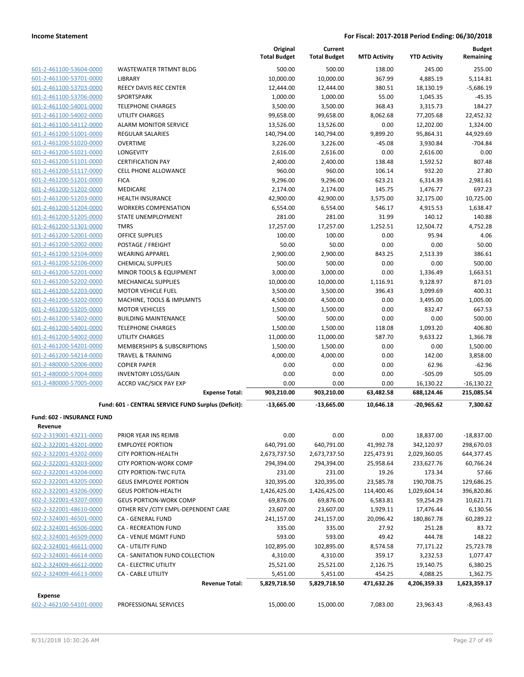| 601-2-461100-53604-0000        |
|--------------------------------|
| 601-2-461100-53701-0000        |
| 601-2-461100-53703-0000        |
| 601-2-461100-53706-0000        |
| 601-2-461100-54001-0000        |
| 601-2-461100-54002-0000        |
| 601-2-461100-54112-0000        |
| 601-2-461200-51001-0000        |
| 601-2-461200-51020-0000        |
| 601-2-461200-51021-0000        |
| 601-2-461200-51101-0000        |
| 601-2-461200-51117-0000        |
| 601-2-461200-51201-0000        |
| 601-2-461200-51202-0000        |
| 601-2-461200-51203-0000        |
| 601-2-461200-51204-0000        |
| <u>601-2-461200-51205-0000</u> |
| 601-2-461200-51301-0000        |
| 601-2-461200-52001-0000        |
| 601-2-461200-52002-0000        |
| 601-2-461200-52104-0000        |
| 601-2-461200-52106-0000        |
| 601-2-461200-52201-0000        |
| 601-2-461200-52202-0000        |
| 601-2-461200-52203-0000        |
| 601-2-461200-53202-0000        |
| 601-2-461200-53205-0000        |
| 601-2-461200-53402-0000        |
| 601-2-461200-54001-0000        |
| 601-2-461200-54002-0000        |
| 601-2-461200-54201-0000        |
| 601-2-461200-54214-0000        |
| 601-2-480000-52006-0000        |
| 601-2-480000-57004-0000        |
| 601-2-480000-57005-0000        |

|                                   |                                                     | Original            | Current             |                     |                     |                            |
|-----------------------------------|-----------------------------------------------------|---------------------|---------------------|---------------------|---------------------|----------------------------|
|                                   |                                                     | <b>Total Budget</b> | <b>Total Budget</b> | <b>MTD Activity</b> | <b>YTD Activity</b> | <b>Budget</b><br>Remaining |
| 601-2-461100-53604-0000           | <b>WASTEWATER TRTMNT BLDG</b>                       | 500.00              | 500.00              | 138.00              | 245.00              | 255.00                     |
| 601-2-461100-53701-0000           | <b>LIBRARY</b>                                      | 10,000.00           | 10,000.00           | 367.99              | 4,885.19            | 5,114.81                   |
| 601-2-461100-53703-0000           | REECY DAVIS REC CENTER                              | 12,444.00           | 12,444.00           | 380.51              | 18,130.19           | $-5,686.19$                |
| 601-2-461100-53706-0000           | <b>SPORTSPARK</b>                                   | 1,000.00            | 1,000.00            | 55.00               | 1,045.35            | $-45.35$                   |
| 601-2-461100-54001-0000           | <b>TELEPHONE CHARGES</b>                            | 3,500.00            | 3,500.00            | 368.43              | 3,315.73            | 184.27                     |
| 601-2-461100-54002-0000           | <b>UTILITY CHARGES</b>                              | 99,658.00           | 99,658.00           | 8,062.68            | 77,205.68           | 22,452.32                  |
| 601-2-461100-54112-0000           | <b>ALARM MONITOR SERVICE</b>                        | 13,526.00           | 13,526.00           | 0.00                | 12,202.00           | 1,324.00                   |
| 601-2-461200-51001-0000           | <b>REGULAR SALARIES</b>                             | 140,794.00          | 140,794.00          | 9,899.20            | 95,864.31           | 44,929.69                  |
| 601-2-461200-51020-0000           | OVERTIME                                            | 3,226.00            | 3,226.00            | -45.08              | 3,930.84            | $-704.84$                  |
| 601-2-461200-51021-0000           | LONGEVITY                                           | 2,616.00            | 2,616.00            | 0.00                | 2,616.00            | 0.00                       |
| 601-2-461200-51101-0000           | <b>CERTIFICATION PAY</b>                            | 2,400.00            | 2,400.00            | 138.48              | 1,592.52            | 807.48                     |
| 601-2-461200-51117-0000           | <b>CELL PHONE ALLOWANCE</b>                         | 960.00              | 960.00              | 106.14              | 932.20              | 27.80                      |
| 601-2-461200-51201-0000           | <b>FICA</b>                                         | 9,296.00            | 9,296.00            | 623.21              | 6,314.39            | 2,981.61                   |
| 601-2-461200-51202-0000           | MEDICARE                                            | 2,174.00            | 2,174.00            | 145.75              | 1,476.77            | 697.23                     |
| 601-2-461200-51203-0000           | <b>HEALTH INSURANCE</b>                             | 42,900.00           | 42,900.00           | 3,575.00            | 32,175.00           | 10,725.00                  |
| 601-2-461200-51204-0000           | <b>WORKERS COMPENSATION</b>                         | 6,554.00            | 6,554.00            | 546.17              | 4,915.53            | 1,638.47                   |
| 601-2-461200-51205-0000           | STATE UNEMPLOYMENT                                  | 281.00              | 281.00              | 31.99               | 140.12              | 140.88                     |
| 601-2-461200-51301-0000           | <b>TMRS</b>                                         | 17,257.00           | 17,257.00           | 1,252.51            | 12,504.72           | 4,752.28                   |
| 601-2-461200-52001-0000           | <b>OFFICE SUPPLIES</b>                              | 100.00              | 100.00              | 0.00                | 95.94               | 4.06                       |
| 601-2-461200-52002-0000           | POSTAGE / FREIGHT                                   | 50.00               | 50.00               | 0.00                | 0.00                | 50.00                      |
| 601-2-461200-52104-0000           | <b>WEARING APPAREL</b>                              | 2,900.00            | 2,900.00            | 843.25              | 2,513.39            | 386.61                     |
| 601-2-461200-52106-0000           | <b>CHEMICAL SUPPLIES</b>                            | 500.00              | 500.00              | 0.00                | 0.00                | 500.00                     |
| 601-2-461200-52201-0000           | MINOR TOOLS & EQUIPMENT                             | 3,000.00            | 3,000.00            | 0.00                | 1,336.49            | 1,663.51                   |
| 601-2-461200-52202-0000           | <b>MECHANICAL SUPPLIES</b>                          | 10,000.00           | 10,000.00           | 1,116.91            | 9,128.97            | 871.03                     |
| 601-2-461200-52203-0000           | <b>MOTOR VEHICLE FUEL</b>                           | 3,500.00            | 3,500.00            | 396.43              | 3,099.69            | 400.31                     |
| 601-2-461200-53202-0000           | MACHINE, TOOLS & IMPLMNTS                           | 4,500.00            | 4,500.00            | 0.00                | 3,495.00            | 1,005.00                   |
| 601-2-461200-53205-0000           | <b>MOTOR VEHICLES</b>                               | 1,500.00            | 1,500.00            | 0.00                | 832.47              | 667.53                     |
| 601-2-461200-53402-0000           | <b>BUILDING MAINTENANCE</b>                         | 500.00              | 500.00              | 0.00                | 0.00                | 500.00                     |
| 601-2-461200-54001-0000           | <b>TELEPHONE CHARGES</b>                            | 1,500.00            | 1,500.00            | 118.08              | 1,093.20            | 406.80                     |
| 601-2-461200-54002-0000           | <b>UTILITY CHARGES</b>                              | 11,000.00           | 11,000.00           | 587.70              | 9,633.22            | 1,366.78                   |
| 601-2-461200-54201-0000           | MEMBERSHIPS & SUBSCRIPTIONS                         | 1,500.00            | 1,500.00            | 0.00                | 0.00                | 1,500.00                   |
| 601-2-461200-54214-0000           | <b>TRAVEL &amp; TRAINING</b>                        | 4,000.00            | 4,000.00            | 0.00                | 142.00              | 3,858.00                   |
| 601-2-480000-52006-0000           | <b>COPIER PAPER</b>                                 | 0.00                | 0.00                | 0.00                | 62.96               | $-62.96$                   |
| 601-2-480000-57004-0000           | <b>INVENTORY LOSS/GAIN</b>                          | 0.00                | 0.00                | 0.00                | $-505.09$           | 505.09                     |
| 601-2-480000-57005-0000           | <b>ACCRD VAC/SICK PAY EXP</b>                       | 0.00                | 0.00                | 0.00                | 16,130.22           | $-16,130.22$               |
|                                   | <b>Expense Total:</b>                               | 903,210.00          | 903,210.00          | 63,482.58           | 688,124.46          | 215,085.54                 |
|                                   | Fund: 601 - CENTRAL SERVICE FUND Surplus (Deficit): | $-13,665.00$        | $-13,665.00$        | 10,646.18           | -20,965.62          | 7,300.62                   |
| <b>Fund: 602 - INSURANCE FUND</b> |                                                     |                     |                     |                     |                     |                            |
| Revenue                           |                                                     |                     |                     |                     |                     |                            |
| 602-2-319001-43211-0000           | PRIOR YEAR INS REIMB                                | 0.00                | 0.00                | 0.00                | 18,837.00           | $-18,837.00$               |
| 602-2-322001-43201-0000           | <b>EMPLOYEE PORTION</b>                             | 640,791.00          | 640,791.00          | 41,992.78           | 342,120.97          | 298,670.03                 |
| 602-2-322001-43202-0000           | <b>CITY PORTION-HEALTH</b>                          | 2,673,737.50        | 2,673,737.50        | 225,473.91          | 2,029,360.05        | 644,377.45                 |
| 602-2-322001-43203-0000           | <b>CITY PORTION-WORK COMP</b>                       | 294,394.00          | 294,394.00          | 25,958.64           | 233,627.76          | 60,766.24                  |
| 602-2-322001-43204-0000           | <b>CITY PORTION-TWC FUTA</b>                        | 231.00              | 231.00              | 19.26               | 173.34              | 57.66                      |
| 602-2-322001-43205-0000           | <b>GEUS EMPLOYEE PORTION</b>                        | 320,395.00          | 320,395.00          | 23,585.78           | 190,708.75          | 129,686.25                 |
| 602-2-322001-43206-0000           | <b>GEUS PORTION-HEALTH</b>                          | 1,426,425.00        | 1,426,425.00        | 114,400.46          | 1,029,604.14        | 396,820.86                 |
| 602-2-322001-43207-0000           | <b>GEUS PORTION-WORK COMP</b>                       | 69,876.00           | 69,876.00           | 6,583.81            | 59,254.29           | 10,621.71                  |
| 602-2-322001-48610-0000           | OTHER REV / CITY EMPL-DEPENDENT CARE                | 23,607.00           | 23,607.00           | 1,929.11            | 17,476.44           | 6,130.56                   |
| 602-2-324001-46501-0000           | CA - GENERAL FUND                                   | 241,157.00          | 241,157.00          | 20,096.42           | 180,867.78          | 60,289.22                  |
| 602-2-324001-46506-0000           | <b>CA - RECREATION FUND</b>                         | 335.00              | 335.00              | 27.92               | 251.28              | 83.72                      |
| 602-2-324001-46509-0000           | CA - VENUE MGMT FUND                                | 593.00              | 593.00              | 49.42               | 444.78              | 148.22                     |
| 602-2-324001-46611-0000           | <b>CA - UTILITY FUND</b>                            | 102,895.00          | 102,895.00          | 8,574.58            | 77,171.22           | 25,723.78                  |
| 602-2-324001-46614-0000           | CA - SANITATION FUND COLLECTION                     | 4,310.00            | 4,310.00            | 359.17              | 3,232.53            | 1,077.47                   |
| 602-2-324009-46612-0000           | CA - ELECTRIC UTILITY                               | 25,521.00           | 25,521.00           | 2,126.75            | 19,140.75           | 6,380.25                   |
| 602-2-324009-46613-0000           | CA - CABLE UTILITY                                  | 5,451.00            | 5,451.00            | 454.25              | 4,088.25            | 1,362.75                   |
|                                   | <b>Revenue Total:</b>                               | 5,829,718.50        | 5,829,718.50        | 471,632.26          | 4,206,359.33        | 1,623,359.17               |

### **Expense**

602-2-462100-54101-0000 PROFESSIONAL SERVICES 15,000.00 15,000.00 7,083.00 23,963.43 -8,963.43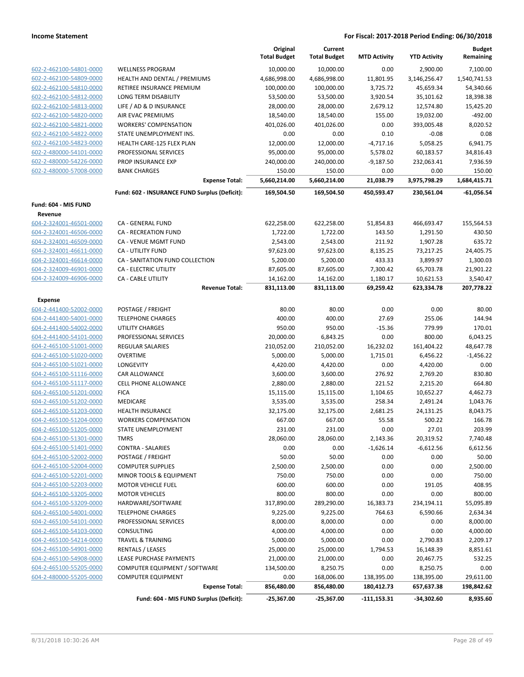|                                                    |                                               | Original<br><b>Total Budget</b> | Current<br><b>Total Budget</b> | <b>MTD Activity</b> | <b>YTD Activity</b>   | <b>Budget</b><br>Remaining |
|----------------------------------------------------|-----------------------------------------------|---------------------------------|--------------------------------|---------------------|-----------------------|----------------------------|
| 602-2-462100-54801-0000                            | <b>WELLNESS PROGRAM</b>                       | 10,000.00                       | 10,000.00                      | 0.00                | 2,900.00              | 7,100.00                   |
| 602-2-462100-54809-0000                            | <b>HEALTH AND DENTAL / PREMIUMS</b>           | 4,686,998.00                    | 4,686,998.00                   | 11,801.95           | 3,146,256.47          | 1,540,741.53               |
| 602-2-462100-54810-0000                            | RETIREE INSURANCE PREMIUM                     | 100,000.00                      | 100,000.00                     | 3,725.72            | 45,659.34             | 54,340.66                  |
| 602-2-462100-54812-0000                            | <b>LONG TERM DISABILITY</b>                   | 53,500.00                       | 53,500.00                      | 3,920.54            | 35,101.62             | 18,398.38                  |
| 602-2-462100-54813-0000                            | LIFE / AD & D INSURANCE                       | 28,000.00                       | 28,000.00                      | 2,679.12            | 12,574.80             | 15,425.20                  |
| 602-2-462100-54820-0000                            | AIR EVAC PREMIUMS                             | 18,540.00                       | 18,540.00                      | 155.00              | 19,032.00             | $-492.00$                  |
| 602-2-462100-54821-0000                            | <b>WORKERS' COMPENSATION</b>                  | 401,026.00                      | 401,026.00                     | 0.00                | 393,005.48            | 8,020.52                   |
| 602-2-462100-54822-0000                            | STATE UNEMPLOYMENT INS.                       | 0.00                            | 0.00                           | 0.10                | $-0.08$               | 0.08                       |
| 602-2-462100-54823-0000                            | HEALTH CARE-125 FLEX PLAN                     | 12,000.00                       | 12,000.00                      | $-4,717.16$         | 5,058.25              | 6,941.75                   |
| 602-2-480000-54101-0000                            | PROFESSIONAL SERVICES                         | 95,000.00                       | 95,000.00                      | 5,578.02            | 60,183.57             | 34,816.43                  |
| 602-2-480000-54226-0000                            | PROP INSURANCE EXP                            | 240,000.00                      | 240,000.00                     | $-9,187.50$         | 232,063.41            | 7,936.59                   |
| 602-2-480000-57008-0000                            | <b>BANK CHARGES</b>                           | 150.00                          | 150.00                         | 0.00                | 0.00                  | 150.00                     |
|                                                    | <b>Expense Total:</b>                         | 5,660,214.00                    | 5,660,214.00                   | 21,038.79           | 3,975,798.29          | 1,684,415.71               |
|                                                    | Fund: 602 - INSURANCE FUND Surplus (Deficit): | 169,504.50                      | 169,504.50                     | 450,593.47          | 230,561.04            | $-61,056.54$               |
| Fund: 604 - MIS FUND                               |                                               |                                 |                                |                     |                       |                            |
| Revenue                                            |                                               |                                 |                                |                     |                       |                            |
| 604-2-324001-46501-0000                            | CA - GENERAL FUND                             | 622,258.00                      | 622,258.00                     | 51,854.83           | 466,693.47            | 155,564.53                 |
| 604-2-324001-46506-0000                            | CA - RECREATION FUND                          | 1,722.00                        | 1,722.00                       | 143.50              | 1,291.50              | 430.50                     |
| 604-2-324001-46509-0000                            | CA - VENUE MGMT FUND                          | 2,543.00                        | 2,543.00                       | 211.92              | 1,907.28              | 635.72                     |
| 604-2-324001-46611-0000                            | CA - UTILITY FUND                             | 97,623.00                       | 97,623.00                      | 8,135.25            | 73,217.25             | 24,405.75                  |
| 604-2-324001-46614-0000                            | CA - SANITATION FUND COLLECTION               | 5,200.00                        | 5,200.00                       | 433.33              | 3,899.97              | 1,300.03                   |
| 604-2-324009-46901-0000                            | CA - ELECTRIC UTILITY                         | 87,605.00                       | 87,605.00                      | 7,300.42            | 65,703.78             | 21,901.22                  |
| 604-2-324009-46906-0000                            | CA - CABLE UTILITY                            | 14,162.00                       | 14,162.00                      | 1,180.17            | 10,621.53             | 3,540.47                   |
|                                                    | <b>Revenue Total:</b>                         | 831,113.00                      | 831,113.00                     | 69,259.42           | 623,334.78            | 207,778.22                 |
| Expense                                            |                                               |                                 |                                |                     |                       |                            |
| 604-2-441400-52002-0000                            | POSTAGE / FREIGHT                             | 80.00                           | 80.00                          | 0.00                | 0.00                  | 80.00                      |
| 604-2-441400-54001-0000                            | <b>TELEPHONE CHARGES</b>                      | 400.00                          | 400.00                         | 27.69               | 255.06                | 144.94                     |
| 604-2-441400-54002-0000                            | <b>UTILITY CHARGES</b>                        | 950.00                          | 950.00                         | $-15.36$            | 779.99                | 170.01                     |
| 604-2-441400-54101-0000                            | PROFESSIONAL SERVICES                         | 20,000.00                       | 6,843.25                       | 0.00                | 800.00                | 6,043.25                   |
| 604-2-465100-51001-0000                            | <b>REGULAR SALARIES</b>                       | 210,052.00                      | 210,052.00                     | 16,232.02           | 161,404.22            | 48,647.78                  |
| 604-2-465100-51020-0000                            | <b>OVERTIME</b>                               | 5,000.00                        | 5,000.00                       | 1,715.01            | 6,456.22              | $-1,456.22$                |
| 604-2-465100-51021-0000                            | LONGEVITY                                     | 4,420.00                        | 4,420.00                       | 0.00                | 4,420.00              | 0.00                       |
| 604-2-465100-51116-0000<br>604-2-465100-51117-0000 | CAR ALLOWANCE                                 | 3,600.00                        | 3,600.00                       | 276.92              | 2,769.20              | 830.80                     |
| 604-2-465100-51201-0000                            | <b>CELL PHONE ALLOWANCE</b><br><b>FICA</b>    | 2,880.00<br>15,115.00           | 2,880.00                       | 221.52<br>1,104.65  | 2,215.20<br>10,652.27 | 664.80<br>4,462.73         |
| 604-2-465100-51202-0000                            | MEDICARE                                      | 3,535.00                        | 15,115.00<br>3,535.00          | 258.34              | 2,491.24              | 1,043.76                   |
| 604-2-465100-51203-0000                            | <b>HEALTH INSURANCE</b>                       | 32,175.00                       | 32,175.00                      | 2,681.25            | 24,131.25             | 8,043.75                   |
| 604-2-465100-51204-0000                            | <b>WORKERS COMPENSATION</b>                   | 667.00                          | 667.00                         | 55.58               | 500.22                | 166.78                     |
| 604-2-465100-51205-0000                            | STATE UNEMPLOYMENT                            | 231.00                          | 231.00                         | 0.00                | 27.01                 | 203.99                     |
| 604-2-465100-51301-0000                            | <b>TMRS</b>                                   | 28,060.00                       | 28,060.00                      | 2,143.36            | 20,319.52             | 7,740.48                   |
| 604-2-465100-51401-0000                            | <b>CONTRA - SALARIES</b>                      | 0.00                            | 0.00                           | $-1,626.14$         | $-6,612.56$           | 6,612.56                   |
| 604-2-465100-52002-0000                            | POSTAGE / FREIGHT                             | 50.00                           | 50.00                          | 0.00                | 0.00                  | 50.00                      |
| 604-2-465100-52004-0000                            | <b>COMPUTER SUPPLIES</b>                      | 2,500.00                        | 2,500.00                       | 0.00                | 0.00                  | 2,500.00                   |
| 604-2-465100-52201-0000                            | MINOR TOOLS & EQUIPMENT                       | 750.00                          | 750.00                         | 0.00                | 0.00                  | 750.00                     |
| 604-2-465100-52203-0000                            | <b>MOTOR VEHICLE FUEL</b>                     | 600.00                          | 600.00                         | 0.00                | 191.05                | 408.95                     |
| 604-2-465100-53205-0000                            | <b>MOTOR VEHICLES</b>                         | 800.00                          | 800.00                         | 0.00                | 0.00                  | 800.00                     |
| 604-2-465100-53209-0000                            | HARDWARE/SOFTWARE                             | 317,890.00                      | 289,290.00                     | 16,383.73           | 234,194.11            | 55,095.89                  |
| 604-2-465100-54001-0000                            | <b>TELEPHONE CHARGES</b>                      | 9,225.00                        | 9,225.00                       | 764.63              | 6,590.66              | 2,634.34                   |
| 604-2-465100-54101-0000                            | PROFESSIONAL SERVICES                         | 8,000.00                        | 8,000.00                       | 0.00                | 0.00                  | 8,000.00                   |
| 604-2-465100-54103-0000                            | CONSULTING                                    | 4,000.00                        | 4,000.00                       | 0.00                | 0.00                  | 4,000.00                   |
| 604-2-465100-54214-0000                            | <b>TRAVEL &amp; TRAINING</b>                  | 5,000.00                        | 5,000.00                       | 0.00                | 2,790.83              | 2,209.17                   |
| 604-2-465100-54901-0000                            | RENTALS / LEASES                              | 25,000.00                       | 25,000.00                      | 1,794.53            | 16,148.39             | 8,851.61                   |
| 604-2-465100-54908-0000                            | LEASE PURCHASE PAYMENTS                       | 21,000.00                       | 21,000.00                      | 0.00                | 20,467.75             | 532.25                     |
| 604-2-465100-55205-0000                            | COMPUTER EQUIPMENT / SOFTWARE                 | 134,500.00                      | 8,250.75                       | 0.00                | 8,250.75              | 0.00                       |
| 604-2-480000-55205-0000                            | <b>COMPUTER EQUIPMENT</b>                     | 0.00                            | 168,006.00                     | 138,395.00          | 138,395.00            | 29,611.00                  |
|                                                    | <b>Expense Total:</b>                         | 856,480.00                      | 856,480.00                     | 180,412.73          | 657,637.38            | 198,842.62                 |
|                                                    | Fund: 604 - MIS FUND Surplus (Deficit):       | $-25,367.00$                    | $-25,367.00$                   | $-111,153.31$       | $-34,302.60$          | 8,935.60                   |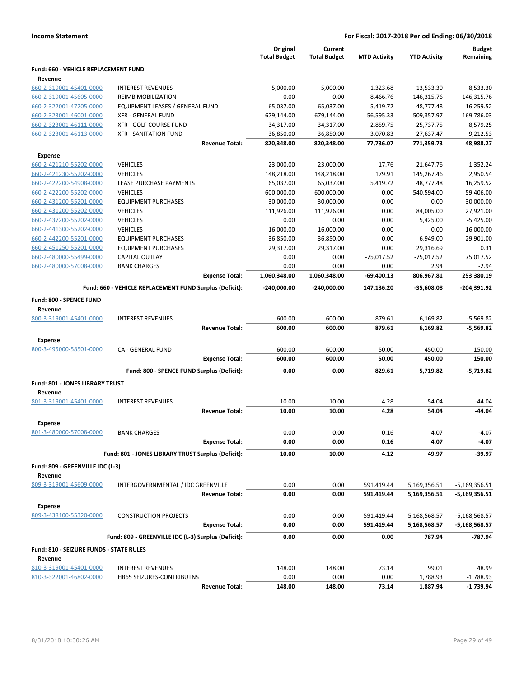|                                                           |                                                         |                       | Original<br><b>Total Budget</b> | Current<br><b>Total Budget</b> | <b>MTD Activity</b> | <b>YTD Activity</b> | <b>Budget</b><br>Remaining |
|-----------------------------------------------------------|---------------------------------------------------------|-----------------------|---------------------------------|--------------------------------|---------------------|---------------------|----------------------------|
| Fund: 660 - VEHICLE REPLACEMENT FUND<br>Revenue           |                                                         |                       |                                 |                                |                     |                     |                            |
| 660-2-319001-45401-0000                                   | <b>INTEREST REVENUES</b>                                |                       | 5,000.00                        | 5.000.00                       | 1,323.68            | 13,533.30           | $-8,533.30$                |
| 660-2-319001-45605-0000                                   | <b>REIMB MOBILIZATION</b>                               |                       | 0.00                            | 0.00                           | 8,466.76            | 146,315.76          | $-146,315.76$              |
| 660-2-322001-47205-0000                                   | EQUIPMENT LEASES / GENERAL FUND                         |                       | 65,037.00                       | 65,037.00                      | 5,419.72            | 48,777.48           | 16,259.52                  |
| 660-2-323001-46001-0000                                   | <b>XFR - GENERAL FUND</b>                               |                       | 679,144.00                      | 679,144.00                     | 56,595.33           | 509,357.97          | 169,786.03                 |
| 660-2-323001-46111-0000                                   | <b>XFR - GOLF COURSE FUND</b>                           |                       | 34,317.00                       | 34,317.00                      | 2,859.75            | 25,737.75           | 8,579.25                   |
| 660-2-323001-46113-0000                                   | <b>XFR - SANITATION FUND</b>                            |                       | 36,850.00                       | 36,850.00                      | 3,070.83            | 27,637.47           | 9,212.53                   |
|                                                           |                                                         | <b>Revenue Total:</b> | 820,348.00                      | 820,348.00                     | 77,736.07           | 771,359.73          | 48,988.27                  |
| <b>Expense</b>                                            |                                                         |                       |                                 |                                |                     |                     |                            |
| 660-2-421210-55202-0000                                   | <b>VEHICLES</b>                                         |                       | 23,000.00                       | 23,000.00                      | 17.76               | 21,647.76           | 1,352.24                   |
| 660-2-421230-55202-0000                                   | <b>VEHICLES</b>                                         |                       | 148,218.00                      | 148,218.00                     | 179.91              | 145,267.46          | 2,950.54                   |
| 660-2-422200-54908-0000                                   | LEASE PURCHASE PAYMENTS                                 |                       | 65,037.00                       | 65,037.00                      | 5,419.72            | 48,777.48           | 16,259.52                  |
| 660-2-422200-55202-0000                                   | <b>VEHICLES</b>                                         |                       | 600,000.00                      | 600,000.00                     | 0.00                | 540,594.00          | 59,406.00                  |
| 660-2-431200-55201-0000                                   | <b>EQUIPMENT PURCHASES</b>                              |                       | 30,000.00                       | 30,000.00                      | 0.00                | 0.00                | 30,000.00                  |
| 660-2-431200-55202-0000                                   | <b>VEHICLES</b>                                         |                       | 111,926.00                      | 111,926.00                     | 0.00                | 84,005.00           | 27,921.00                  |
| 660-2-437200-55202-0000                                   | <b>VEHICLES</b>                                         |                       | 0.00                            | 0.00                           | 0.00                | 5,425.00            | $-5,425.00$                |
| 660-2-441300-55202-0000                                   | <b>VEHICLES</b>                                         |                       | 16,000.00                       | 16,000.00                      | 0.00                | 0.00                | 16,000.00                  |
| 660-2-442200-55201-0000                                   | <b>EQUIPMENT PURCHASES</b>                              |                       | 36,850.00                       | 36,850.00                      | 0.00                | 6,949.00            | 29,901.00                  |
| 660-2-451250-55201-0000                                   | <b>EQUIPMENT PURCHASES</b>                              |                       | 29,317.00                       | 29,317.00                      | 0.00                | 29,316.69           | 0.31                       |
| 660-2-480000-55499-0000                                   | CAPITAL OUTLAY                                          |                       | 0.00                            | 0.00                           | $-75,017.52$        | $-75,017.52$        | 75,017.52                  |
| 660-2-480000-57008-0000                                   | <b>BANK CHARGES</b>                                     |                       | 0.00                            | 0.00                           | 0.00                | 2.94                | $-2.94$                    |
|                                                           |                                                         | <b>Expense Total:</b> | 1,060,348.00                    | 1,060,348.00                   | $-69,400.13$        | 806,967.81          | 253,380.19                 |
|                                                           |                                                         |                       |                                 |                                |                     |                     |                            |
|                                                           | Fund: 660 - VEHICLE REPLACEMENT FUND Surplus (Deficit): |                       | $-240,000.00$                   | $-240,000.00$                  | 147,136.20          | $-35,608.08$        | -204,391.92                |
| Fund: 800 - SPENCE FUND                                   |                                                         |                       |                                 |                                |                     |                     |                            |
| Revenue                                                   |                                                         |                       |                                 |                                |                     |                     |                            |
| 800-3-319001-45401-0000                                   | <b>INTEREST REVENUES</b>                                |                       | 600.00                          | 600.00                         | 879.61              | 6,169.82            | $-5,569.82$                |
|                                                           |                                                         | <b>Revenue Total:</b> | 600.00                          | 600.00                         | 879.61              | 6,169.82            | $-5,569.82$                |
| <b>Expense</b>                                            |                                                         |                       |                                 |                                |                     |                     |                            |
| 800-3-495000-58501-0000                                   | CA - GENERAL FUND                                       |                       | 600.00                          | 600.00                         | 50.00               | 450.00              | 150.00                     |
|                                                           |                                                         | <b>Expense Total:</b> | 600.00                          | 600.00                         | 50.00               | 450.00              | 150.00                     |
|                                                           | Fund: 800 - SPENCE FUND Surplus (Deficit):              |                       | 0.00                            | 0.00                           | 829.61              | 5,719.82            | $-5,719.82$                |
|                                                           |                                                         |                       |                                 |                                |                     |                     |                            |
| Fund: 801 - JONES LIBRARY TRUST                           |                                                         |                       |                                 |                                |                     |                     |                            |
| Revenue                                                   |                                                         |                       |                                 |                                |                     |                     |                            |
| 801-3-319001-45401-0000                                   | <b>INTEREST REVENUES</b>                                |                       | 10.00                           | 10.00                          | 4.28                | 54.04               | $-44.04$                   |
|                                                           |                                                         | <b>Revenue Total:</b> | 10.00                           | 10.00                          | 4.28                | 54.04               | -44.04                     |
| <b>Expense</b>                                            |                                                         |                       |                                 |                                |                     |                     |                            |
| 801-3-480000-57008-0000                                   | BANK CHARGES                                            |                       | 0.00                            | 0.00                           | 0.16                | 4.07                | $-4.07$                    |
|                                                           |                                                         | <b>Expense Total:</b> | 0.00                            | 0.00                           | 0.16                | 4.07                | -4.07                      |
|                                                           | Fund: 801 - JONES LIBRARY TRUST Surplus (Deficit):      |                       | 10.00                           | 10.00                          | 4.12                | 49.97               | -39.97                     |
|                                                           |                                                         |                       |                                 |                                |                     |                     |                            |
| Fund: 809 - GREENVILLE IDC (L-3)                          |                                                         |                       |                                 |                                |                     |                     |                            |
| Revenue                                                   |                                                         |                       |                                 |                                |                     |                     |                            |
| 809-3-319001-45609-0000                                   | INTERGOVERNMENTAL / IDC GREENVILLE                      |                       | 0.00                            | 0.00                           | 591,419.44          | 5,169,356.51        | -5,169,356.51              |
|                                                           |                                                         | <b>Revenue Total:</b> | 0.00                            | 0.00                           | 591,419.44          | 5,169,356.51        | -5,169,356.51              |
| <b>Expense</b>                                            |                                                         |                       |                                 |                                |                     |                     |                            |
| 809-3-438100-55320-0000                                   | <b>CONSTRUCTION PROJECTS</b>                            |                       | 0.00                            | 0.00                           | 591,419.44          | 5,168,568.57        | -5,168,568.57              |
|                                                           |                                                         | <b>Expense Total:</b> | 0.00                            | 0.00                           | 591,419.44          | 5,168,568.57        | -5,168,568.57              |
|                                                           | Fund: 809 - GREENVILLE IDC (L-3) Surplus (Deficit):     |                       | 0.00                            | 0.00                           | 0.00                | 787.94              | -787.94                    |
|                                                           |                                                         |                       |                                 |                                |                     |                     |                            |
| <b>Fund: 810 - SEIZURE FUNDS - STATE RULES</b><br>Revenue |                                                         |                       |                                 |                                |                     |                     |                            |

# 810-3-319001-45401-0000 INTEREST REVENUES 148.00 148.00 73.14 99.01 48.99 810-3-322001-46802-0000 HB65 SEIZURES-CONTRIBUTNS 0.00 0.00 0.00 1,788.93 -1,788.93 **Revenue Total: 148.00 148.00 73.14 1,887.94 -1,739.94**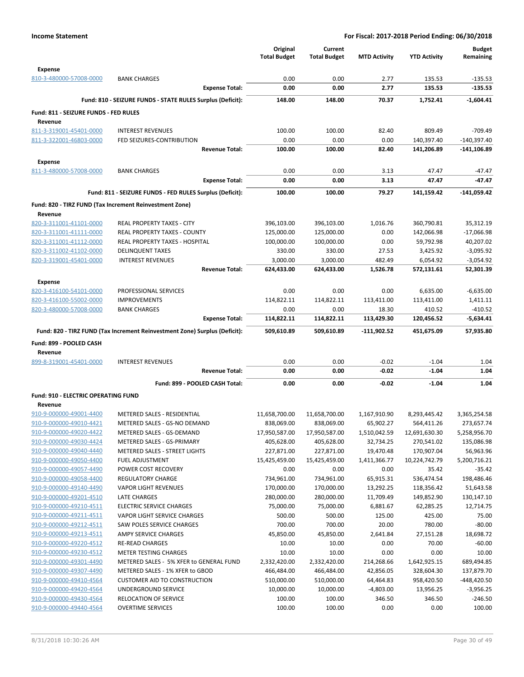|                                                    |                                                                            | Original<br><b>Total Budget</b> | Current<br><b>Total Budget</b> | <b>MTD Activity</b>     | <b>YTD Activity</b>        | <b>Budget</b><br>Remaining |
|----------------------------------------------------|----------------------------------------------------------------------------|---------------------------------|--------------------------------|-------------------------|----------------------------|----------------------------|
| <b>Expense</b>                                     |                                                                            |                                 |                                |                         |                            |                            |
| 810-3-480000-57008-0000                            | <b>BANK CHARGES</b>                                                        | 0.00                            | 0.00                           | 2.77                    | 135.53                     | $-135.53$                  |
|                                                    | <b>Expense Total:</b>                                                      | 0.00                            | 0.00                           | 2.77                    | 135.53                     | $-135.53$                  |
|                                                    | Fund: 810 - SEIZURE FUNDS - STATE RULES Surplus (Deficit):                 | 148.00                          | 148.00                         | 70.37                   | 1,752.41                   | $-1,604.41$                |
| Fund: 811 - SEIZURE FUNDS - FED RULES<br>Revenue   |                                                                            |                                 |                                |                         |                            |                            |
| 811-3-319001-45401-0000                            | <b>INTEREST REVENUES</b>                                                   | 100.00                          | 100.00                         | 82.40                   | 809.49                     | $-709.49$                  |
| 811-3-322001-46803-0000                            | FED SEIZURES-CONTRIBUTION                                                  | 0.00                            | 0.00                           | 0.00                    | 140,397.40                 | $-140,397.40$              |
|                                                    | <b>Revenue Total:</b>                                                      | 100.00                          | 100.00                         | 82.40                   | 141,206.89                 | -141,106.89                |
| <b>Expense</b>                                     |                                                                            |                                 |                                |                         |                            |                            |
| 811-3-480000-57008-0000                            | <b>BANK CHARGES</b>                                                        | 0.00                            | 0.00                           | 3.13                    | 47.47                      | $-47.47$                   |
|                                                    | <b>Expense Total:</b>                                                      | 0.00                            | 0.00                           | 3.13                    | 47.47                      | -47.47                     |
|                                                    | Fund: 811 - SEIZURE FUNDS - FED RULES Surplus (Deficit):                   | 100.00                          | 100.00                         | 79.27                   | 141,159.42                 | $-141,059.42$              |
| Revenue                                            | Fund: 820 - TIRZ FUND (Tax Increment Reinvestment Zone)                    |                                 |                                |                         |                            |                            |
| 820-3-311001-41101-0000                            | REAL PROPERTY TAXES - CITY                                                 | 396,103.00                      | 396,103.00                     | 1,016.76                | 360,790.81                 | 35,312.19                  |
| 820-3-311001-41111-0000                            | REAL PROPERTY TAXES - COUNTY                                               | 125,000.00                      | 125,000.00                     | 0.00                    | 142,066.98                 | $-17,066.98$               |
| 820-3-311001-41112-0000                            | <b>REAL PROPERTY TAXES - HOSPITAL</b>                                      | 100,000.00                      | 100,000.00                     | 0.00                    | 59,792.98                  | 40,207.02                  |
| 820-3-311002-41102-0000                            | <b>DELINQUENT TAXES</b>                                                    | 330.00                          | 330.00                         | 27.53                   | 3,425.92                   | $-3,095.92$                |
| 820-3-319001-45401-0000                            | <b>INTEREST REVENUES</b>                                                   | 3,000.00                        | 3,000.00                       | 482.49                  | 6,054.92                   | $-3,054.92$                |
| <b>Expense</b>                                     | <b>Revenue Total:</b>                                                      | 624,433.00                      | 624,433.00                     | 1,526.78                | 572,131.61                 | 52,301.39                  |
| 820-3-416100-54101-0000                            | PROFESSIONAL SERVICES                                                      | 0.00                            | 0.00                           | 0.00                    | 6,635.00                   | $-6,635.00$                |
| 820-3-416100-55002-0000                            | <b>IMPROVEMENTS</b>                                                        | 114,822.11                      | 114,822.11                     | 113,411.00              | 113,411.00                 | 1,411.11                   |
| 820-3-480000-57008-0000                            | <b>BANK CHARGES</b>                                                        | 0.00                            | 0.00                           | 18.30                   | 410.52                     | $-410.52$                  |
|                                                    | <b>Expense Total:</b>                                                      | 114,822.11                      | 114,822.11                     | 113,429.30              | 120,456.52                 | $-5,634.41$                |
|                                                    | Fund: 820 - TIRZ FUND (Tax Increment Reinvestment Zone) Surplus (Deficit): | 509,610.89                      | 509,610.89                     | -111,902.52             | 451,675.09                 | 57,935.80                  |
| Fund: 899 - POOLED CASH<br>Revenue                 |                                                                            |                                 |                                |                         |                            |                            |
| 899-8-319001-45401-0000                            | <b>INTEREST REVENUES</b>                                                   | 0.00                            | 0.00                           | $-0.02$                 | $-1.04$                    | 1.04                       |
|                                                    | <b>Revenue Total:</b>                                                      | 0.00                            | 0.00                           | $-0.02$                 | $-1.04$                    | 1.04                       |
|                                                    | Fund: 899 - POOLED CASH Total:                                             | 0.00                            | 0.00                           | $-0.02$                 | $-1.04$                    | 1.04                       |
| <b>Fund: 910 - ELECTRIC OPERATING FUND</b>         |                                                                            |                                 |                                |                         |                            |                            |
| Revenue                                            |                                                                            |                                 |                                |                         |                            |                            |
| 910-9-000000-49001-4400                            | METERED SALES - RESIDENTIAL                                                | 11,658,700.00                   | 11,658,700.00                  | 1,167,910.90            | 8,293,445.42               | 3,365,254.58               |
| 910-9-000000-49010-4421                            | METERED SALES - GS-NO DEMAND                                               | 838,069.00                      | 838,069.00                     | 65,902.27               | 564,411.26                 | 273,657.74                 |
| 910-9-000000-49020-4422                            | METERED SALES - GS-DEMAND                                                  | 17,950,587.00                   | 17,950,587.00                  | 1,510,042.59            | 12,691,630.30              | 5,258,956.70               |
| 910-9-000000-49030-4424                            | METERED SALES - GS-PRIMARY                                                 | 405,628.00                      | 405,628.00                     | 32,734.25               | 270,541.02                 | 135,086.98                 |
| 910-9-000000-49040-4440                            | METERED SALES - STREET LIGHTS                                              | 227,871.00                      | 227,871.00                     | 19,470.48               | 170,907.04                 | 56,963.96                  |
| 910-9-000000-49050-4400<br>910-9-000000-49057-4490 | FUEL ADJUSTMENT<br>POWER COST RECOVERY                                     | 15,425,459.00<br>0.00           | 15,425,459.00<br>0.00          | 1,411,366.77<br>0.00    | 10,224,742.79<br>35.42     | 5,200,716.21<br>$-35.42$   |
| 910-9-000000-49058-4400                            | <b>REGULATORY CHARGE</b>                                                   | 734,961.00                      | 734,961.00                     | 65,915.31               | 536,474.54                 | 198,486.46                 |
| 910-9-000000-49140-4490                            | <b>VAPOR LIGHT REVENUES</b>                                                | 170,000.00                      | 170,000.00                     | 13,292.25               | 118,356.42                 | 51,643.58                  |
| 910-9-000000-49201-4510                            | LATE CHARGES                                                               | 280,000.00                      | 280,000.00                     | 11,709.49               | 149,852.90                 | 130,147.10                 |
| 910-9-000000-49210-4511                            | <b>ELECTRIC SERVICE CHARGES</b>                                            | 75,000.00                       | 75,000.00                      | 6,881.67                | 62,285.25                  | 12,714.75                  |
| 910-9-000000-49211-4511                            | VAPOR LIGHT SERVICE CHARGES                                                | 500.00                          | 500.00                         | 125.00                  | 425.00                     | 75.00                      |
| 910-9-000000-49212-4511                            | SAW POLES SERVICE CHARGES                                                  | 700.00                          | 700.00                         | 20.00                   | 780.00                     | $-80.00$                   |
| 910-9-000000-49213-4511                            | AMPY SERVICE CHARGES                                                       | 45,850.00                       | 45,850.00                      | 2,641.84                | 27,151.28                  | 18,698.72                  |
| 910-9-000000-49220-4512                            | <b>RE-READ CHARGES</b>                                                     | 10.00                           | 10.00                          | 0.00                    | 70.00                      | $-60.00$                   |
| 910-9-000000-49230-4512                            | <b>METER TESTING CHARGES</b>                                               | 10.00                           | 10.00                          | 0.00                    | 0.00                       | 10.00                      |
| 910-9-000000-49301-4490<br>910-9-000000-49307-4490 | METERED SALES - 5% XFER to GENERAL FUND<br>METERED SALES - 1% XFER to GBOD | 2,332,420.00<br>466,484.00      | 2,332,420.00<br>466,484.00     | 214,268.66<br>42,856.05 | 1,642,925.15<br>328,604.30 | 689,494.85<br>137,879.70   |
| 910-9-000000-49410-4564                            | <b>CUSTOMER AID TO CONSTRUCTION</b>                                        | 510,000.00                      | 510,000.00                     | 64,464.83               | 958,420.50                 | -448,420.50                |
| 910-9-000000-49420-4564                            | UNDERGROUND SERVICE                                                        | 10,000.00                       | 10,000.00                      | $-4,803.00$             | 13,956.25                  | $-3,956.25$                |
| 910-9-000000-49430-4564                            | RELOCATION OF SERVICE                                                      | 100.00                          | 100.00                         | 346.50                  | 346.50                     | $-246.50$                  |
| 910-9-000000-49440-4564                            | <b>OVERTIME SERVICES</b>                                                   | 100.00                          | 100.00                         | 0.00                    | 0.00                       | 100.00                     |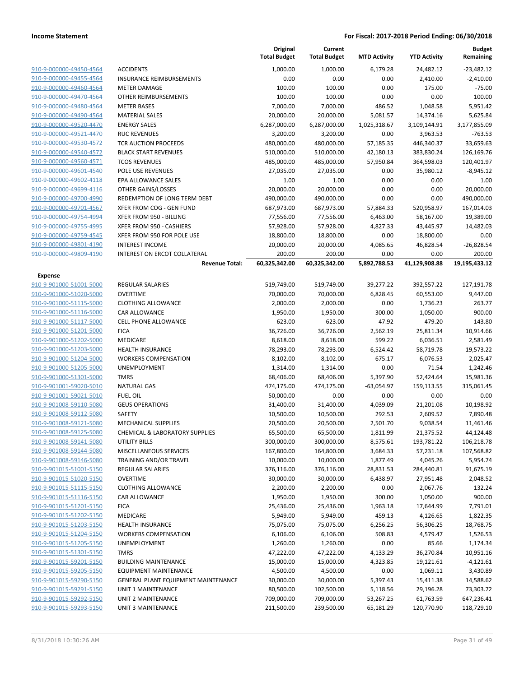|                         |                                           | Original<br><b>Total Budget</b> | Current<br><b>Total Budget</b> | <b>MTD Activity</b> | <b>YTD Activity</b> | <b>Budget</b><br>Remaining |
|-------------------------|-------------------------------------------|---------------------------------|--------------------------------|---------------------|---------------------|----------------------------|
| 910-9-000000-49450-4564 | <b>ACCIDENTS</b>                          | 1,000.00                        | 1,000.00                       | 6,179.28            | 24,482.12           | $-23,482.12$               |
| 910-9-000000-49455-4564 | <b>INSURANCE REIMBURSEMENTS</b>           | 0.00                            | 0.00                           | 0.00                | 2,410.00            | $-2,410.00$                |
| 910-9-000000-49460-4564 | <b>METER DAMAGE</b>                       | 100.00                          | 100.00                         | 0.00                | 175.00              | $-75.00$                   |
| 910-9-000000-49470-4564 | <b>OTHER REIMBURSEMENTS</b>               | 100.00                          | 100.00                         | 0.00                | 0.00                | 100.00                     |
| 910-9-000000-49480-4564 | <b>METER BASES</b>                        | 7,000.00                        | 7,000.00                       | 486.52              | 1,048.58            | 5,951.42                   |
| 910-9-000000-49490-4564 | <b>MATERIAL SALES</b>                     | 20,000.00                       | 20,000.00                      | 5,081.57            | 14,374.16           | 5,625.84                   |
| 910-9-000000-49520-4470 | <b>ENERGY SALES</b>                       | 6,287,000.00                    | 6,287,000.00                   | 1,025,318.67        | 3,109,144.91        | 3,177,855.09               |
| 910-9-000000-49521-4470 | <b>RUC REVENUES</b>                       | 3,200.00                        | 3,200.00                       | 0.00                | 3,963.53            | $-763.53$                  |
| 910-9-000000-49530-4572 | TCR AUCTION PROCEEDS                      | 480,000.00                      | 480,000.00                     | 57,185.35           | 446,340.37          | 33,659.63                  |
| 910-9-000000-49540-4572 | <b>BLACK START REVENUES</b>               | 510,000.00                      | 510,000.00                     | 42,180.13           | 383,830.24          | 126,169.76                 |
| 910-9-000000-49560-4571 | <b>TCOS REVENUES</b>                      | 485,000.00                      | 485,000.00                     | 57,950.84           | 364,598.03          | 120,401.97                 |
| 910-9-000000-49601-4540 | POLE USE REVENUES                         | 27,035.00                       | 27,035.00                      | 0.00                | 35,980.12           | $-8,945.12$                |
| 910-9-000000-49602-4118 | EPA ALLOWANCE SALES                       | 1.00                            | 1.00                           | 0.00                | 0.00                | 1.00                       |
| 910-9-000000-49699-4116 | OTHER GAINS/LOSSES                        | 20,000.00                       | 20,000.00                      | 0.00                | 0.00                | 20,000.00                  |
| 910-9-000000-49700-4990 | REDEMPTION OF LONG TERM DEBT              | 490,000.00                      | 490,000.00                     | 0.00                | 0.00                | 490,000.00                 |
| 910-9-000000-49701-4567 | XFER FROM COG - GEN FUND                  | 687,973.00                      | 687,973.00                     | 57,884.33           | 520,958.97          | 167,014.03                 |
| 910-9-000000-49754-4994 | XFER FROM 950 - BILLING                   | 77,556.00                       | 77,556.00                      | 6,463.00            | 58,167.00           | 19,389.00                  |
| 910-9-000000-49755-4995 | XFER FROM 950 - CASHIERS                  | 57,928.00                       | 57,928.00                      | 4,827.33            | 43,445.97           | 14,482.03                  |
| 910-9-000000-49759-4545 | XFER FROM 950 FOR POLE USE                | 18,800.00                       | 18,800.00                      | 0.00                | 18,800.00           | 0.00                       |
| 910-9-000000-49801-4190 | <b>INTEREST INCOME</b>                    | 20,000.00                       | 20,000.00                      | 4,085.65            | 46,828.54           | $-26,828.54$               |
| 910-9-000000-49809-4190 | INTEREST ON ERCOT COLLATERAL              | 200.00                          | 200.00                         | 0.00                | 0.00                | 200.00                     |
|                         | <b>Revenue Total:</b>                     | 60,325,342.00                   | 60,325,342.00                  | 5,892,788.53        | 41,129,908.88       | 19,195,433.12              |
| Expense                 |                                           |                                 |                                |                     |                     |                            |
| 910-9-901000-51001-5000 | <b>REGULAR SALARIES</b>                   | 519,749.00                      | 519,749.00                     | 39,277.22           | 392,557.22          | 127,191.78                 |
| 910-9-901000-51020-5000 | <b>OVERTIME</b>                           | 70,000.00                       | 70,000.00                      | 6,828.45            | 60,553.00           | 9,447.00                   |
| 910-9-901000-51115-5000 | <b>CLOTHING ALLOWANCE</b>                 | 2,000.00                        | 2,000.00                       | 0.00                | 1,736.23            | 263.77                     |
| 910-9-901000-51116-5000 | CAR ALLOWANCE                             | 1,950.00                        | 1,950.00                       | 300.00              | 1,050.00            | 900.00                     |
| 910-9-901000-51117-5000 | <b>CELL PHONE ALLOWANCE</b>               | 623.00                          | 623.00                         | 47.92               | 479.20              | 143.80                     |
| 910-9-901000-51201-5000 | <b>FICA</b>                               | 36,726.00                       | 36,726.00                      | 2,562.19            | 25,811.34           | 10,914.66                  |
| 910-9-901000-51202-5000 | MEDICARE                                  | 8,618.00                        | 8,618.00                       | 599.22              | 6,036.51            | 2,581.49                   |
| 910-9-901000-51203-5000 | <b>HEALTH INSURANCE</b>                   | 78,293.00                       | 78,293.00                      | 6,524.42            | 58,719.78           | 19,573.22                  |
| 910-9-901000-51204-5000 | <b>WORKERS COMPENSATION</b>               | 8,102.00                        | 8,102.00                       | 675.17              | 6,076.53            | 2,025.47                   |
| 910-9-901000-51205-5000 | UNEMPLOYMENT                              | 1,314.00                        | 1,314.00                       | 0.00                | 71.54               | 1,242.46                   |
| 910-9-901000-51301-5000 | <b>TMRS</b>                               | 68,406.00                       | 68,406.00                      | 5,397.90            | 52,424.64           | 15,981.36                  |
| 910-9-901001-59020-5010 | <b>NATURAL GAS</b>                        | 474,175.00                      | 474,175.00                     | $-63,054.97$        | 159,113.55          | 315,061.45                 |
| 910-9-901001-59021-5010 | <b>FUEL OIL</b>                           | 50,000.00                       | 0.00                           | 0.00                | 0.00                | 0.00                       |
| 910-9-901008-59110-5080 | <b>GEUS OPERATIONS</b>                    | 31,400.00                       | 31,400.00                      | 4,039.09            | 21,201.08           | 10,198.92                  |
| 910-9-901008-59112-5080 | <b>SAFETY</b>                             | 10,500.00                       | 10,500.00                      | 292.53              | 2,609.52            | 7,890.48                   |
| 910-9-901008-59121-5080 | <b>MECHANICAL SUPPLIES</b>                | 20,500.00                       | 20,500.00                      | 2,501.70            | 9,038.54            | 11,461.46                  |
| 910-9-901008-59125-5080 | <b>CHEMICAL &amp; LABORATORY SUPPLIES</b> | 65,500.00                       | 65,500.00                      | 1,811.99            | 21,375.52           | 44,124.48                  |
| 910-9-901008-59141-5080 | UTILITY BILLS                             | 300,000.00                      | 300,000.00                     | 8,575.61            | 193,781.22          | 106,218.78                 |
| 910-9-901008-59144-5080 | MISCELLANEOUS SERVICES                    | 167,800.00                      | 164,800.00                     | 3,684.33            | 57,231.18           | 107,568.82                 |
| 910-9-901008-59146-5080 | TRAINING AND/OR TRAVEL                    | 10,000.00                       | 10,000.00                      | 1,877.49            | 4,045.26            | 5,954.74                   |
| 910-9-901015-51001-5150 | <b>REGULAR SALARIES</b>                   | 376,116.00                      | 376,116.00                     | 28,831.53           | 284,440.81          | 91,675.19                  |
| 910-9-901015-51020-5150 | <b>OVERTIME</b>                           | 30,000.00                       | 30,000.00                      | 6,438.97            | 27,951.48           | 2,048.52                   |
| 910-9-901015-51115-5150 | <b>CLOTHING ALLOWANCE</b>                 | 2,200.00                        | 2,200.00                       | 0.00                | 2,067.76            | 132.24                     |
| 910-9-901015-51116-5150 | CAR ALLOWANCE                             | 1,950.00                        | 1,950.00                       | 300.00              | 1,050.00            | 900.00                     |
| 910-9-901015-51201-5150 | <b>FICA</b>                               | 25,436.00                       | 25,436.00                      | 1,963.18            | 17,644.99           | 7,791.01                   |
| 910-9-901015-51202-5150 | MEDICARE                                  | 5,949.00                        | 5,949.00                       | 459.13              | 4,126.65            | 1,822.35                   |
| 910-9-901015-51203-5150 | <b>HEALTH INSURANCE</b>                   | 75,075.00                       | 75,075.00                      | 6,256.25            | 56,306.25           | 18,768.75                  |
| 910-9-901015-51204-5150 | <b>WORKERS COMPENSATION</b>               | 6,106.00                        | 6,106.00                       | 508.83              | 4,579.47            | 1,526.53                   |
| 910-9-901015-51205-5150 | UNEMPLOYMENT                              | 1,260.00                        | 1,260.00                       | 0.00                | 85.66               | 1,174.34                   |
| 910-9-901015-51301-5150 | <b>TMRS</b>                               | 47,222.00                       | 47,222.00                      | 4,133.29            | 36,270.84           | 10,951.16                  |
| 910-9-901015-59201-5150 | <b>BUILDING MAINTENANCE</b>               | 15,000.00                       | 15,000.00                      | 4,323.85            | 19,121.61           | $-4,121.61$                |
| 910-9-901015-59205-5150 | EQUIPMENT MAINTENANCE                     | 4,500.00                        | 4,500.00                       | 0.00                | 1,069.11            | 3,430.89                   |
| 910-9-901015-59290-5150 | GENERAL PLANT EQUIPMENT MAINTENANCE       | 30,000.00                       | 30,000.00                      | 5,397.43            | 15,411.38           | 14,588.62                  |
| 910-9-901015-59291-5150 | UNIT 1 MAINTENANCE                        | 80,500.00                       | 102,500.00                     | 5,118.56            | 29,196.28           | 73,303.72                  |
| 910-9-901015-59292-5150 | UNIT 2 MAINTENANCE                        | 709,000.00                      | 709,000.00                     | 53,267.25           | 61,763.59           | 647,236.41                 |
| 910-9-901015-59293-5150 | <b>UNIT 3 MAINTENANCE</b>                 | 211,500.00                      | 239,500.00                     | 65,181.29           | 120,770.90          | 118,729.10                 |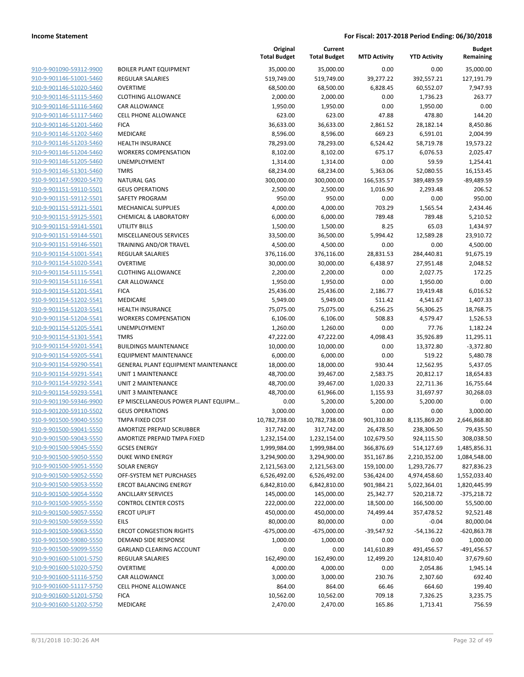| 910-9-901090-59312-9900        |
|--------------------------------|
| 910-9-901146-51001-5460        |
| 910-9-901146-51020-5460        |
| <u>910-9-901146-51115-5460</u> |
| 910-9-901146-51116-5460        |
| 910-9-901146-51117-5460        |
| 910-9-901146-51201-5460        |
| 910-9-901146-51202-5460        |
| 910-9-901146-51203-5460        |
| 910-9-901146-51204-5460        |
| 910-9-901146-51205-5460        |
| 910-9-901146-51301-5460        |
| 910-9-901147-59020-5470        |
| <u>910-9-901151-59110-5501</u> |
| 910-9-901151-59112-5501        |
| 910-9-901151-59121-5501        |
| 910-9-901151-59125-5501        |
|                                |
| 910-9-901151-59141-5501        |
| 910-9-901151-59144-5501        |
| 910-9-901151-59146-5501        |
| 910-9-901154-51001-5541        |
| 910-9-901154-51020-5541        |
| 910-9-901154-51115-5541        |
| 910-9-901154-51116-5541        |
| 910-9-901154-51201-5541        |
| 910-9-901154-51202-5541        |
| 910-9-901154-51203-5541        |
| 910-9-901154-51204-5541        |
| 910-9-901154-51205-5541        |
| 910-9-901154-51301-5541        |
| 910-9-901154-59201-5541        |
| 910-9-901154-59205-5541        |
| 910-9-901154-59290-5541        |
| 910-9-901154-59291-5541        |
| 910-9-901154-59292-5541        |
| 910-9-901154-59293-5541        |
| 910-9-901190-59346-9900        |
| 910-9-901200-59110-5502        |
| 910-9-901500-59040-5550        |
| 910-9-901500-59041-5550        |
| 910-9-901500-59043-5550        |
|                                |
| 910-9-901500-59045-5550        |
| 910-9-901500-59050-5550        |
| <u>910-9-901500-59051-5550</u> |
| <u>910-9-901500-59052-5550</u> |
| <u>910-9-901500-59053-5550</u> |
| 910-9-901500-59054-5550        |
| 910-9-901500-59055-5550        |
| 910-9-901500-59057-5550        |
| <u>910-9-901500-59059-5550</u> |
| 910-9-901500-59063-5550        |
| 910-9-901500-59080-5550        |
| 910-9-901500-59099-5550        |
| <u>910-9-901600-51001-5750</u> |
| <u>910-9-901600-51020-5750</u> |
| 910-9-901600-51116-5750        |
| 910-9-901600-51117-5750        |
| 910-9-901600-51201-5750        |
| <u>910-9-901600-51202-5750</u> |
|                                |

|                         |                                     | Original<br><b>Total Budget</b> | Current<br><b>Total Budget</b> | <b>MTD Activity</b> | <b>YTD Activity</b> | <b>Budget</b><br>Remaining |
|-------------------------|-------------------------------------|---------------------------------|--------------------------------|---------------------|---------------------|----------------------------|
| 910-9-901090-59312-9900 | <b>BOILER PLANT EQUIPMENT</b>       | 35,000.00                       | 35,000.00                      | 0.00                | 0.00                | 35,000.00                  |
| 910-9-901146-51001-5460 | <b>REGULAR SALARIES</b>             | 519,749.00                      | 519,749.00                     | 39,277.22           | 392,557.21          | 127,191.79                 |
| 910-9-901146-51020-5460 | <b>OVERTIME</b>                     | 68,500.00                       | 68,500.00                      | 6,828.45            | 60,552.07           | 7,947.93                   |
| 910-9-901146-51115-5460 | <b>CLOTHING ALLOWANCE</b>           | 2,000.00                        | 2,000.00                       | 0.00                | 1,736.23            | 263.77                     |
| 910-9-901146-51116-5460 | <b>CAR ALLOWANCE</b>                | 1,950.00                        | 1,950.00                       | 0.00                | 1,950.00            | 0.00                       |
| 910-9-901146-51117-5460 | <b>CELL PHONE ALLOWANCE</b>         | 623.00                          | 623.00                         | 47.88               | 478.80              | 144.20                     |
| 910-9-901146-51201-5460 | <b>FICA</b>                         | 36,633.00                       | 36,633.00                      | 2,861.52            | 28,182.14           | 8,450.86                   |
| 910-9-901146-51202-5460 | MEDICARE                            | 8,596.00                        | 8,596.00                       | 669.23              | 6,591.01            | 2,004.99                   |
| 910-9-901146-51203-5460 | <b>HEALTH INSURANCE</b>             | 78,293.00                       | 78,293.00                      | 6,524.42            | 58,719.78           | 19,573.22                  |
| 910-9-901146-51204-5460 | <b>WORKERS COMPENSATION</b>         | 8,102.00                        | 8,102.00                       | 675.17              | 6,076.53            | 2,025.47                   |
| 910-9-901146-51205-5460 | <b>UNEMPLOYMENT</b>                 | 1,314.00                        | 1,314.00                       | 0.00                | 59.59               | 1,254.41                   |
| 910-9-901146-51301-5460 | <b>TMRS</b>                         | 68,234.00                       | 68,234.00                      | 5,363.06            | 52,080.55           | 16,153.45                  |
| 910-9-901147-59020-5470 | <b>NATURAL GAS</b>                  | 300,000.00                      | 300,000.00                     | 166,535.57          | 389,489.59          | $-89,489.59$               |
| 910-9-901151-59110-5501 | <b>GEUS OPERATIONS</b>              | 2,500.00                        | 2,500.00                       | 1,016.90            | 2,293.48            | 206.52                     |
| 910-9-901151-59112-5501 | SAFETY PROGRAM                      | 950.00                          | 950.00                         | 0.00                | 0.00                | 950.00                     |
| 910-9-901151-59121-5501 | <b>MECHANICAL SUPPLIES</b>          | 4,000.00                        | 4,000.00                       | 703.29              | 1,565.54            | 2,434.46                   |
| 910-9-901151-59125-5501 | <b>CHEMICAL &amp; LABORATORY</b>    | 6,000.00                        | 6,000.00                       | 789.48              | 789.48              | 5,210.52                   |
| 910-9-901151-59141-5501 | UTILITY BILLS                       | 1,500.00                        | 1,500.00                       | 8.25                | 65.03               | 1,434.97                   |
| 910-9-901151-59144-5501 | MISCELLANEOUS SERVICES              | 33,500.00                       | 36,500.00                      | 5,994.42            | 12,589.28           | 23,910.72                  |
| 910-9-901151-59146-5501 | TRAINING AND/OR TRAVEL              | 4,500.00                        | 4,500.00                       | 0.00                | 0.00                | 4,500.00                   |
| 910-9-901154-51001-5541 | REGULAR SALARIES                    | 376,116.00                      | 376,116.00                     | 28,831.53           | 284,440.81          | 91,675.19                  |
| 910-9-901154-51020-5541 | <b>OVERTIME</b>                     | 30,000.00                       | 30,000.00                      | 6,438.97            | 27,951.48           | 2,048.52                   |
| 910-9-901154-51115-5541 | <b>CLOTHING ALLOWANCE</b>           | 2,200.00                        | 2,200.00                       | 0.00                | 2,027.75            | 172.25                     |
| 910-9-901154-51116-5541 | <b>CAR ALLOWANCE</b>                | 1,950.00                        | 1,950.00                       | 0.00                | 1,950.00            | 0.00                       |
| 910-9-901154-51201-5541 | <b>FICA</b>                         | 25,436.00                       | 25,436.00                      | 2,186.77            | 19,419.48           | 6,016.52                   |
| 910-9-901154-51202-5541 | MEDICARE                            | 5,949.00                        | 5,949.00                       | 511.42              | 4,541.67            | 1,407.33                   |
| 910-9-901154-51203-5541 | <b>HEALTH INSURANCE</b>             | 75,075.00                       | 75,075.00                      | 6,256.25            | 56,306.25           | 18,768.75                  |
| 910-9-901154-51204-5541 | <b>WORKERS COMPENSATION</b>         | 6,106.00                        | 6,106.00                       | 508.83              | 4,579.47            | 1,526.53                   |
| 910-9-901154-51205-5541 | UNEMPLOYMENT                        | 1,260.00                        | 1,260.00                       | 0.00                | 77.76               | 1,182.24                   |
| 910-9-901154-51301-5541 | <b>TMRS</b>                         | 47,222.00                       | 47,222.00                      | 4,098.43            | 35,926.89           | 11,295.11                  |
| 910-9-901154-59201-5541 | <b>BUILDINGS MAINTENANCE</b>        | 10,000.00                       | 10,000.00                      | 0.00                | 13,372.80           | $-3,372.80$                |
| 910-9-901154-59205-5541 | <b>EQUIPMENT MAINTENANCE</b>        | 6,000.00                        | 6,000.00                       | 0.00                | 519.22              | 5,480.78                   |
| 910-9-901154-59290-5541 | GENERAL PLANT EQUIPMENT MAINTENANCE | 18,000.00                       | 18,000.00                      | 930.44              | 12,562.95           | 5,437.05                   |
| 910-9-901154-59291-5541 | <b>UNIT 1 MAINTENANCE</b>           | 48,700.00                       | 39,467.00                      | 2,583.75            | 20,812.17           | 18,654.83                  |
| 910-9-901154-59292-5541 | <b>UNIT 2 MAINTENANCE</b>           | 48,700.00                       | 39,467.00                      | 1,020.33            | 22,711.36           | 16,755.64                  |
| 910-9-901154-59293-5541 | <b>UNIT 3 MAINTENANCE</b>           | 48,700.00                       | 61,966.00                      | 1,155.93            | 31,697.97           | 30,268.03                  |
| 910-9-901190-59346-9900 | EP MISCELLANEOUS POWER PLANT EQUIPM | 0.00                            | 5,200.00                       | 5,200.00            | 5,200.00            | 0.00                       |
| 910-9-901200-59110-5502 | <b>GEUS OPERATIONS</b>              | 3,000.00                        | 3,000.00                       | 0.00                | 0.00                | 3,000.00                   |
| 910-9-901500-59040-5550 | TMPA FIXED COST                     | 10,782,738.00                   | 10,782,738.00                  | 901,310.80          | 8,135,869.20        | 2,646,868.80               |
| 910-9-901500-59041-5550 | AMORTIZE PREPAID SCRUBBER           | 317,742.00                      | 317,742.00                     | 26,478.50           | 238,306.50          | 79,435.50                  |
| 910-9-901500-59043-5550 | AMORTIZE PREPAID TMPA FIXED         | 1,232,154.00                    | 1,232,154.00                   | 102,679.50          | 924,115.50          | 308,038.50                 |
| 910-9-901500-59045-5550 | <b>GCSES ENERGY</b>                 | 1,999,984.00                    | 1,999,984.00                   | 366,876.69          | 514,127.69          | 1,485,856.31               |
| 910-9-901500-59050-5550 | DUKE WIND ENERGY                    | 3,294,900.00                    | 3,294,900.00                   | 351,167.86          | 2,210,352.00        | 1,084,548.00               |
| 910-9-901500-59051-5550 | <b>SOLAR ENERGY</b>                 | 2,121,563.00                    | 2,121,563.00                   | 159,100.00          | 1,293,726.77        | 827,836.23                 |
| 910-9-901500-59052-5550 | OFF-SYSTEM NET PURCHASES            | 6,526,492.00                    | 6,526,492.00                   | 536,424.00          | 4,974,458.60        | 1,552,033.40               |
| 910-9-901500-59053-5550 | <b>ERCOT BALANCING ENERGY</b>       | 6,842,810.00                    | 6,842,810.00                   | 901,984.21          | 5,022,364.01        | 1,820,445.99               |
| 910-9-901500-59054-5550 | <b>ANCILLARY SERVICES</b>           | 145,000.00                      | 145,000.00                     | 25,342.77           | 520,218.72          | $-375,218.72$              |
| 910-9-901500-59055-5550 | <b>CONTROL CENTER COSTS</b>         | 222,000.00                      | 222,000.00                     | 18,500.00           | 166,500.00          | 55,500.00                  |
| 910-9-901500-59057-5550 | <b>ERCOT UPLIFT</b>                 | 450,000.00                      | 450,000.00                     | 74,499.44           | 357,478.52          | 92,521.48                  |
| 910-9-901500-59059-5550 | EILS                                | 80,000.00                       | 80,000.00                      | 0.00                | $-0.04$             | 80,000.04                  |
| 910-9-901500-59063-5550 | <b>ERCOT CONGESTION RIGHTS</b>      | $-675,000.00$                   | $-675,000.00$                  | -39,547.92          | $-54,136.22$        | $-620,863.78$              |
| 910-9-901500-59080-5550 | DEMAND SIDE RESPONSE                | 1,000.00                        | 1,000.00                       | 0.00                | 0.00                | 1,000.00                   |
| 910-9-901500-59099-5550 | GARLAND CLEARING ACCOUNT            | 0.00                            | 0.00                           | 141,610.89          | 491,456.57          | -491,456.57                |
| 910-9-901600-51001-5750 | REGULAR SALARIES                    | 162,490.00                      | 162,490.00                     | 12,499.20           | 124,810.40          | 37,679.60                  |
| 910-9-901600-51020-5750 | <b>OVERTIME</b>                     | 4,000.00                        | 4,000.00                       | 0.00                | 2,054.86            | 1,945.14                   |
| 910-9-901600-51116-5750 | CAR ALLOWANCE                       | 3,000.00                        | 3,000.00                       | 230.76              | 2,307.60            | 692.40                     |
| 910-9-901600-51117-5750 | CELL PHONE ALLOWANCE                | 864.00                          | 864.00                         | 66.46               | 664.60              | 199.40                     |
| 910-9-901600-51201-5750 | <b>FICA</b>                         | 10,562.00                       | 10,562.00                      | 709.18              | 7,326.25            | 3,235.75                   |
| 910-9-901600-51202-5750 | MEDICARE                            | 2,470.00                        | 2,470.00                       | 165.86              | 1,713.41            | 756.59                     |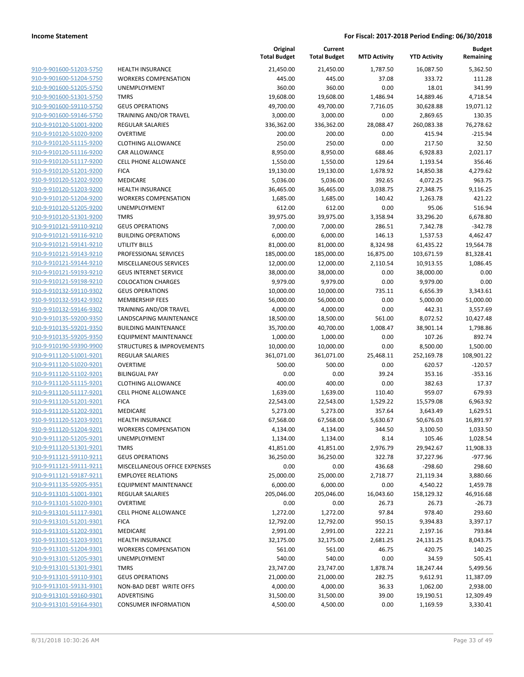| 910-9-901600-51203-5750 | н  |
|-------------------------|----|
| 910-9-901600-51204-5750 | N  |
| 910-9-901600-51205-5750 | U  |
| 910-9-901600-51301-5750 | TI |
| 910-9-901600-59110-5750 | G  |
| 910-9-901600-59146-5750 | т  |
| 910-9-910120-51001-9200 | R  |
| 910-9-910120-51020-9200 | O  |
| 910-9-910120-51115-9200 | C  |
| 910-9-910120-51116-9200 | C. |
| 910-9-910120-51117-9200 | с  |
| 910-9-910120-51201-9200 | FI |
| 910-9-910120-51202-9200 | N  |
| 910-9-910120-51203-9200 | н  |
| 910-9-910120-51204-9200 | W  |
| 910-9-910120-51205-9200 | U  |
| 910-9-910120-51301-9200 | т  |
| 910-9-910121-59110-9210 | G  |
| 910-9-910121-59116-9210 | B  |
| 910-9-910121-59141-9210 | U  |
| 910-9-910121-59143-9210 | P  |
| 910-9-910121-59144-9210 | N  |
| 910-9-910121-59193-9210 | G  |
| 910-9-910121-59198-9210 | C  |
| 910-9-910132-59110-9302 | G  |
| 910-9-910132-59142-9302 | N  |
| 910-9-910132-59146-9302 | T  |
| 910-9-910135-59200-9350 | D  |
| 910-9-910135-59201-9350 | B  |
| 910-9-910135-59205-9350 | E۱ |
| 910-9-910190-59390-9900 | ς. |
| 910-9-911120-51001-9201 | R  |
| 910-9-911120-51020-9201 | O  |
| 910-9-911120-51102-9201 | B  |
| 910-9-911120-51115-9201 | с  |
| 910-9-911120-51117-9201 | с  |
| 910-9-911120-51201-9201 | FI |
| 910-9-911120-51202-9201 | N  |
| 910-9-911120-51203-9201 | н  |
| 910-9-911120-51204-9201 | W  |
| 910-9-911120-51205-9201 | U  |
| 910-9-911120-51301-9201 | т  |
| 910-9-911121-59110-9211 | G  |
| 910-9-911121-59111-9211 | N  |
| 910-9-911121-59187-9211 | E  |
| 910-9-911135-59205-9351 | E۱ |
| 910-9-913101-51001-9301 | R  |
| 910-9-913101-51020-9301 | O  |
| 910-9-913101-51117-9301 | C  |
| 910-9-913101-51201-9301 | FI |
| 910-9-913101-51202-9301 | N  |
| 910-9-913101-51203-9301 | н  |
| 910-9-913101-51204-9301 | N  |
| 910-9-913101-51205-9301 | U  |
| 910-9-913101-51301-9301 | т  |
| 910-9-913101-59110-9301 | G  |
| 910-9-913101-59131-9301 | Ν  |
| 910-9-913101-59160-9301 | А  |
| 910-9-913101-59164-9301 | С  |

|                                                    |                                                          | Original<br><b>Total Budget</b> | Current<br><b>Total Budget</b> | <b>MTD Activity</b> | <b>YTD Activity</b> | <b>Budget</b><br>Remaining |
|----------------------------------------------------|----------------------------------------------------------|---------------------------------|--------------------------------|---------------------|---------------------|----------------------------|
| 910-9-901600-51203-5750                            | <b>HEALTH INSURANCE</b>                                  | 21,450.00                       | 21,450.00                      | 1,787.50            | 16,087.50           | 5,362.50                   |
| 910-9-901600-51204-5750                            | <b>WORKERS COMPENSATION</b>                              | 445.00                          | 445.00                         | 37.08               | 333.72              | 111.28                     |
| 910-9-901600-51205-5750                            | <b>UNEMPLOYMENT</b>                                      | 360.00                          | 360.00                         | 0.00                | 18.01               | 341.99                     |
| 910-9-901600-51301-5750                            | <b>TMRS</b>                                              | 19,608.00                       | 19,608.00                      | 1,486.94            | 14,889.46           | 4,718.54                   |
| 910-9-901600-59110-5750                            | <b>GEUS OPERATIONS</b>                                   | 49,700.00                       | 49,700.00                      | 7,716.05            | 30,628.88           | 19,071.12                  |
| 910-9-901600-59146-5750                            | TRAINING AND/OR TRAVEL                                   | 3,000.00                        | 3,000.00                       | 0.00                | 2,869.65            | 130.35                     |
| 910-9-910120-51001-9200                            | <b>REGULAR SALARIES</b>                                  | 336,362.00                      | 336,362.00                     | 28,088.47           | 260,083.38          | 76,278.62                  |
| 910-9-910120-51020-9200                            | <b>OVERTIME</b>                                          | 200.00                          | 200.00                         | 0.00                | 415.94              | $-215.94$                  |
| 910-9-910120-51115-9200                            | <b>CLOTHING ALLOWANCE</b>                                | 250.00                          | 250.00                         | 0.00                | 217.50              | 32.50                      |
| 910-9-910120-51116-9200                            | CAR ALLOWANCE                                            | 8,950.00                        | 8,950.00                       | 688.46              | 6,928.83            | 2,021.17                   |
| 910-9-910120-51117-9200                            | <b>CELL PHONE ALLOWANCE</b>                              | 1,550.00                        | 1,550.00                       | 129.64              | 1,193.54            | 356.46                     |
| 910-9-910120-51201-9200                            | <b>FICA</b>                                              | 19,130.00                       | 19,130.00                      | 1,678.92            | 14,850.38           | 4,279.62                   |
| 910-9-910120-51202-9200                            | <b>MEDICARE</b>                                          | 5,036.00                        | 5,036.00                       | 392.65              | 4,072.25            | 963.75                     |
| 910-9-910120-51203-9200                            | <b>HEALTH INSURANCE</b>                                  | 36,465.00                       | 36,465.00                      | 3,038.75            | 27,348.75           | 9,116.25                   |
| 910-9-910120-51204-9200                            | <b>WORKERS COMPENSATION</b>                              | 1,685.00                        | 1,685.00                       | 140.42              | 1,263.78            | 421.22                     |
| 910-9-910120-51205-9200                            | UNEMPLOYMENT                                             | 612.00                          | 612.00                         | 0.00                | 95.06               | 516.94                     |
| 910-9-910120-51301-9200                            | <b>TMRS</b>                                              | 39,975.00                       | 39,975.00                      | 3,358.94            | 33,296.20           | 6,678.80                   |
| 910-9-910121-59110-9210                            | <b>GEUS OPERATIONS</b>                                   | 7,000.00                        | 7,000.00                       | 286.51              | 7,342.78            | $-342.78$                  |
| 910-9-910121-59116-9210                            | <b>BUILDING OPERATIONS</b>                               | 6,000.00                        | 6,000.00                       | 146.13              | 1,537.53            | 4,462.47                   |
| 910-9-910121-59141-9210                            | <b>UTILITY BILLS</b>                                     | 81,000.00                       | 81,000.00                      | 8,324.98            | 61,435.22           | 19,564.78                  |
| 910-9-910121-59143-9210                            | PROFESSIONAL SERVICES                                    | 185,000.00                      | 185,000.00                     | 16,875.00           | 103,671.59          | 81,328.41                  |
| 910-9-910121-59144-9210                            | MISCELLANEOUS SERVICES                                   | 12,000.00                       | 12,000.00                      | 2,110.54            | 10,913.55           | 1,086.45                   |
| 910-9-910121-59193-9210                            | <b>GEUS INTERNET SERVICE</b>                             | 38,000.00                       | 38,000.00                      | 0.00                | 38,000.00           | 0.00                       |
| 910-9-910121-59198-9210                            | <b>COLOCATION CHARGES</b>                                | 9,979.00                        | 9,979.00                       | 0.00                | 9,979.00            | 0.00                       |
| 910-9-910132-59110-9302                            | <b>GEUS OPERATIONS</b>                                   | 10,000.00                       | 10,000.00                      | 735.11              | 6,656.39            | 3,343.61                   |
| 910-9-910132-59142-9302                            | <b>MEMBERSHIP FEES</b>                                   | 56,000.00                       | 56,000.00                      | 0.00                | 5,000.00            | 51,000.00                  |
| 910-9-910132-59146-9302                            | TRAINING AND/OR TRAVEL                                   | 4,000.00                        | 4,000.00                       | 0.00                | 442.31              | 3,557.69                   |
| 910-9-910135-59200-9350                            | LANDSCAPING MAINTENANCE                                  | 18,500.00                       | 18,500.00                      | 561.00              | 8,072.52            | 10,427.48                  |
| 910-9-910135-59201-9350                            | <b>BUILDING MAINTENANCE</b>                              | 35,700.00                       | 40,700.00                      | 1,008.47            | 38,901.14           | 1,798.86                   |
| 910-9-910135-59205-9350                            | <b>EQUIPMENT MAINTENANCE</b>                             | 1,000.00                        | 1,000.00                       | 0.00                | 107.26              | 892.74                     |
| 910-9-910190-59390-9900                            | <b>STRUCTURES &amp; IMPROVEMENTS</b>                     | 10,000.00                       | 10,000.00                      | 0.00                | 8,500.00            | 1,500.00                   |
| 910-9-911120-51001-9201                            | <b>REGULAR SALARIES</b><br><b>OVERTIME</b>               | 361,071.00                      | 361,071.00                     | 25,468.11           | 252,169.78          | 108,901.22                 |
| 910-9-911120-51020-9201                            |                                                          | 500.00                          | 500.00                         | 0.00                | 620.57              | $-120.57$                  |
| 910-9-911120-51102-9201<br>910-9-911120-51115-9201 | <b>BILINGUAL PAY</b>                                     | 0.00<br>400.00                  | 0.00<br>400.00                 | 39.24<br>0.00       | 353.16              | $-353.16$<br>17.37         |
| 910-9-911120-51117-9201                            | <b>CLOTHING ALLOWANCE</b><br><b>CELL PHONE ALLOWANCE</b> | 1,639.00                        | 1,639.00                       | 110.40              | 382.63<br>959.07    | 679.93                     |
| 910-9-911120-51201-9201                            | <b>FICA</b>                                              | 22,543.00                       | 22,543.00                      | 1,529.22            | 15,579.08           | 6,963.92                   |
| 910-9-911120-51202-9201                            | MEDICARE                                                 | 5,273.00                        |                                | 357.64              | 3,643.49            | 1,629.51                   |
| 910-9-911120-51203-9201                            | <b>HEALTH INSURANCE</b>                                  | 67,568.00                       | 5,273.00<br>67,568.00          | 5,630.67            | 50,676.03           | 16,891.97                  |
| 910-9-911120-51204-9201                            | WORKERS COMPENSATION                                     | 4,134.00                        | 4,134.00                       | 344.50              | 3,100.50            | 1,033.50                   |
| 910-9-911120-51205-9201                            | <b>UNEMPLOYMENT</b>                                      | 1,134.00                        | 1,134.00                       | 8.14                | 105.46              | 1,028.54                   |
| 910-9-911120-51301-9201                            | <b>TMRS</b>                                              | 41,851.00                       | 41,851.00                      | 2,976.79            | 29,942.67           | 11,908.33                  |
| 910-9-911121-59110-9211                            | <b>GEUS OPERATIONS</b>                                   | 36,250.00                       | 36,250.00                      | 322.78              | 37,227.96           | $-977.96$                  |
| 910-9-911121-59111-9211                            | MISCELLANEOUS OFFICE EXPENSES                            | 0.00                            | 0.00                           | 436.68              | $-298.60$           | 298.60                     |
| 910-9-911121-59187-9211                            | <b>EMPLOYEE RELATIONS</b>                                | 25,000.00                       | 25,000.00                      | 2,718.77            | 21,119.34           | 3,880.66                   |
| 910-9-911135-59205-9351                            | <b>EQUIPMENT MAINTENANCE</b>                             | 6,000.00                        | 6,000.00                       | 0.00                | 4,540.22            | 1,459.78                   |
| 910-9-913101-51001-9301                            | <b>REGULAR SALARIES</b>                                  | 205,046.00                      | 205,046.00                     | 16,043.60           | 158,129.32          | 46,916.68                  |
| 910-9-913101-51020-9301                            | <b>OVERTIME</b>                                          | 0.00                            | 0.00                           | 26.73               | 26.73               | $-26.73$                   |
| 910-9-913101-51117-9301                            | <b>CELL PHONE ALLOWANCE</b>                              | 1,272.00                        | 1,272.00                       | 97.84               | 978.40              | 293.60                     |
| 910-9-913101-51201-9301                            | <b>FICA</b>                                              | 12,792.00                       | 12,792.00                      | 950.15              | 9,394.83            | 3,397.17                   |
| 910-9-913101-51202-9301                            | MEDICARE                                                 | 2,991.00                        | 2,991.00                       | 222.21              | 2,197.16            | 793.84                     |
| 910-9-913101-51203-9301                            | <b>HEALTH INSURANCE</b>                                  | 32,175.00                       | 32,175.00                      | 2,681.25            | 24,131.25           | 8,043.75                   |
| 910-9-913101-51204-9301                            | <b>WORKERS COMPENSATION</b>                              | 561.00                          | 561.00                         | 46.75               | 420.75              | 140.25                     |
| 910-9-913101-51205-9301                            | <b>UNEMPLOYMENT</b>                                      | 540.00                          | 540.00                         | 0.00                | 34.59               | 505.41                     |
| 910-9-913101-51301-9301                            | <b>TMRS</b>                                              | 23,747.00                       | 23,747.00                      | 1,878.74            | 18,247.44           | 5,499.56                   |
| 910-9-913101-59110-9301                            | <b>GEUS OPERATIONS</b>                                   | 21,000.00                       | 21,000.00                      | 282.75              | 9,612.91            | 11,387.09                  |
| 910-9-913101-59131-9301                            | NON-BAD DEBT WRITE OFFS                                  | 4,000.00                        | 4,000.00                       | 36.33               | 1,062.00            | 2,938.00                   |
| 910-9-913101-59160-9301                            | <b>ADVERTISING</b>                                       | 31,500.00                       | 31,500.00                      | 39.00               | 19,190.51           | 12,309.49                  |
| 910-9-913101-59164-9301                            | <b>CONSUMER INFORMATION</b>                              | 4,500.00                        | 4,500.00                       | 0.00                | 1,169.59            | 3,330.41                   |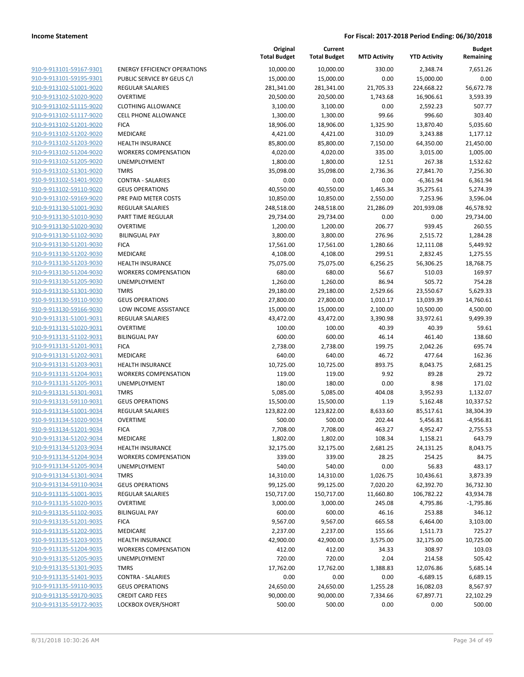| 910-9-913101-59167-9301        |
|--------------------------------|
| 910-9-913101-59195-9301        |
| 910-9-913102-51001-9020        |
| 910-9-913102-51020-9020        |
| <u>910-9-913102-51115-9020</u> |
| 910-9-913102-51117-9020        |
| 910-9-913102-51201-9020        |
| 910-9-913102-51202-9020        |
| 910-9-913102-51203-9020        |
| 910-9-913102-51204-9020        |
| 910-9-913102-51205-9020        |
| 910-9-913102-51301-9020        |
| 910-9-913102-51401-9020        |
| 910-9-913102-59110-9020        |
|                                |
| 910-9-913102-59169-9020        |
| 910-9-913130-51001-9030        |
| 910-9-913130-51010-9030        |
| 910-9-913130-51020-9030        |
| 910-9-913130-51102-9030        |
| 910-9-913130-51201-9030        |
| 910-9-913130-51202-9030        |
| 910-9-913130-51203-9030        |
| 910-9-913130-51204-9030        |
| 910-9-913130-51205-9030        |
| 910-9-913130-51301-9030        |
| 910-9-913130-59110-9030        |
| 910-9-913130-59166-9030        |
| 910-9-913131-51001-9031        |
| 910-9-913131-51020-9031        |
| <u>910-9-913131-51102-9031</u> |
| 910-9-913131-51201-9031        |
|                                |
| 910-9-913131-51202-9031        |
| 910-9-913131-51203-9031        |
| 910-9-913131-51204-9031        |
| <u>910-9-913131-51205-9031</u> |
| 910-9-913131-51301-9031        |
| 910-9-913131-59110-9031        |
| 910-9-913134-51001-9034        |
| 910-9-913134-51020-9034        |
| 910-9-913134-51201-9034        |
| 910-9-913134-51202-9034        |
| 910-9-913134-51203-9034        |
| <u>910-9-913134-51204-9034</u> |
| 910-9-913134-51205-9034        |
| 910-9-913134-51301-9034        |
| <u>910-9-913134-59110-9034</u> |
| 910-9-913135-51001-9035        |
| 910-9-913135-51020-9035        |
| 910-9-913135-51102-9035        |
|                                |
| 910-9-913135-51201-9035        |
| <u>910-9-913135-51202-9035</u> |
| <u>910-9-913135-51203-9035</u> |
| 910-9-913135-51204-9035        |
| <u>910-9-913135-51205-9035</u> |
| 910-9-913135-51301-9035        |
| <u>910-9-913135-51401-9035</u> |
| 910-9-913135-59110-9035        |
| <u>910-9-913135-59170-9035</u> |
| <u>910-9-913135-59172-9035</u> |
|                                |

|                         |                                     | Original<br><b>Total Budget</b> | Current<br><b>Total Budget</b> | <b>MTD Activity</b> | <b>YTD Activity</b> | <b>Budget</b><br>Remaining |
|-------------------------|-------------------------------------|---------------------------------|--------------------------------|---------------------|---------------------|----------------------------|
| 910-9-913101-59167-9301 | <b>ENERGY EFFICIENCY OPERATIONS</b> | 10,000.00                       | 10,000.00                      | 330.00              | 2,348.74            | 7,651.26                   |
| 910-9-913101-59195-9301 | PUBLIC SERVICE BY GEUS C/I          | 15,000.00                       | 15,000.00                      | 0.00                | 15,000.00           | 0.00                       |
| 910-9-913102-51001-9020 | <b>REGULAR SALARIES</b>             | 281,341.00                      | 281,341.00                     | 21,705.33           | 224,668.22          | 56,672.78                  |
| 910-9-913102-51020-9020 | <b>OVERTIME</b>                     | 20,500.00                       | 20,500.00                      | 1,743.68            | 16,906.61           | 3,593.39                   |
| 910-9-913102-51115-9020 | <b>CLOTHING ALLOWANCE</b>           | 3,100.00                        | 3,100.00                       | 0.00                | 2,592.23            | 507.77                     |
| 910-9-913102-51117-9020 | <b>CELL PHONE ALLOWANCE</b>         | 1,300.00                        | 1,300.00                       | 99.66               | 996.60              | 303.40                     |
| 910-9-913102-51201-9020 | <b>FICA</b>                         | 18,906.00                       | 18,906.00                      | 1,325.90            | 13,870.40           | 5,035.60                   |
| 910-9-913102-51202-9020 | MEDICARE                            | 4,421.00                        | 4,421.00                       | 310.09              | 3,243.88            | 1,177.12                   |
| 910-9-913102-51203-9020 | <b>HEALTH INSURANCE</b>             | 85,800.00                       | 85,800.00                      | 7,150.00            | 64,350.00           | 21,450.00                  |
| 910-9-913102-51204-9020 | <b>WORKERS COMPENSATION</b>         | 4,020.00                        | 4,020.00                       | 335.00              | 3,015.00            | 1,005.00                   |
| 910-9-913102-51205-9020 | <b>UNEMPLOYMENT</b>                 | 1,800.00                        | 1,800.00                       | 12.51               | 267.38              | 1,532.62                   |
| 910-9-913102-51301-9020 | <b>TMRS</b>                         | 35,098.00                       | 35,098.00                      | 2,736.36            | 27,841.70           | 7,256.30                   |
| 910-9-913102-51401-9020 | <b>CONTRA - SALARIES</b>            | 0.00                            | 0.00                           | 0.00                | $-6,361.94$         | 6,361.94                   |
| 910-9-913102-59110-9020 | <b>GEUS OPERATIONS</b>              | 40,550.00                       | 40,550.00                      | 1,465.34            | 35,275.61           | 5,274.39                   |
| 910-9-913102-59169-9020 | PRE PAID METER COSTS                | 10,850.00                       | 10,850.00                      | 2,550.00            | 7,253.96            | 3,596.04                   |
| 910-9-913130-51001-9030 | REGULAR SALARIES                    | 248,518.00                      | 248,518.00                     | 21,286.09           | 201,939.08          | 46,578.92                  |
| 910-9-913130-51010-9030 | PART TIME REGULAR                   | 29,734.00                       | 29,734.00                      | 0.00                | 0.00                | 29,734.00                  |
| 910-9-913130-51020-9030 | <b>OVERTIME</b>                     | 1,200.00                        | 1,200.00                       | 206.77              | 939.45              | 260.55                     |
| 910-9-913130-51102-9030 | <b>BILINGUAL PAY</b>                | 3,800.00                        | 3,800.00                       | 276.96              | 2,515.72            | 1,284.28                   |
| 910-9-913130-51201-9030 | <b>FICA</b>                         | 17,561.00                       | 17,561.00                      | 1,280.66            | 12,111.08           | 5,449.92                   |
| 910-9-913130-51202-9030 | MEDICARE                            | 4,108.00                        | 4,108.00                       | 299.51              | 2,832.45            | 1,275.55                   |
| 910-9-913130-51203-9030 | <b>HEALTH INSURANCE</b>             | 75,075.00                       | 75,075.00                      | 6,256.25            | 56,306.25           | 18,768.75                  |
| 910-9-913130-51204-9030 | <b>WORKERS COMPENSATION</b>         | 680.00                          | 680.00                         | 56.67               | 510.03              | 169.97                     |
| 910-9-913130-51205-9030 | <b>UNEMPLOYMENT</b>                 | 1,260.00                        | 1,260.00                       | 86.94               | 505.72              | 754.28                     |
| 910-9-913130-51301-9030 | <b>TMRS</b>                         | 29,180.00                       | 29,180.00                      | 2,529.66            | 23,550.67           | 5,629.33                   |
| 910-9-913130-59110-9030 | <b>GEUS OPERATIONS</b>              | 27,800.00                       | 27,800.00                      | 1,010.17            | 13,039.39           | 14,760.61                  |
| 910-9-913130-59166-9030 | LOW INCOME ASSISTANCE               | 15,000.00                       | 15,000.00                      | 2,100.00            | 10,500.00           | 4,500.00                   |
| 910-9-913131-51001-9031 | <b>REGULAR SALARIES</b>             | 43,472.00                       | 43,472.00                      | 3,390.98            | 33,972.61           | 9,499.39                   |
| 910-9-913131-51020-9031 | <b>OVERTIME</b>                     | 100.00                          | 100.00                         | 40.39               | 40.39               | 59.61                      |
| 910-9-913131-51102-9031 | <b>BILINGUAL PAY</b>                | 600.00                          | 600.00                         | 46.14               | 461.40              | 138.60                     |
| 910-9-913131-51201-9031 | <b>FICA</b>                         | 2,738.00                        | 2,738.00                       | 199.75              | 2,042.26            | 695.74                     |
| 910-9-913131-51202-9031 | MEDICARE                            | 640.00                          | 640.00                         | 46.72               | 477.64              | 162.36                     |
| 910-9-913131-51203-9031 | <b>HEALTH INSURANCE</b>             | 10,725.00                       | 10,725.00                      | 893.75              | 8,043.75            | 2,681.25                   |
| 910-9-913131-51204-9031 | <b>WORKERS COMPENSATION</b>         | 119.00                          | 119.00                         | 9.92                | 89.28               | 29.72                      |
| 910-9-913131-51205-9031 | UNEMPLOYMENT                        | 180.00                          | 180.00                         | 0.00                | 8.98                | 171.02                     |
| 910-9-913131-51301-9031 | <b>TMRS</b>                         | 5,085.00                        | 5,085.00                       | 404.08              | 3,952.93            | 1,132.07                   |
| 910-9-913131-59110-9031 | <b>GEUS OPERATIONS</b>              | 15,500.00                       | 15,500.00                      | 1.19                | 5,162.48            | 10,337.52                  |
| 910-9-913134-51001-9034 | <b>REGULAR SALARIES</b>             | 123,822.00                      | 123,822.00                     | 8,633.60            | 85,517.61           | 38,304.39                  |
| 910-9-913134-51020-9034 | <b>OVERTIME</b>                     | 500.00                          | 500.00                         | 202.44              | 5,456.81            | $-4,956.81$                |
| 910-9-913134-51201-9034 | <b>FICA</b>                         | 7,708.00                        | 7,708.00                       | 463.27              | 4,952.47            | 2,755.53                   |
| 910-9-913134-51202-9034 | MEDICARE                            | 1,802.00                        | 1,802.00                       | 108.34              | 1,158.21            | 643.79                     |
| 910-9-913134-51203-9034 | <b>HEALTH INSURANCE</b>             | 32,175.00                       | 32,175.00                      | 2,681.25            | 24,131.25           | 8,043.75                   |
| 910-9-913134-51204-9034 | <b>WORKERS COMPENSATION</b>         | 339.00                          | 339.00                         | 28.25               | 254.25              | 84.75                      |
| 910-9-913134-51205-9034 | <b>UNEMPLOYMENT</b>                 | 540.00                          | 540.00                         | 0.00                | 56.83               | 483.17                     |
| 910-9-913134-51301-9034 | <b>TMRS</b>                         | 14,310.00                       | 14,310.00                      | 1,026.75            | 10,436.61           | 3,873.39                   |
| 910-9-913134-59110-9034 | <b>GEUS OPERATIONS</b>              | 99,125.00                       | 99,125.00                      | 7,020.20            | 62,392.70           | 36,732.30                  |
| 910-9-913135-51001-9035 | REGULAR SALARIES                    | 150,717.00                      | 150,717.00                     | 11,660.80           | 106,782.22          | 43,934.78                  |
| 910-9-913135-51020-9035 | <b>OVERTIME</b>                     | 3,000.00                        | 3,000.00                       | 245.08              | 4,795.86            | $-1,795.86$                |
| 910-9-913135-51102-9035 | <b>BILINGUAL PAY</b>                |                                 |                                |                     |                     | 346.12                     |
| 910-9-913135-51201-9035 | <b>FICA</b>                         | 600.00<br>9,567.00              | 600.00                         | 46.16<br>665.58     | 253.88              |                            |
|                         |                                     |                                 | 9,567.00                       |                     | 6,464.00            | 3,103.00                   |
| 910-9-913135-51202-9035 | MEDICARE                            | 2,237.00                        | 2,237.00                       | 155.66              | 1,511.73            | 725.27                     |
| 910-9-913135-51203-9035 | <b>HEALTH INSURANCE</b>             | 42,900.00                       | 42,900.00                      | 3,575.00            | 32,175.00           | 10,725.00                  |
| 910-9-913135-51204-9035 | <b>WORKERS COMPENSATION</b>         | 412.00                          | 412.00                         | 34.33               | 308.97              | 103.03                     |
| 910-9-913135-51205-9035 | UNEMPLOYMENT                        | 720.00                          | 720.00                         | 2.04                | 214.58              | 505.42                     |
| 910-9-913135-51301-9035 | <b>TMRS</b>                         | 17,762.00                       | 17,762.00                      | 1,388.83            | 12,076.86           | 5,685.14                   |
| 910-9-913135-51401-9035 | <b>CONTRA - SALARIES</b>            | 0.00                            | 0.00                           | 0.00                | $-6,689.15$         | 6,689.15                   |
| 910-9-913135-59110-9035 | <b>GEUS OPERATIONS</b>              | 24,650.00                       | 24,650.00                      | 1,255.28            | 16,082.03           | 8,567.97                   |
| 910-9-913135-59170-9035 | <b>CREDIT CARD FEES</b>             | 90,000.00                       | 90,000.00                      | 7,334.66            | 67,897.71           | 22,102.29                  |
| 910-9-913135-59172-9035 | LOCKBOX OVER/SHORT                  | 500.00                          | 500.00                         | 0.00                | 0.00                | 500.00                     |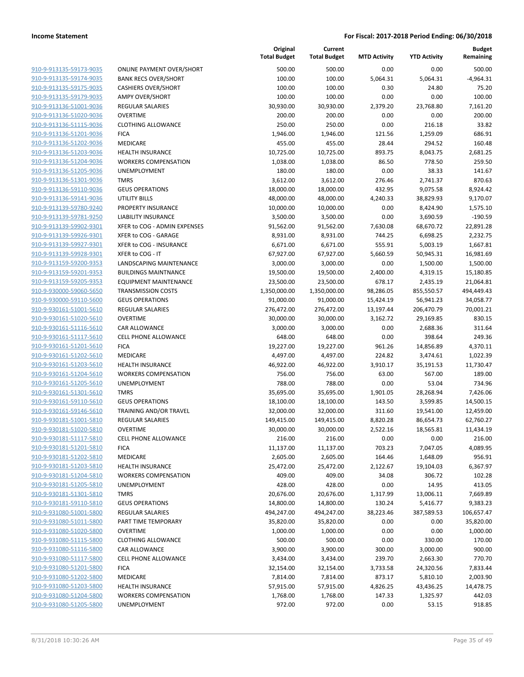**Budget Remaining**

**Current Total Budget**

**Original**

|                                                    |                                       | <b>Total Budget</b>    | <b>Total Budget</b>    | <b>MTD Activity</b> | <b>YTD Activity</b>   | Remaining             |
|----------------------------------------------------|---------------------------------------|------------------------|------------------------|---------------------|-----------------------|-----------------------|
| 910-9-913135-59173-9035                            | <b>ONLINE PAYMENT OVER/SHORT</b>      | 500.00                 | 500.00                 | 0.00                | 0.00                  | 500.00                |
| 910-9-913135-59174-9035                            | <b>BANK RECS OVER/SHORT</b>           | 100.00                 | 100.00                 | 5,064.31            | 5,064.31              | $-4,964.31$           |
| 910-9-913135-59175-9035                            | <b>CASHIERS OVER/SHORT</b>            | 100.00                 | 100.00                 | 0.30                | 24.80                 | 75.20                 |
| 910-9-913135-59179-9035                            | <b>AMPY OVER/SHORT</b>                | 100.00                 | 100.00                 | 0.00                | 0.00                  | 100.00                |
| 910-9-913136-51001-9036                            | REGULAR SALARIES                      | 30,930.00              | 30,930.00              | 2,379.20            | 23,768.80             | 7,161.20              |
| 910-9-913136-51020-9036                            | <b>OVERTIME</b>                       | 200.00                 | 200.00                 | 0.00                | 0.00                  | 200.00                |
| 910-9-913136-51115-9036                            | <b>CLOTHING ALLOWANCE</b>             | 250.00                 | 250.00                 | 0.00                | 216.18                | 33.82                 |
| 910-9-913136-51201-9036                            | <b>FICA</b>                           | 1,946.00               | 1,946.00               | 121.56              | 1,259.09              | 686.91                |
| 910-9-913136-51202-9036                            | MEDICARE                              | 455.00                 | 455.00                 | 28.44               | 294.52                | 160.48                |
| 910-9-913136-51203-9036                            | <b>HEALTH INSURANCE</b>               | 10,725.00              | 10,725.00              | 893.75              | 8,043.75              | 2,681.25              |
| 910-9-913136-51204-9036                            | <b>WORKERS COMPENSATION</b>           | 1,038.00               | 1,038.00               | 86.50               | 778.50                | 259.50                |
| 910-9-913136-51205-9036                            | UNEMPLOYMENT                          | 180.00                 | 180.00                 | 0.00                | 38.33                 | 141.67                |
| 910-9-913136-51301-9036                            | TMRS                                  | 3,612.00               | 3,612.00               | 276.46              | 2,741.37              | 870.63                |
| 910-9-913136-59110-9036                            | <b>GEUS OPERATIONS</b>                | 18,000.00              | 18,000.00              | 432.95              | 9,075.58              | 8,924.42              |
| 910-9-913136-59141-9036                            | UTILITY BILLS                         | 48,000.00              | 48,000.00              | 4,240.33            | 38,829.93             | 9,170.07              |
| 910-9-913139-59780-9240                            | PROPERTY INSURANCE                    | 10,000.00              | 10,000.00              | 0.00                | 8,424.90              | 1,575.10              |
| 910-9-913139-59781-9250                            | <b>LIABILITY INSURANCE</b>            | 3,500.00               | 3,500.00               | 0.00                | 3,690.59              | $-190.59$             |
| 910-9-913139-59902-9301                            | XFER to COG - ADMIN EXPENSES          | 91,562.00              | 91,562.00              | 7,630.08            | 68,670.72             | 22,891.28             |
| 910-9-913139-59926-9301                            | XFER to COG - GARAGE                  | 8,931.00               | 8,931.00               | 744.25              | 6,698.25              | 2,232.75              |
| 910-9-913139-59927-9301                            | XFER to COG - INSURANCE               | 6,671.00               | 6,671.00               | 555.91              | 5,003.19              | 1,667.81              |
| 910-9-913139-59928-9301                            | XFER to COG - IT                      | 67,927.00              | 67,927.00              | 5,660.59            | 50,945.31             | 16,981.69             |
| 910-9-913159-59200-9353                            | LANDSCAPING MAINTENANCE               | 3,000.00               | 3,000.00               | 0.00                | 1,500.00              | 1,500.00              |
| 910-9-913159-59201-9353                            | <b>BUILDINGS MAINTNANCE</b>           | 19,500.00              | 19,500.00              | 2,400.00            | 4,319.15              | 15,180.85             |
| 910-9-913159-59205-9353                            | <b>EQUIPMENT MAINTENANCE</b>          | 23,500.00              | 23,500.00              | 678.17              | 2,435.19              | 21,064.81             |
| 910-9-930000-59060-5650                            | <b>TRANSMISSION COSTS</b>             | 1,350,000.00           | 1,350,000.00           | 98,286.05           | 855,550.57            | 494,449.43            |
| 910-9-930000-59110-5600                            | <b>GEUS OPERATIONS</b>                | 91,000.00              | 91,000.00              | 15,424.19           | 56,941.23             | 34,058.77             |
| 910-9-930161-51001-5610                            | <b>REGULAR SALARIES</b>               | 276,472.00             | 276,472.00             | 13,197.44           | 206,470.79            | 70,001.21             |
| 910-9-930161-51020-5610                            | <b>OVERTIME</b>                       | 30,000.00              | 30,000.00              | 3,162.72            | 29,169.85             | 830.15                |
| 910-9-930161-51116-5610                            | <b>CAR ALLOWANCE</b>                  | 3,000.00               | 3,000.00               | 0.00                | 2,688.36              | 311.64                |
| 910-9-930161-51117-5610                            | <b>CELL PHONE ALLOWANCE</b>           | 648.00                 | 648.00                 | 0.00                | 398.64                | 249.36                |
| 910-9-930161-51201-5610                            | <b>FICA</b>                           | 19,227.00              | 19,227.00              | 961.26              | 14,856.89             | 4,370.11              |
| 910-9-930161-51202-5610                            | MEDICARE                              | 4,497.00               | 4,497.00               | 224.82              | 3,474.61              | 1,022.39              |
| 910-9-930161-51203-5610                            | <b>HEALTH INSURANCE</b>               | 46,922.00              | 46,922.00              | 3,910.17            | 35,191.53             | 11,730.47             |
| 910-9-930161-51204-5610                            | <b>WORKERS COMPENSATION</b>           | 756.00                 | 756.00                 | 63.00               | 567.00                | 189.00                |
| 910-9-930161-51205-5610<br>910-9-930161-51301-5610 | UNEMPLOYMENT                          | 788.00                 | 788.00                 | 0.00                | 53.04                 | 734.96                |
| 910-9-930161-59110-5610                            | <b>TMRS</b><br><b>GEUS OPERATIONS</b> | 35,695.00              | 35,695.00              | 1,901.05<br>143.50  | 28,268.94             | 7,426.06<br>14,500.15 |
| 910-9-930161-59146-5610                            | TRAINING AND/OR TRAVEL                | 18,100.00<br>32,000.00 | 18,100.00<br>32,000.00 | 311.60              | 3,599.85<br>19,541.00 | 12,459.00             |
| 910-9-930181-51001-5810                            | REGULAR SALARIES                      | 149,415.00             | 149,415.00             | 8,820.28            | 86,654.73             | 62,760.27             |
| 910-9-930181-51020-5810                            | <b>OVERTIME</b>                       | 30,000.00              | 30,000.00              | 2,522.16            | 18,565.81             | 11,434.19             |
| 910-9-930181-51117-5810                            | <b>CELL PHONE ALLOWANCE</b>           | 216.00                 | 216.00                 | 0.00                | 0.00                  | 216.00                |
| 910-9-930181-51201-5810                            | <b>FICA</b>                           | 11,137.00              | 11,137.00              | 703.23              | 7,047.05              | 4,089.95              |
| 910-9-930181-51202-5810                            | MEDICARE                              | 2,605.00               | 2,605.00               | 164.46              | 1,648.09              | 956.91                |
| 910-9-930181-51203-5810                            | <b>HEALTH INSURANCE</b>               | 25,472.00              | 25,472.00              | 2,122.67            | 19,104.03             | 6,367.97              |
| 910-9-930181-51204-5810                            | <b>WORKERS COMPENSATION</b>           | 409.00                 | 409.00                 | 34.08               | 306.72                | 102.28                |
| 910-9-930181-51205-5810                            | UNEMPLOYMENT                          | 428.00                 | 428.00                 | 0.00                | 14.95                 | 413.05                |
| 910-9-930181-51301-5810                            | <b>TMRS</b>                           | 20,676.00              | 20,676.00              | 1,317.99            | 13,006.11             | 7,669.89              |
| 910-9-930181-59110-5810                            | <b>GEUS OPERATIONS</b>                | 14,800.00              | 14,800.00              | 130.24              | 5,416.77              | 9,383.23              |
| 910-9-931080-51001-5800                            | <b>REGULAR SALARIES</b>               | 494,247.00             | 494,247.00             | 38,223.46           | 387,589.53            | 106,657.47            |
| 910-9-931080-51011-5800                            | PART TIME TEMPORARY                   | 35,820.00              | 35,820.00              | 0.00                | 0.00                  | 35,820.00             |
| 910-9-931080-51020-5800                            | <b>OVERTIME</b>                       | 1,000.00               | 1,000.00               | 0.00                | 0.00                  | 1,000.00              |
| 910-9-931080-51115-5800                            | <b>CLOTHING ALLOWANCE</b>             | 500.00                 | 500.00                 | 0.00                | 330.00                | 170.00                |
| 910-9-931080-51116-5800                            | CAR ALLOWANCE                         | 3,900.00               | 3,900.00               | 300.00              | 3,000.00              | 900.00                |
| 910-9-931080-51117-5800                            | <b>CELL PHONE ALLOWANCE</b>           | 3,434.00               | 3,434.00               | 239.70              | 2,663.30              | 770.70                |
| 910-9-931080-51201-5800                            | <b>FICA</b>                           | 32,154.00              | 32,154.00              | 3,733.58            | 24,320.56             | 7,833.44              |
| 910-9-931080-51202-5800                            | MEDICARE                              | 7,814.00               | 7,814.00               | 873.17              | 5,810.10              | 2,003.90              |
| 910-9-931080-51203-5800                            | <b>HEALTH INSURANCE</b>               | 57,915.00              | 57,915.00              | 4,826.25            | 43,436.25             | 14,478.75             |
| 910-9-931080-51204-5800                            | <b>WORKERS COMPENSATION</b>           | 1,768.00               | 1,768.00               | 147.33              | 1,325.97              | 442.03                |
| 910-9-931080-51205-5800                            | UNEMPLOYMENT                          | 972.00                 | 972.00                 | 0.00                | 53.15                 | 918.85                |
|                                                    |                                       |                        |                        |                     |                       |                       |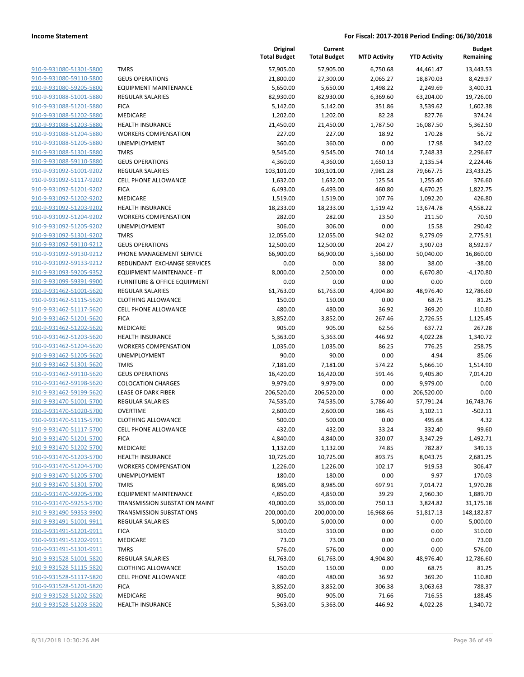|                                                    |                                       | Original<br><b>Total Budget</b> | Current<br><b>Total Budget</b> | <b>MTD Activity</b> | <b>YTD Activity</b>  | Budget<br>Remaining  |
|----------------------------------------------------|---------------------------------------|---------------------------------|--------------------------------|---------------------|----------------------|----------------------|
| 910-9-931080-51301-5800                            | <b>TMRS</b>                           | 57,905.00                       | 57,905.00                      | 6,750.68            | 44,461.47            | 13,443.53            |
| 910-9-931080-59110-5800                            | <b>GEUS OPERATIONS</b>                | 21,800.00                       | 27,300.00                      | 2,065.27            | 18,870.03            | 8,429.97             |
| 910-9-931080-59205-5800                            | <b>EQUIPMENT MAINTENANCE</b>          | 5,650.00                        | 5,650.00                       | 1,498.22            | 2,249.69             | 3,400.31             |
| 910-9-931088-51001-5880                            | <b>REGULAR SALARIES</b>               | 82,930.00                       | 82,930.00                      | 6,369.60            | 63,204.00            | 19,726.00            |
| 910-9-931088-51201-5880                            | <b>FICA</b>                           | 5,142.00                        | 5,142.00                       | 351.86              | 3,539.62             | 1,602.38             |
| 910-9-931088-51202-5880                            | MEDICARE                              | 1,202.00                        | 1,202.00                       | 82.28               | 827.76               | 374.24               |
| 910-9-931088-51203-5880                            | <b>HEALTH INSURANCE</b>               | 21,450.00                       | 21,450.00                      | 1,787.50            | 16,087.50            | 5,362.50             |
| 910-9-931088-51204-5880                            | <b>WORKERS COMPENSATION</b>           | 227.00                          | 227.00                         | 18.92               | 170.28               | 56.72                |
| 910-9-931088-51205-5880                            | UNEMPLOYMENT                          | 360.00                          | 360.00                         | 0.00                | 17.98                | 342.02               |
| 910-9-931088-51301-5880                            | <b>TMRS</b>                           | 9,545.00                        | 9,545.00                       | 740.14              | 7,248.33             | 2,296.67             |
| 910-9-931088-59110-5880                            | <b>GEUS OPERATIONS</b>                | 4,360.00                        | 4,360.00                       | 1,650.13            | 2,135.54             | 2,224.46             |
| 910-9-931092-51001-9202                            | <b>REGULAR SALARIES</b>               | 103,101.00                      | 103,101.00                     | 7,981.28            | 79,667.75            | 23,433.25            |
| 910-9-931092-51117-9202                            | <b>CELL PHONE ALLOWANCE</b>           | 1,632.00                        | 1,632.00                       | 125.54              | 1,255.40             | 376.60               |
| 910-9-931092-51201-9202                            | <b>FICA</b>                           | 6,493.00                        | 6,493.00                       | 460.80              | 4,670.25             | 1,822.75             |
| 910-9-931092-51202-9202                            | MEDICARE                              | 1,519.00                        | 1,519.00                       | 107.76              | 1,092.20             | 426.80               |
| 910-9-931092-51203-9202                            | <b>HEALTH INSURANCE</b>               | 18,233.00                       | 18,233.00                      | 1,519.42            | 13,674.78            | 4,558.22             |
| 910-9-931092-51204-9202                            | <b>WORKERS COMPENSATION</b>           | 282.00                          | 282.00                         | 23.50               | 211.50               | 70.50<br>290.42      |
| 910-9-931092-51205-9202<br>910-9-931092-51301-9202 | <b>UNEMPLOYMENT</b>                   | 306.00                          | 306.00                         | 0.00                | 15.58                |                      |
| 910-9-931092-59110-9212                            | <b>TMRS</b><br><b>GEUS OPERATIONS</b> | 12,055.00<br>12,500.00          | 12,055.00<br>12,500.00         | 942.02<br>204.27    | 9,279.09<br>3,907.03 | 2,775.91<br>8,592.97 |
| 910-9-931092-59130-9212                            | PHONE MANAGEMENT SERVICE              | 66,900.00                       | 66,900.00                      | 5,560.00            | 50,040.00            | 16,860.00            |
| 910-9-931092-59133-9212                            | REDUNDANT EXCHANGE SERVICES           | 0.00                            | 0.00                           | 38.00               | 38.00                | $-38.00$             |
| 910-9-931093-59205-9352                            | EQUIPMENT MAINTENANCE - IT            | 8,000.00                        | 2,500.00                       | 0.00                | 6,670.80             | $-4,170.80$          |
| 910-9-931099-59391-9900                            | FURNITURE & OFFICE EQUIPMENT          | 0.00                            | 0.00                           | 0.00                | 0.00                 | 0.00                 |
| 910-9-931462-51001-5620                            | <b>REGULAR SALARIES</b>               | 61,763.00                       | 61,763.00                      | 4,904.80            | 48,976.40            | 12,786.60            |
| 910-9-931462-51115-5620                            | <b>CLOTHING ALLOWANCE</b>             | 150.00                          | 150.00                         | 0.00                | 68.75                | 81.25                |
| 910-9-931462-51117-5620                            | <b>CELL PHONE ALLOWANCE</b>           | 480.00                          | 480.00                         | 36.92               | 369.20               | 110.80               |
| 910-9-931462-51201-5620                            | <b>FICA</b>                           | 3,852.00                        | 3,852.00                       | 267.46              | 2,726.55             | 1,125.45             |
| 910-9-931462-51202-5620                            | MEDICARE                              | 905.00                          | 905.00                         | 62.56               | 637.72               | 267.28               |
| 910-9-931462-51203-5620                            | <b>HEALTH INSURANCE</b>               | 5,363.00                        | 5,363.00                       | 446.92              | 4,022.28             | 1,340.72             |
| 910-9-931462-51204-5620                            | <b>WORKERS COMPENSATION</b>           | 1,035.00                        | 1,035.00                       | 86.25               | 776.25               | 258.75               |
| 910-9-931462-51205-5620                            | <b>UNEMPLOYMENT</b>                   | 90.00                           | 90.00                          | 0.00                | 4.94                 | 85.06                |
| 910-9-931462-51301-5620                            | <b>TMRS</b>                           | 7,181.00                        | 7,181.00                       | 574.22              | 5,666.10             | 1,514.90             |
| 910-9-931462-59110-5620                            | <b>GEUS OPERATIONS</b>                | 16,420.00                       | 16,420.00                      | 591.46              | 9,405.80             | 7,014.20             |
| 910-9-931462-59198-5620                            | <b>COLOCATION CHARGES</b>             | 9,979.00                        | 9,979.00                       | 0.00                | 9,979.00             | 0.00                 |
| 910-9-931462-59199-5620                            | LEASE OF DARK FIBER                   | 206,520.00                      | 206,520.00                     | 0.00                | 206,520.00           | 0.00                 |
| 910-9-931470-51001-5700                            | <b>REGULAR SALARIES</b>               | 74,535.00                       | 74,535.00                      | 5,786.40            | 57,791.24            | 16,743.76            |
| 910-9-931470-51020-5700                            | <b>OVERTIME</b>                       | 2,600.00                        | 2,600.00                       | 186.45              | 3,102.11             | $-502.11$            |
| 910-9-931470-51115-5700                            | <b>CLOTHING ALLOWANCE</b>             | 500.00                          | 500.00                         | 0.00                | 495.68               | 4.32                 |
| 910-9-931470-51117-5700                            | CELL PHONE ALLOWANCE                  | 432.00                          | 432.00                         | 33.24               | 332.40               | 99.60                |
| 910-9-931470-51201-5700                            | <b>FICA</b>                           | 4,840.00                        | 4,840.00                       | 320.07              | 3,347.29             | 1,492.71             |
| 910-9-931470-51202-5700                            | MEDICARE                              | 1,132.00                        | 1,132.00                       | 74.85               | 782.87               | 349.13               |
| 910-9-931470-51203-5700                            | <b>HEALTH INSURANCE</b>               | 10,725.00                       | 10,725.00                      | 893.75              | 8,043.75             | 2,681.25             |
| 910-9-931470-51204-5700                            | <b>WORKERS COMPENSATION</b>           | 1,226.00                        | 1,226.00                       | 102.17              | 919.53               | 306.47               |
| 910-9-931470-51205-5700                            | <b>UNEMPLOYMENT</b>                   | 180.00                          | 180.00                         | 0.00                | 9.97                 | 170.03               |
| 910-9-931470-51301-5700                            | <b>TMRS</b>                           | 8,985.00                        | 8,985.00                       | 697.91              | 7,014.72             | 1,970.28             |
| 910-9-931470-59205-5700                            | <b>EQUIPMENT MAINTENANCE</b>          | 4,850.00                        | 4,850.00                       | 39.29               | 2,960.30             | 1,889.70             |
| 910-9-931470-59253-5700                            | TRANSMISSION SUBSTATION MAINT         | 40,000.00                       | 35,000.00                      | 750.13              | 3,824.82             | 31,175.18            |
| 910-9-931490-59353-9900                            | <b>TRANSMISSION SUBSTATIONS</b>       | 200,000.00                      | 200,000.00                     | 16,968.66           | 51,817.13            | 148,182.87           |
| 910-9-931491-51001-9911                            | REGULAR SALARIES                      | 5,000.00                        | 5,000.00                       | 0.00                | 0.00                 | 5,000.00             |
| 910-9-931491-51201-9911                            | <b>FICA</b>                           | 310.00                          | 310.00                         | 0.00                | 0.00                 | 310.00               |
| 910-9-931491-51202-9911                            | MEDICARE                              | 73.00                           | 73.00                          | 0.00                | 0.00                 | 73.00                |
| 910-9-931491-51301-9911                            | <b>TMRS</b>                           | 576.00                          | 576.00                         | 0.00                | 0.00                 | 576.00               |
| 910-9-931528-51001-5820                            | REGULAR SALARIES                      | 61,763.00                       | 61,763.00                      | 4,904.80            | 48,976.40            | 12,786.60            |
| 910-9-931528-51115-5820                            | <b>CLOTHING ALLOWANCE</b>             | 150.00                          | 150.00                         | 0.00                | 68.75                | 81.25                |
| 910-9-931528-51117-5820                            | <b>CELL PHONE ALLOWANCE</b>           | 480.00                          | 480.00                         | 36.92               | 369.20               | 110.80               |
| 910-9-931528-51201-5820                            | <b>FICA</b>                           | 3,852.00                        | 3,852.00                       | 306.38              | 3,063.63             | 788.37               |
| 910-9-931528-51202-5820                            | MEDICARE                              | 905.00                          | 905.00                         | 71.66               | 716.55               | 188.45               |
| 910-9-931528-51203-5820                            | <b>HEALTH INSURANCE</b>               | 5,363.00                        | 5,363.00                       | 446.92              | 4,022.28             | 1,340.72             |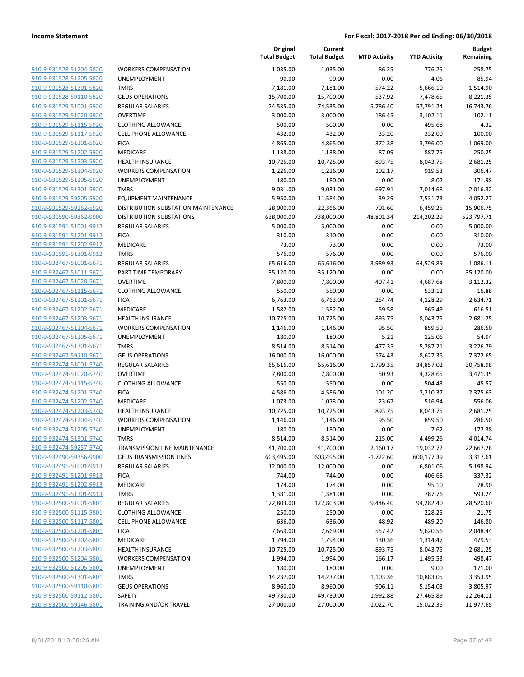| 910-9-931528-51204-5820        | ۷ |
|--------------------------------|---|
| 910-9-931528-51205-5820        | U |
| 910-9-931528-51301-5820        | т |
| 910-9-931528-59110-5820        | G |
|                                |   |
| 910-9-931529-51001-5920        | R |
| 910-9-931529-51020-5920        | C |
| 910-9-931529-51115-5920        | C |
| 910-9-931529-51117-5920        | C |
| 910-9-931529-51201-5920        | F |
| 910-9-931529-51202-5920        | Ν |
| 910-9-931529-51203-5920        | Н |
| 910-9-931529-51204-5920        | ۷ |
| 910-9-931529-51205-5920        | U |
| 910-9-931529-51301-5920        | т |
| 910-9-931529-59205-5920        | Ε |
| 910-9-931529-59262-5920        | D |
| 910-9-931590-59362-9900        | D |
| 910-9-931591-51001-9912        | R |
| 910-9-931591-51201-9912        | F |
| <u>910-9-931591-51202-9912</u> | Ν |
| 910-9-931591-51301-9912        | т |
| 910-9-932467-51001-5671        | R |
| 910-9-932467-51011-5671        | P |
| 910-9-932467-51020-5671        |   |
|                                | C |
| 910-9-932467-51115-5671        | C |
| 910-9-932467-51201-5671        | F |
| 910-9-932467-51202-5671        | Ν |
| 910-9-932467-51203-5671        | Н |
| 910-9-932467-51204-5671        | ٧ |
| 910-9-932467-51205-5671        | U |
| 910-9-932467-51301-5671        | Т |
| 910-9-932467-59110-5671        | G |
| 910-9-932474-51001-5740        | R |
| 910-9-932474-51020-5740        | C |
| 910-9-932474-51115-5740        | C |
| 910-9-932474-51201-5740        | F |
| 910-9-932474-51202-5740        | Ν |
| 910-9-932474-51203-5740        | Н |
| 910-9-932474-51204-5740        | ۷ |
| 910-9-932474-51205-5740        | U |
| 910-9-932474-51301-5740        | Т |
| 910-9-932474-59257-5740        | т |
| 910-9-932490-59356-9900        | G |
| 910-9-932491-51001-9913        | R |
| <u>910-9-932491-51201-9913</u> | F |
| 910-9-932491-51202-9913        | Ν |
| 910-9-932491-51301-9913        | Т |
|                                |   |
| 910-9-932500-51001-5801        | R |
| 910-9-932500-51115-5801        | C |
| 910-9-932500-51117-5801        | C |
| 910-9-932500-51201-5801        | F |
| 910-9-932500-51202-5801        | Λ |
| 910-9-932500-51203-5801        | Н |
| 910-9-932500-51204-5801        |   |
|                                |   |
| 910-9-932500-51205-5801        | U |
| 910-9-932500-51301-5801        | т |
| 910-9-932500-59110-5801        | G |
| 910-9-932500-59112-5801        | S |
| 910-9-932500-59146-5801        | т |

|                                                    |                                        | Original<br><b>Total Budget</b> | Current<br><b>Total Budget</b> | <b>MTD Activity</b> | <b>YTD Activity</b> | <b>Budget</b><br>Remaining |
|----------------------------------------------------|----------------------------------------|---------------------------------|--------------------------------|---------------------|---------------------|----------------------------|
| 910-9-931528-51204-5820                            | <b>WORKERS COMPENSATION</b>            | 1,035.00                        | 1,035.00                       | 86.25               | 776.25              | 258.75                     |
| 910-9-931528-51205-5820                            | <b>UNEMPLOYMENT</b>                    | 90.00                           | 90.00                          | 0.00                | 4.06                | 85.94                      |
| 910-9-931528-51301-5820                            | <b>TMRS</b>                            | 7,181.00                        | 7,181.00                       | 574.22              | 5,666.10            | 1,514.90                   |
| 910-9-931528-59110-5820                            | <b>GEUS OPERATIONS</b>                 | 15,700.00                       | 15,700.00                      | 537.92              | 7,478.65            | 8,221.35                   |
| 910-9-931529-51001-5920                            | <b>REGULAR SALARIES</b>                | 74,535.00                       | 74,535.00                      | 5,786.40            | 57,791.24           | 16,743.76                  |
| 910-9-931529-51020-5920                            | <b>OVERTIME</b>                        | 3,000.00                        | 3,000.00                       | 186.45              | 3,102.11            | $-102.11$                  |
| 910-9-931529-51115-5920                            | <b>CLOTHING ALLOWANCE</b>              | 500.00                          | 500.00                         | 0.00                | 495.68              | 4.32                       |
| 910-9-931529-51117-5920                            | <b>CELL PHONE ALLOWANCE</b>            | 432.00                          | 432.00                         | 33.20               | 332.00              | 100.00                     |
| 910-9-931529-51201-5920                            | <b>FICA</b>                            | 4,865.00                        | 4,865.00                       | 372.38              | 3,796.00            | 1,069.00                   |
| 910-9-931529-51202-5920                            | <b>MEDICARE</b>                        | 1,138.00                        | 1,138.00                       | 87.09               | 887.75              | 250.25                     |
| 910-9-931529-51203-5920                            | HEALTH INSURANCE                       | 10,725.00                       | 10,725.00                      | 893.75              | 8,043.75            | 2,681.25                   |
| 910-9-931529-51204-5920                            | <b>WORKERS COMPENSATION</b>            | 1,226.00                        | 1,226.00                       | 102.17              | 919.53              | 306.47                     |
| 910-9-931529-51205-5920                            | UNEMPLOYMENT                           | 180.00                          | 180.00                         | 0.00                | 8.02                | 171.98                     |
| 910-9-931529-51301-5920                            | <b>TMRS</b>                            | 9,031.00                        | 9,031.00                       | 697.91              | 7,014.68            | 2,016.32                   |
| 910-9-931529-59205-5920                            | <b>EQUIPMENT MAINTENANCE</b>           | 5,950.00                        | 11,584.00                      | 39.29               | 7,531.73            | 4,052.27                   |
| 910-9-931529-59262-5920                            | DISTRIBUTION SUBSTATION MAINTENANCE    | 28,000.00                       | 22,366.00                      | 701.60              | 6,459.25            | 15,906.75                  |
| 910-9-931590-59362-9900                            | <b>DISTRIBUTION SUBSTATIONS</b>        | 638,000.00                      | 738,000.00                     | 48,801.34           | 214,202.29          | 523,797.71                 |
| 910-9-931591-51001-9912                            | <b>REGULAR SALARIES</b>                | 5,000.00                        | 5,000.00                       | 0.00                | 0.00                | 5,000.00                   |
| 910-9-931591-51201-9912                            | <b>FICA</b>                            | 310.00                          | 310.00                         | 0.00                | 0.00                | 310.00                     |
| 910-9-931591-51202-9912<br>910-9-931591-51301-9912 | MEDICARE                               | 73.00                           | 73.00                          | 0.00                | 0.00                | 73.00                      |
| 910-9-932467-51001-5671                            | <b>TMRS</b><br><b>REGULAR SALARIES</b> | 576.00                          | 576.00                         | 0.00                | 0.00                | 576.00                     |
|                                                    |                                        | 65,616.00                       | 65,616.00                      | 3,989.93            | 64,529.89           | 1,086.11                   |
| 910-9-932467-51011-5671                            | PART TIME TEMPORARY<br><b>OVERTIME</b> | 35,120.00                       | 35,120.00                      | 0.00                | 0.00                | 35,120.00                  |
| 910-9-932467-51020-5671<br>910-9-932467-51115-5671 | <b>CLOTHING ALLOWANCE</b>              | 7,800.00<br>550.00              | 7,800.00<br>550.00             | 407.41<br>0.00      | 4,687.68<br>533.12  | 3,112.32<br>16.88          |
| 910-9-932467-51201-5671                            | <b>FICA</b>                            | 6,763.00                        | 6,763.00                       | 254.74              | 4,128.29            | 2,634.71                   |
| 910-9-932467-51202-5671                            | MEDICARE                               | 1,582.00                        | 1,582.00                       | 59.58               | 965.49              | 616.51                     |
| 910-9-932467-51203-5671                            | <b>HEALTH INSURANCE</b>                | 10,725.00                       | 10,725.00                      | 893.75              | 8,043.75            | 2,681.25                   |
| 910-9-932467-51204-5671                            | <b>WORKERS COMPENSATION</b>            | 1,146.00                        | 1,146.00                       | 95.50               | 859.50              | 286.50                     |
| 910-9-932467-51205-5671                            | <b>UNEMPLOYMENT</b>                    | 180.00                          | 180.00                         | 5.21                | 125.06              | 54.94                      |
| 910-9-932467-51301-5671                            | <b>TMRS</b>                            | 8,514.00                        | 8,514.00                       | 477.35              | 5,287.21            | 3,226.79                   |
| 910-9-932467-59110-5671                            | <b>GEUS OPERATIONS</b>                 | 16,000.00                       | 16,000.00                      | 574.43              | 8,627.35            | 7,372.65                   |
| 910-9-932474-51001-5740                            | <b>REGULAR SALARIES</b>                | 65,616.00                       | 65,616.00                      | 1,799.35            | 34,857.02           | 30,758.98                  |
| 910-9-932474-51020-5740                            | <b>OVERTIME</b>                        | 7,800.00                        | 7,800.00                       | 50.93               | 4,328.65            | 3,471.35                   |
| 910-9-932474-51115-5740                            | <b>CLOTHING ALLOWANCE</b>              | 550.00                          | 550.00                         | 0.00                | 504.43              | 45.57                      |
| 910-9-932474-51201-5740                            | <b>FICA</b>                            | 4,586.00                        | 4,586.00                       | 101.20              | 2,210.37            | 2,375.63                   |
| 910-9-932474-51202-5740                            | MEDICARE                               | 1,073.00                        | 1,073.00                       | 23.67               | 516.94              | 556.06                     |
| 910-9-932474-51203-5740                            | <b>HEALTH INSURANCE</b>                | 10,725.00                       | 10,725.00                      | 893.75              | 8,043.75            | 2,681.25                   |
| 910-9-932474-51204-5740                            | <b>WORKERS COMPENSATION</b>            | 1,146.00                        | 1,146.00                       | 95.50               | 859.50              | 286.50                     |
| 910-9-932474-51205-5740                            | UNEMPLOYMENT                           | 180.00                          | 180.00                         | 0.00                | 7.62                | 172.38                     |
| 910-9-932474-51301-5740                            | <b>TMRS</b>                            | 8,514.00                        | 8,514.00                       | 215.00              | 4,499.26            | 4,014.74                   |
| 910-9-932474-59257-5740                            | TRANSMISSION LINE MAINTENANCE          | 41,700.00                       | 41,700.00                      | 2,160.17            | 19,032.72           | 22,667.28                  |
| 910-9-932490-59356-9900                            | <b>GEUS TRANSMISSION LINES</b>         | 603,495.00                      | 603,495.00                     | $-1,722.60$         | 600,177.39          | 3,317.61                   |
| 910-9-932491-51001-9913                            | <b>REGULAR SALARIES</b>                | 12,000.00                       | 12,000.00                      | 0.00                | 6,801.06            | 5,198.94                   |
| 910-9-932491-51201-9913                            | <b>FICA</b>                            | 744.00                          | 744.00                         | 0.00                | 406.68              | 337.32                     |
| 910-9-932491-51202-9913                            | MEDICARE                               | 174.00                          | 174.00                         | 0.00                | 95.10               | 78.90                      |
| 910-9-932491-51301-9913                            | <b>TMRS</b>                            | 1,381.00                        | 1,381.00                       | 0.00                | 787.76              | 593.24                     |
| 910-9-932500-51001-5801                            | <b>REGULAR SALARIES</b>                | 122,803.00                      | 122,803.00                     | 9,446.40            | 94,282.40           | 28,520.60                  |
| 910-9-932500-51115-5801                            | <b>CLOTHING ALLOWANCE</b>              | 250.00                          | 250.00                         | 0.00                | 228.25              | 21.75                      |
| 910-9-932500-51117-5801                            | <b>CELL PHONE ALLOWANCE</b>            | 636.00                          | 636.00                         | 48.92               | 489.20              | 146.80                     |
| 910-9-932500-51201-5801                            | <b>FICA</b>                            | 7,669.00                        | 7,669.00                       | 557.42              | 5,620.56            | 2,048.44                   |
| 910-9-932500-51202-5801                            | MEDICARE                               | 1,794.00                        | 1,794.00                       | 130.36              | 1,314.47            | 479.53                     |
| 910-9-932500-51203-5801                            | <b>HEALTH INSURANCE</b>                | 10,725.00                       | 10,725.00                      | 893.75              | 8,043.75            | 2,681.25                   |
| 910-9-932500-51204-5801                            | <b>WORKERS COMPENSATION</b>            | 1,994.00                        | 1,994.00                       | 166.17              | 1,495.53            | 498.47                     |
| 910-9-932500-51205-5801                            | <b>UNEMPLOYMENT</b>                    | 180.00                          | 180.00                         | 0.00                | 9.00                | 171.00                     |
| 910-9-932500-51301-5801                            | <b>TMRS</b>                            | 14,237.00                       | 14,237.00                      | 1,103.36            | 10,883.05           | 3,353.95                   |
| 910-9-932500-59110-5801                            | <b>GEUS OPERATIONS</b>                 | 8,960.00                        | 8,960.00                       | 906.11              | 5,154.03            | 3,805.97                   |
| 910-9-932500-59112-5801                            | SAFETY                                 | 49,730.00                       | 49,730.00                      | 1,992.88            | 27,465.89           | 22,264.11                  |
| 910-9-932500-59146-5801                            | TRAINING AND/OR TRAVEL                 | 27,000.00                       | 27,000.00                      | 1,022.70            | 15,022.35           | 11,977.65                  |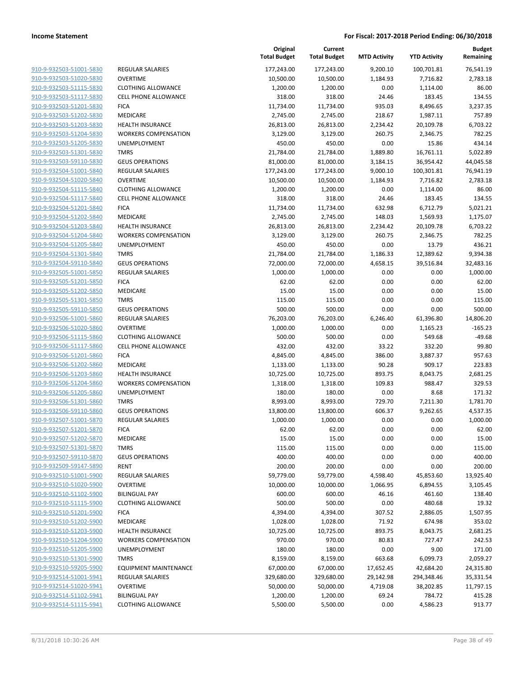|                         |                              | Original<br><b>Total Budget</b> | Current<br><b>Total Budget</b> | <b>MTD Activity</b> | <b>YTD Activity</b> | <b>Budget</b><br>Remaining |
|-------------------------|------------------------------|---------------------------------|--------------------------------|---------------------|---------------------|----------------------------|
| 910-9-932503-51001-5830 | REGULAR SALARIES             | 177,243.00                      | 177,243.00                     | 9,200.10            | 100,701.81          | 76,541.19                  |
| 910-9-932503-51020-5830 | <b>OVERTIME</b>              | 10,500.00                       | 10,500.00                      | 1,184.93            | 7,716.82            | 2,783.18                   |
| 910-9-932503-51115-5830 | <b>CLOTHING ALLOWANCE</b>    | 1,200.00                        | 1,200.00                       | 0.00                | 1,114.00            | 86.00                      |
| 910-9-932503-51117-5830 | <b>CELL PHONE ALLOWANCE</b>  | 318.00                          | 318.00                         | 24.46               | 183.45              | 134.55                     |
| 910-9-932503-51201-5830 | <b>FICA</b>                  | 11,734.00                       | 11,734.00                      | 935.03              | 8,496.65            | 3,237.35                   |
| 910-9-932503-51202-5830 | MEDICARE                     | 2,745.00                        | 2,745.00                       | 218.67              | 1,987.11            | 757.89                     |
| 910-9-932503-51203-5830 | <b>HEALTH INSURANCE</b>      | 26,813.00                       | 26,813.00                      | 2,234.42            | 20,109.78           | 6,703.22                   |
| 910-9-932503-51204-5830 | <b>WORKERS COMPENSATION</b>  | 3,129.00                        | 3,129.00                       | 260.75              | 2,346.75            | 782.25                     |
| 910-9-932503-51205-5830 | <b>UNEMPLOYMENT</b>          | 450.00                          | 450.00                         | 0.00                | 15.86               | 434.14                     |
| 910-9-932503-51301-5830 | <b>TMRS</b>                  | 21,784.00                       | 21,784.00                      | 1,889.80            | 16,761.11           | 5,022.89                   |
| 910-9-932503-59110-5830 | <b>GEUS OPERATIONS</b>       | 81,000.00                       | 81,000.00                      | 3,184.15            | 36,954.42           | 44,045.58                  |
| 910-9-932504-51001-5840 | REGULAR SALARIES             | 177,243.00                      | 177,243.00                     | 9,000.10            | 100,301.81          | 76,941.19                  |
| 910-9-932504-51020-5840 | <b>OVERTIME</b>              | 10,500.00                       | 10,500.00                      | 1,184.93            | 7,716.82            | 2,783.18                   |
| 910-9-932504-51115-5840 | <b>CLOTHING ALLOWANCE</b>    | 1,200.00                        | 1,200.00                       | 0.00                | 1,114.00            | 86.00                      |
| 910-9-932504-51117-5840 | <b>CELL PHONE ALLOWANCE</b>  | 318.00                          | 318.00                         | 24.46               | 183.45              | 134.55                     |
| 910-9-932504-51201-5840 | <b>FICA</b>                  | 11,734.00                       | 11,734.00                      | 632.98              | 6,712.79            | 5,021.21                   |
| 910-9-932504-51202-5840 | <b>MEDICARE</b>              | 2,745.00                        | 2,745.00                       | 148.03              | 1,569.93            | 1,175.07                   |
| 910-9-932504-51203-5840 | <b>HEALTH INSURANCE</b>      | 26,813.00                       | 26,813.00                      | 2,234.42            | 20,109.78           | 6,703.22                   |
| 910-9-932504-51204-5840 | <b>WORKERS COMPENSATION</b>  | 3,129.00                        | 3,129.00                       | 260.75              | 2,346.75            | 782.25                     |
| 910-9-932504-51205-5840 | <b>UNEMPLOYMENT</b>          | 450.00                          | 450.00                         | 0.00                | 13.79               | 436.21                     |
| 910-9-932504-51301-5840 | <b>TMRS</b>                  | 21,784.00                       | 21,784.00                      | 1,186.33            | 12,389.62           | 9,394.38                   |
| 910-9-932504-59110-5840 | <b>GEUS OPERATIONS</b>       | 72,000.00                       | 72,000.00                      | 4,658.15            | 39,516.84           | 32,483.16                  |
| 910-9-932505-51001-5850 | REGULAR SALARIES             | 1,000.00                        | 1,000.00                       | 0.00                | 0.00                | 1,000.00                   |
| 910-9-932505-51201-5850 | <b>FICA</b>                  | 62.00                           | 62.00                          | 0.00                | 0.00                | 62.00                      |
| 910-9-932505-51202-5850 | <b>MEDICARE</b>              | 15.00                           | 15.00                          | 0.00                | 0.00                | 15.00                      |
| 910-9-932505-51301-5850 | <b>TMRS</b>                  | 115.00                          | 115.00                         | 0.00                | 0.00                | 115.00                     |
| 910-9-932505-59110-5850 | <b>GEUS OPERATIONS</b>       | 500.00                          | 500.00                         | 0.00                | 0.00                | 500.00                     |
| 910-9-932506-51001-5860 | REGULAR SALARIES             | 76,203.00                       | 76,203.00                      | 6,246.40            | 61,396.80           | 14,806.20                  |
| 910-9-932506-51020-5860 | <b>OVERTIME</b>              | 1,000.00                        | 1,000.00                       | 0.00                | 1,165.23            | $-165.23$                  |
| 910-9-932506-51115-5860 | <b>CLOTHING ALLOWANCE</b>    | 500.00                          | 500.00                         | 0.00                | 549.68              | $-49.68$                   |
| 910-9-932506-51117-5860 | <b>CELL PHONE ALLOWANCE</b>  | 432.00                          | 432.00                         | 33.22               | 332.20              | 99.80                      |
| 910-9-932506-51201-5860 | <b>FICA</b>                  | 4,845.00                        | 4,845.00                       | 386.00              | 3,887.37            | 957.63                     |
| 910-9-932506-51202-5860 | MEDICARE                     | 1,133.00                        | 1,133.00                       | 90.28               | 909.17              | 223.83                     |
| 910-9-932506-51203-5860 | <b>HEALTH INSURANCE</b>      | 10,725.00                       | 10,725.00                      | 893.75              | 8,043.75            | 2,681.25                   |
| 910-9-932506-51204-5860 | <b>WORKERS COMPENSATION</b>  | 1,318.00                        | 1,318.00                       | 109.83              | 988.47              | 329.53                     |
| 910-9-932506-51205-5860 | UNEMPLOYMENT                 | 180.00                          | 180.00                         | 0.00                | 8.68                | 171.32                     |
| 910-9-932506-51301-5860 | <b>TMRS</b>                  | 8,993.00                        | 8,993.00                       | 729.70              | 7,211.30            | 1,781.70                   |
| 910-9-932506-59110-5860 | <b>GEUS OPERATIONS</b>       | 13,800.00                       | 13,800.00                      | 606.37              | 9,262.65            | 4,537.35                   |
| 910-9-932507-51001-5870 | <b>REGULAR SALARIES</b>      | 1,000.00                        | 1,000.00                       | 0.00                | 0.00                | 1,000.00                   |
| 910-9-932507-51201-5870 | <b>FICA</b>                  | 62.00                           | 62.00                          | 0.00                | 0.00                | 62.00                      |
| 910-9-932507-51202-5870 | MEDICARE                     | 15.00                           | 15.00                          | 0.00                | 0.00                | 15.00                      |
| 910-9-932507-51301-5870 | <b>TMRS</b>                  | 115.00                          | 115.00                         | 0.00                | 0.00                | 115.00                     |
| 910-9-932507-59110-5870 | <b>GEUS OPERATIONS</b>       | 400.00                          | 400.00                         | 0.00                | 0.00                | 400.00                     |
| 910-9-932509-59147-5890 | <b>RENT</b>                  | 200.00                          | 200.00                         | 0.00                | 0.00                | 200.00                     |
| 910-9-932510-51001-5900 | <b>REGULAR SALARIES</b>      | 59,779.00                       | 59,779.00                      | 4,598.40            | 45,853.60           | 13,925.40                  |
| 910-9-932510-51020-5900 | <b>OVERTIME</b>              | 10,000.00                       | 10,000.00                      | 1,066.95            | 6,894.55            | 3,105.45                   |
| 910-9-932510-51102-5900 | <b>BILINGUAL PAY</b>         | 600.00                          | 600.00                         | 46.16               | 461.60              | 138.40                     |
| 910-9-932510-51115-5900 | <b>CLOTHING ALLOWANCE</b>    | 500.00                          | 500.00                         | 0.00                | 480.68              | 19.32                      |
| 910-9-932510-51201-5900 | <b>FICA</b>                  | 4,394.00                        | 4,394.00                       | 307.52              | 2,886.05            | 1,507.95                   |
| 910-9-932510-51202-5900 | <b>MEDICARE</b>              | 1,028.00                        | 1,028.00                       | 71.92               | 674.98              | 353.02                     |
| 910-9-932510-51203-5900 | <b>HEALTH INSURANCE</b>      | 10,725.00                       | 10,725.00                      | 893.75              | 8,043.75            | 2,681.25                   |
| 910-9-932510-51204-5900 | <b>WORKERS COMPENSATION</b>  | 970.00                          | 970.00                         | 80.83               | 727.47              | 242.53                     |
| 910-9-932510-51205-5900 | UNEMPLOYMENT                 | 180.00                          | 180.00                         | 0.00                | 9.00                | 171.00                     |
| 910-9-932510-51301-5900 | <b>TMRS</b>                  | 8,159.00                        | 8,159.00                       | 663.68              | 6,099.73            | 2,059.27                   |
| 910-9-932510-59205-5900 | <b>EQUIPMENT MAINTENANCE</b> | 67,000.00                       | 67,000.00                      | 17,652.45           | 42,684.20           | 24,315.80                  |
| 910-9-932514-51001-5941 | REGULAR SALARIES             | 329,680.00                      | 329,680.00                     | 29,142.98           | 294,348.46          | 35,331.54                  |
| 910-9-932514-51020-5941 | <b>OVERTIME</b>              | 50,000.00                       | 50,000.00                      | 4,719.08            | 38,202.85           | 11,797.15                  |
| 910-9-932514-51102-5941 | <b>BILINGUAL PAY</b>         | 1,200.00                        | 1,200.00                       | 69.24               | 784.72              | 415.28                     |
| 910-9-932514-51115-5941 | <b>CLOTHING ALLOWANCE</b>    | 5,500.00                        | 5,500.00                       | 0.00                | 4,586.23            | 913.77                     |
|                         |                              |                                 |                                |                     |                     |                            |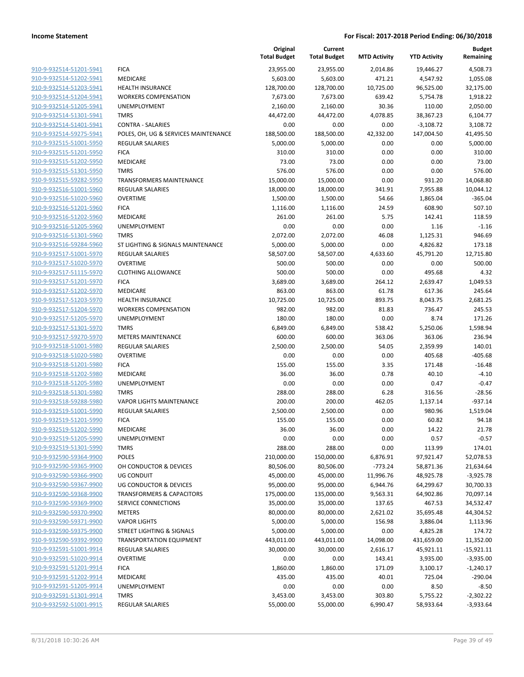|                                                    |                                      | Original<br><b>Total Budget</b> | Current<br><b>Total Budget</b> | <b>MTD Activity</b> | <b>YTD Activity</b> | <b>Budget</b><br>Remaining |
|----------------------------------------------------|--------------------------------------|---------------------------------|--------------------------------|---------------------|---------------------|----------------------------|
| 910-9-932514-51201-5941                            | <b>FICA</b>                          | 23,955.00                       | 23,955.00                      | 2,014.86            | 19,446.27           | 4,508.73                   |
| 910-9-932514-51202-5941                            | MEDICARE                             | 5,603.00                        | 5,603.00                       | 471.21              | 4,547.92            | 1,055.08                   |
| 910-9-932514-51203-5941                            | <b>HEALTH INSURANCE</b>              | 128,700.00                      | 128,700.00                     | 10,725.00           | 96,525.00           | 32,175.00                  |
| 910-9-932514-51204-5941                            | <b>WORKERS COMPENSATION</b>          | 7,673.00                        | 7,673.00                       | 639.42              | 5,754.78            | 1,918.22                   |
| 910-9-932514-51205-5941                            | <b>UNEMPLOYMENT</b>                  | 2,160.00                        | 2,160.00                       | 30.36               | 110.00              | 2,050.00                   |
| 910-9-932514-51301-5941                            | <b>TMRS</b>                          | 44,472.00                       | 44,472.00                      | 4,078.85            | 38,367.23           | 6,104.77                   |
| 910-9-932514-51401-5941                            | <b>CONTRA - SALARIES</b>             | 0.00                            | 0.00                           | 0.00                | $-3,108.72$         | 3,108.72                   |
| 910-9-932514-59275-5941                            | POLES, OH, UG & SERVICES MAINTENANCE | 188,500.00                      | 188,500.00                     | 42,332.00           | 147,004.50          | 41,495.50                  |
| 910-9-932515-51001-5950                            | <b>REGULAR SALARIES</b>              | 5,000.00                        | 5,000.00                       | 0.00                | 0.00                | 5,000.00                   |
| 910-9-932515-51201-5950                            | <b>FICA</b>                          | 310.00                          | 310.00                         | 0.00                | 0.00                | 310.00                     |
| 910-9-932515-51202-5950                            | MEDICARE                             | 73.00                           | 73.00                          | 0.00                | 0.00                | 73.00                      |
| 910-9-932515-51301-5950                            | <b>TMRS</b>                          | 576.00                          | 576.00                         | 0.00                | 0.00                | 576.00                     |
| 910-9-932515-59282-5950                            | <b>TRANSFORMERS MAINTENANCE</b>      | 15,000.00                       | 15,000.00                      | 0.00                | 931.20              | 14,068.80                  |
| 910-9-932516-51001-5960                            | <b>REGULAR SALARIES</b>              | 18,000.00                       | 18,000.00                      | 341.91              | 7,955.88            | 10,044.12                  |
| 910-9-932516-51020-5960                            | <b>OVERTIME</b>                      | 1,500.00                        | 1,500.00                       | 54.66               | 1,865.04            | $-365.04$                  |
| 910-9-932516-51201-5960                            | <b>FICA</b>                          | 1,116.00                        | 1,116.00                       | 24.59               | 608.90              | 507.10                     |
| 910-9-932516-51202-5960                            | <b>MEDICARE</b>                      | 261.00                          | 261.00                         | 5.75                | 142.41              | 118.59                     |
| 910-9-932516-51205-5960                            | <b>UNEMPLOYMENT</b>                  | 0.00                            | 0.00                           | 0.00                | 1.16                | $-1.16$                    |
| 910-9-932516-51301-5960                            | <b>TMRS</b>                          | 2,072.00                        | 2,072.00                       | 46.08               | 1,125.31            | 946.69                     |
| 910-9-932516-59284-5960                            | ST LIGHTING & SIGNALS MAINTENANCE    | 5,000.00                        | 5,000.00                       | 0.00                | 4,826.82            | 173.18                     |
| 910-9-932517-51001-5970                            | <b>REGULAR SALARIES</b>              | 58,507.00                       | 58,507.00                      | 4,633.60            | 45,791.20           | 12,715.80                  |
| 910-9-932517-51020-5970                            | <b>OVERTIME</b>                      | 500.00                          | 500.00                         | 0.00                | 0.00                | 500.00                     |
| 910-9-932517-51115-5970                            | <b>CLOTHING ALLOWANCE</b>            | 500.00                          | 500.00                         | 0.00                | 495.68              | 4.32                       |
| 910-9-932517-51201-5970                            | <b>FICA</b>                          | 3,689.00                        | 3,689.00                       | 264.12              | 2,639.47            | 1,049.53                   |
| 910-9-932517-51202-5970                            | MEDICARE                             | 863.00                          | 863.00                         | 61.78               | 617.36              | 245.64                     |
| 910-9-932517-51203-5970                            | <b>HEALTH INSURANCE</b>              | 10,725.00                       | 10,725.00                      | 893.75              | 8,043.75            | 2,681.25                   |
| 910-9-932517-51204-5970                            | <b>WORKERS COMPENSATION</b>          | 982.00                          | 982.00                         | 81.83               | 736.47              | 245.53                     |
| 910-9-932517-51205-5970                            | UNEMPLOYMENT                         | 180.00                          | 180.00                         | 0.00                | 8.74                | 171.26                     |
| 910-9-932517-51301-5970                            | <b>TMRS</b>                          | 6,849.00                        | 6,849.00                       | 538.42              | 5,250.06            | 1,598.94                   |
| 910-9-932517-59270-5970                            | <b>METERS MAINTENANCE</b>            | 600.00                          | 600.00                         | 363.06              | 363.06              | 236.94                     |
| 910-9-932518-51001-5980                            | <b>REGULAR SALARIES</b>              | 2,500.00                        | 2,500.00                       | 54.05               | 2,359.99            | 140.01                     |
| 910-9-932518-51020-5980                            | <b>OVERTIME</b>                      | 0.00                            | 0.00                           | 0.00                | 405.68              | $-405.68$                  |
| 910-9-932518-51201-5980                            | <b>FICA</b>                          | 155.00                          | 155.00                         | 3.35                | 171.48              | $-16.48$                   |
| 910-9-932518-51202-5980<br>910-9-932518-51205-5980 | MEDICARE<br>UNEMPLOYMENT             | 36.00<br>0.00                   | 36.00<br>0.00                  | 0.78<br>0.00        | 40.10<br>0.47       | $-4.10$<br>$-0.47$         |
| 910-9-932518-51301-5980                            | <b>TMRS</b>                          | 288.00                          | 288.00                         | 6.28                | 316.56              | $-28.56$                   |
| 910-9-932518-59288-5980                            | <b>VAPOR LIGHTS MAINTENANCE</b>      | 200.00                          | 200.00                         | 462.05              | 1,137.14            | $-937.14$                  |
| 910-9-932519-51001-5990                            | <b>REGULAR SALARIES</b>              | 2,500.00                        | 2,500.00                       | 0.00                | 980.96              | 1,519.04                   |
| 910-9-932519-51201-5990                            | <b>FICA</b>                          | 155.00                          | 155.00                         | 0.00                | 60.82               | 94.18                      |
| 910-9-932519-51202-5990                            | <b>MEDICARE</b>                      | 36.00                           | 36.00                          | 0.00                | 14.22               | 21.78                      |
| 910-9-932519-51205-5990                            | UNEMPLOYMENT                         | 0.00                            | 0.00                           | 0.00                | 0.57                | $-0.57$                    |
| 910-9-932519-51301-5990                            | <b>TMRS</b>                          | 288.00                          | 288.00                         | 0.00                | 113.99              | 174.01                     |
| 910-9-932590-59364-9900                            | POLES                                | 210,000.00                      | 150,000.00                     | 6,876.91            | 97,921.47           | 52,078.53                  |
| 910-9-932590-59365-9900                            | OH CONDUCTOR & DEVICES               | 80,506.00                       | 80,506.00                      | $-773.24$           | 58,871.36           | 21,634.64                  |
| 910-9-932590-59366-9900                            | UG CONDUIT                           | 45,000.00                       | 45,000.00                      | 11,996.76           | 48,925.78           | $-3,925.78$                |
| 910-9-932590-59367-9900                            | UG CONDUCTOR & DEVICES               | 95,000.00                       | 95,000.00                      | 6,944.76            | 64,299.67           | 30,700.33                  |
| 910-9-932590-59368-9900                            | <b>TRANSFORMERS &amp; CAPACITORS</b> | 175,000.00                      | 135,000.00                     | 9,563.31            | 64,902.86           | 70,097.14                  |
| 910-9-932590-59369-9900                            | <b>SERVICE CONNECTIONS</b>           | 35,000.00                       | 35,000.00                      | 137.65              | 467.53              | 34,532.47                  |
| 910-9-932590-59370-9900                            | <b>METERS</b>                        | 80,000.00                       | 80,000.00                      | 2,621.02            | 35,695.48           | 44,304.52                  |
| 910-9-932590-59371-9900                            | <b>VAPOR LIGHTS</b>                  | 5,000.00                        | 5,000.00                       | 156.98              | 3,886.04            | 1,113.96                   |
| 910-9-932590-59375-9900                            | STREET LIGHTING & SIGNALS            | 5,000.00                        | 5,000.00                       | 0.00                | 4,825.28            | 174.72                     |
| 910-9-932590-59392-9900                            | <b>TRANSPORTATION EQUIPMENT</b>      | 443,011.00                      | 443,011.00                     | 14,098.00           | 431,659.00          | 11,352.00                  |
| 910-9-932591-51001-9914                            | <b>REGULAR SALARIES</b>              | 30,000.00                       | 30,000.00                      | 2,616.17            | 45,921.11           | $-15,921.11$               |
| 910-9-932591-51020-9914                            | <b>OVERTIME</b>                      | 0.00                            | 0.00                           | 143.41              | 3,935.00            | $-3,935.00$                |
| 910-9-932591-51201-9914                            | <b>FICA</b>                          | 1,860.00                        | 1,860.00                       | 171.09              | 3,100.17            | $-1,240.17$                |
| 910-9-932591-51202-9914                            | MEDICARE                             | 435.00                          | 435.00                         | 40.01               | 725.04              | $-290.04$                  |
| 910-9-932591-51205-9914                            | <b>UNEMPLOYMENT</b>                  | 0.00                            | 0.00                           | 0.00                | 8.50                | $-8.50$                    |
| 910-9-932591-51301-9914                            | <b>TMRS</b>                          | 3,453.00                        | 3,453.00                       | 303.80              | 5,755.22            | $-2,302.22$                |
| 910-9-932592-51001-9915                            | <b>REGULAR SALARIES</b>              | 55,000.00                       | 55,000.00                      | 6,990.47            | 58,933.64           | $-3,933.64$                |
|                                                    |                                      |                                 |                                |                     |                     |                            |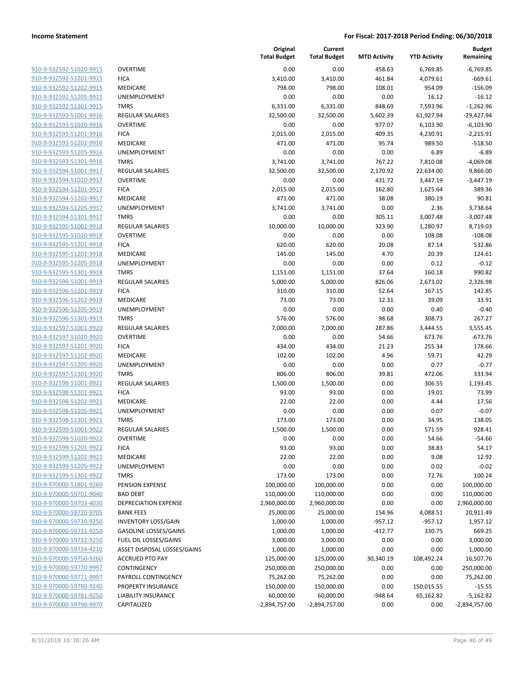| 910-9-932592-51020-9915                                   |
|-----------------------------------------------------------|
| 910-9-932592-51201-9915                                   |
| 910-9-932592-51202-9915                                   |
| 910-9-932592-51205-9915                                   |
| 910-9-932592-51301-9915                                   |
| 910-9-932593-51001-9916                                   |
| <u>910-9-932593-51020-9916</u>                            |
| <u>910-9-932593-51201-9916</u>                            |
| 910-9-932593-51202-9916                                   |
| 910-9-932593-51205-9916                                   |
| 910-9-932593-51301-9916                                   |
| 910-9-932594-51001-9917                                   |
| <u>910-9-932594-51020-9917</u>                            |
| 910-9-932594-51201-9917                                   |
| 910-9-932594-51202-9917                                   |
| 910-9-932594-51205-9917                                   |
| <u>910-9-932594-51301-9917</u>                            |
| <u>910-9-932595-51001-9918</u>                            |
| 910-9-932595-51020-9918                                   |
| 910-9-932595-51201-9918                                   |
| 910-9-932595-51202-9918                                   |
| 910-9-932595-51205-9918                                   |
| <u>910-9-932595-51301-9918</u>                            |
| 910-9-932596-51001-9919                                   |
| 910-9-932596-51201-9919                                   |
| 910-9-932596-51202-9919                                   |
| <u>910-9-932596-51205-9919</u>                            |
|                                                           |
| <u>910-9-932596-51301-9919</u><br>910-9-932597-51001-9920 |
| 910-9-932597-51020-9920                                   |
|                                                           |
| 910-9-932597-51201-9920                                   |
| 910-9-932597-51202-9920                                   |
| <u>910-9-932597-51205-9920</u>                            |
| 910-9-932597-51301-9920                                   |
| 910-9-932598-51001-9921                                   |
| 910-9-932598-51201-9921                                   |
| <u>910-9-932598-51202-9921</u>                            |
| <u>910-9-932598-51205-9921</u>                            |
| 910-9-932598-51301-9921                                   |
| 910-9-932599-51001-9922                                   |
| 910-9-932599-51020-9922                                   |
| 910-9-932599-51201-9922                                   |
| 910-9-932599-51202-9922                                   |
| 910-9-932599-51205-9922                                   |
| 910-9-932599-51301-9922                                   |
| 910-9-970000-51801-9260                                   |
| 910-9-970000-59701-9040                                   |
| 910-9-970000-59703-4030                                   |
| 910-9-970000-59720-9705                                   |
| 910-9-970000-59730-9250                                   |
| <u>910-9-970000-59731-9250</u>                            |
| 910-9-970000-59732-9250                                   |
| 910-9-970000-59734-4210                                   |
| 910-9-970000-59750-9260                                   |
| 910-9-970000-59770-9997                                   |
| 910-9-970000-59771-9997                                   |
| 910-9-970000-59780-9240                                   |
| 910-9-970000-59781-9250                                   |
| 910-9-970000-59790-9970                                   |
|                                                           |

|                         |                              | Original<br><b>Total Budget</b> | Current<br><b>Total Budget</b> | <b>MTD Activity</b> | <b>YTD Activity</b> | <b>Budget</b><br>Remaining |
|-------------------------|------------------------------|---------------------------------|--------------------------------|---------------------|---------------------|----------------------------|
| 910-9-932592-51020-9915 | <b>OVERTIME</b>              | 0.00                            | 0.00                           | 458.63              | 6,769.85            | $-6,769.85$                |
| 910-9-932592-51201-9915 | <b>FICA</b>                  | 3,410.00                        | 3,410.00                       | 461.84              | 4,079.61            | $-669.61$                  |
| 910-9-932592-51202-9915 | MEDICARE                     | 798.00                          | 798.00                         | 108.01              | 954.09              | $-156.09$                  |
| 910-9-932592-51205-9915 | <b>UNEMPLOYMENT</b>          | 0.00                            | 0.00                           | 0.00                | 16.12               | $-16.12$                   |
| 910-9-932592-51301-9915 | <b>TMRS</b>                  | 6,331.00                        | 6,331.00                       | 848.69              | 7,593.96            | $-1,262.96$                |
| 910-9-932593-51001-9916 | REGULAR SALARIES             | 32,500.00                       | 32,500.00                      | 5,602.39            | 61,927.94           | $-29,427.94$               |
| 910-9-932593-51020-9916 | <b>OVERTIME</b>              | 0.00                            | 0.00                           | 977.07              | 6,103.90            | $-6,103.90$                |
| 910-9-932593-51201-9916 | <b>FICA</b>                  | 2,015.00                        | 2,015.00                       | 409.35              | 4,230.91            | $-2,215.91$                |
| 910-9-932593-51202-9916 | MEDICARE                     | 471.00                          | 471.00                         | 95.74               | 989.50              | $-518.50$                  |
| 910-9-932593-51205-9916 | <b>UNEMPLOYMENT</b>          | 0.00                            | 0.00                           | 0.00                | 6.89                | $-6.89$                    |
| 910-9-932593-51301-9916 | <b>TMRS</b>                  | 3,741.00                        | 3,741.00                       | 767.22              | 7,810.08            | $-4,069.08$                |
| 910-9-932594-51001-9917 | REGULAR SALARIES             | 32,500.00                       | 32,500.00                      | 2,170.92            | 22,634.00           | 9,866.00                   |
| 910-9-932594-51020-9917 | <b>OVERTIME</b>              | 0.00                            | 0.00                           | 431.72              | 3,447.19            | $-3,447.19$                |
| 910-9-932594-51201-9917 | <b>FICA</b>                  | 2,015.00                        | 2,015.00                       | 162.80              | 1,625.64            | 389.36                     |
| 910-9-932594-51202-9917 | MEDICARE                     | 471.00                          | 471.00                         | 38.08               | 380.19              | 90.81                      |
| 910-9-932594-51205-9917 | UNEMPLOYMENT                 | 3,741.00                        | 3,741.00                       | 0.00                | 2.36                | 3,738.64                   |
| 910-9-932594-51301-9917 | <b>TMRS</b>                  | 0.00                            | 0.00                           | 305.11              | 3,007.48            | $-3,007.48$                |
| 910-9-932595-51001-9918 | <b>REGULAR SALARIES</b>      | 10,000.00                       | 10,000.00                      | 323.90              | 1,280.97            | 8,719.03                   |
| 910-9-932595-51020-9918 | <b>OVERTIME</b>              | 0.00                            | 0.00                           | 0.00                | 108.08              | $-108.08$                  |
| 910-9-932595-51201-9918 | <b>FICA</b>                  | 620.00                          | 620.00                         | 20.08               | 87.14               | 532.86                     |
| 910-9-932595-51202-9918 | <b>MEDICARE</b>              | 145.00                          | 145.00                         | 4.70                | 20.39               | 124.61                     |
| 910-9-932595-51205-9918 | <b>UNEMPLOYMENT</b>          | 0.00                            | 0.00                           | 0.00                | 0.12                | $-0.12$                    |
| 910-9-932595-51301-9918 | <b>TMRS</b>                  | 1,151.00                        | 1,151.00                       | 37.64               | 160.18              | 990.82                     |
| 910-9-932596-51001-9919 | <b>REGULAR SALARIES</b>      | 5,000.00                        | 5,000.00                       | 826.06              | 2,673.02            | 2.326.98                   |
| 910-9-932596-51201-9919 | <b>FICA</b>                  | 310.00                          | 310.00                         | 52.64               | 167.15              | 142.85                     |
| 910-9-932596-51202-9919 | MEDICARE                     | 73.00                           | 73.00                          | 12.31               | 39.09               | 33.91                      |
| 910-9-932596-51205-9919 | UNEMPLOYMENT                 | 0.00                            | 0.00                           | 0.00                | 0.40                | $-0.40$                    |
| 910-9-932596-51301-9919 | <b>TMRS</b>                  | 576.00                          | 576.00                         | 98.68               | 308.73              | 267.27                     |
| 910-9-932597-51001-9920 | <b>REGULAR SALARIES</b>      | 7,000.00                        | 7,000.00                       | 287.86              | 3,444.55            | 3,555.45                   |
| 910-9-932597-51020-9920 | <b>OVERTIME</b>              | 0.00                            | 0.00                           | 54.66               | 673.76              | $-673.76$                  |
| 910-9-932597-51201-9920 | <b>FICA</b>                  | 434.00                          | 434.00                         | 21.23               | 255.34              | 178.66                     |
| 910-9-932597-51202-9920 | MEDICARE                     | 102.00                          | 102.00                         | 4.96                | 59.71               | 42.29                      |
| 910-9-932597-51205-9920 | <b>UNEMPLOYMENT</b>          | 0.00                            | 0.00                           | 0.00                | 0.77                | $-0.77$                    |
| 910-9-932597-51301-9920 | <b>TMRS</b>                  | 806.00                          | 806.00                         | 39.81               | 472.06              | 333.94                     |
| 910-9-932598-51001-9921 | <b>REGULAR SALARIES</b>      | 1,500.00                        | 1,500.00                       | 0.00                | 306.55              | 1,193.45                   |
| 910-9-932598-51201-9921 | <b>FICA</b>                  | 93.00                           | 93.00                          | 0.00                | 19.01               | 73.99                      |
| 910-9-932598-51202-9921 | MEDICARE                     | 22.00                           | 22.00                          | 0.00                | 4.44                | 17.56                      |
| 910-9-932598-51205-9921 | UNEMPLOYMENT                 | 0.00                            | 0.00                           | 0.00                | 0.07                | $-0.07$                    |
| 910-9-932598-51301-9921 | <b>TMRS</b>                  | 173.00                          | 173.00                         | 0.00                | 34.95               | 138.05                     |
| 910-9-932599-51001-9922 | <b>REGULAR SALARIES</b>      | 1,500.00                        | 1,500.00                       | 0.00                | 571.59              | 928.41                     |
| 910-9-932599-51020-9922 | <b>OVERTIME</b>              | 0.00                            | 0.00                           | 0.00                | 54.66               | $-54.66$                   |
| 910-9-932599-51201-9922 | <b>FICA</b>                  | 93.00                           | 93.00                          | 0.00                | 38.83               | 54.17                      |
| 910-9-932599-51202-9922 | MEDICARE                     | 22.00                           | 22.00                          | 0.00                | 9.08                | 12.92                      |
| 910-9-932599-51205-9922 | <b>UNEMPLOYMENT</b>          | 0.00                            | 0.00                           | 0.00                | 0.02                | $-0.02$                    |
| 910-9-932599-51301-9922 | <b>TMRS</b>                  | 173.00                          | 173.00                         | 0.00                | 72.76               | 100.24                     |
| 910-9-970000-51801-9260 | PENSION EXPENSE              | 100,000.00                      | 100,000.00                     | 0.00                | 0.00                | 100,000.00                 |
| 910-9-970000-59701-9040 | <b>BAD DEBT</b>              | 110,000.00                      | 110,000.00                     | 0.00                | 0.00                | 110,000.00                 |
| 910-9-970000-59703-4030 | DEPRECIATION EXPENSE         | 2,960,000.00                    | 2,960,000.00                   | 0.00                | 0.00                | 2,960,000.00               |
| 910-9-970000-59720-9705 | <b>BANK FEES</b>             | 25,000.00                       | 25,000.00                      | 154.96              | 4,088.51            | 20,911.49                  |
| 910-9-970000-59730-9250 | <b>INVENTORY LOSS/GAIN</b>   | 1,000.00                        | 1,000.00                       | $-957.12$           | $-957.12$           | 1,957.12                   |
| 910-9-970000-59731-9250 | <b>GASOLINE LOSSES/GAINS</b> | 1,000.00                        | 1,000.00                       | $-412.77$           | 330.75              | 669.25                     |
| 910-9-970000-59732-9250 | FUEL OIL LOSSES/GAINS        | 3,000.00                        | 3,000.00                       | 0.00                | 0.00                | 3,000.00                   |
| 910-9-970000-59734-4210 | ASSET DISPOSAL LOSSES/GAINS  | 1,000.00                        | 1,000.00                       | 0.00                | 0.00                | 1,000.00                   |
| 910-9-970000-59750-9260 | <b>ACCRUED PTO PAY</b>       | 125,000.00                      | 125,000.00                     | 30,340.19           | 108,492.24          | 16,507.76                  |
| 910-9-970000-59770-9997 | CONTINGENCY                  | 250,000.00                      | 250,000.00                     | 0.00                | 0.00                | 250,000.00                 |
| 910-9-970000-59771-9997 | PAYROLL CONTINGENCY          | 75,262.00                       | 75,262.00                      | 0.00                | 0.00                | 75,262.00                  |
| 910-9-970000-59780-9240 | PROPERTY INSURANCE           | 150,000.00                      | 150,000.00                     | 0.00                | 150,015.55          | $-15.55$                   |
| 910-9-970000-59781-9250 | LIABILITY INSURANCE          | 60,000.00                       | 60,000.00                      | $-948.64$           | 65,162.82           | $-5,162.82$                |
| 910-9-970000-59790-9970 | CAPITALIZED                  | $-2,894,757.00$                 | $-2,894,757.00$                | 0.00                | 0.00                | $-2,894,757.00$            |
|                         |                              |                                 |                                |                     |                     |                            |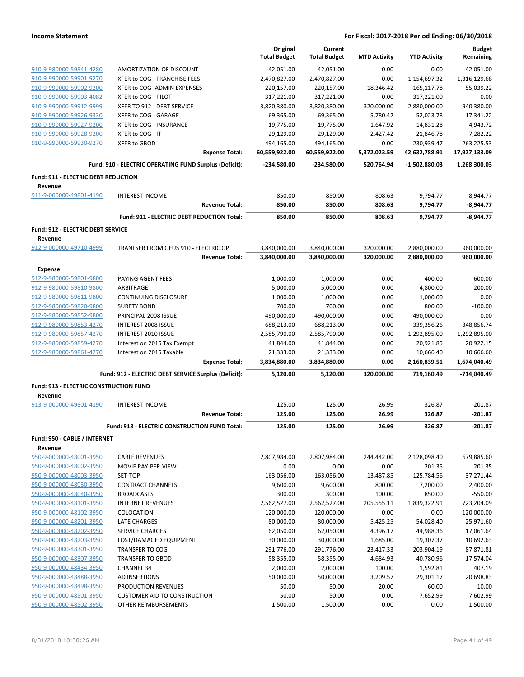|                                                    |                                                         | Original<br><b>Total Budget</b> | Current<br><b>Total Budget</b> | <b>MTD Activity</b> | <b>YTD Activity</b>    | <b>Budget</b><br>Remaining |
|----------------------------------------------------|---------------------------------------------------------|---------------------------------|--------------------------------|---------------------|------------------------|----------------------------|
| 910-9-980000-59841-4280                            | AMORTIZATION OF DISCOUNT                                | $-42,051.00$                    | $-42,051.00$                   | 0.00                | 0.00                   | $-42,051.00$               |
| 910-9-990000-59901-9270                            | XFER to COG - FRANCHISE FEES                            | 2,470,827.00                    | 2,470,827.00                   | 0.00                | 1,154,697.32           | 1,316,129.68               |
| 910-9-990000-59902-9200                            | XFER to COG- ADMIN EXPENSES                             | 220,157.00                      | 220,157.00                     | 18,346.42           | 165,117.78             | 55,039.22                  |
| 910-9-990000-59903-4082                            | XFER to COG - PILOT                                     | 317,221.00                      | 317,221.00                     | 0.00                | 317,221.00             | 0.00                       |
| 910-9-990000-59912-9999                            | XFER TO 912 - DEBT SERVICE                              | 3,820,380.00                    | 3,820,380.00                   | 320,000.00          | 2,880,000.00           | 940,380.00                 |
| 910-9-990000-59926-9330                            | XFER to COG - GARAGE                                    | 69,365.00                       | 69,365.00                      | 5,780.42            | 52,023.78              | 17,341.22                  |
| 910-9-990000-59927-9200                            | XFER to COG - INSURANCE                                 | 19,775.00                       | 19,775.00                      | 1,647.92            | 14,831.28              | 4,943.72                   |
| 910-9-990000-59928-9200                            | XFER to COG - IT                                        | 29,129.00                       | 29,129.00                      | 2,427.42            | 21,846.78              | 7,282.22                   |
| 910-9-990000-59930-9270                            | <b>XFER to GBOD</b>                                     | 494,165.00                      | 494,165.00                     | 0.00                | 230,939.47             | 263,225.53                 |
|                                                    | <b>Expense Total:</b>                                   | 60,559,922.00                   | 60,559,922.00                  | 5,372,023.59        | 42,632,788.91          | 17,927,133.09              |
|                                                    | Fund: 910 - ELECTRIC OPERATING FUND Surplus (Deficit):  | -234,580.00                     | -234,580.00                    | 520,764.94          | -1,502,880.03          | 1,268,300.03               |
| Fund: 911 - ELECTRIC DEBT REDUCTION                |                                                         |                                 |                                |                     |                        |                            |
| Revenue                                            |                                                         |                                 |                                |                     |                        |                            |
| 911-9-000000-49801-4190                            | <b>INTEREST INCOME</b><br><b>Revenue Total:</b>         | 850.00<br>850.00                | 850.00<br>850.00               | 808.63              | 9,794.77               | $-8,944.77$                |
|                                                    |                                                         |                                 |                                | 808.63              | 9,794.77               | -8,944.77                  |
|                                                    | Fund: 911 - ELECTRIC DEBT REDUCTION Total:              | 850.00                          | 850.00                         | 808.63              | 9,794.77               | $-8.944.77$                |
| Fund: 912 - ELECTRIC DEBT SERVICE                  |                                                         |                                 |                                |                     |                        |                            |
| Revenue                                            |                                                         |                                 |                                |                     |                        |                            |
| 912-9-000000-49710-4999                            | TRANFSER FROM GEUS 910 - ELECTRIC OP                    | 3,840,000.00                    | 3,840,000.00                   | 320,000.00          | 2,880,000.00           | 960,000.00                 |
|                                                    | <b>Revenue Total:</b>                                   | 3,840,000.00                    | 3.840.000.00                   | 320,000.00          | 2,880,000.00           | 960,000.00                 |
| <b>Expense</b>                                     |                                                         |                                 |                                |                     |                        |                            |
| 912-9-980000-59801-9800                            | PAYING AGENT FEES                                       | 1,000.00                        | 1,000.00                       | 0.00                | 400.00                 | 600.00                     |
| 912-9-980000-59810-9800                            | ARBITRAGE                                               | 5,000.00                        | 5,000.00                       | 0.00                | 4,800.00               | 200.00                     |
| 912-9-980000-59811-9800                            | <b>CONTINUING DISCLOSURE</b>                            | 1,000.00                        | 1,000.00                       | 0.00                | 1,000.00               | 0.00                       |
| 912-9-980000-59820-9800                            | <b>SURETY BOND</b>                                      | 700.00                          | 700.00                         | 0.00                | 800.00                 | $-100.00$                  |
| 912-9-980000-59852-9800                            | PRINCIPAL 2008 ISSUE                                    | 490,000.00                      | 490,000.00                     | 0.00                | 490,000.00             | 0.00                       |
| 912-9-980000-59853-4270                            | INTEREST 2008 ISSUE                                     | 688,213.00                      | 688,213.00                     | 0.00                | 339,356.26             | 348,856.74                 |
| 912-9-980000-59857-4270<br>912-9-980000-59859-4270 | <b>INTEREST 2010 ISSUE</b>                              | 2,585,790.00                    | 2,585,790.00                   | 0.00                | 1,292,895.00           | 1,292,895.00               |
| 912-9-980000-59861-4270                            | Interest on 2015 Tax Exempt<br>Interest on 2015 Taxable | 41,844.00<br>21,333.00          | 41,844.00<br>21,333.00         | 0.00<br>0.00        | 20,921.85<br>10,666.40 | 20,922.15<br>10,666.60     |
|                                                    | <b>Expense Total:</b>                                   | 3,834,880.00                    | 3,834,880.00                   | 0.00                | 2,160,839.51           | 1,674,040.49               |
|                                                    | Fund: 912 - ELECTRIC DEBT SERVICE Surplus (Deficit):    | 5,120.00                        | 5,120.00                       | 320,000.00          | 719,160.49             | -714,040.49                |
| <b>Fund: 913 - ELECTRIC CONSTRUCTION FUND</b>      |                                                         |                                 |                                |                     |                        |                            |
| Revenue                                            |                                                         |                                 |                                |                     |                        |                            |
| 913-9-000000-49801-4190                            | <b>INTEREST INCOME</b>                                  | 125.00                          | 125.00                         | 26.99               | 326.87                 | $-201.87$                  |
|                                                    | <b>Revenue Total:</b>                                   | 125.00                          | 125.00                         | 26.99               | 326.87                 | -201.87                    |
|                                                    | Fund: 913 - ELECTRIC CONSTRUCTION FUND Total:           | 125.00                          | 125.00                         | 26.99               | 326.87                 | $-201.87$                  |
| Fund: 950 - CABLE / INTERNET                       |                                                         |                                 |                                |                     |                        |                            |
| Revenue                                            |                                                         |                                 |                                |                     |                        |                            |
| 950-9-000000-48001-3950                            | <b>CABLE REVENUES</b>                                   | 2,807,984.00                    | 2,807,984.00                   | 244,442.00          | 2,128,098.40           | 679,885.60                 |
| 950-9-000000-48002-3950                            | MOVIE PAY-PER-VIEW                                      | 0.00                            | 0.00                           | 0.00                | 201.35                 | -201.35                    |
| 950-9-000000-48003-3950                            | SET-TOP                                                 | 163,056.00                      | 163,056.00                     | 13,487.85           | 125,784.56             | 37,271.44                  |
| 950-9-000000-48030-3950                            | <b>CONTRACT CHANNELS</b>                                | 9,600.00                        | 9,600.00                       | 800.00              | 7,200.00               | 2,400.00                   |
| 950-9-000000-48040-3950                            | <b>BROADCASTS</b>                                       | 300.00                          | 300.00                         | 100.00              | 850.00                 | $-550.00$                  |
| 950-9-000000-48101-3950                            | <b>INTERNET REVENUES</b>                                | 2,562,527.00                    | 2,562,527.00                   | 205,555.11          | 1,839,322.91           | 723,204.09                 |
| 950-9-000000-48102-3950                            | COLOCATION                                              | 120,000.00                      | 120,000.00                     | 0.00                | 0.00                   | 120,000.00                 |
| 950-9-000000-48201-3950                            | LATE CHARGES                                            | 80,000.00                       | 80,000.00                      | 5,425.25            | 54,028.40              | 25,971.60                  |
| 950-9-000000-48202-3950                            | SERVICE CHARGES                                         | 62,050.00                       | 62,050.00                      | 4,396.17            | 44,988.36              | 17,061.64                  |
| 950-9-000000-48203-3950                            | LOST/DAMAGED EQUIPMENT                                  | 30,000.00                       | 30,000.00                      | 1,685.00            | 19,307.37              | 10,692.63                  |
| 950-9-000000-48301-3950                            | <b>TRANSFER TO COG</b>                                  | 291,776.00                      | 291,776.00                     | 23,417.33           | 203,904.19             | 87,871.81                  |
| 950-9-000000-48307-3950                            | <b>TRANSFER TO GBOD</b>                                 | 58,355.00                       | 58,355.00                      | 4,684.93            | 40,780.96              | 17,574.04                  |
| 950-9-000000-48434-3950                            | <b>CHANNEL 34</b>                                       | 2,000.00                        | 2,000.00                       | 100.00              | 1,592.81               | 407.19                     |
| 950-9-000000-48488-3950                            | AD INSERTIONS                                           | 50,000.00                       | 50,000.00                      | 3,209.57            | 29,301.17              | 20,698.83                  |
| 950-9-000000-48498-3950                            | PRODUCTION REVENUES                                     | 50.00                           | 50.00                          | 20.00               | 60.00                  | $-10.00$                   |
| 950-9-000000-48501-3950                            | <b>CUSTOMER AID TO CONSTRUCTION</b>                     | 50.00                           | 50.00                          | 0.00                | 7,652.99               | $-7,602.99$                |
| 950-9-000000-48502-3950                            | OTHER REIMBURSEMENTS                                    | 1,500.00                        | 1,500.00                       | 0.00                | 0.00                   | 1,500.00                   |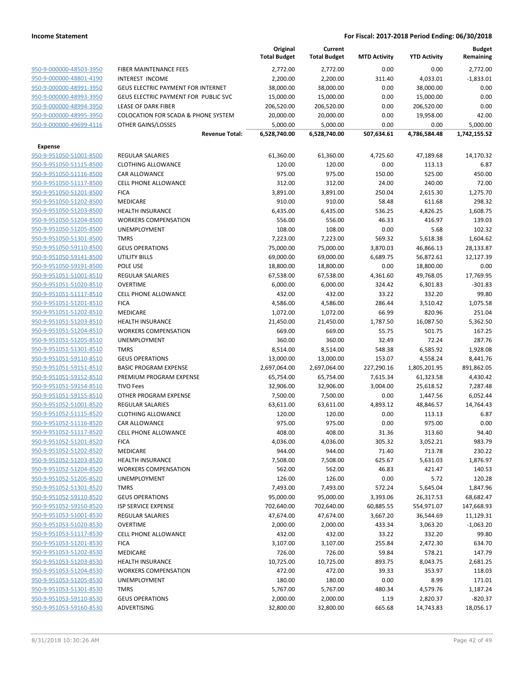|                         |                                      | Original<br><b>Total Budget</b> | Current<br><b>Total Budget</b> | <b>MTD Activity</b> | <b>YTD Activity</b> | <b>Budget</b><br>Remaining |
|-------------------------|--------------------------------------|---------------------------------|--------------------------------|---------------------|---------------------|----------------------------|
| 950-9-000000-48503-3950 | FIBER MAINTENANCE FEES               | 2,772.00                        | 2,772.00                       | 0.00                | 0.00                | 2,772.00                   |
| 950-9-000000-48801-4190 | <b>INTEREST INCOME</b>               | 2,200.00                        | 2,200.00                       | 311.40              | 4,033.01            | $-1,833.01$                |
| 950-9-000000-48991-3950 | GEUS ELECTRIC PAYMENT FOR INTERNET   | 38,000.00                       | 38,000.00                      | 0.00                | 38,000.00           | 0.00                       |
| 950-9-000000-48993-3950 | GEUS ELECTRIC PAYMENT FOR PUBLIC SVC | 15,000.00                       | 15,000.00                      | 0.00                | 15,000.00           | 0.00                       |
| 950-9-000000-48994-3950 | LEASE OF DARK FIBER                  | 206,520.00                      | 206,520.00                     | 0.00                | 206,520.00          | 0.00                       |
| 950-9-000000-48995-3950 | COLOCATION FOR SCADA & PHONE SYSTEM  | 20,000.00                       | 20,000.00                      | 0.00                | 19,958.00           | 42.00                      |
| 950-9-000000-49699-4116 | OTHER GAINS/LOSSES                   | 5,000.00                        | 5,000.00                       | 0.00                | 0.00                | 5,000.00                   |
|                         | <b>Revenue Total:</b>                | 6,528,740.00                    | 6,528,740.00                   | 507,634.61          | 4,786,584.48        | 1,742,155.52               |
| Expense                 |                                      |                                 |                                |                     |                     |                            |
| 950-9-951050-51001-8500 | <b>REGULAR SALARIES</b>              | 61,360.00                       | 61,360.00                      | 4,725.60            | 47,189.68           | 14,170.32                  |
| 950-9-951050-51115-8500 | <b>CLOTHING ALLOWANCE</b>            | 120.00                          | 120.00                         | 0.00                | 113.13              | 6.87                       |
| 950-9-951050-51116-8500 | CAR ALLOWANCE                        | 975.00                          | 975.00                         | 150.00              | 525.00              | 450.00                     |
| 950-9-951050-51117-8500 | CELL PHONE ALLOWANCE                 | 312.00                          | 312.00                         | 24.00               | 240.00              | 72.00                      |
| 950-9-951050-51201-8500 | <b>FICA</b>                          | 3,891.00                        | 3,891.00                       | 250.04              | 2,615.30            | 1,275.70                   |
| 950-9-951050-51202-8500 | MEDICARE                             | 910.00                          | 910.00                         | 58.48               | 611.68              | 298.32                     |
| 950-9-951050-51203-8500 | <b>HEALTH INSURANCE</b>              | 6,435.00                        | 6,435.00                       | 536.25              | 4,826.25            | 1,608.75                   |
| 950-9-951050-51204-8500 | <b>WORKERS COMPENSATION</b>          | 556.00                          | 556.00                         | 46.33               | 416.97              | 139.03                     |
| 950-9-951050-51205-8500 | UNEMPLOYMENT                         | 108.00                          | 108.00                         | 0.00                | 5.68                | 102.32                     |
| 950-9-951050-51301-8500 | <b>TMRS</b>                          | 7,223.00                        | 7,223.00                       | 569.32              | 5,618.38            | 1,604.62                   |
| 950-9-951050-59110-8500 | <b>GEUS OPERATIONS</b>               | 75,000.00                       | 75,000.00                      | 3,870.03            | 46,866.13           | 28,133.87                  |
| 950-9-951050-59141-8500 | <b>UTILITY BILLS</b>                 | 69,000.00                       | 69,000.00                      | 6,689.75            | 56,872.61           | 12,127.39                  |
| 950-9-951050-59191-8500 | POLE USE                             | 18,800.00                       | 18,800.00                      | 0.00                | 18,800.00           | 0.00                       |
| 950-9-951051-51001-8510 | REGULAR SALARIES                     | 67,538.00                       | 67,538.00                      | 4,361.60            | 49,768.05           | 17,769.95                  |
| 950-9-951051-51020-8510 | <b>OVERTIME</b>                      | 6,000.00                        | 6,000.00                       | 324.42              | 6,301.83            | $-301.83$                  |
| 950-9-951051-51117-8510 | <b>CELL PHONE ALLOWANCE</b>          | 432.00                          | 432.00                         | 33.22               | 332.20              | 99.80                      |
| 950-9-951051-51201-8510 | <b>FICA</b>                          | 4,586.00                        | 4,586.00                       | 286.44              | 3,510.42            | 1,075.58                   |
| 950-9-951051-51202-8510 | MEDICARE                             | 1,072.00                        | 1,072.00                       | 66.99               | 820.96              | 251.04                     |
| 950-9-951051-51203-8510 | <b>HEALTH INSURANCE</b>              | 21,450.00                       | 21,450.00                      | 1,787.50            | 16,087.50           | 5,362.50                   |
| 950-9-951051-51204-8510 | <b>WORKERS COMPENSATION</b>          | 669.00                          | 669.00                         | 55.75               | 501.75              | 167.25                     |
| 950-9-951051-51205-8510 | UNEMPLOYMENT                         | 360.00                          | 360.00                         | 32.49               | 72.24               | 287.76                     |
| 950-9-951051-51301-8510 | <b>TMRS</b>                          | 8,514.00                        | 8,514.00                       | 548.38              | 6,585.92            | 1,928.08                   |
| 950-9-951051-59110-8510 | <b>GEUS OPERATIONS</b>               | 13,000.00                       | 13,000.00                      | 153.07              | 4,558.24            | 8,441.76                   |
| 950-9-951051-59151-8510 | <b>BASIC PROGRAM EXPENSE</b>         | 2,697,064.00                    | 2,697,064.00                   | 227,290.16          | 1,805,201.95        | 891,862.05                 |
| 950-9-951051-59152-8510 | PREMIUM PROGRAM EXPENSE              | 65,754.00                       | 65,754.00                      | 7,615.34            | 61,323.58           | 4,430.42                   |
| 950-9-951051-59154-8510 | <b>TIVO Fees</b>                     | 32,906.00                       | 32,906.00                      | 3,004.00            | 25,618.52           | 7,287.48                   |
| 950-9-951051-59155-8510 | OTHER PROGRAM EXPENSE                | 7,500.00                        | 7,500.00                       | 0.00                | 1,447.56            | 6,052.44                   |
| 950-9-951052-51001-8520 | <b>REGULAR SALARIES</b>              | 63,611.00                       | 63,611.00                      | 4,893.12            | 48,846.57           | 14,764.43                  |
| 950-9-951052-51115-8520 | <b>CLOTHING ALLOWANCE</b>            | 120.00                          | 120.00                         | 0.00                | 113.13              | 6.87                       |
| 950-9-951052-51116-8520 | CAR ALLOWANCE                        | 975.00                          | 975.00                         | 0.00                | 975.00              | 0.00                       |
| 950-9-951052-51117-8520 | <b>CELL PHONE ALLOWANCE</b>          | 408.00                          | 408.00                         | 31.36               | 313.60              | 94.40                      |
| 950-9-951052-51201-8520 | <b>FICA</b>                          | 4,036.00                        | 4,036.00                       | 305.32              | 3,052.21            | 983.79                     |
| 950-9-951052-51202-8520 | MEDICARE                             | 944.00                          | 944.00                         | 71.40               | 713.78              | 230.22                     |
| 950-9-951052-51203-8520 | <b>HEALTH INSURANCE</b>              | 7,508.00                        | 7,508.00                       | 625.67              | 5,631.03            | 1,876.97                   |
| 950-9-951052-51204-8520 | <b>WORKERS COMPENSATION</b>          | 562.00                          | 562.00                         | 46.83               | 421.47              | 140.53                     |
| 950-9-951052-51205-8520 | <b>UNEMPLOYMENT</b>                  | 126.00                          | 126.00                         | 0.00                | 5.72                | 120.28                     |
| 950-9-951052-51301-8520 | <b>TMRS</b>                          | 7,493.00                        | 7,493.00                       | 572.24              | 5,645.04            | 1,847.96                   |
| 950-9-951052-59110-8520 | <b>GEUS OPERATIONS</b>               | 95,000.00                       | 95,000.00                      | 3,393.06            | 26,317.53           | 68,682.47                  |
| 950-9-951052-59150-8520 | <b>ISP SERVICE EXPENSE</b>           | 702,640.00                      | 702,640.00                     | 60,885.55           | 554,971.07          | 147,668.93                 |
| 950-9-951053-51001-8530 | <b>REGULAR SALARIES</b>              | 47,674.00                       | 47,674.00                      | 3,667.20            | 36,544.69           | 11,129.31                  |
| 950-9-951053-51020-8530 | <b>OVERTIME</b>                      | 2,000.00                        | 2,000.00                       | 433.34              | 3,063.20            | $-1,063.20$                |
| 950-9-951053-51117-8530 | <b>CELL PHONE ALLOWANCE</b>          | 432.00                          | 432.00                         | 33.22               | 332.20              | 99.80                      |
| 950-9-951053-51201-8530 | <b>FICA</b>                          | 3,107.00                        | 3,107.00                       | 255.84              | 2,472.30            | 634.70                     |
| 950-9-951053-51202-8530 | MEDICARE                             | 726.00                          | 726.00                         | 59.84               | 578.21              | 147.79                     |
| 950-9-951053-51203-8530 | <b>HEALTH INSURANCE</b>              | 10,725.00                       | 10,725.00                      | 893.75              | 8,043.75            | 2,681.25                   |
| 950-9-951053-51204-8530 | <b>WORKERS COMPENSATION</b>          | 472.00                          | 472.00                         | 39.33               | 353.97              | 118.03                     |
| 950-9-951053-51205-8530 | UNEMPLOYMENT                         | 180.00                          | 180.00                         | 0.00                | 8.99                | 171.01                     |
| 950-9-951053-51301-8530 | <b>TMRS</b>                          | 5,767.00                        | 5,767.00                       | 480.34              | 4,579.76            | 1,187.24                   |
| 950-9-951053-59110-8530 | <b>GEUS OPERATIONS</b>               | 2,000.00                        | 2,000.00                       | 1.19                | 2,820.37            | $-820.37$                  |
| 950-9-951053-59160-8530 | ADVERTISING                          | 32,800.00                       | 32,800.00                      | 665.68              | 14,743.83           | 18,056.17                  |
|                         |                                      |                                 |                                |                     |                     |                            |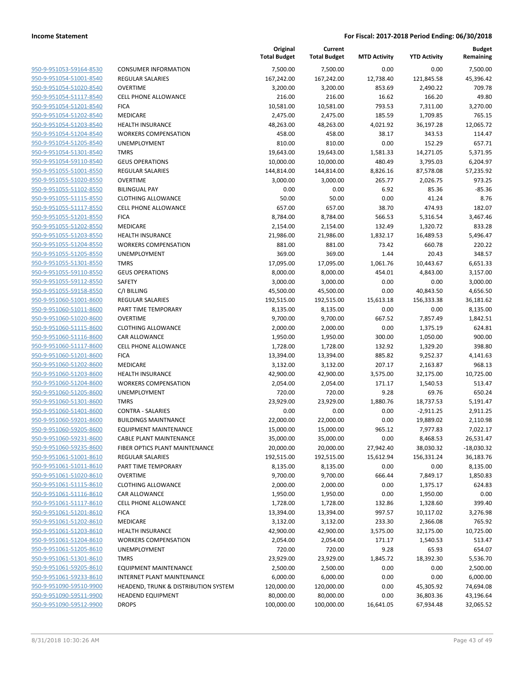**Budget Remaining**

**Current**

**Original**

| 950-9-951053-59164-8530        | C  |
|--------------------------------|----|
| 950-9-951054-51001-8540        | R  |
| 950-9-951054-51020-8540        | C  |
| 950-9-951054-51117-8540        | C  |
| 950-9-951054-51201-8540        | F  |
| 950-9-951054-51202-8540        | Ν  |
| 950-9-951054-51203-8540        | ۲  |
| 950-9-951054-51204-8540        | ٧  |
| 950-9-951054-51205-8540        | ι  |
| 950-9-951054-51301-8540        | Т  |
| 950-9-951054-59110-8540        | G  |
| 950-9-951055-51001-8550        | R  |
| 950-9-951055-51020-8550        | C  |
| 950-9-951055-51102-8550        | B  |
| 950-9-951055-51115-8550        | C  |
| 950-9-951055-51117-8550        | C  |
| 950-9-951055-51201-8550        | F  |
| 950-9-951055-51202-8550        | Λ  |
| 950-9-951055-51203-8550        | ۲  |
| 950-9-951055-51204-8550        | ٧  |
| 950-9-951055-51205-8550        | ι  |
| 950-9-951055-51301-8550        | Т  |
|                                |    |
| 950-9-951055-59110-8550        | G  |
| 950-9-951055-59112-8550        | S  |
| 950-9-951055-59158-8550        | C  |
| 950-9-951060-51001-8600        | R  |
| 950-9-951060-51011-8600        | P  |
| 950-9-951060-51020-8600        | C  |
| 950-9-951060-51115-8600        | C  |
| 950-9-951060-51116-8600        | C  |
| 950-9-951060-51117-8600        | C  |
| 950-9-951060-51201-8600        | F  |
| 950-9-951060-51202-8600        | Λ  |
| 950-9-951060-51203-8600        | ۲  |
| <u>950-9-951060-51204-8600</u> | ٧  |
| 950-9-951060-51205-8600        | ι  |
| 950-9-951060-51301-8600        | Т  |
| 950-9-951060-51401-8600        | c  |
| 950-9-951060-59201-8600        | B  |
| 950-9-951060-59205-8600        | E  |
| 950-9-951060-59231-8600        | C  |
| 950-9-951060-59235-8600        | F  |
| 950-9-951061-51001-8610        | R  |
| 950-9-951061-51011-8610        | Ρ  |
| <u>950-9-951061-51020-8610</u> | C  |
| 950-9-951061-51115-8610        | C  |
| 950-9-951061-51116-8610        | c  |
| 950-9-951061-51117-8610        | C  |
| 950-9-951061-51201-8610        | F  |
| <u>950-9-951061-51202-8610</u> | Λ  |
| 950-9-951061-51203-8610        | ۲  |
| 950-9-951061-51204-8610        | ٧  |
| 950-9-951061-51205-8610        |    |
|                                |    |
| 950-9-951061-51301-8610        | Т  |
| <u>950-9-951061-59205-8610</u> | Ε  |
| 950-9-951061-59233-8610        | II |
| 950-9-951090-59510-9900        | H  |
| 950-9-951090-59511-9900        | ۲  |
| 950-9-951090-59512-9900        | C  |
|                                |    |

|                                                    |                                      | <b>Total Budget</b> | <b>Total Budget</b> | <b>MTD Activity</b> | <b>YTD Activity</b>      | <br>Remaining        |
|----------------------------------------------------|--------------------------------------|---------------------|---------------------|---------------------|--------------------------|----------------------|
| 950-9-951053-59164-8530                            | <b>CONSUMER INFORMATION</b>          | 7,500.00            | 7,500.00            | 0.00                | 0.00                     | 7,500.00             |
| 950-9-951054-51001-8540                            | <b>REGULAR SALARIES</b>              | 167,242.00          | 167,242.00          | 12,738.40           | 121,845.58               | 45,396.42            |
| 950-9-951054-51020-8540                            | <b>OVERTIME</b>                      | 3,200.00            | 3,200.00            | 853.69              | 2,490.22                 | 709.78               |
| 950-9-951054-51117-8540                            | <b>CELL PHONE ALLOWANCE</b>          | 216.00              | 216.00              | 16.62               | 166.20                   | 49.80                |
| 950-9-951054-51201-8540                            | <b>FICA</b>                          | 10,581.00           | 10,581.00           | 793.53              | 7,311.00                 | 3,270.00             |
| 950-9-951054-51202-8540                            | MEDICARE                             | 2,475.00            | 2,475.00            | 185.59              | 1,709.85                 | 765.15               |
| 950-9-951054-51203-8540                            | <b>HEALTH INSURANCE</b>              | 48,263.00           | 48,263.00           | 4,021.92            | 36,197.28                | 12,065.72            |
| 950-9-951054-51204-8540                            | <b>WORKERS COMPENSATION</b>          | 458.00              | 458.00              | 38.17               | 343.53                   | 114.47               |
| 950-9-951054-51205-8540                            | UNEMPLOYMENT                         | 810.00              | 810.00              | 0.00                | 152.29                   | 657.71               |
| 950-9-951054-51301-8540                            | <b>TMRS</b>                          | 19,643.00           | 19,643.00           | 1,581.33            | 14,271.05                | 5,371.95             |
| 950-9-951054-59110-8540                            | <b>GEUS OPERATIONS</b>               | 10,000.00           | 10,000.00           | 480.49              | 3,795.03                 | 6,204.97             |
| 950-9-951055-51001-8550                            | <b>REGULAR SALARIES</b>              | 144,814.00          | 144,814.00          | 8,826.16            | 87,578.08                | 57,235.92            |
| 950-9-951055-51020-8550                            | <b>OVERTIME</b>                      | 3,000.00            | 3,000.00            | 265.77              | 2,026.75                 | 973.25               |
| 950-9-951055-51102-8550                            | <b>BILINGUAL PAY</b>                 | 0.00                | 0.00                | 6.92                | 85.36                    | $-85.36$             |
| 950-9-951055-51115-8550                            | <b>CLOTHING ALLOWANCE</b>            | 50.00               | 50.00               | 0.00                | 41.24                    | 8.76                 |
| 950-9-951055-51117-8550                            | <b>CELL PHONE ALLOWANCE</b>          | 657.00              | 657.00              | 38.70               | 474.93                   | 182.07               |
| 950-9-951055-51201-8550                            | <b>FICA</b>                          | 8,784.00            | 8,784.00            | 566.53              | 5,316.54                 | 3,467.46             |
| 950-9-951055-51202-8550                            | MEDICARE                             | 2,154.00            | 2,154.00            | 132.49              | 1,320.72                 | 833.28               |
| 950-9-951055-51203-8550                            | <b>HEALTH INSURANCE</b>              | 21,986.00           | 21,986.00           | 1,832.17            | 16,489.53                | 5,496.47             |
| 950-9-951055-51204-8550                            | <b>WORKERS COMPENSATION</b>          | 881.00              | 881.00              | 73.42               | 660.78                   | 220.22               |
| 950-9-951055-51205-8550                            | UNEMPLOYMENT                         | 369.00              | 369.00              | 1.44                | 20.43                    | 348.57               |
| 950-9-951055-51301-8550                            | <b>TMRS</b>                          | 17,095.00           | 17,095.00           | 1,061.76            | 10,443.67                | 6,651.33             |
| 950-9-951055-59110-8550                            | <b>GEUS OPERATIONS</b>               | 8,000.00            | 8,000.00            | 454.01              | 4,843.00                 | 3,157.00             |
| 950-9-951055-59112-8550                            | SAFETY                               | 3,000.00            | 3,000.00            | 0.00                | 0.00                     | 3,000.00             |
| 950-9-951055-59158-8550                            | C/I BILLING                          | 45,500.00           | 45,500.00           | 0.00                | 40,843.50                | 4,656.50             |
| 950-9-951060-51001-8600                            | <b>REGULAR SALARIES</b>              | 192,515.00          | 192,515.00          | 15,613.18           | 156,333.38               | 36,181.62            |
| 950-9-951060-51011-8600                            | PART TIME TEMPORARY                  | 8,135.00            | 8,135.00            | 0.00                | 0.00                     | 8,135.00             |
| 950-9-951060-51020-8600                            | <b>OVERTIME</b>                      | 9,700.00            | 9,700.00            | 667.52              | 7,857.49                 | 1,842.51             |
| 950-9-951060-51115-8600                            | <b>CLOTHING ALLOWANCE</b>            | 2,000.00            | 2,000.00            | 0.00                | 1,375.19                 | 624.81               |
| 950-9-951060-51116-8600                            | CAR ALLOWANCE                        | 1,950.00            | 1,950.00            | 300.00              | 1,050.00                 | 900.00               |
| 950-9-951060-51117-8600                            | <b>CELL PHONE ALLOWANCE</b>          | 1,728.00            | 1,728.00            | 132.92              | 1,329.20                 | 398.80               |
| 950-9-951060-51201-8600                            | <b>FICA</b>                          | 13,394.00           | 13,394.00           | 885.82              | 9,252.37                 | 4,141.63             |
| 950-9-951060-51202-8600                            | MEDICARE                             | 3,132.00            | 3,132.00            | 207.17              | 2,163.87                 | 968.13               |
| 950-9-951060-51203-8600                            | HEALTH INSURANCE                     | 42,900.00           | 42,900.00           | 3,575.00            | 32,175.00                | 10,725.00            |
| 950-9-951060-51204-8600<br>950-9-951060-51205-8600 | <b>WORKERS COMPENSATION</b>          | 2,054.00            | 2,054.00            | 171.17              | 1,540.53                 | 513.47               |
|                                                    | UNEMPLOYMENT<br><b>TMRS</b>          | 720.00<br>23,929.00 | 720.00              | 9.28                | 69.76                    | 650.24               |
| 950-9-951060-51301-8600<br>950-9-951060-51401-8600 | <b>CONTRA - SALARIES</b>             | 0.00                | 23,929.00<br>0.00   | 1,880.76<br>0.00    | 18,737.53                | 5,191.47<br>2,911.25 |
| 950-9-951060-59201-8600                            | <b>BUILDINGS MAINTNANCE</b>          | 22,000.00           | 22,000.00           | 0.00                | $-2,911.25$<br>19,889.02 | 2,110.98             |
| 950-9-951060-59205-8600                            | <b>EQUIPMENT MAINTENANCE</b>         | 15,000.00           | 15,000.00           | 965.12              | 7,977.83                 | 7,022.17             |
| 950-9-951060-59231-8600                            | CABLE PLANT MAINTENANCE              | 35,000.00           | 35,000.00           | 0.00                | 8,468.53                 | 26,531.47            |
| 950-9-951060-59235-8600                            | FIBER OPTICS PLANT MAINTENANCE       | 20,000.00           | 20,000.00           | 27,942.40           | 38,030.32                | $-18,030.32$         |
| 950-9-951061-51001-8610                            | <b>REGULAR SALARIES</b>              | 192,515.00          | 192,515.00          | 15,612.94           | 156,331.24               | 36,183.76            |
| 950-9-951061-51011-8610                            | PART TIME TEMPORARY                  | 8,135.00            | 8,135.00            | 0.00                | 0.00                     | 8,135.00             |
| 950-9-951061-51020-8610                            | <b>OVERTIME</b>                      | 9,700.00            | 9,700.00            | 666.44              | 7,849.17                 | 1,850.83             |
| 950-9-951061-51115-8610                            | <b>CLOTHING ALLOWANCE</b>            | 2,000.00            | 2,000.00            | 0.00                | 1,375.17                 | 624.83               |
| 950-9-951061-51116-8610                            | CAR ALLOWANCE                        | 1,950.00            | 1,950.00            | 0.00                | 1,950.00                 | 0.00                 |
| 950-9-951061-51117-8610                            | CELL PHONE ALLOWANCE                 | 1,728.00            | 1,728.00            | 132.86              | 1,328.60                 | 399.40               |
| 950-9-951061-51201-8610                            | <b>FICA</b>                          | 13,394.00           | 13,394.00           | 997.57              | 10,117.02                | 3,276.98             |
| 950-9-951061-51202-8610                            | MEDICARE                             | 3,132.00            | 3,132.00            | 233.30              | 2,366.08                 | 765.92               |
| 950-9-951061-51203-8610                            | <b>HEALTH INSURANCE</b>              | 42,900.00           | 42,900.00           | 3,575.00            | 32,175.00                | 10,725.00            |
| 950-9-951061-51204-8610                            | <b>WORKERS COMPENSATION</b>          | 2,054.00            | 2,054.00            | 171.17              | 1,540.53                 | 513.47               |
| 950-9-951061-51205-8610                            | UNEMPLOYMENT                         | 720.00              | 720.00              | 9.28                | 65.93                    | 654.07               |
| 950-9-951061-51301-8610                            | <b>TMRS</b>                          | 23,929.00           | 23,929.00           | 1,845.72            | 18,392.30                | 5,536.70             |
| 950-9-951061-59205-8610                            | <b>EQUIPMENT MAINTENANCE</b>         | 2,500.00            | 2,500.00            | 0.00                | 0.00                     | 2,500.00             |
| 950-9-951061-59233-8610                            | INTERNET PLANT MAINTENANCE           | 6,000.00            | 6,000.00            | 0.00                | 0.00                     | 6,000.00             |
| 950-9-951090-59510-9900                            | HEADEND, TRUNK & DISTRIBUTION SYSTEM | 120,000.00          | 120,000.00          | 0.00                | 45,305.92                | 74,694.08            |
| 950-9-951090-59511-9900                            | <b>HEADEND EQUIPMENT</b>             | 80,000.00           | 80,000.00           | 0.00                | 36,803.36                | 43,196.64            |
| 950-9-951090-59512-9900                            | <b>DROPS</b>                         | 100,000.00          | 100,000.00          | 16,641.05           | 67,934.48                | 32,065.52            |
|                                                    |                                      |                     |                     |                     |                          |                      |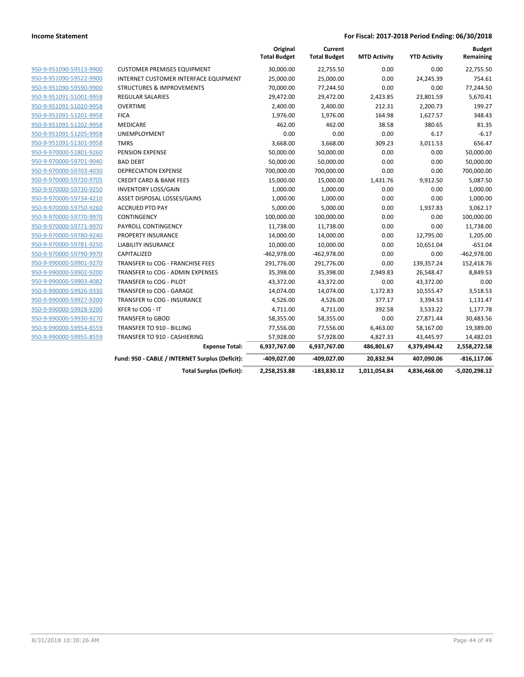|                         |                                                 | Original<br><b>Total Budget</b> | Current<br><b>Total Budget</b> | <b>MTD Activity</b> | <b>YTD Activity</b> | <b>Budget</b><br>Remaining |
|-------------------------|-------------------------------------------------|---------------------------------|--------------------------------|---------------------|---------------------|----------------------------|
| 950-9-951090-59513-9900 | <b>CUSTOMER PREMISES EQUIPMENT</b>              | 30,000.00                       | 22,755.50                      | 0.00                | 0.00                | 22,755.50                  |
| 950-9-951090-59522-9900 | INTERNET CUSTOMER INTERFACE EQUIPMENT           | 25,000.00                       | 25,000.00                      | 0.00                | 24,245.39           | 754.61                     |
| 950-9-951090-59590-9900 | <b>STRUCTURES &amp; IMPROVEMENTS</b>            | 70,000.00                       | 77,244.50                      | 0.00                | 0.00                | 77,244.50                  |
| 950-9-951091-51001-9958 | <b>REGULAR SALARIES</b>                         | 29,472.00                       | 29,472.00                      | 2,423.85            | 23,801.59           | 5,670.41                   |
| 950-9-951091-51020-9958 | <b>OVERTIME</b>                                 | 2,400.00                        | 2,400.00                       | 212.31              | 2,200.73            | 199.27                     |
| 950-9-951091-51201-9958 | <b>FICA</b>                                     | 1,976.00                        | 1,976.00                       | 164.98              | 1,627.57            | 348.43                     |
| 950-9-951091-51202-9958 | MEDICARE                                        | 462.00                          | 462.00                         | 38.58               | 380.65              | 81.35                      |
| 950-9-951091-51205-9958 | <b>UNEMPLOYMENT</b>                             | 0.00                            | 0.00                           | 0.00                | 6.17                | $-6.17$                    |
| 950-9-951091-51301-9958 | <b>TMRS</b>                                     | 3,668.00                        | 3,668.00                       | 309.23              | 3,011.53            | 656.47                     |
| 950-9-970000-51801-9260 | <b>PENSION EXPENSE</b>                          | 50,000.00                       | 50,000.00                      | 0.00                | 0.00                | 50,000.00                  |
| 950-9-970000-59701-9040 | <b>BAD DEBT</b>                                 | 50,000.00                       | 50,000.00                      | 0.00                | 0.00                | 50,000.00                  |
| 950-9-970000-59703-4030 | <b>DEPRECIATION EXPENSE</b>                     | 700,000.00                      | 700,000.00                     | 0.00                | 0.00                | 700,000.00                 |
| 950-9-970000-59720-9705 | <b>CREDIT CARD &amp; BANK FEES</b>              | 15,000.00                       | 15,000.00                      | 1,431.76            | 9,912.50            | 5,087.50                   |
| 950-9-970000-59730-9250 | <b>INVENTORY LOSS/GAIN</b>                      | 1,000.00                        | 1,000.00                       | 0.00                | 0.00                | 1,000.00                   |
| 950-9-970000-59734-4210 | ASSET DISPOSAL LOSSES/GAINS                     | 1,000.00                        | 1,000.00                       | 0.00                | 0.00                | 1,000.00                   |
| 950-9-970000-59750-9260 | <b>ACCRUED PTO PAY</b>                          | 5,000.00                        | 5,000.00                       | 0.00                | 1,937.83            | 3,062.17                   |
| 950-9-970000-59770-9970 | <b>CONTINGENCY</b>                              | 100,000.00                      | 100,000.00                     | 0.00                | 0.00                | 100,000.00                 |
| 950-9-970000-59771-9970 | PAYROLL CONTINGENCY                             | 11,738.00                       | 11,738.00                      | 0.00                | 0.00                | 11,738.00                  |
| 950-9-970000-59780-9240 | <b>PROPERTY INSURANCE</b>                       | 14,000.00                       | 14,000.00                      | 0.00                | 12,795.00           | 1,205.00                   |
| 950-9-970000-59781-9250 | <b>LIABILITY INSURANCE</b>                      | 10,000.00                       | 10,000.00                      | 0.00                | 10,651.04           | $-651.04$                  |
| 950-9-970000-59790-9970 | CAPITALIZED                                     | $-462,978.00$                   | $-462,978.00$                  | 0.00                | 0.00                | $-462,978.00$              |
| 950-9-990000-59901-9270 | TRANSFER to COG - FRANCHISE FEES                | 291,776.00                      | 291,776.00                     | 0.00                | 139,357.24          | 152,418.76                 |
| 950-9-990000-59902-9200 | TRANSFER to COG - ADMIN EXPENSES                | 35,398.00                       | 35,398.00                      | 2,949.83            | 26,548.47           | 8,849.53                   |
| 950-9-990000-59903-4082 | TRANSFER to COG - PILOT                         | 43,372.00                       | 43,372.00                      | 0.00                | 43,372.00           | 0.00                       |
| 950-9-990000-59926-9330 | TRANSFER to COG - GARAGE                        | 14,074.00                       | 14,074.00                      | 1,172.83            | 10,555.47           | 3,518.53                   |
| 950-9-990000-59927-9200 | TRANSFER to COG - INSURANCE                     | 4,526.00                        | 4,526.00                       | 377.17              | 3,394.53            | 1,131.47                   |
| 950-9-990000-59928-9200 | XFER to COG - IT                                | 4,711.00                        | 4,711.00                       | 392.58              | 3,533.22            | 1,177.78                   |
| 950-9-990000-59930-9270 | <b>TRANSFER to GBOD</b>                         | 58,355.00                       | 58,355.00                      | 0.00                | 27,871.44           | 30,483.56                  |
| 950-9-990000-59954-8559 | TRANSFER TO 910 - BILLING                       | 77,556.00                       | 77,556.00                      | 6,463.00            | 58,167.00           | 19,389.00                  |
| 950-9-990000-59955-8559 | TRANSFER TO 910 - CASHIERING                    | 57,928.00                       | 57,928.00                      | 4,827.33            | 43,445.97           | 14,482.03                  |
|                         | <b>Expense Total:</b>                           | 6,937,767.00                    | 6,937,767.00                   | 486,801.67          | 4,379,494.42        | 2,558,272.58               |
|                         | Fund: 950 - CABLE / INTERNET Surplus (Deficit): | -409,027.00                     | -409,027.00                    | 20,832.94           | 407,090.06          | $-816, 117.06$             |
|                         | <b>Total Surplus (Deficit):</b>                 | 2,258,253.88                    | $-183,830.12$                  | 1,011,054.84        | 4,836,468.00        | $-5,020,298.12$            |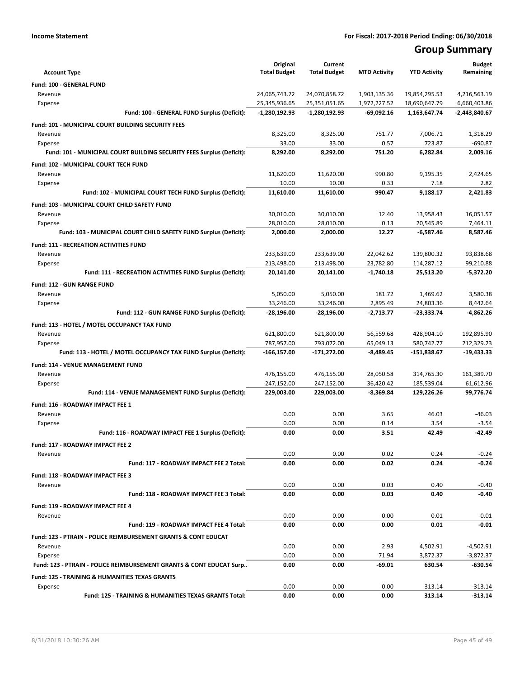# **Group Summary**

| <b>Account Type</b>                                                       | Original<br><b>Total Budget</b> | Current<br><b>Total Budget</b> | <b>MTD Activity</b> | <b>YTD Activity</b> | <b>Budget</b><br>Remaining |
|---------------------------------------------------------------------------|---------------------------------|--------------------------------|---------------------|---------------------|----------------------------|
| Fund: 100 - GENERAL FUND                                                  |                                 |                                |                     |                     |                            |
| Revenue                                                                   | 24,065,743.72                   | 24,070,858.72                  | 1,903,135.36        | 19,854,295.53       | 4,216,563.19               |
| Expense                                                                   | 25,345,936.65                   | 25,351,051.65                  | 1,972,227.52        | 18,690,647.79       | 6,660,403.86               |
| Fund: 100 - GENERAL FUND Surplus (Deficit):                               | $-1,280,192.93$                 | $-1,280,192.93$                | $-69,092.16$        | 1,163,647.74        | -2,443,840.67              |
| Fund: 101 - MUNICIPAL COURT BUILDING SECURITY FEES                        |                                 |                                |                     |                     |                            |
| Revenue                                                                   | 8,325.00                        | 8,325.00                       | 751.77              | 7,006.71            | 1,318.29                   |
| Expense                                                                   | 33.00                           | 33.00                          | 0.57                | 723.87              | $-690.87$                  |
| Fund: 101 - MUNICIPAL COURT BUILDING SECURITY FEES Surplus (Deficit):     | 8,292.00                        | 8,292.00                       | 751.20              | 6,282.84            | 2,009.16                   |
| Fund: 102 - MUNICIPAL COURT TECH FUND                                     |                                 |                                |                     |                     |                            |
| Revenue                                                                   | 11,620.00                       | 11,620.00                      | 990.80              | 9,195.35            | 2,424.65                   |
| Expense                                                                   | 10.00                           | 10.00                          | 0.33                | 7.18                | 2.82                       |
| Fund: 102 - MUNICIPAL COURT TECH FUND Surplus (Deficit):                  | 11,610.00                       | 11,610.00                      | 990.47              | 9,188.17            | 2,421.83                   |
| Fund: 103 - MUNICIPAL COURT CHILD SAFETY FUND                             |                                 |                                |                     |                     |                            |
| Revenue                                                                   | 30,010.00                       | 30,010.00                      | 12.40               | 13,958.43           | 16,051.57                  |
| Expense                                                                   | 28.010.00                       | 28,010.00                      | 0.13                | 20,545.89           | 7,464.11                   |
| Fund: 103 - MUNICIPAL COURT CHILD SAFETY FUND Surplus (Deficit):          | 2,000.00                        | 2,000.00                       | 12.27               | $-6,587.46$         | 8,587.46                   |
| <b>Fund: 111 - RECREATION ACTIVITIES FUND</b>                             |                                 |                                |                     |                     |                            |
| Revenue                                                                   | 233,639.00                      | 233,639.00                     | 22,042.62           | 139,800.32          | 93,838.68                  |
| Expense                                                                   | 213,498.00                      | 213,498.00                     | 23,782.80           | 114,287.12          | 99,210.88                  |
| Fund: 111 - RECREATION ACTIVITIES FUND Surplus (Deficit):                 | 20,141.00                       | 20,141.00                      | $-1,740.18$         | 25,513.20           | $-5,372.20$                |
| <b>Fund: 112 - GUN RANGE FUND</b>                                         |                                 |                                |                     |                     |                            |
| Revenue                                                                   | 5,050.00                        | 5,050.00                       | 181.72              | 1,469.62            | 3,580.38                   |
| Expense                                                                   | 33.246.00                       | 33,246.00                      | 2,895.49            | 24,803.36           | 8.442.64                   |
| Fund: 112 - GUN RANGE FUND Surplus (Deficit):                             | -28,196.00                      | -28,196.00                     | $-2,713.77$         | -23,333.74          | $-4,862.26$                |
| Fund: 113 - HOTEL / MOTEL OCCUPANCY TAX FUND                              |                                 |                                |                     |                     |                            |
| Revenue                                                                   | 621,800.00                      | 621,800.00                     | 56,559.68           | 428,904.10          | 192,895.90                 |
| Expense                                                                   | 787,957.00                      | 793,072.00                     | 65,049.13           | 580,742.77          | 212,329.23                 |
| Fund: 113 - HOTEL / MOTEL OCCUPANCY TAX FUND Surplus (Deficit):           | -166,157.00                     | -171,272.00                    | $-8,489.45$         | -151,838.67         | -19,433.33                 |
| Fund: 114 - VENUE MANAGEMENT FUND                                         |                                 |                                |                     |                     |                            |
| Revenue                                                                   | 476,155.00                      | 476,155.00                     | 28,050.58           | 314,765.30          | 161,389.70                 |
| Expense                                                                   | 247,152.00                      | 247,152.00                     | 36,420.42           | 185,539.04          | 61,612.96                  |
| Fund: 114 - VENUE MANAGEMENT FUND Surplus (Deficit):                      | 229,003.00                      | 229,003.00                     | $-8,369.84$         | 129,226.26          | 99,776.74                  |
| Fund: 116 - ROADWAY IMPACT FEE 1                                          |                                 |                                |                     |                     |                            |
| Revenue                                                                   | 0.00                            | 0.00                           | 3.65                | 46.03               | $-46.03$                   |
| Expense                                                                   | 0.00                            | 0.00                           | 0.14                | 3.54                | $-3.54$                    |
| Fund: 116 - ROADWAY IMPACT FEE 1 Surplus (Deficit):                       | 0.00                            | 0.00                           | 3.51                | 42.49               | $-42.49$                   |
| Fund: 117 - ROADWAY IMPACT FEE 2                                          |                                 |                                |                     |                     |                            |
| Revenue                                                                   | 0.00                            | 0.00                           | 0.02                | 0.24                | $-0.24$                    |
| Fund: 117 - ROADWAY IMPACT FEE 2 Total:                                   | 0.00                            | 0.00                           | 0.02                | 0.24                | $-0.24$                    |
| Fund: 118 - ROADWAY IMPACT FEE 3                                          |                                 |                                |                     |                     |                            |
| Revenue                                                                   | 0.00                            | 0.00                           | 0.03                | 0.40                | $-0.40$                    |
| Fund: 118 - ROADWAY IMPACT FEE 3 Total:                                   | 0.00                            | 0.00                           | 0.03                | 0.40                | $-0.40$                    |
| Fund: 119 - ROADWAY IMPACT FEE 4                                          |                                 |                                |                     |                     |                            |
| Revenue                                                                   | 0.00                            | 0.00                           | 0.00                | 0.01                | $-0.01$                    |
| Fund: 119 - ROADWAY IMPACT FEE 4 Total:                                   | 0.00                            | 0.00                           | 0.00                | 0.01                | $-0.01$                    |
| <b>Fund: 123 - PTRAIN - POLICE REIMBURSEMENT GRANTS &amp; CONT EDUCAT</b> |                                 |                                |                     |                     |                            |
| Revenue                                                                   | 0.00                            | 0.00                           | 2.93                | 4,502.91            | $-4,502.91$                |
| Expense                                                                   | 0.00                            | 0.00                           | 71.94               | 3,872.37            | $-3,872.37$                |
| Fund: 123 - PTRAIN - POLICE REIMBURSEMENT GRANTS & CONT EDUCAT Surp       | 0.00                            | 0.00                           | -69.01              | 630.54              | -630.54                    |
| <b>Fund: 125 - TRAINING &amp; HUMANITIES TEXAS GRANTS</b>                 |                                 |                                |                     |                     |                            |
| Expense                                                                   | 0.00                            | 0.00                           | 0.00                | 313.14              | $-313.14$                  |
| Fund: 125 - TRAINING & HUMANITIES TEXAS GRANTS Total:                     | 0.00                            | 0.00                           | 0.00                | 313.14              | $-313.14$                  |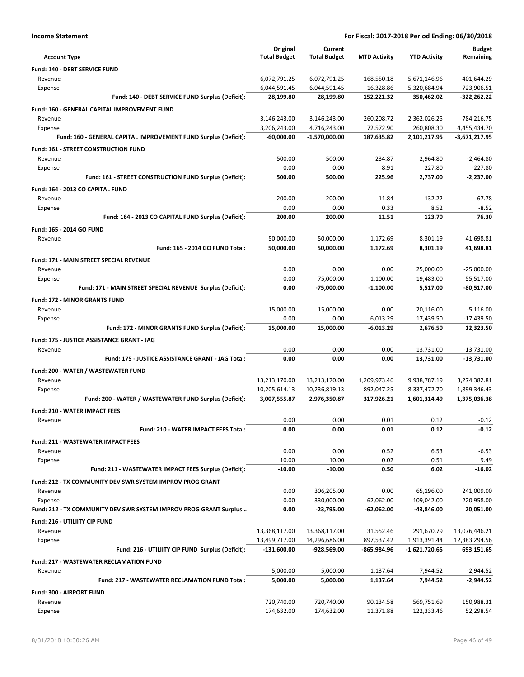| <b>Income Statement</b>                                                    | For Fiscal: 2017-2018 Period Ending: 06/30/2018 |                                 |                         |                            |                               |
|----------------------------------------------------------------------------|-------------------------------------------------|---------------------------------|-------------------------|----------------------------|-------------------------------|
|                                                                            | Original                                        | Current                         |                         |                            | <b>Budget</b>                 |
| <b>Account Type</b>                                                        | <b>Total Budget</b>                             | <b>Total Budget</b>             | <b>MTD Activity</b>     | <b>YTD Activity</b>        | Remaining                     |
| Fund: 140 - DEBT SERVICE FUND                                              |                                                 |                                 |                         |                            |                               |
| Revenue                                                                    | 6,072,791.25                                    | 6,072,791.25                    | 168,550.18              | 5,671,146.96               | 401,644.29                    |
| Expense                                                                    | 6,044,591.45                                    | 6,044,591.45                    | 16,328.86               | 5,320,684.94               | 723,906.51                    |
| Fund: 140 - DEBT SERVICE FUND Surplus (Deficit):                           | 28,199.80                                       | 28,199.80                       | 152,221.32              | 350,462.02                 | $-322,262.22$                 |
| Fund: 160 - GENERAL CAPITAL IMPROVEMENT FUND                               |                                                 |                                 |                         |                            |                               |
| Revenue                                                                    | 3,146,243.00                                    | 3,146,243.00                    | 260,208.72              | 2,362,026.25               | 784,216.75                    |
| Expense<br>Fund: 160 - GENERAL CAPITAL IMPROVEMENT FUND Surplus (Deficit): | 3,206,243.00<br>$-60.000.00$                    | 4,716,243.00<br>$-1,570,000.00$ | 72,572.90<br>187,635.82 | 260,808.30<br>2,101,217.95 | 4,455,434.70<br>-3,671,217.95 |
|                                                                            |                                                 |                                 |                         |                            |                               |
| Fund: 161 - STREET CONSTRUCTION FUND<br>Revenue                            | 500.00                                          | 500.00                          | 234.87                  | 2,964.80                   | $-2,464.80$                   |
| Expense                                                                    | 0.00                                            | 0.00                            | 8.91                    | 227.80                     | $-227.80$                     |
| Fund: 161 - STREET CONSTRUCTION FUND Surplus (Deficit):                    | 500.00                                          | 500.00                          | 225.96                  | 2,737.00                   | $-2,237.00$                   |
| Fund: 164 - 2013 CO CAPITAL FUND                                           |                                                 |                                 |                         |                            |                               |
| Revenue                                                                    | 200.00                                          | 200.00                          | 11.84                   | 132.22                     | 67.78                         |
| Expense                                                                    | 0.00                                            | 0.00                            | 0.33                    | 8.52                       | $-8.52$                       |
| Fund: 164 - 2013 CO CAPITAL FUND Surplus (Deficit):                        | 200.00                                          | 200.00                          | 11.51                   | 123.70                     | 76.30                         |
| Fund: 165 - 2014 GO FUND                                                   |                                                 |                                 |                         |                            |                               |
| Revenue                                                                    | 50,000.00                                       | 50,000.00                       | 1,172.69                | 8,301.19                   | 41,698.81                     |
| Fund: 165 - 2014 GO FUND Total:                                            | 50,000.00                                       | 50,000.00                       | 1,172.69                | 8,301.19                   | 41,698.81                     |
| <b>Fund: 171 - MAIN STREET SPECIAL REVENUE</b>                             |                                                 |                                 |                         |                            |                               |
| Revenue                                                                    | 0.00                                            | 0.00                            | 0.00                    | 25,000.00                  | $-25,000.00$                  |
| Expense                                                                    | 0.00                                            | 75,000.00                       | 1,100.00                | 19,483.00                  | 55,517.00                     |
| Fund: 171 - MAIN STREET SPECIAL REVENUE Surplus (Deficit):                 | 0.00                                            | -75,000.00                      | $-1,100.00$             | 5,517.00                   | -80,517.00                    |
| Fund: 172 - MINOR GRANTS FUND                                              |                                                 |                                 |                         |                            |                               |
| Revenue                                                                    | 15,000.00<br>0.00                               | 15,000.00<br>0.00               | 0.00<br>6,013.29        | 20,116.00<br>17,439.50     | $-5,116.00$<br>$-17,439.50$   |
| Expense<br>Fund: 172 - MINOR GRANTS FUND Surplus (Deficit):                | 15,000.00                                       | 15,000.00                       | $-6,013.29$             | 2,676.50                   | 12,323.50                     |
| Fund: 175 - JUSTICE ASSISTANCE GRANT - JAG                                 |                                                 |                                 |                         |                            |                               |
| Revenue                                                                    | 0.00                                            | 0.00                            | 0.00                    | 13,731.00                  | $-13,731.00$                  |
| Fund: 175 - JUSTICE ASSISTANCE GRANT - JAG Total:                          | 0.00                                            | 0.00                            | 0.00                    | 13,731.00                  | -13,731.00                    |
| Fund: 200 - WATER / WASTEWATER FUND                                        |                                                 |                                 |                         |                            |                               |
| Revenue                                                                    | 13,213,170.00                                   | 13,213,170.00                   | 1,209,973.46            | 9,938,787.19               | 3,274,382.81                  |
| Expense                                                                    | 10,205,614.13                                   | 10,236,819.13                   | 892,047.25              | 8,337,472.70               | 1,899,346.43                  |
| Fund: 200 - WATER / WASTEWATER FUND Surplus (Deficit):                     | 3,007,555.87                                    | 2,976,350.87                    | 317,926.21              | 1,601,314.49               | 1,375,036.38                  |
| Fund: 210 - WATER IMPACT FEES                                              |                                                 |                                 |                         |                            |                               |
| Revenue                                                                    | 0.00                                            | 0.00                            | 0.01                    | 0.12                       | $-0.12$                       |
| <b>Fund: 210 - WATER IMPACT FEES Total:</b>                                | 0.00                                            | 0.00                            | 0.01                    | 0.12                       | $-0.12$                       |
| <b>Fund: 211 - WASTEWATER IMPACT FEES</b>                                  |                                                 |                                 |                         |                            |                               |
| Revenue                                                                    | 0.00                                            | 0.00                            | 0.52                    | 6.53                       | $-6.53$                       |
| Expense                                                                    | 10.00<br>$-10.00$                               | 10.00<br>$-10.00$               | 0.02<br>0.50            | 0.51<br>6.02               | 9.49<br>$-16.02$              |
| Fund: 211 - WASTEWATER IMPACT FEES Surplus (Deficit):                      |                                                 |                                 |                         |                            |                               |
| Fund: 212 - TX COMMUNITY DEV SWR SYSTEM IMPROV PROG GRANT                  | 0.00                                            |                                 | 0.00                    |                            |                               |
| Revenue<br>Expense                                                         | 0.00                                            | 306,205.00<br>330,000.00        | 62,062.00               | 65,196.00<br>109,042.00    | 241,009.00<br>220,958.00      |
| Fund: 212 - TX COMMUNITY DEV SWR SYSTEM IMPROV PROG GRANT Surplus          | 0.00                                            | $-23,795.00$                    | $-62,062.00$            | -43,846.00                 | 20,051.00                     |
| Fund: 216 - UTILIITY CIP FUND                                              |                                                 |                                 |                         |                            |                               |
| Revenue                                                                    | 13,368,117.00                                   | 13,368,117.00                   | 31,552.46               | 291,670.79                 | 13,076,446.21                 |
| Expense                                                                    | 13,499,717.00                                   | 14,296,686.00                   | 897,537.42              | 1,913,391.44               | 12,383,294.56                 |
| Fund: 216 - UTILIITY CIP FUND Surplus (Deficit):                           | -131,600.00                                     | -928,569.00                     | -865,984.96             | -1,621,720.65              | 693,151.65                    |
| <b>Fund: 217 - WASTEWATER RECLAMATION FUND</b>                             |                                                 |                                 |                         |                            |                               |
|                                                                            |                                                 |                                 |                         |                            |                               |
| Revenue                                                                    | 5,000.00                                        | 5,000.00                        | 1,137.64                | 7,944.52                   | $-2,944.52$                   |
| Fund: 217 - WASTEWATER RECLAMATION FUND Total:                             | 5,000.00                                        | 5,000.00                        | 1,137.64                | 7,944.52                   | $-2,944.52$                   |
| Fund: 300 - AIRPORT FUND                                                   |                                                 |                                 |                         |                            |                               |
| Revenue<br>Expense                                                         | 720,740.00<br>174,632.00                        | 720,740.00<br>174,632.00        | 90,134.58<br>11,371.88  | 569,751.69<br>122,333.46   | 150,988.31<br>52,298.54       |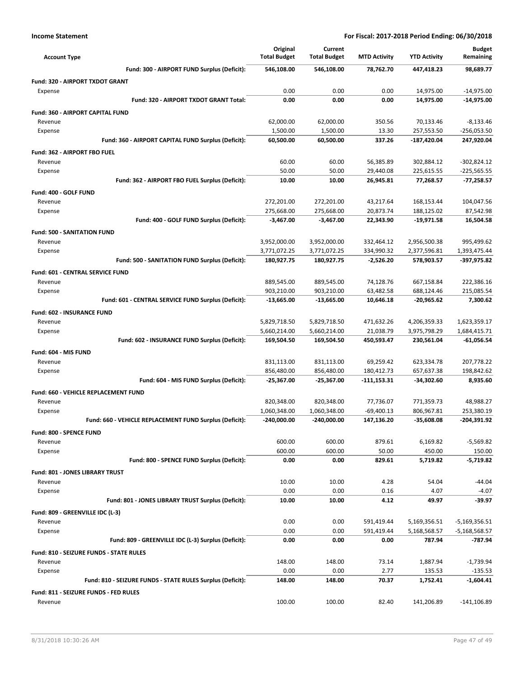| <b>Account Type</b>                                            | Original<br><b>Total Budget</b> | Current<br><b>Total Budget</b> | <b>MTD Activity</b>     | <b>YTD Activity</b>        | <b>Budget</b><br>Remaining   |
|----------------------------------------------------------------|---------------------------------|--------------------------------|-------------------------|----------------------------|------------------------------|
| Fund: 300 - AIRPORT FUND Surplus (Deficit):                    | 546,108.00                      | 546,108.00                     | 78,762.70               | 447,418.23                 | 98,689.77                    |
| Fund: 320 - AIRPORT TXDOT GRANT                                |                                 |                                |                         |                            |                              |
| Expense                                                        | 0.00                            | 0.00                           | 0.00                    | 14,975.00                  | $-14,975.00$                 |
| Fund: 320 - AIRPORT TXDOT GRANT Total:                         | 0.00                            | 0.00                           | 0.00                    | 14,975.00                  | -14,975.00                   |
| Fund: 360 - AIRPORT CAPITAL FUND                               |                                 |                                |                         |                            |                              |
| Revenue                                                        | 62,000.00                       | 62,000.00                      | 350.56                  | 70,133.46                  | $-8,133.46$                  |
| Expense                                                        | 1,500.00                        | 1,500.00                       | 13.30                   | 257,553.50                 | $-256,053.50$                |
| Fund: 360 - AIRPORT CAPITAL FUND Surplus (Deficit):            | 60,500.00                       | 60,500.00                      | 337.26                  | -187,420.04                | 247,920.04                   |
| Fund: 362 - AIRPORT FBO FUEL                                   |                                 |                                |                         |                            |                              |
| Revenue                                                        | 60.00                           | 60.00                          | 56,385.89               | 302,884.12                 | $-302,824.12$                |
| Expense                                                        | 50.00                           | 50.00                          | 29,440.08               | 225,615.55                 | $-225,565.55$                |
| Fund: 362 - AIRPORT FBO FUEL Surplus (Deficit):                | 10.00                           | 10.00                          | 26,945.81               | 77,268.57                  | $-77,258.57$                 |
| Fund: 400 - GOLF FUND                                          |                                 |                                |                         |                            |                              |
| Revenue                                                        | 272,201.00                      | 272,201.00                     | 43,217.64               | 168,153.44                 | 104,047.56                   |
| Expense                                                        | 275,668.00                      | 275,668.00                     | 20,873.74               | 188,125.02                 | 87,542.98                    |
| Fund: 400 - GOLF FUND Surplus (Deficit):                       | $-3,467.00$                     | $-3,467.00$                    | 22,343.90               | $-19,971.58$               | 16,504.58                    |
| <b>Fund: 500 - SANITATION FUND</b>                             |                                 |                                |                         |                            |                              |
| Revenue                                                        | 3,952,000.00                    | 3,952,000.00                   | 332,464.12              | 2,956,500.38               | 995,499.62                   |
| Expense                                                        | 3,771,072.25                    | 3,771,072.25                   | 334,990.32              | 2,377,596.81               | 1,393,475.44                 |
| Fund: 500 - SANITATION FUND Surplus (Deficit):                 | 180,927.75                      | 180,927.75                     | $-2,526.20$             | 578,903.57                 | -397,975.82                  |
| <b>Fund: 601 - CENTRAL SERVICE FUND</b>                        |                                 |                                |                         |                            |                              |
| Revenue                                                        | 889,545.00                      | 889,545.00                     | 74,128.76               | 667,158.84                 | 222,386.16                   |
| Expense<br>Fund: 601 - CENTRAL SERVICE FUND Surplus (Deficit): | 903,210.00<br>$-13,665.00$      | 903,210.00<br>$-13,665.00$     | 63,482.58<br>10,646.18  | 688,124.46<br>-20,965.62   | 215,085.54<br>7,300.62       |
|                                                                |                                 |                                |                         |                            |                              |
| Fund: 602 - INSURANCE FUND                                     |                                 |                                |                         |                            |                              |
| Revenue                                                        | 5,829,718.50                    | 5,829,718.50                   | 471,632.26              | 4,206,359.33               | 1,623,359.17                 |
| Expense<br>Fund: 602 - INSURANCE FUND Surplus (Deficit):       | 5,660,214.00<br>169,504.50      | 5,660,214.00<br>169,504.50     | 21,038.79<br>450,593.47 | 3,975,798.29<br>230,561.04 | 1,684,415.71<br>$-61,056.54$ |
|                                                                |                                 |                                |                         |                            |                              |
| Fund: 604 - MIS FUND                                           |                                 |                                |                         |                            |                              |
| Revenue<br>Expense                                             | 831,113.00<br>856,480.00        | 831,113.00<br>856,480.00       | 69,259.42<br>180,412.73 | 623,334.78<br>657,637.38   | 207,778.22<br>198,842.62     |
| Fund: 604 - MIS FUND Surplus (Deficit):                        | -25,367.00                      | -25,367.00                     | $-111, 153.31$          | -34,302.60                 | 8,935.60                     |
|                                                                |                                 |                                |                         |                            |                              |
| Fund: 660 - VEHICLE REPLACEMENT FUND<br>Revenue                | 820,348.00                      | 820,348.00                     | 77,736.07               | 771,359.73                 | 48,988.27                    |
| Expense                                                        | 1,060,348.00                    | 1,060,348.00                   | $-69,400.13$            | 806,967.81                 | 253,380.19                   |
| Fund: 660 - VEHICLE REPLACEMENT FUND Surplus (Deficit):        | -240,000.00                     | -240,000.00                    | 147,136.20              | $-35,608.08$               | -204,391.92                  |
| Fund: 800 - SPENCE FUND                                        |                                 |                                |                         |                            |                              |
| Revenue                                                        | 600.00                          | 600.00                         | 879.61                  | 6,169.82                   | $-5,569.82$                  |
| Expense                                                        | 600.00                          | 600.00                         | 50.00                   | 450.00                     | 150.00                       |
| Fund: 800 - SPENCE FUND Surplus (Deficit):                     | 0.00                            | 0.00                           | 829.61                  | 5,719.82                   | $-5,719.82$                  |
| <b>Fund: 801 - JONES LIBRARY TRUST</b>                         |                                 |                                |                         |                            |                              |
| Revenue                                                        | 10.00                           | 10.00                          | 4.28                    | 54.04                      | $-44.04$                     |
| Expense                                                        | 0.00                            | 0.00                           | 0.16                    | 4.07                       | $-4.07$                      |
| Fund: 801 - JONES LIBRARY TRUST Surplus (Deficit):             | 10.00                           | 10.00                          | 4.12                    | 49.97                      | $-39.97$                     |
| Fund: 809 - GREENVILLE IDC (L-3)                               |                                 |                                |                         |                            |                              |
| Revenue                                                        | 0.00                            | 0.00                           | 591,419.44              | 5,169,356.51               | $-5,169,356.51$              |
| Expense                                                        | 0.00                            | 0.00                           | 591,419.44              | 5,168,568.57               | $-5,168,568.57$              |
| Fund: 809 - GREENVILLE IDC (L-3) Surplus (Deficit):            | 0.00                            | 0.00                           | 0.00                    | 787.94                     | -787.94                      |
| Fund: 810 - SEIZURE FUNDS - STATE RULES                        |                                 |                                |                         |                            |                              |
| Revenue                                                        | 148.00                          | 148.00                         | 73.14                   | 1,887.94                   | $-1,739.94$                  |
| Expense                                                        | 0.00                            | 0.00                           | 2.77                    | 135.53                     | $-135.53$                    |
| Fund: 810 - SEIZURE FUNDS - STATE RULES Surplus (Deficit):     | 148.00                          | 148.00                         | 70.37                   | 1,752.41                   | -1,604.41                    |
| Fund: 811 - SEIZURE FUNDS - FED RULES                          |                                 |                                |                         |                            |                              |
| Revenue                                                        | 100.00                          | 100.00                         | 82.40                   | 141,206.89                 | $-141, 106.89$               |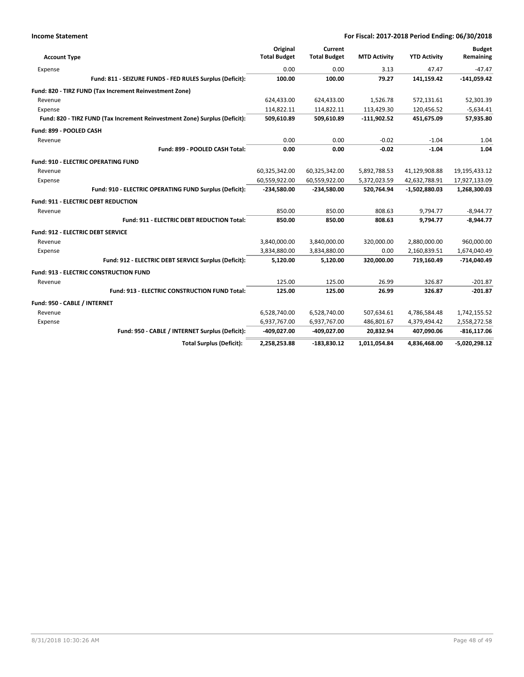| <b>Account Type</b>                      |                                                                            | Original<br><b>Total Budget</b> | Current<br><b>Total Budget</b> | <b>MTD Activity</b> | <b>YTD Activity</b> | <b>Budget</b><br>Remaining |
|------------------------------------------|----------------------------------------------------------------------------|---------------------------------|--------------------------------|---------------------|---------------------|----------------------------|
| Expense                                  |                                                                            | 0.00                            | 0.00                           | 3.13                | 47.47               | $-47.47$                   |
|                                          | Fund: 811 - SEIZURE FUNDS - FED RULES Surplus (Deficit):                   | 100.00                          | 100.00                         | 79.27               | 141,159.42          | $-141,059.42$              |
|                                          | Fund: 820 - TIRZ FUND (Tax Increment Reinvestment Zone)                    |                                 |                                |                     |                     |                            |
| Revenue                                  |                                                                            | 624,433.00                      | 624,433.00                     | 1,526.78            | 572,131.61          | 52,301.39                  |
| Expense                                  |                                                                            | 114,822.11                      | 114,822.11                     | 113,429.30          | 120,456.52          | $-5,634.41$                |
|                                          | Fund: 820 - TIRZ FUND (Tax Increment Reinvestment Zone) Surplus (Deficit): | 509,610.89                      | 509,610.89                     | $-111,902.52$       | 451,675.09          | 57,935.80                  |
| Fund: 899 - POOLED CASH                  |                                                                            |                                 |                                |                     |                     |                            |
| Revenue                                  |                                                                            | 0.00                            | 0.00                           | $-0.02$             | $-1.04$             | 1.04                       |
|                                          | Fund: 899 - POOLED CASH Total:                                             | 0.00                            | 0.00                           | $-0.02$             | $-1.04$             | 1.04                       |
|                                          | <b>Fund: 910 - ELECTRIC OPERATING FUND</b>                                 |                                 |                                |                     |                     |                            |
| Revenue                                  |                                                                            | 60,325,342.00                   | 60,325,342.00                  | 5,892,788.53        | 41,129,908.88       | 19,195,433.12              |
| Expense                                  |                                                                            | 60,559,922.00                   | 60,559,922.00                  | 5,372,023.59        | 42,632,788.91       | 17,927,133.09              |
|                                          | Fund: 910 - ELECTRIC OPERATING FUND Surplus (Deficit):                     | $-234,580.00$                   | $-234,580.00$                  | 520,764.94          | $-1,502,880.03$     | 1,268,300.03               |
|                                          | <b>Fund: 911 - ELECTRIC DEBT REDUCTION</b>                                 |                                 |                                |                     |                     |                            |
| Revenue                                  |                                                                            | 850.00                          | 850.00                         | 808.63              | 9,794.77            | $-8,944.77$                |
|                                          | Fund: 911 - ELECTRIC DEBT REDUCTION Total:                                 | 850.00                          | 850.00                         | 808.63              | 9,794.77            | $-8,944.77$                |
| <b>Fund: 912 - ELECTRIC DEBT SERVICE</b> |                                                                            |                                 |                                |                     |                     |                            |
| Revenue                                  |                                                                            | 3,840,000.00                    | 3,840,000.00                   | 320,000.00          | 2,880,000.00        | 960,000.00                 |
| Expense                                  |                                                                            | 3,834,880.00                    | 3,834,880.00                   | 0.00                | 2,160,839.51        | 1,674,040.49               |
|                                          | Fund: 912 - ELECTRIC DEBT SERVICE Surplus (Deficit):                       | 5,120.00                        | 5,120.00                       | 320,000.00          | 719,160.49          | $-714,040.49$              |
|                                          | <b>Fund: 913 - ELECTRIC CONSTRUCTION FUND</b>                              |                                 |                                |                     |                     |                            |
| Revenue                                  |                                                                            | 125.00                          | 125.00                         | 26.99               | 326.87              | $-201.87$                  |
|                                          | Fund: 913 - ELECTRIC CONSTRUCTION FUND Total:                              | 125.00                          | 125.00                         | 26.99               | 326.87              | $-201.87$                  |
| Fund: 950 - CABLE / INTERNET             |                                                                            |                                 |                                |                     |                     |                            |
| Revenue                                  |                                                                            | 6,528,740.00                    | 6,528,740.00                   | 507,634.61          | 4,786,584.48        | 1,742,155.52               |
| Expense                                  |                                                                            | 6,937,767.00                    | 6,937,767.00                   | 486,801.67          | 4,379,494.42        | 2,558,272.58               |
|                                          | Fund: 950 - CABLE / INTERNET Surplus (Deficit):                            | -409,027.00                     | -409,027.00                    | 20,832.94           | 407,090.06          | $-816, 117.06$             |
|                                          | <b>Total Surplus (Deficit):</b>                                            | 2,258,253.88                    | $-183,830.12$                  | 1,011,054.84        | 4,836,468.00        | $-5,020,298.12$            |